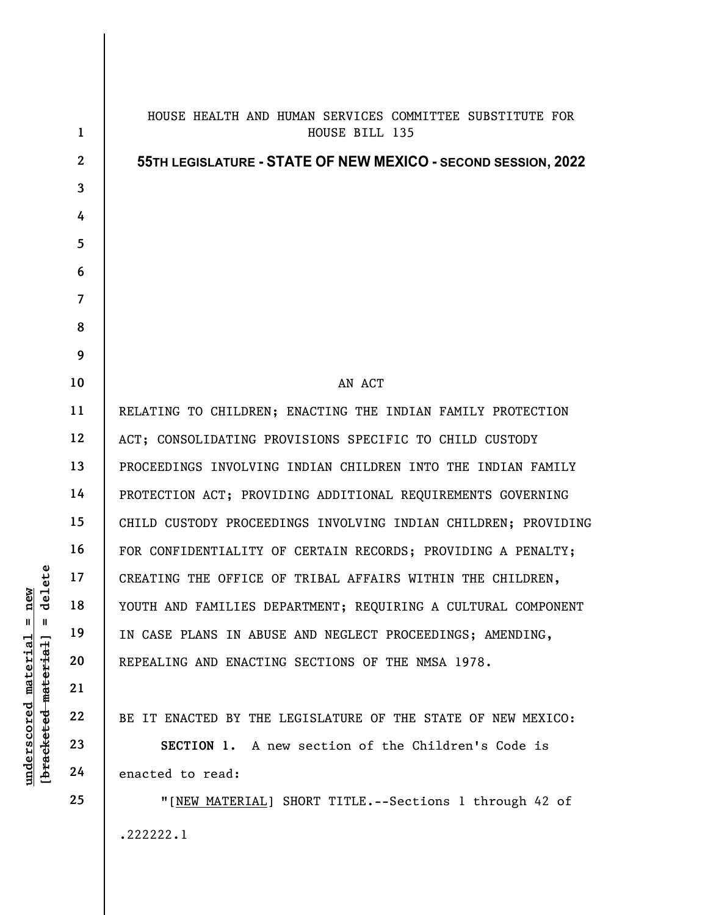|                                              | $\mathbf{1}$   | HOUSE HEALTH AND HUMAN SERVICES COMMITTEE SUBSTITUTE FOR<br>HOUSE BILL 135 |
|----------------------------------------------|----------------|----------------------------------------------------------------------------|
|                                              | $\mathbf{2}$   | 55TH LEGISLATURE - STATE OF NEW MEXICO - SECOND SESSION, 2022              |
|                                              | 3              |                                                                            |
|                                              | 4              |                                                                            |
|                                              | 5              |                                                                            |
|                                              | 6              |                                                                            |
|                                              | $\overline{7}$ |                                                                            |
|                                              | 8              |                                                                            |
|                                              | 9              |                                                                            |
|                                              | 10             | AN ACT                                                                     |
|                                              | 11             | RELATING TO CHILDREN; ENACTING THE INDIAN FAMILY PROTECTION                |
|                                              | 12             | ACT; CONSOLIDATING PROVISIONS SPECIFIC TO CHILD CUSTODY                    |
|                                              | 13             | PROCEEDINGS INVOLVING INDIAN CHILDREN INTO THE INDIAN FAMILY               |
|                                              | 14             | PROTECTION ACT; PROVIDING ADDITIONAL REQUIREMENTS GOVERNING                |
|                                              | 15             | CHILD CUSTODY PROCEEDINGS INVOLVING INDIAN CHILDREN; PROVIDING             |
|                                              | 16             | FOR CONFIDENTIALITY OF CERTAIN RECORDS; PROVIDING A PENALTY;               |
| elete                                        | 17             | CREATING THE OFFICE OF TRIBAL AFFAIRS WITHIN THE CHILDREN,                 |
| new<br>ヮ                                     | 18             | YOUTH AND FAMILIES DEPARTMENT; REQUIRING A CULTURAL COMPONENT              |
| $^{\mathsf{II}}$<br>Ш                        | 19             | IN CASE PLANS IN ABUSE AND NEGLECT PROCEEDINGS; AMENDING,                  |
|                                              | 20             | REPEALING AND ENACTING SECTIONS OF THE NMSA 1978.                          |
|                                              | 21             |                                                                            |
|                                              | 22             | BE IT ENACTED BY THE LEGISLATURE OF THE STATE OF NEW MEXICO:               |
|                                              | 23             | SECTION 1. A new section of the Children's Code is                         |
| underscored material<br>[bracketed material] | 24             | enacted to read:                                                           |
|                                              | 25             | "[NEW MATERIAL] SHORT TITLE.--Sections 1 through 42 of                     |
|                                              |                | .222222.1                                                                  |
|                                              |                |                                                                            |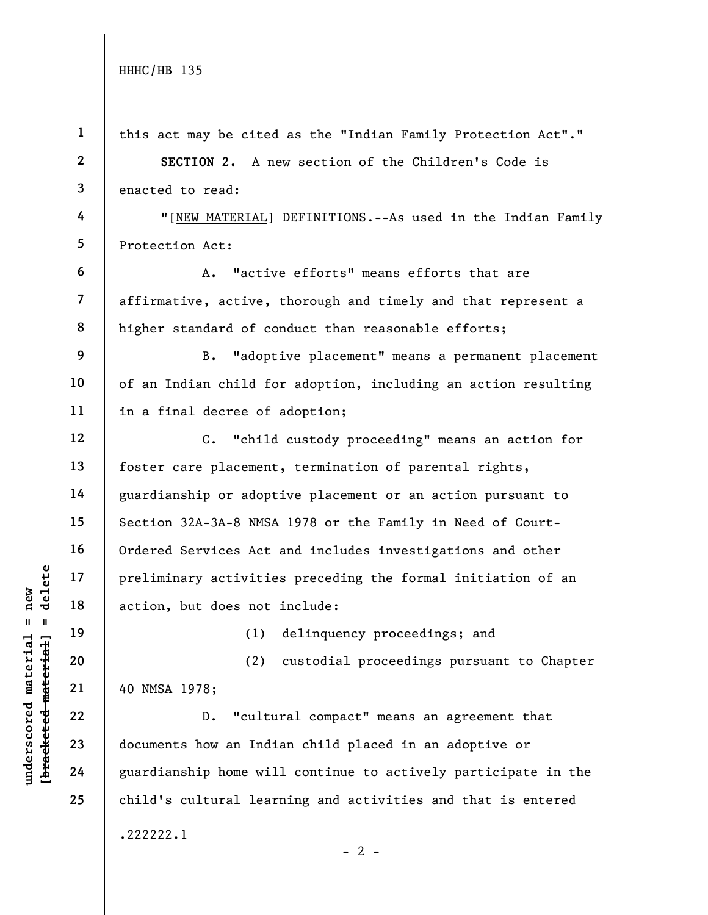| $\mathbf{1}$            | this act may be cited as the "Indian Family Protection Act"."    |
|-------------------------|------------------------------------------------------------------|
| $\boldsymbol{2}$        | SECTION 2. A new section of the Children's Code is               |
| 3                       | enacted to read:                                                 |
| 4                       | "[NEW MATERIAL] DEFINITIONS.--As used in the Indian Family       |
| 5                       | Protection Act:                                                  |
| 6                       | "active efforts" means efforts that are<br>Α.                    |
| $\overline{\mathbf{z}}$ | affirmative, active, thorough and timely and that represent a    |
| 8                       | higher standard of conduct than reasonable efforts;              |
| 9                       | "adoptive placement" means a permanent placement<br>B.           |
| 10                      | of an Indian child for adoption, including an action resulting   |
| 11                      | in a final decree of adoption;                                   |
| 12                      | $\mathsf{C}$ .<br>"child custody proceeding" means an action for |
| 13                      | foster care placement, termination of parental rights,           |
| 14                      | guardianship or adoptive placement or an action pursuant to      |
| 15                      | Section 32A-3A-8 NMSA 1978 or the Family in Need of Court-       |
| 16                      | Ordered Services Act and includes investigations and other       |
| 17                      | preliminary activities preceding the formal initiation of an     |
| 18                      | action, but does not include:                                    |
| 19                      | (1) delinquency proceedings; and                                 |
| 20                      | custodial proceedings pursuant to Chapter<br>(2)                 |
| 21                      | 40 NMSA 1978;                                                    |
| 22                      | "cultural compact" means an agreement that<br>$D$ .              |
| 23                      | documents how an Indian child placed in an adoptive or           |
| 24                      | guardianship home will continue to actively participate in the   |
| 25                      | child's cultural learning and activities and that is entered     |
|                         | .222222.1<br>$-2$ -                                              |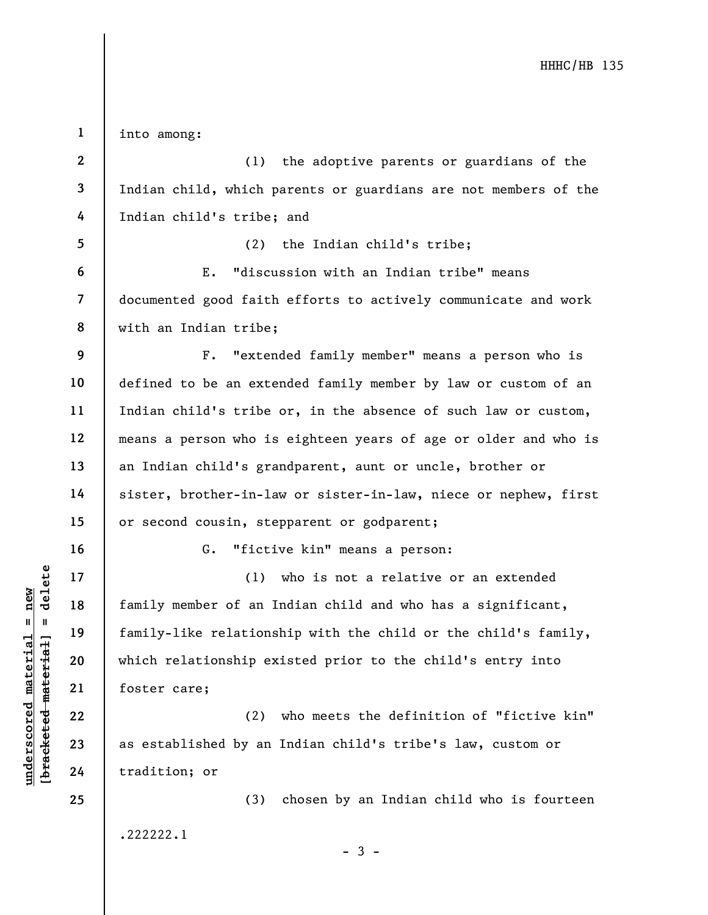underscored material material of an interest of an interest of an interest and tamily-like relations<br>definitive material materials of an interest and the problem of an interest and the set of an interest are:<br>defined as es 1 2 3 4 5 6 7 8 9 10 11 12 13 14 15 16 17 18 19 20 21 22 23 24 25 into among: (1) the adoptive parents or guardians of the Indian child, which parents or guardians are not members of the Indian child's tribe; and (2) the Indian child's tribe; E. "discussion with an Indian tribe" means documented good faith efforts to actively communicate and work with an Indian tribe; F. "extended family member" means a person who is defined to be an extended family member by law or custom of an Indian child's tribe or, in the absence of such law or custom, means a person who is eighteen years of age or older and who is an Indian child's grandparent, aunt or uncle, brother or sister, brother-in-law or sister-in-law, niece or nephew, first or second cousin, stepparent or godparent; G. "fictive kin" means a person: (1) who is not a relative or an extended family member of an Indian child and who has a significant, family-like relationship with the child or the child's family, which relationship existed prior to the child's entry into foster care; (2) who meets the definition of "fictive kin" as established by an Indian child's tribe's law, custom or tradition; or (3) chosen by an Indian child who is fourteen .222222.1 - 3 -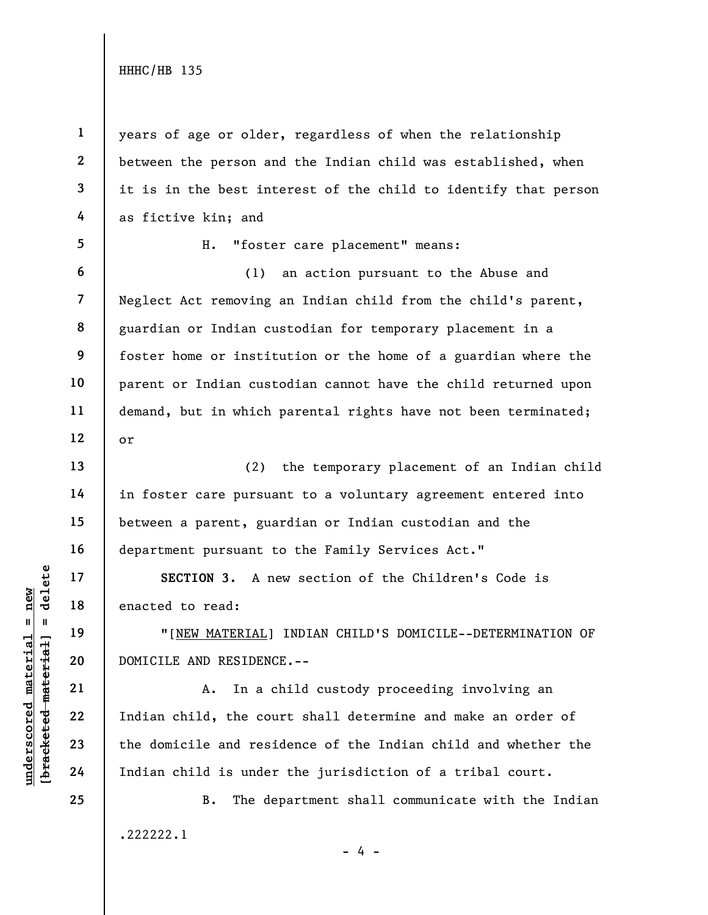1

2

3

4

5

6

7

8

9

10

11

12

13

14

15

16

17

18

19

20

21

22

23

24

25

years of age or older, regardless of when the relationship between the person and the Indian child was established, when it is in the best interest of the child to identify that person as fictive kin; and

H. "foster care placement" means:

(1) an action pursuant to the Abuse and Neglect Act removing an Indian child from the child's parent, guardian or Indian custodian for temporary placement in a foster home or institution or the home of a guardian where the parent or Indian custodian cannot have the child returned upon demand, but in which parental rights have not been terminated; or

(2) the temporary placement of an Indian child in foster care pursuant to a voluntary agreement entered into between a parent, guardian or Indian custodian and the department pursuant to the Family Services Act."

SECTION 3. A new section of the Children's Code is enacted to read:

"[NEW MATERIAL] INDIAN CHILD'S DOMICILE--DETERMINATION OF DOMICILE AND RESIDENCE.--

UNDERTION 3. A noted to read:<br>
19 and 18 enacted to read:<br>
19 million of the MATERIAL]<br>
20 DOMICILE AND RESIDENC<br>
21 a. In a c<br>
22 Indian child, the course<br>
24 Indian child is under A. In a child custody proceeding involving an Indian child, the court shall determine and make an order of the domicile and residence of the Indian child and whether the Indian child is under the jurisdiction of a tribal court.

> B. The department shall communicate with the Indian .222222.1 - 4 -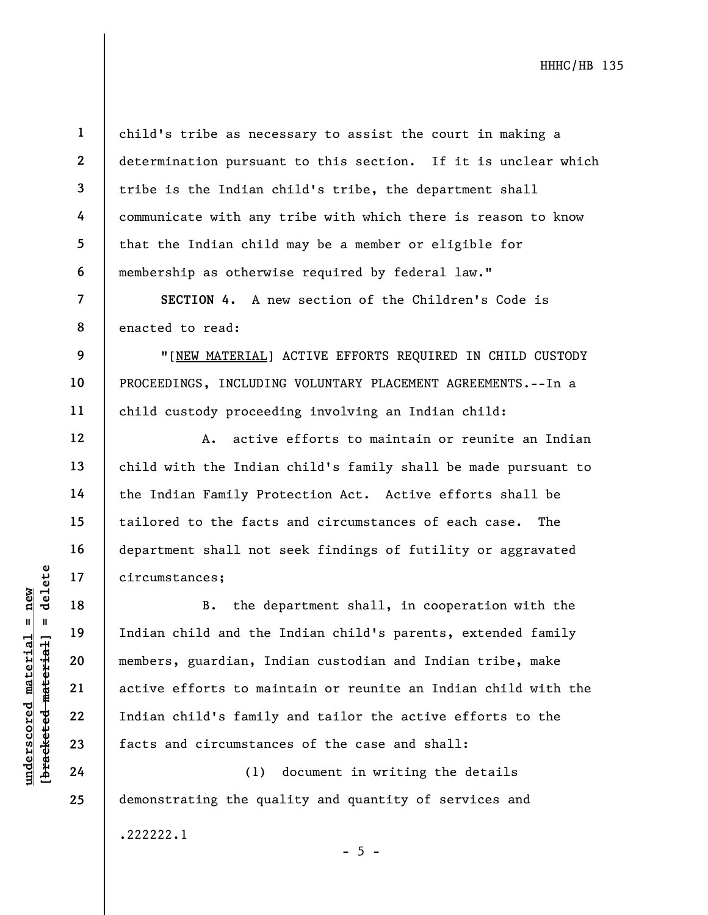1 2 3 4 5 6 child's tribe as necessary to assist the court in making a determination pursuant to this section. If it is unclear which tribe is the Indian child's tribe, the department shall communicate with any tribe with which there is reason to know that the Indian child may be a member or eligible for membership as otherwise required by federal law."

SECTION 4. A new section of the Children's Code is enacted to read:

"[NEW MATERIAL] ACTIVE EFFORTS REQUIRED IN CHILD CUSTODY PROCEEDINGS, INCLUDING VOLUNTARY PLACEMENT AGREEMENTS.--In a child custody proceeding involving an Indian child:

A. active efforts to maintain or reunite an Indian child with the Indian child's family shall be made pursuant to the Indian Family Protection Act. Active efforts shall be tailored to the facts and circumstances of each case. The department shall not seek findings of futility or aggravated circumstances;

underscore of the dependence of the dependence of the dependence of the dependence of the dependence of the material and the members, guardian, In active efforts to main and the members, guardian, In active efforts to main B. the department shall, in cooperation with the Indian child and the Indian child's parents, extended family members, guardian, Indian custodian and Indian tribe, make active efforts to maintain or reunite an Indian child with the Indian child's family and tailor the active efforts to the facts and circumstances of the case and shall:

 $- 5 -$ 

(1) document in writing the details demonstrating the quality and quantity of services and

.222222.1

7

8

9

10

11

12

13

14

15

16

17

18

19

20

21

22

23

24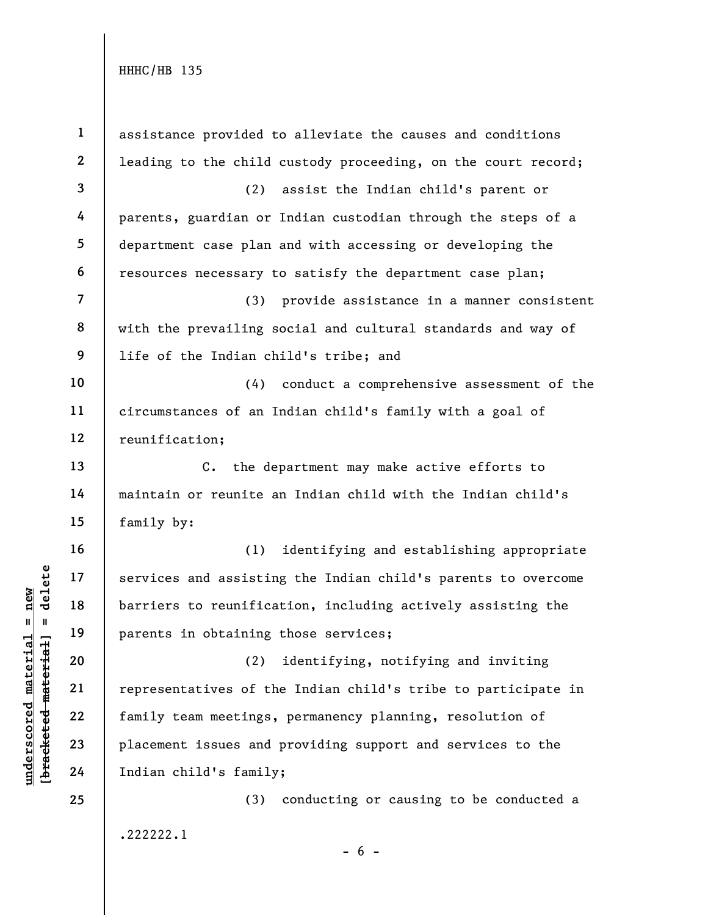under 17<br>
= 18<br>
= 18<br>
= 19<br>
= 19<br>
= 19<br>
= 19<br>
= 19<br>
= 19<br>
= 19<br>
= 19<br>
= 19<br>
= 19<br>
= 19<br>
= 19<br>
= 19<br>
= 19<br>
= 19<br>
= 19<br>
= 19<br>
= 19<br>
= 19<br>
= 19<br>
= 19<br>
= 19<br>
= 19<br>
= 19<br>
= 19<br>
= 19<br>
= 19<br>
= 19<br>
= 19<br>
= 19<br>
= 19<br>
= 19<br>
= 19<br>
= 1 2 3 4 5 6 7 8 9 10 11 12 13 14 15 16 17 18 19 20 21 22 23 24 25 assistance provided to alleviate the causes and conditions leading to the child custody proceeding, on the court record; (2) assist the Indian child's parent or parents, guardian or Indian custodian through the steps of a department case plan and with accessing or developing the resources necessary to satisfy the department case plan; (3) provide assistance in a manner consistent with the prevailing social and cultural standards and way of life of the Indian child's tribe; and (4) conduct a comprehensive assessment of the circumstances of an Indian child's family with a goal of reunification; C. the department may make active efforts to maintain or reunite an Indian child with the Indian child's family by: (1) identifying and establishing appropriate services and assisting the Indian child's parents to overcome barriers to reunification, including actively assisting the parents in obtaining those services; (2) identifying, notifying and inviting representatives of the Indian child's tribe to participate in family team meetings, permanency planning, resolution of placement issues and providing support and services to the Indian child's family; (3) conducting or causing to be conducted a .222222.1  $- 6 -$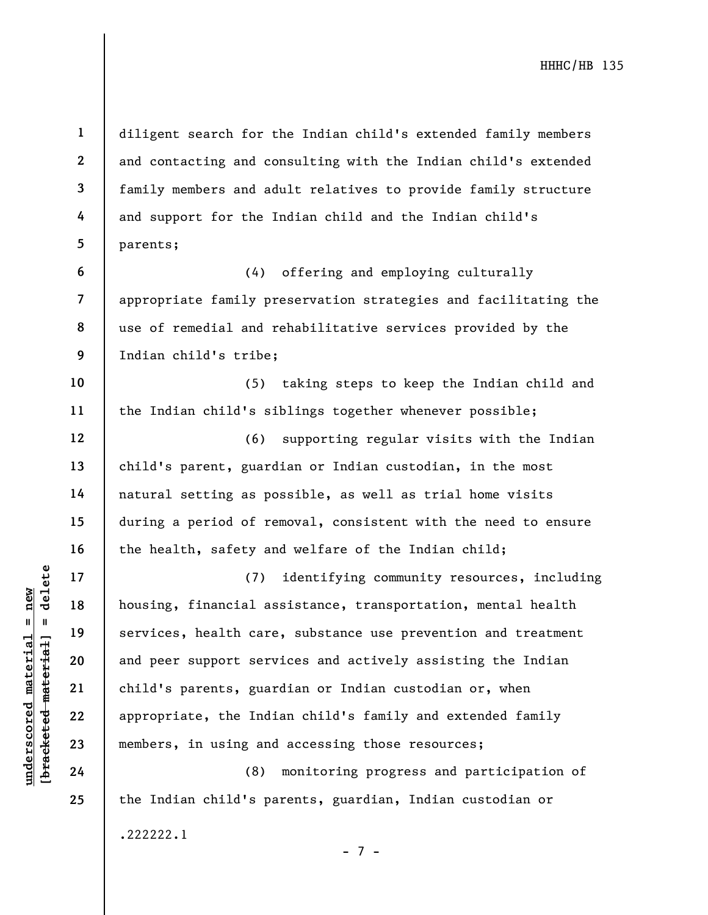1 2 3 4 5 6 diligent search for the Indian child's extended family members and contacting and consulting with the Indian child's extended family members and adult relatives to provide family structure and support for the Indian child and the Indian child's parents; (4) offering and employing culturally

8 appropriate family preservation strategies and facilitating the use of remedial and rehabilitative services provided by the Indian child's tribe;

10 11 (5) taking steps to keep the Indian child and the Indian child's siblings together whenever possible;

(6) supporting regular visits with the Indian child's parent, guardian or Indian custodian, in the most natural setting as possible, as well as trial home visits during a period of removal, consistent with the need to ensure the health, safety and welfare of the Indian child;

understand material is the Indian of the Indian of the Indian of the Indian of the Indian of the Indian of the Indian of the Indian of the Indian of the Indian of the Indian of the Indian of the Indian of the Indian of the (7) identifying community resources, including housing, financial assistance, transportation, mental health services, health care, substance use prevention and treatment and peer support services and actively assisting the Indian child's parents, guardian or Indian custodian or, when appropriate, the Indian child's family and extended family members, in using and accessing those resources;

(8) monitoring progress and participation of the Indian child's parents, guardian, Indian custodian or .222222.1 - 7 -

7

9

12

13

14

15

16

17

18

19

20

21

22

23

24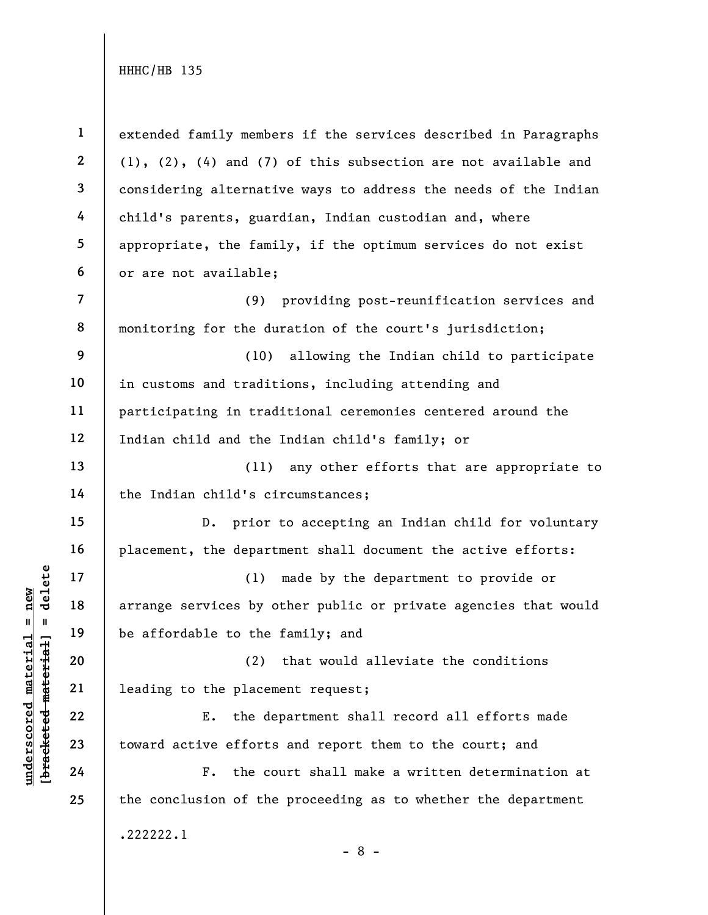underscored material = new [bracketed material] = delete 1 2 3 4 5 6 7 8 9 10 11 12 13 14 15 16 17 18 19 20 21 22 23 24 25 extended family members if the services described in Paragraphs (1), (2), (4) and (7) of this subsection are not available and considering alternative ways to address the needs of the Indian child's parents, guardian, Indian custodian and, where appropriate, the family, if the optimum services do not exist or are not available; (9) providing post-reunification services and monitoring for the duration of the court's jurisdiction; (10) allowing the Indian child to participate in customs and traditions, including attending and participating in traditional ceremonies centered around the Indian child and the Indian child's family; or (11) any other efforts that are appropriate to the Indian child's circumstances; D. prior to accepting an Indian child for voluntary placement, the department shall document the active efforts: (1) made by the department to provide or arrange services by other public or private agencies that would be affordable to the family; and (2) that would alleviate the conditions leading to the placement request; E. the department shall record all efforts made toward active efforts and report them to the court; and F. the court shall make a written determination at the conclusion of the proceeding as to whether the department .222222.1 - 8 -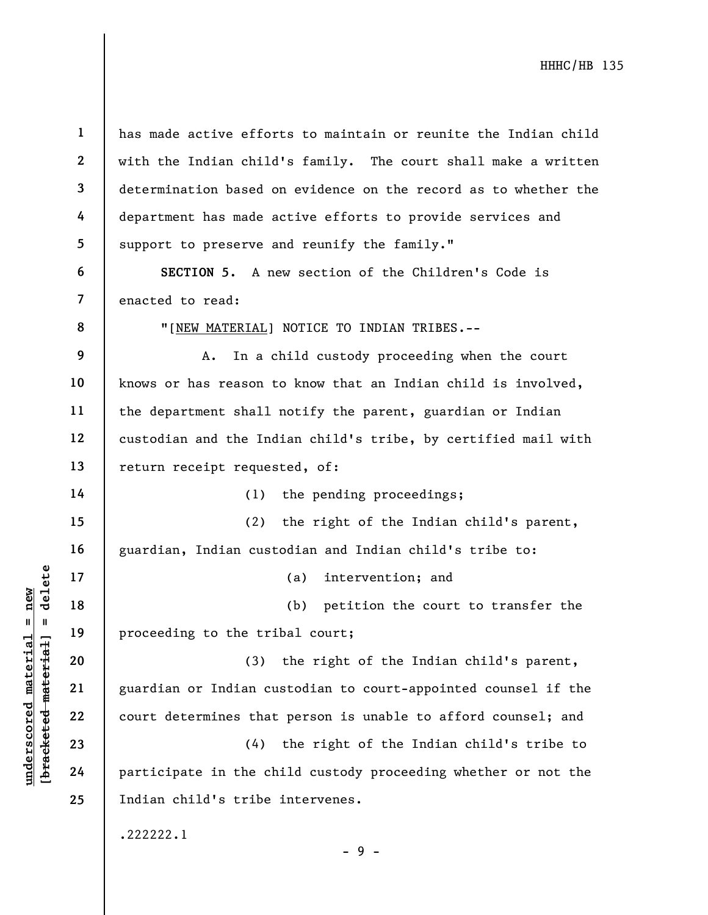understand material material material and the extended material and the solution of the solution of the court determines that<br>understand and the solution of the court determines that<br>depend 23 (4)<br>and 24 participate in the 1 2 3 4 5 6 7 8 9 10 11 12 13 14 15 16 17 18 19 20 21 22 23 24 25 has made active efforts to maintain or reunite the Indian child with the Indian child's family. The court shall make a written determination based on evidence on the record as to whether the department has made active efforts to provide services and support to preserve and reunify the family." SECTION 5. A new section of the Children's Code is enacted to read: "[NEW MATERIAL] NOTICE TO INDIAN TRIBES.-- A. In a child custody proceeding when the court knows or has reason to know that an Indian child is involved, the department shall notify the parent, guardian or Indian custodian and the Indian child's tribe, by certified mail with return receipt requested, of: (1) the pending proceedings; (2) the right of the Indian child's parent, guardian, Indian custodian and Indian child's tribe to: (a) intervention; and (b) petition the court to transfer the proceeding to the tribal court; (3) the right of the Indian child's parent, guardian or Indian custodian to court-appointed counsel if the court determines that person is unable to afford counsel; and (4) the right of the Indian child's tribe to participate in the child custody proceeding whether or not the Indian child's tribe intervenes. .222222.1  $-9 -$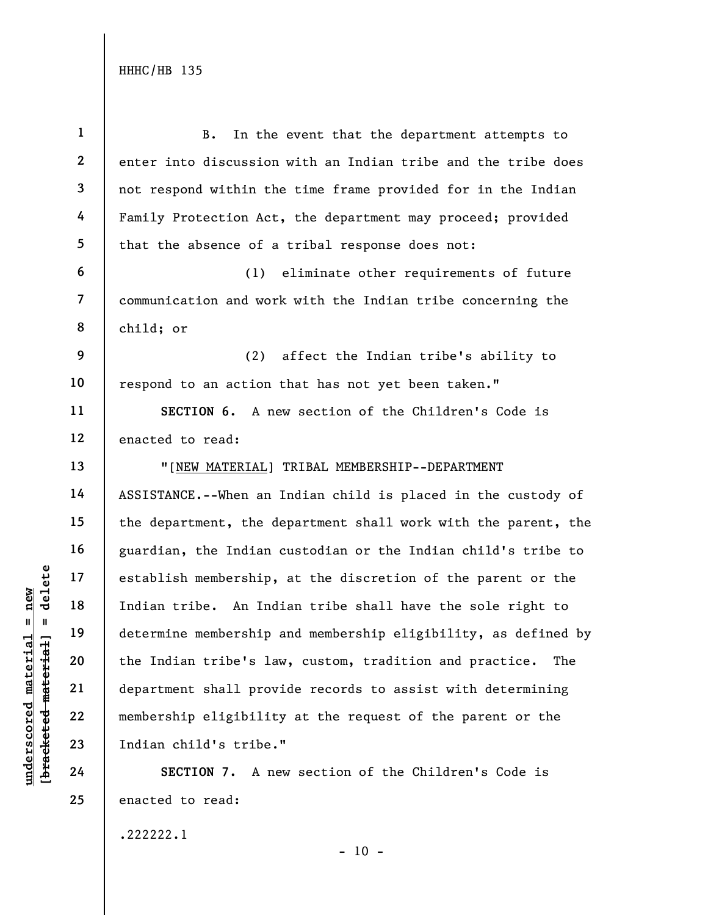|                                                        | $\mathbf{1}$   | In the event that the department attempts to<br><b>B.</b>      |
|--------------------------------------------------------|----------------|----------------------------------------------------------------|
|                                                        | $\mathbf{2}$   | enter into discussion with an Indian tribe and the tribe does  |
|                                                        | $\mathbf{3}$   | not respond within the time frame provided for in the Indian   |
|                                                        | 4              | Family Protection Act, the department may proceed; provided    |
|                                                        | 5              | that the absence of a tribal response does not:                |
|                                                        | 6              | eliminate other requirements of future<br>(1)                  |
|                                                        | $\overline{7}$ | communication and work with the Indian tribe concerning the    |
|                                                        | 8              | child; or                                                      |
|                                                        | 9              | (2)<br>affect the Indian tribe's ability to                    |
|                                                        | 10             | respond to an action that has not yet been taken."             |
|                                                        | 11             | SECTION 6. A new section of the Children's Code is             |
|                                                        | 12             | enacted to read:                                               |
|                                                        | 13             | "[NEW MATERIAL] TRIBAL MEMBERSHIP--DEPARTMENT                  |
|                                                        | 14             | ASSISTANCE.--When an Indian child is placed in the custody of  |
|                                                        | 15             | the department, the department shall work with the parent, the |
|                                                        | 16             | guardian, the Indian custodian or the Indian child's tribe to  |
| delete                                                 | 17             | establish membership, at the discretion of the parent or the   |
| new                                                    | 18             | Indian tribe. An Indian tribe shall have the sole right to     |
| II                                                     | 19             | determine membership and membership eligibility, as defined by |
|                                                        | 20             | the Indian tribe's law, custom, tradition and practice.<br>The |
|                                                        | 21             | department shall provide records to assist with determining    |
|                                                        | 22             | membership eligibility at the request of the parent or the     |
| underscored materia<br>[ <del>bracketed materia]</del> | 23             | Indian child's tribe."                                         |
|                                                        | 24             | SECTION 7.<br>A new section of the Children's Code is          |
|                                                        | 25             | enacted to read:                                               |

.222222.1

- 10 -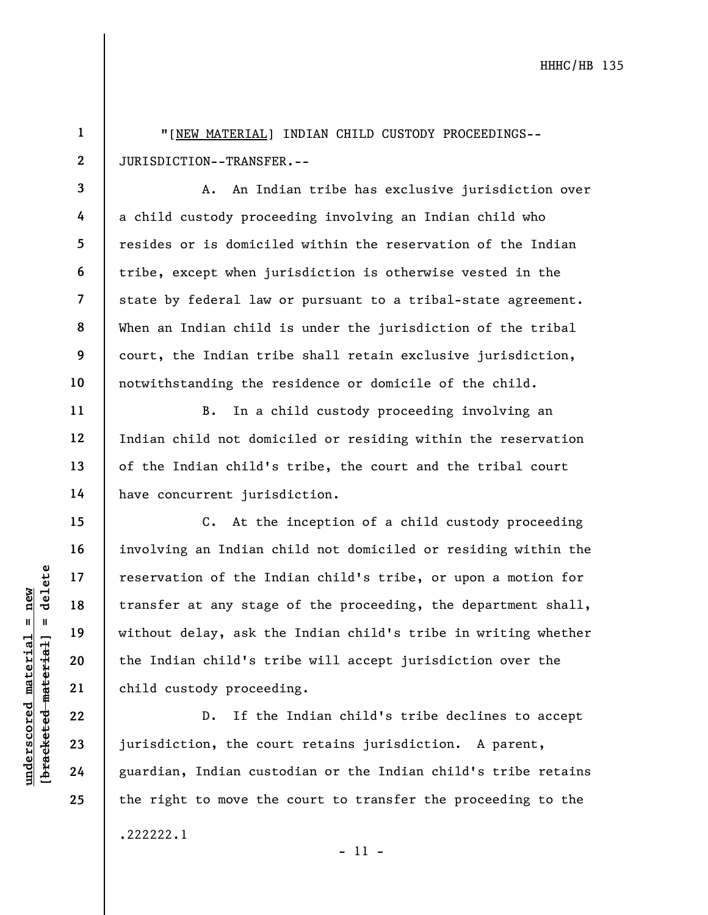"[NEW MATERIAL] INDIAN CHILD CUSTODY PROCEEDINGS-- JURISDICTION--TRANSFER.--

A. An Indian tribe has exclusive jurisdiction over a child custody proceeding involving an Indian child who resides or is domiciled within the reservation of the Indian tribe, except when jurisdiction is otherwise vested in the state by federal law or pursuant to a tribal-state agreement. When an Indian child is under the jurisdiction of the tribal court, the Indian tribe shall retain exclusive jurisdiction, notwithstanding the residence or domicile of the child.

B. In a child custody proceeding involving an Indian child not domiciled or residing within the reservation of the Indian child's tribe, the court and the tribal court have concurrent jurisdiction.

understand material material of the Indian of the Indian stage<br>
without delay, ask the Undian child's transfer at any stage<br>
without delay, ask the Undian child's transfer at any stage<br>
without delay, ask the Undian child' C. At the inception of a child custody proceeding involving an Indian child not domiciled or residing within the reservation of the Indian child's tribe, or upon a motion for transfer at any stage of the proceeding, the department shall, without delay, ask the Indian child's tribe in writing whether the Indian child's tribe will accept jurisdiction over the child custody proceeding.

D. If the Indian child's tribe declines to accept jurisdiction, the court retains jurisdiction. A parent, guardian, Indian custodian or the Indian child's tribe retains the right to move the court to transfer the proceeding to the .222222.1

- 11 -

1

2

3

4

5

6

7

8

9

10

11

12

13

14

15

16

17

18

19

20

21

22

23

24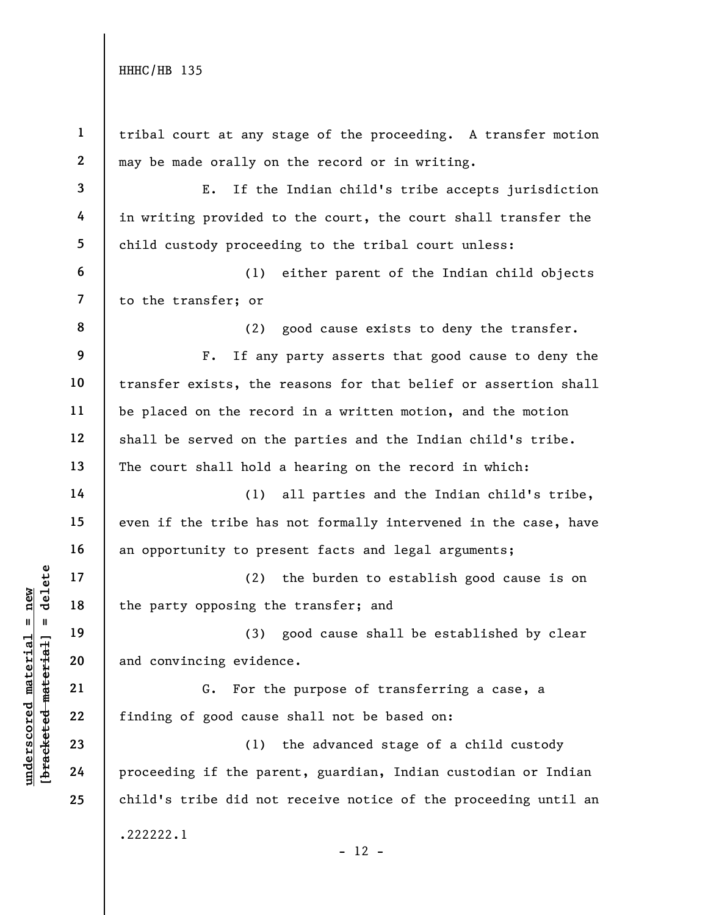|                                                        | $\mathbf{1}$   | tribal court at any stage of the proceeding. A transfer motion  |
|--------------------------------------------------------|----------------|-----------------------------------------------------------------|
|                                                        | $\mathbf{2}$   | may be made orally on the record or in writing.                 |
|                                                        | $\mathbf{3}$   | E.<br>If the Indian child's tribe accepts jurisdiction          |
|                                                        | 4              | in writing provided to the court, the court shall transfer the  |
|                                                        | 5              | child custody proceeding to the tribal court unless:            |
|                                                        | 6              | either parent of the Indian child objects<br>(1)                |
|                                                        | $\overline{7}$ | to the transfer; or                                             |
|                                                        | 8              | good cause exists to deny the transfer.<br>(2)                  |
|                                                        | 9              | If any party asserts that good cause to deny the<br>$F$ .       |
|                                                        | 10             | transfer exists, the reasons for that belief or assertion shall |
|                                                        | 11             | be placed on the record in a written motion, and the motion     |
|                                                        | 12             | shall be served on the parties and the Indian child's tribe.    |
|                                                        | 13             | The court shall hold a hearing on the record in which:          |
|                                                        | 14             | all parties and the Indian child's tribe,<br>(1)                |
|                                                        | 15             | even if the tribe has not formally intervened in the case, have |
|                                                        | 16             | an opportunity to present facts and legal arguments;            |
| delete                                                 | 17             | (2)<br>the burden to establish good cause is on                 |
| $n$ ew                                                 | 18             | the party opposing the transfer; and                            |
| $\mathbf{u}$<br>- II                                   | 19             | (3) good cause shall be established by clear                    |
| underscored materia<br>[ <del>bracketed material</del> | 20             | and convincing evidence.                                        |
|                                                        | 21             | For the purpose of transferring a case, a<br>G.                 |
|                                                        | 22             | finding of good cause shall not be based on:                    |
|                                                        | 23             | the advanced stage of a child custody<br>(1)                    |
|                                                        | 24             | proceeding if the parent, guardian, Indian custodian or Indian  |
|                                                        | 25             | child's tribe did not receive notice of the proceeding until an |
|                                                        |                | .222222.1<br>$-12 -$                                            |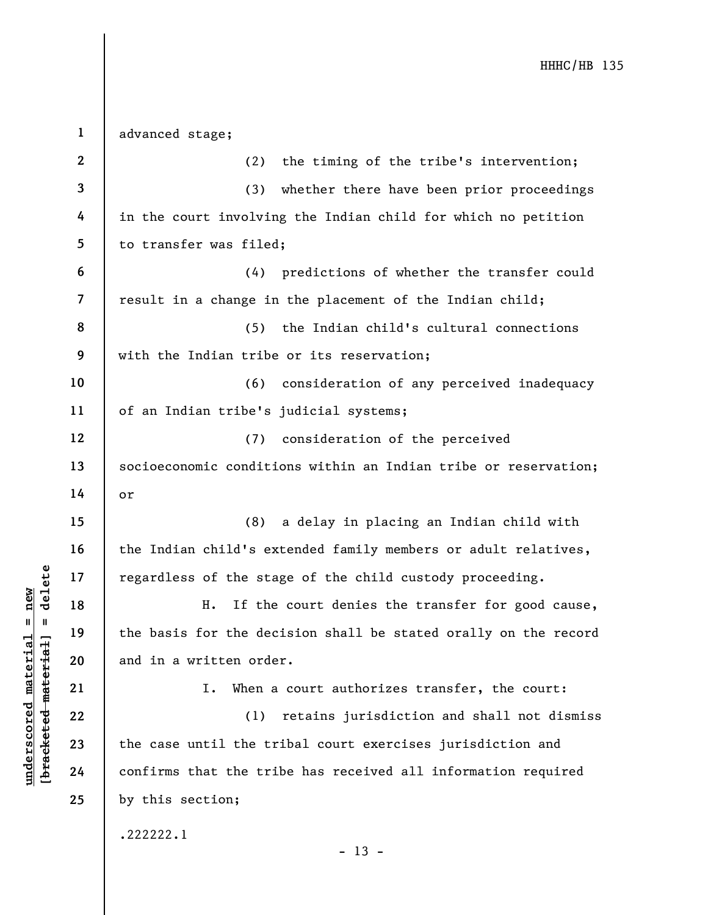| $\mathbf 1$      | advanced stage;                                                 |
|------------------|-----------------------------------------------------------------|
| $\boldsymbol{2}$ | the timing of the tribe's intervention;<br>(2)                  |
| 3                | whether there have been prior proceedings<br>(3)                |
| 4                | in the court involving the Indian child for which no petition   |
| 5                | to transfer was filed;                                          |
| 6                | (4) predictions of whether the transfer could                   |
| $\overline{7}$   | result in a change in the placement of the Indian child;        |
| 8                | (5)<br>the Indian child's cultural connections                  |
| 9                | with the Indian tribe or its reservation;                       |
| 10               | (6)<br>consideration of any perceived inadequacy                |
| 11               | of an Indian tribe's judicial systems;                          |
| 12               | consideration of the perceived<br>(7)                           |
| 13               | socioeconomic conditions within an Indian tribe or reservation; |
| 14               | or                                                              |
| 15               | a delay in placing an Indian child with<br>(8)                  |
| 16               | the Indian child's extended family members or adult relatives,  |
| 17               | regardless of the stage of the child custody proceeding.        |
| 18               | If the court denies the transfer for good cause,<br>Η.          |
| 19               | the basis for the decision shall be stated orally on the record |
| 20               | and in a written order.                                         |
| 21               | When a court authorizes transfer, the court:<br>Ι.              |
| 22               | retains jurisdiction and shall not dismiss<br>(1)               |
| 23               | the case until the tribal court exercises jurisdiction and      |
| 24               | confirms that the tribe has received all information required   |
| 25               | by this section;                                                |
|                  | .222222.1<br>$-13 -$                                            |

 $\frac{\text{underscored material = new}}{\text{beac detected-matter}+\text{d}}$  = delete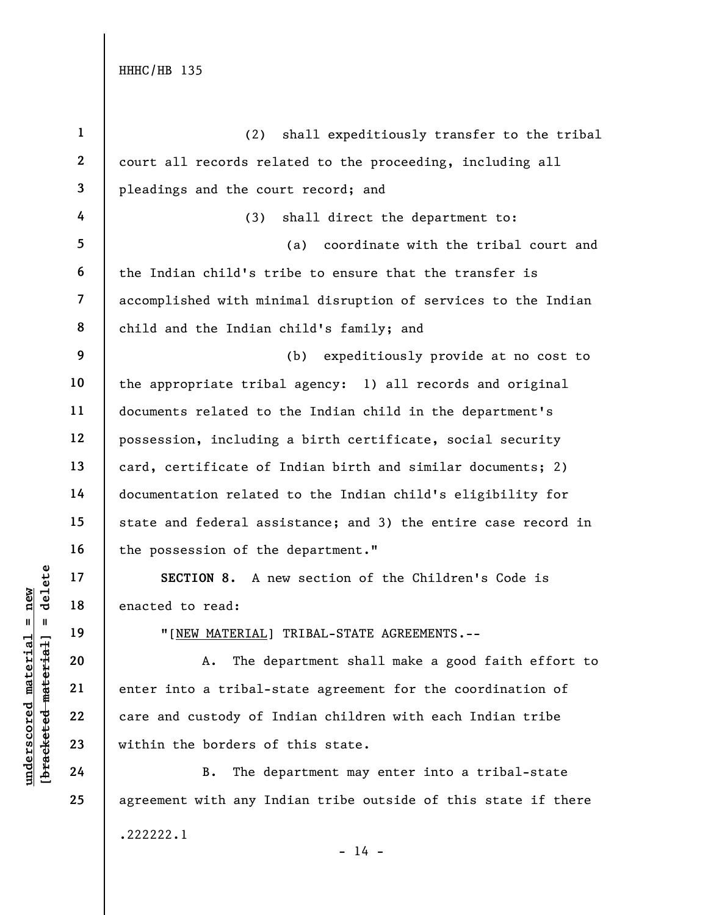|                                   | $\mathbf{1}$            | shall expeditiously transfer to the tribal<br>(2)              |
|-----------------------------------|-------------------------|----------------------------------------------------------------|
|                                   | $\mathbf{2}$            | court all records related to the proceeding, including all     |
|                                   | $\mathbf{3}$            | pleadings and the court record; and                            |
|                                   | 4                       | shall direct the department to:<br>(3)                         |
|                                   | 5                       | coordinate with the tribal court and<br>(a)                    |
|                                   | 6                       | the Indian child's tribe to ensure that the transfer is        |
|                                   | $\overline{\mathbf{z}}$ | accomplished with minimal disruption of services to the Indian |
|                                   | 8                       | child and the Indian child's family; and                       |
|                                   | 9                       | (b)<br>expeditiously provide at no cost to                     |
|                                   | 10                      | the appropriate tribal agency: 1) all records and original     |
|                                   | 11                      | documents related to the Indian child in the department's      |
|                                   | 12                      | possession, including a birth certificate, social security     |
|                                   | 13                      | card, certificate of Indian birth and similar documents; 2)    |
|                                   | 14                      | documentation related to the Indian child's eligibility for    |
|                                   | 15                      | state and federal assistance; and 3) the entire case record in |
|                                   | 16                      | the possession of the department."                             |
| delete                            | 17                      | SECTION 8. A new section of the Children's Code is             |
| $n$ ew                            | 18                      | enacted to read:                                               |
| II                                | 19                      | " [NEW MATERIAL] TRIBAL-STATE AGREEMENTS.--                    |
| <u>materia</u><br><b>material</b> | 20                      | The department shall make a good faith effort to<br>Α.         |
|                                   | 21                      | enter into a tribal-state agreement for the coordination of    |
| $underscore$                      | 22                      | care and custody of Indian children with each Indian tribe     |
| [ <del>brack</del> eted           | 23                      | within the borders of this state.                              |
|                                   | 24                      | <b>B.</b><br>The department may enter into a tribal-state      |
|                                   | 25                      | agreement with any Indian tribe outside of this state if there |
|                                   |                         |                                                                |

 $- 14 -$ 

.222222.1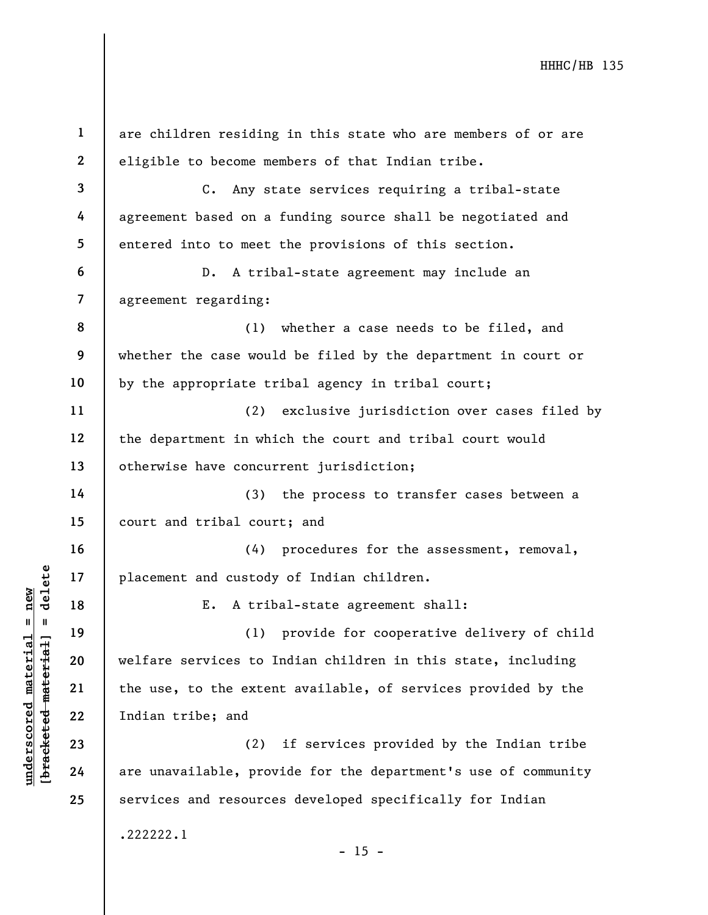underscored material material material material material extended material contractions of the use, to the extent<br>gradient 22 are unavailable, provided are unavailable, provided are unavailable, provided are unavailable, p 1 2 3 4 5 6 7 8 9 10 11 12 13 14 15 16 17 18 19 20 21 22 23 24 25 are children residing in this state who are members of or are eligible to become members of that Indian tribe. C. Any state services requiring a tribal-state agreement based on a funding source shall be negotiated and entered into to meet the provisions of this section. D. A tribal-state agreement may include an agreement regarding: (1) whether a case needs to be filed, and whether the case would be filed by the department in court or by the appropriate tribal agency in tribal court; (2) exclusive jurisdiction over cases filed by the department in which the court and tribal court would otherwise have concurrent jurisdiction; (3) the process to transfer cases between a court and tribal court; and (4) procedures for the assessment, removal, placement and custody of Indian children. E. A tribal-state agreement shall: (1) provide for cooperative delivery of child welfare services to Indian children in this state, including the use, to the extent available, of services provided by the Indian tribe; and (2) if services provided by the Indian tribe are unavailable, provide for the department's use of community services and resources developed specifically for Indian .222222.1  $- 15 -$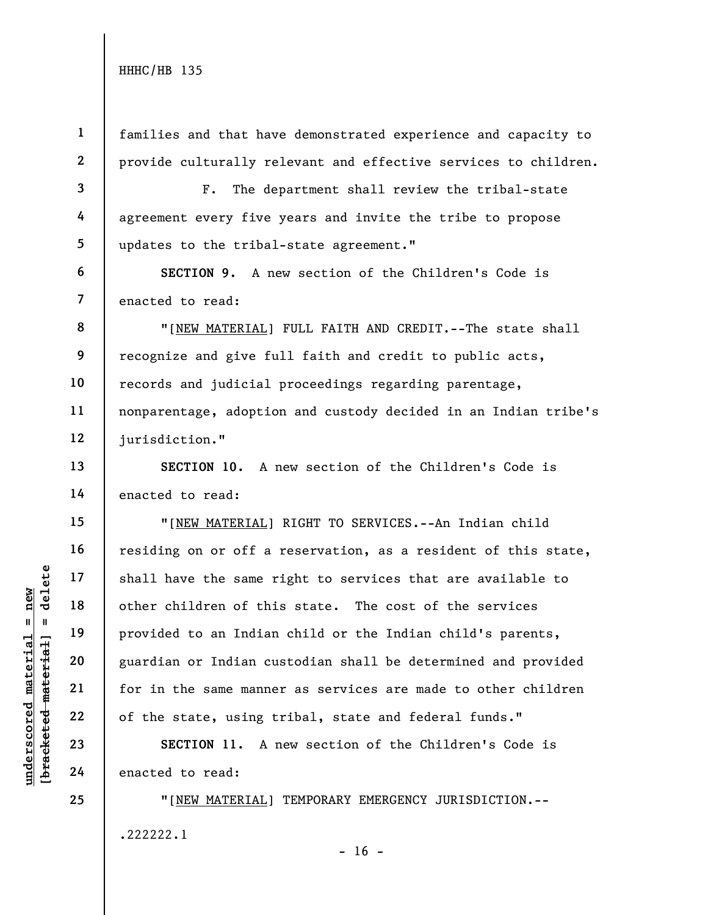1

3

4

5

6

7

13

14

15

16

17

18

19

20

21

22

23

24

25

2 families and that have demonstrated experience and capacity to provide culturally relevant and effective services to children.

F. The department shall review the tribal-state agreement every five years and invite the tribe to propose updates to the tribal-state agreement."

SECTION 9. A new section of the Children's Code is enacted to read:

8 9 10 11 12 "[NEW MATERIAL] FULL FAITH AND CREDIT.--The state shall recognize and give full faith and credit to public acts, records and judicial proceedings regarding parentage, nonparentage, adoption and custody decided in an Indian tribe's jurisdiction."

SECTION 10. A new section of the Children's Code is enacted to read:

underscored material = new [bracketed material] = delete "[NEW MATERIAL] RIGHT TO SERVICES.--An Indian child residing on or off a reservation, as a resident of this state, shall have the same right to services that are available to other children of this state. The cost of the services provided to an Indian child or the Indian child's parents, guardian or Indian custodian shall be determined and provided for in the same manner as services are made to other children of the state, using tribal, state and federal funds."

SECTION 11. A new section of the Children's Code is enacted to read:

"[NEW MATERIAL] TEMPORARY EMERGENCY JURISDICTION.-- .222222.1

 $- 16 -$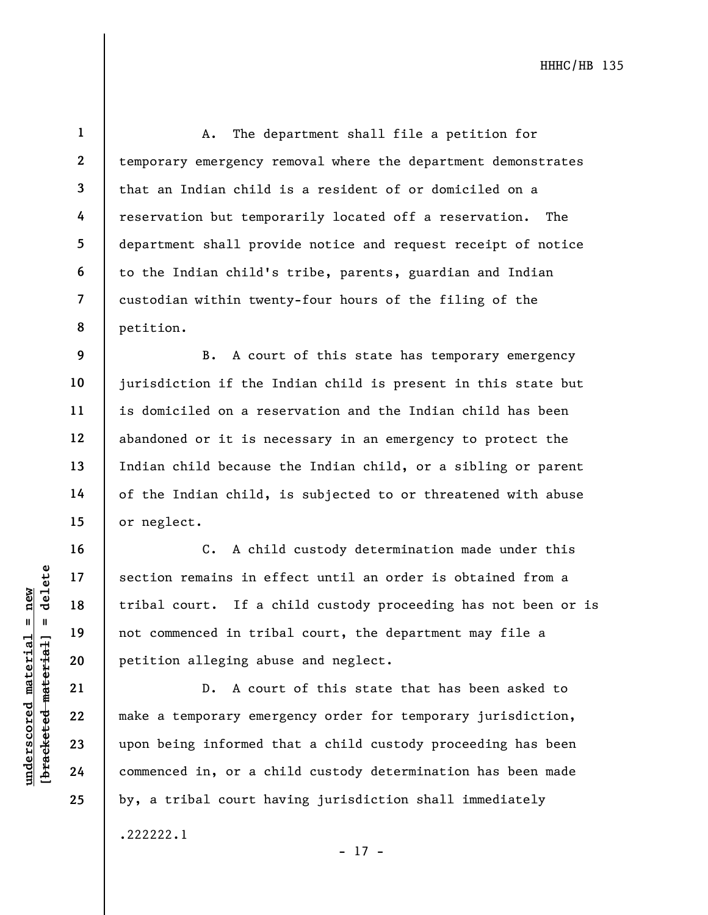1 2 3 4 5 6 7 8 A. The department shall file a petition for temporary emergency removal where the department demonstrates that an Indian child is a resident of or domiciled on a reservation but temporarily located off a reservation. The department shall provide notice and request receipt of notice to the Indian child's tribe, parents, guardian and Indian custodian within twenty-four hours of the filing of the petition.

B. A court of this state has temporary emergency jurisdiction if the Indian child is present in this state but is domiciled on a reservation and the Indian child has been abandoned or it is necessary in an emergency to protect the Indian child because the Indian child, or a sibling or parent of the Indian child, is subjected to or threatened with abuse or neglect.

underschied material end at the section of the commenced in tributed material and the petition alleging abused when the section alleging abused when the section alleging abused when  $\begin{array}{c|ccc}\n21 & & \text{b. A cour} \\
22 & & \text{make a temporary emerg} \\
23 &$ C. A child custody determination made under this section remains in effect until an order is obtained from a tribal court. If a child custody proceeding has not been or is not commenced in tribal court, the department may file a petition alleging abuse and neglect.

D. A court of this state that has been asked to make a temporary emergency order for temporary jurisdiction, upon being informed that a child custody proceeding has been commenced in, or a child custody determination has been made by, a tribal court having jurisdiction shall immediately .222222.1

- 17 -

9

10

11

12

13

14

15

16

17

18

19

20

21

22

23

24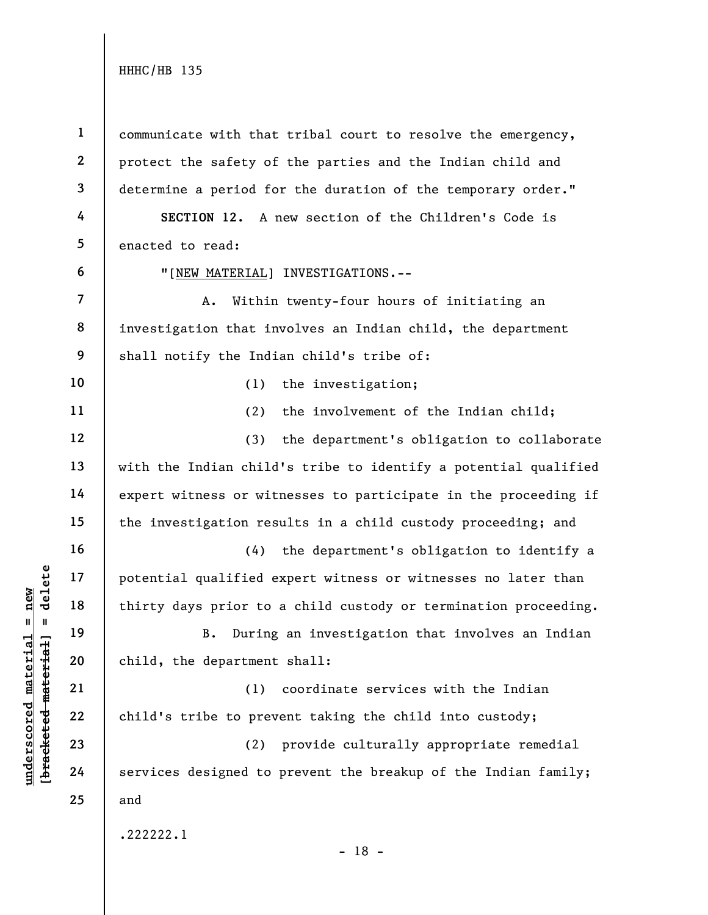under 17<br>
= 18<br>
= 18<br>
= 19<br>
= 19<br>
= 19<br>
= 19<br>
= 19<br>
= 19<br>
= 19<br>
= 19<br>
= 19<br>
= 19<br>
= 19<br>
= 19<br>
child, the department<br>
= 19<br>
= 10<br>
child, the department<br>
= 19<br>
= 10<br>
= 10<br>
= 10<br>
= 10<br>
= 10<br>
= 10<br>
= 10<br>
= 10<br>
= 10<br>
= 10<br>
= 10 1 2 3 4 5 6 7 8 9 10 11 12 13 14 15 16 17 18 19 20 21 22 23 24 25 communicate with that tribal court to resolve the emergency, protect the safety of the parties and the Indian child and determine a period for the duration of the temporary order." SECTION 12. A new section of the Children's Code is enacted to read: "[NEW MATERIAL] INVESTIGATIONS.-- A. Within twenty-four hours of initiating an investigation that involves an Indian child, the department shall notify the Indian child's tribe of: (1) the investigation; (2) the involvement of the Indian child; (3) the department's obligation to collaborate with the Indian child's tribe to identify a potential qualified expert witness or witnesses to participate in the proceeding if the investigation results in a child custody proceeding; and (4) the department's obligation to identify a potential qualified expert witness or witnesses no later than thirty days prior to a child custody or termination proceeding. B. During an investigation that involves an Indian child, the department shall: (1) coordinate services with the Indian child's tribe to prevent taking the child into custody; (2) provide culturally appropriate remedial services designed to prevent the breakup of the Indian family; and .222222.1

- 18 -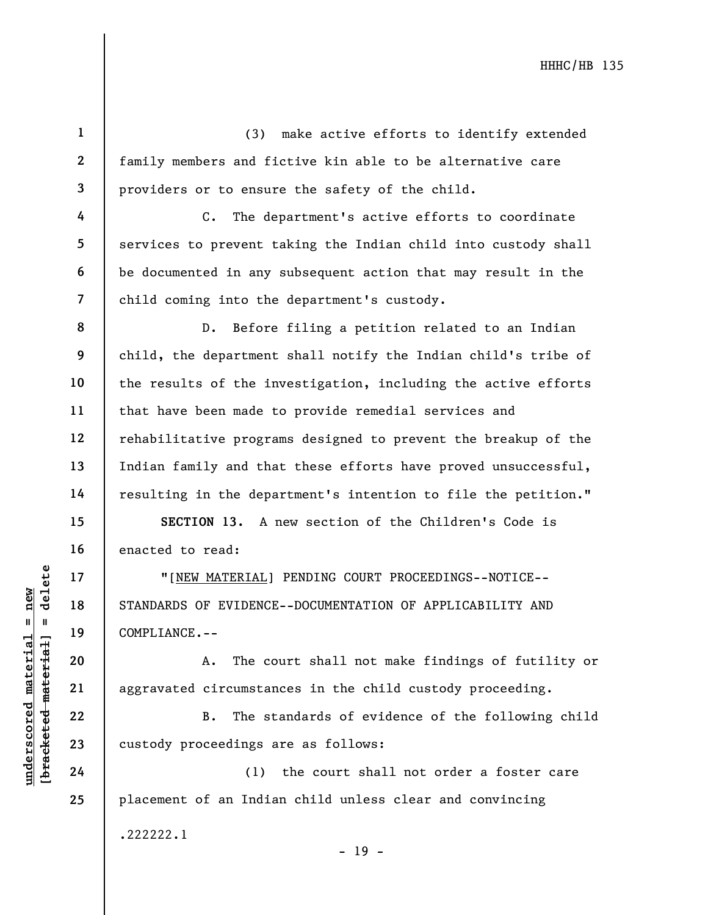(3) make active efforts to identify extended family members and fictive kin able to be alternative care providers or to ensure the safety of the child.

C. The department's active efforts to coordinate services to prevent taking the Indian child into custody shall be documented in any subsequent action that may result in the child coming into the department's custody.

D. Before filing a petition related to an Indian child, the department shall notify the Indian child's tribe of the results of the investigation, including the active efforts that have been made to provide remedial services and rehabilitative programs designed to prevent the breakup of the Indian family and that these efforts have proved unsuccessful, resulting in the department's intention to file the petition."

SECTION 13. A new section of the Children's Code is enacted to read:

underscored material = new [bracketed material] = delete "[NEW MATERIAL] PENDING COURT PROCEEDINGS--NOTICE-- STANDARDS OF EVIDENCE--DOCUMENTATION OF APPLICABILITY AND COMPLIANCE.--

A. The court shall not make findings of futility or aggravated circumstances in the child custody proceeding.

B. The standards of evidence of the following child custody proceedings are as follows:

(1) the court shall not order a foster care placement of an Indian child unless clear and convincing .222222.1

- 19 -

1

2

3

4

5

6

7

8

9

10

11

12

13

14

15

16

17

18

19

20

21

22

23

24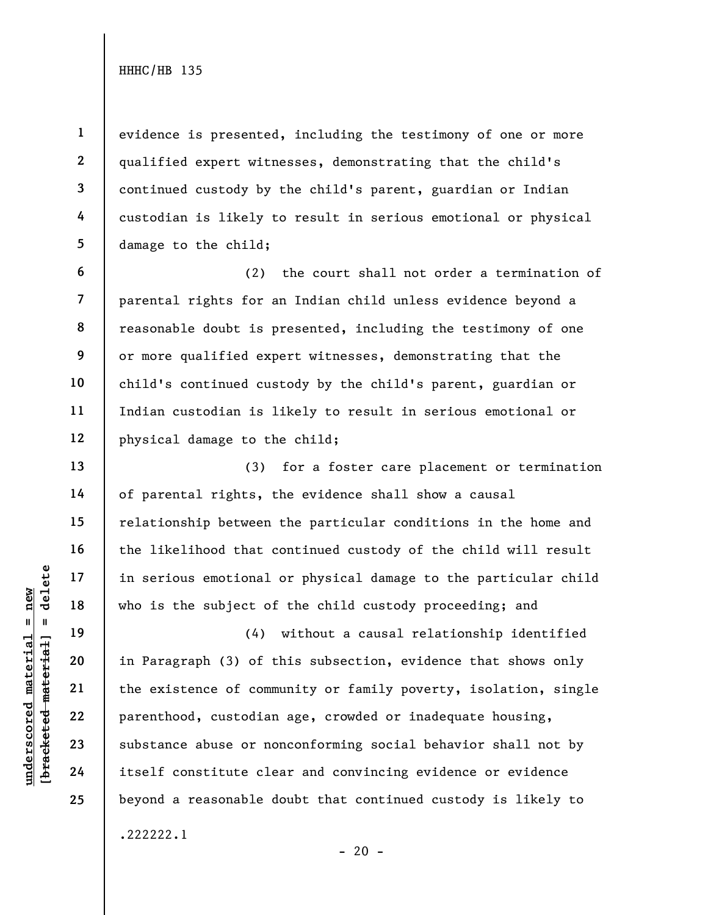6

7

8

9

10

11

12

13

14

15

16

17

18

19

20

21

22

23

24

25

1 2 3 4 5 evidence is presented, including the testimony of one or more qualified expert witnesses, demonstrating that the child's continued custody by the child's parent, guardian or Indian custodian is likely to result in serious emotional or physical damage to the child;

(2) the court shall not order a termination of parental rights for an Indian child unless evidence beyond a reasonable doubt is presented, including the testimony of one or more qualified expert witnesses, demonstrating that the child's continued custody by the child's parent, guardian or Indian custodian is likely to result in serious emotional or physical damage to the child;

(3) for a foster care placement or termination of parental rights, the evidence shall show a causal relationship between the particular conditions in the home and the likelihood that continued custody of the child will result in serious emotional or physical damage to the particular child who is the subject of the child custody proceeding; and

understand material material end of the subject of the subject of the subject of the subject of the existence of comments of the existence of comments of the existence of comments of the existence of comments of the existe (4) without a causal relationship identified in Paragraph (3) of this subsection, evidence that shows only the existence of community or family poverty, isolation, single parenthood, custodian age, crowded or inadequate housing, substance abuse or nonconforming social behavior shall not by itself constitute clear and convincing evidence or evidence beyond a reasonable doubt that continued custody is likely to .222222.1

 $- 20 -$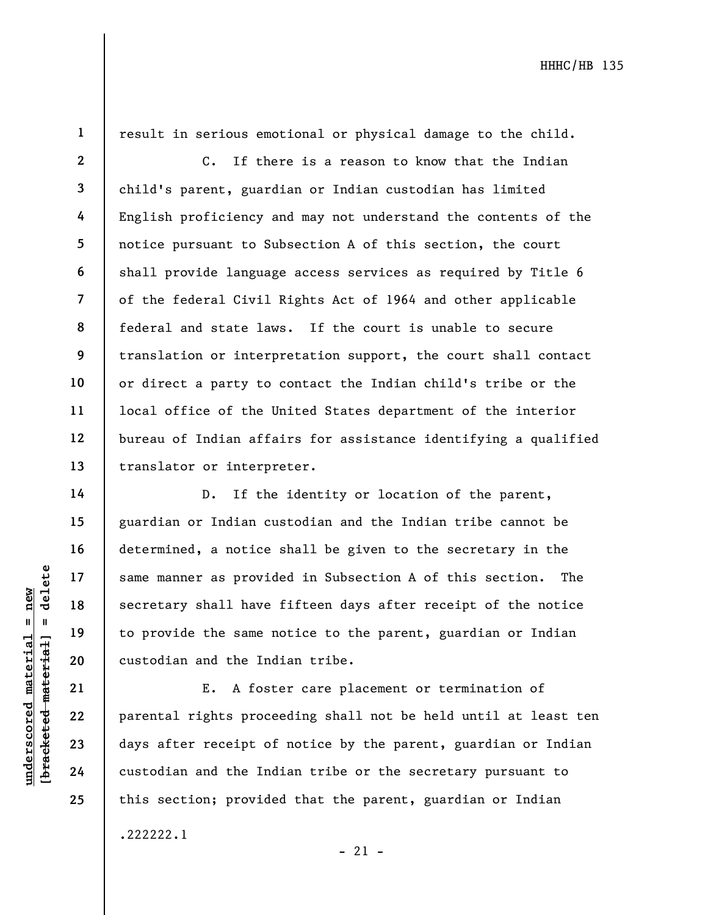1

14

15

16

17

18

19

20

21

22

23

24

25

.222222.1

result in serious emotional or physical damage to the child.

2 3 4 5 6 7 8 9 10 11 12 13 C. If there is a reason to know that the Indian child's parent, guardian or Indian custodian has limited English proficiency and may not understand the contents of the notice pursuant to Subsection A of this section, the court shall provide language access services as required by Title 6 of the federal Civil Rights Act of 1964 and other applicable federal and state laws. If the court is unable to secure translation or interpretation support, the court shall contact or direct a party to contact the Indian child's tribe or the local office of the United States department of the interior bureau of Indian affairs for assistance identifying a qualified translator or interpreter.

underscored material = new [bracketed material] = delete D. If the identity or location of the parent, guardian or Indian custodian and the Indian tribe cannot be determined, a notice shall be given to the secretary in the same manner as provided in Subsection A of this section. The secretary shall have fifteen days after receipt of the notice to provide the same notice to the parent, guardian or Indian custodian and the Indian tribe.

E. A foster care placement or termination of parental rights proceeding shall not be held until at least ten days after receipt of notice by the parent, guardian or Indian custodian and the Indian tribe or the secretary pursuant to this section; provided that the parent, guardian or Indian

 $-21 -$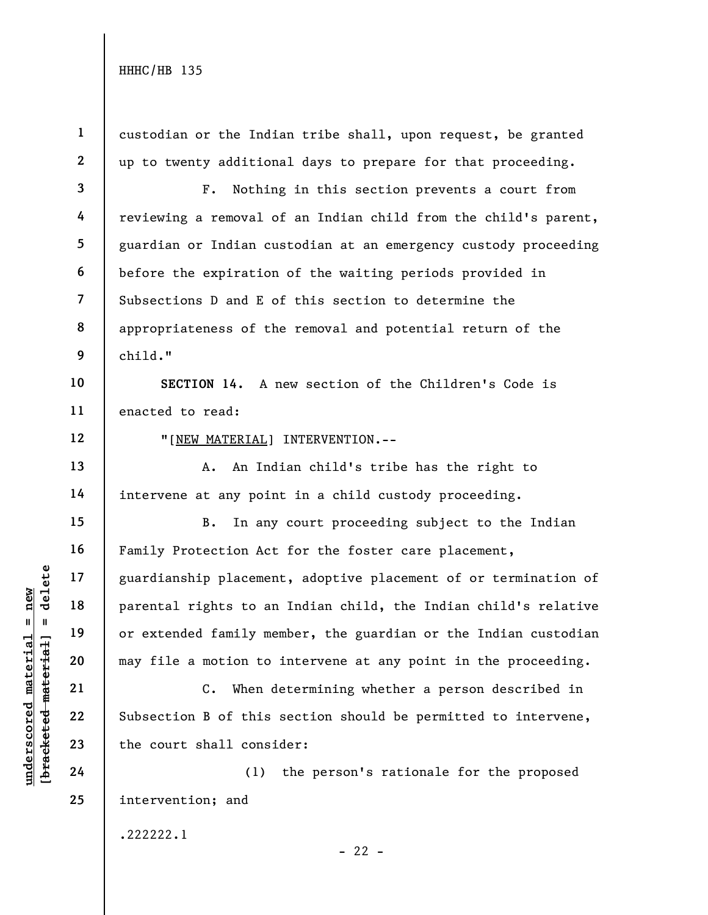1 2 3 4 5 6 custodian or the Indian tribe shall, upon request, be granted up to twenty additional days to prepare for that proceeding. F. Nothing in this section prevents a court from reviewing a removal of an Indian child from the child's parent, guardian or Indian custodian at an emergency custody proceeding before the expiration of the waiting periods provided in

7 8 9 Subsections D and E of this section to determine the appropriateness of the removal and potential return of the child."

10 11 SECTION 14. A new section of the Children's Code is enacted to read:

12

13

14

15

16

17

18

19

20

21

22

23

"[NEW MATERIAL] INTERVENTION.--

A. An Indian child's tribe has the right to intervene at any point in a child custody proceeding.

understand material material spaces of this<br>
we have the court shall consider the court shall consider the court shall consider<br>
24 (1)<br>
24 (1)<br>
24 (1) B. In any court proceeding subject to the Indian Family Protection Act for the foster care placement, guardianship placement, adoptive placement of or termination of parental rights to an Indian child, the Indian child's relative or extended family member, the guardian or the Indian custodian may file a motion to intervene at any point in the proceeding.

C. When determining whether a person described in Subsection B of this section should be permitted to intervene, the court shall consider:

24 25 (1) the person's rationale for the proposed intervention; and

.222222.1

 $- 22 -$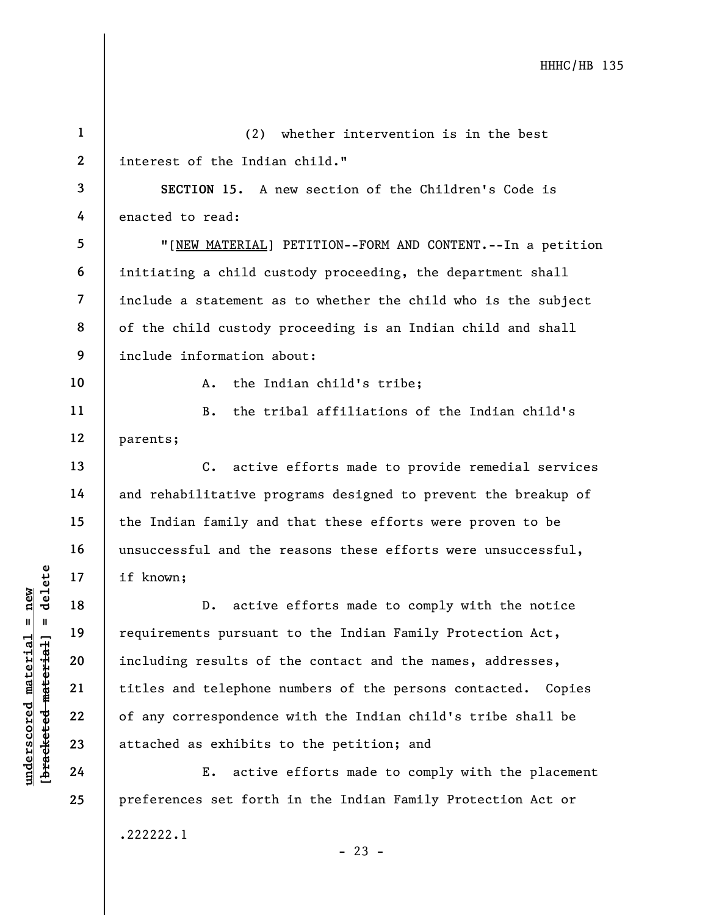|                                   | $\mathbf{1}$ | (2)<br>whether intervention is in the best                     |
|-----------------------------------|--------------|----------------------------------------------------------------|
|                                   | $\mathbf{2}$ | interest of the Indian child."                                 |
|                                   | 3            | SECTION 15. A new section of the Children's Code is            |
|                                   | 4            | enacted to read:                                               |
|                                   | 5            | "[NEW MATERIAL] PETITION--FORM AND CONTENT.--In a petition     |
|                                   | 6            | initiating a child custody proceeding, the department shall    |
|                                   | 7            | include a statement as to whether the child who is the subject |
|                                   | 8            | of the child custody proceeding is an Indian child and shall   |
|                                   | 9            | include information about:                                     |
|                                   | 10           | the Indian child's tribe;<br>A.                                |
|                                   | 11           | the tribal affiliations of the Indian child's<br>$B$ .         |
|                                   | 12           | parents;                                                       |
|                                   | 13           | active efforts made to provide remedial services<br>$C$ .      |
|                                   | 14           | and rehabilitative programs designed to prevent the breakup of |
|                                   | 15           | the Indian family and that these efforts were proven to be     |
|                                   | 16           | unsuccessful and the reasons these efforts were unsuccessful,  |
| delete                            | 17           | if known;                                                      |
| new                               | 18           | active efforts made to comply with the notice<br>$D$ .         |
| $\mathbf{II}$<br>$\blacksquare$   | 19           | requirements pursuant to the Indian Family Protection Act,     |
| underscored material              | 20           | including results of the contact and the names, addresses,     |
|                                   | 21           | titles and telephone numbers of the persons contacted. Copies  |
|                                   | 22           | of any correspondence with the Indian child's tribe shall be   |
|                                   | 23           | attached as exhibits to the petition; and                      |
| [ <del>bracketed material</del> ] | 24           | active efforts made to comply with the placement<br>Ε.         |
|                                   | 25           | preferences set forth in the Indian Family Protection Act or   |
|                                   |              |                                                                |

.222222.1

- 23 -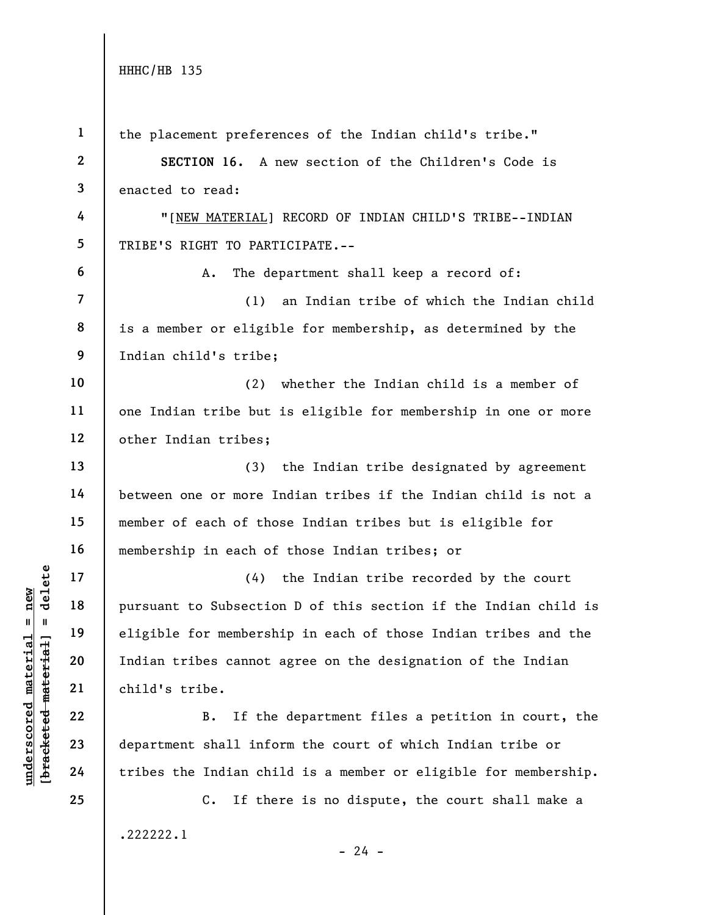|                                                           | $\mathbf{1}$   | the placement preferences of the Indian child's tribe."          |
|-----------------------------------------------------------|----------------|------------------------------------------------------------------|
|                                                           | $\mathbf{2}$   | SECTION 16.<br>A new section of the Children's Code is           |
|                                                           | 3              | enacted to read:                                                 |
|                                                           | 4              | "[NEW MATERIAL] RECORD OF INDIAN CHILD'S TRIBE--INDIAN           |
|                                                           | 5              | TRIBE'S RIGHT TO PARTICIPATE.--                                  |
|                                                           | 6              | The department shall keep a record of:<br>Α.                     |
|                                                           | $\overline{7}$ | an Indian tribe of which the Indian child<br>(1)                 |
|                                                           | 8              | is a member or eligible for membership, as determined by the     |
|                                                           | 9              | Indian child's tribe;                                            |
|                                                           | 10             | whether the Indian child is a member of<br>(2)                   |
|                                                           | 11             | one Indian tribe but is eligible for membership in one or more   |
|                                                           | 12             | other Indian tribes;                                             |
|                                                           | 13             | the Indian tribe designated by agreement<br>(3)                  |
|                                                           | 14             | between one or more Indian tribes if the Indian child is not a   |
|                                                           | 15             | member of each of those Indian tribes but is eligible for        |
|                                                           | 16             | membership in each of those Indian tribes; or                    |
| delete                                                    | 17             | the Indian tribe recorded by the court<br>(4)                    |
| $n$ ew                                                    | 18             | pursuant to Subsection D of this section if the Indian child is  |
| 11<br>Ш                                                   | 19             | eligible for membership in each of those Indian tribes and the   |
|                                                           | 20             | Indian tribes cannot agree on the designation of the Indian      |
|                                                           | 21             | child's tribe.                                                   |
| underscored material<br>[ <del>bracketed material</del> ] | 22             | If the department files a petition in court, the<br>B.           |
|                                                           | 23             | department shall inform the court of which Indian tribe or       |
|                                                           | 24             | tribes the Indian child is a member or eligible for membership.  |
|                                                           | 25             | $\mathsf{C}$ .<br>If there is no dispute, the court shall make a |
|                                                           |                | .222222.1                                                        |
|                                                           |                | $-24 -$                                                          |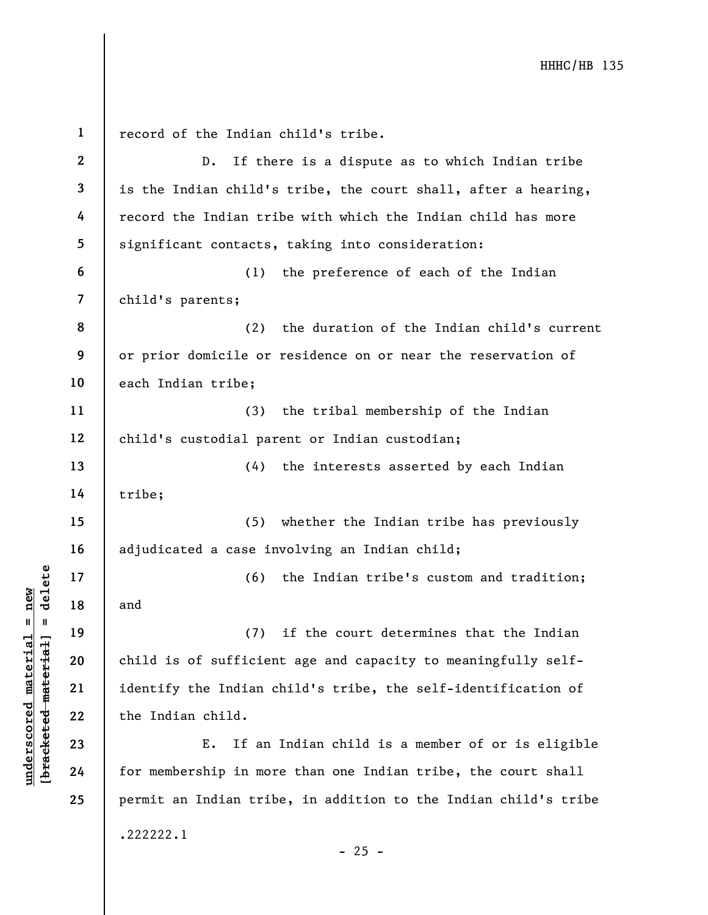underscored material material and the same of the Indian control of the Indian control of the Indian child.<br>
The Same of Sufficien<br>
22 state of Sufficien<br>
23 state of Sufficien<br>
24 for membership in more<br>
24 for membership 1 2 3 4 5 6 7 8 9 10 11 12 13 14 15 16 17 18 19 20 21 22 23 24 25 record of the Indian child's tribe. D. If there is a dispute as to which Indian tribe is the Indian child's tribe, the court shall, after a hearing, record the Indian tribe with which the Indian child has more significant contacts, taking into consideration: (1) the preference of each of the Indian child's parents; (2) the duration of the Indian child's current or prior domicile or residence on or near the reservation of each Indian tribe; (3) the tribal membership of the Indian child's custodial parent or Indian custodian; (4) the interests asserted by each Indian tribe; (5) whether the Indian tribe has previously adjudicated a case involving an Indian child; (6) the Indian tribe's custom and tradition; and (7) if the court determines that the Indian child is of sufficient age and capacity to meaningfully selfidentify the Indian child's tribe, the self-identification of the Indian child. E. If an Indian child is a member of or is eligible for membership in more than one Indian tribe, the court shall permit an Indian tribe, in addition to the Indian child's tribe .222222.1 - 25 -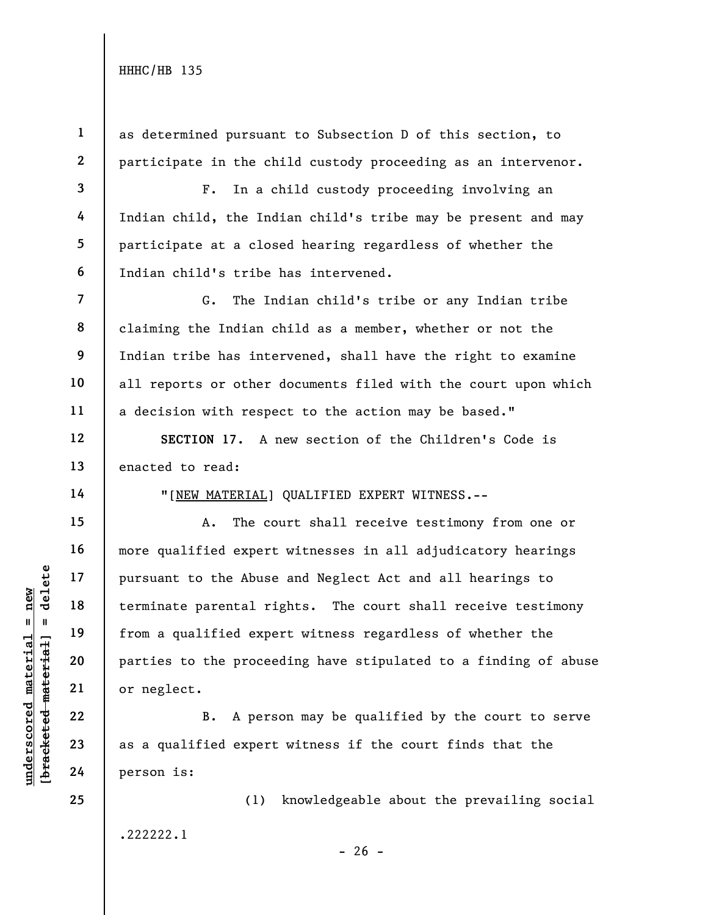2 as determined pursuant to Subsection D of this section, to participate in the child custody proceeding as an intervenor.

3 4 5 F. In a child custody proceeding involving an Indian child, the Indian child's tribe may be present and may participate at a closed hearing regardless of whether the Indian child's tribe has intervened.

G. The Indian child's tribe or any Indian tribe claiming the Indian child as a member, whether or not the Indian tribe has intervened, shall have the right to examine all reports or other documents filed with the court upon which a decision with respect to the action may be based."

SECTION 17. A new section of the Children's Code is enacted to read:

14

15

16

17

18

19

20

21

22

23

24

25

1

6

7

8

9

10

11

12

13

"[NEW MATERIAL] QUALIFIED EXPERT WITNESS.--

underscored material = new [bracketed material] = delete A. The court shall receive testimony from one or more qualified expert witnesses in all adjudicatory hearings pursuant to the Abuse and Neglect Act and all hearings to terminate parental rights. The court shall receive testimony from a qualified expert witness regardless of whether the parties to the proceeding have stipulated to a finding of abuse or neglect.

B. A person may be qualified by the court to serve as a qualified expert witness if the court finds that the person is:

(1) knowledgeable about the prevailing social .222222.1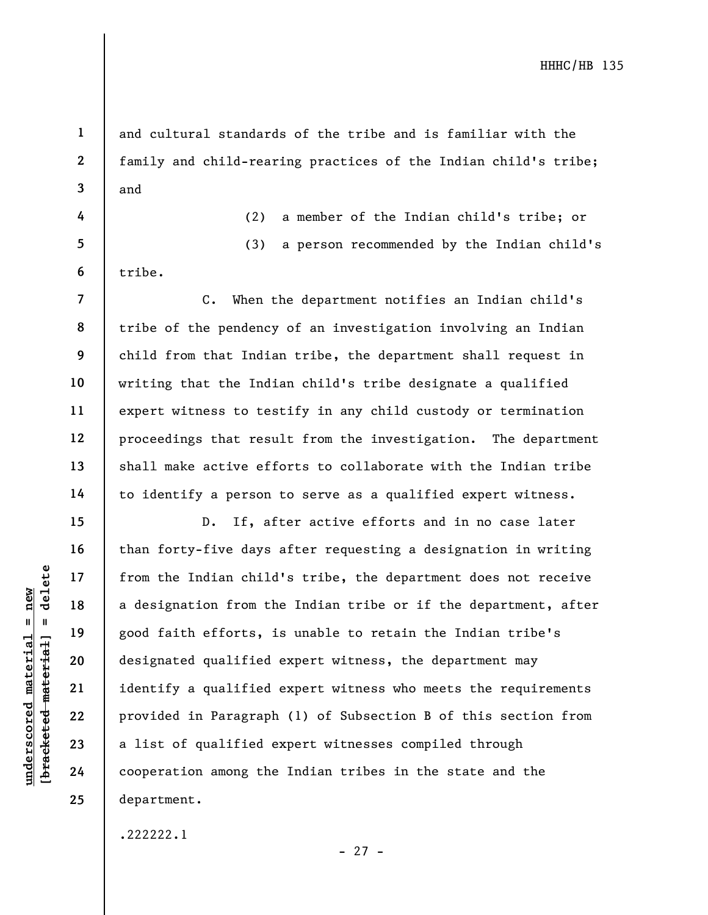1 2

3

4

5

6

7

8

9

10

11

12

13

14

15

16

17

18

19

20

21

22

23

24

25

and cultural standards of the tribe and is familiar with the family and child-rearing practices of the Indian child's tribe; and

(2) a member of the Indian child's tribe; or (3) a person recommended by the Indian child's tribe.

C. When the department notifies an Indian child's tribe of the pendency of an investigation involving an Indian child from that Indian tribe, the department shall request in writing that the Indian child's tribe designate a qualified expert witness to testify in any child custody or termination proceedings that result from the investigation. The department shall make active efforts to collaborate with the Indian tribe to identify a person to serve as a qualified expert witness.

underscored material end is a designation from the Indian child<br>
a designation from the Indian child<br>
a designation from the good faith efforts, if<br>  $\begin{array}{c|c} \text{13.4} & \text{14.5} \\ \text{26.5} & \text{27.6} \\ \text{28.6} & \text{29.7} \\ \text{20.7} &$ D. If, after active efforts and in no case later than forty-five days after requesting a designation in writing from the Indian child's tribe, the department does not receive a designation from the Indian tribe or if the department, after good faith efforts, is unable to retain the Indian tribe's designated qualified expert witness, the department may identify a qualified expert witness who meets the requirements provided in Paragraph (1) of Subsection B of this section from a list of qualified expert witnesses compiled through cooperation among the Indian tribes in the state and the department.

.222222.1

- 27 -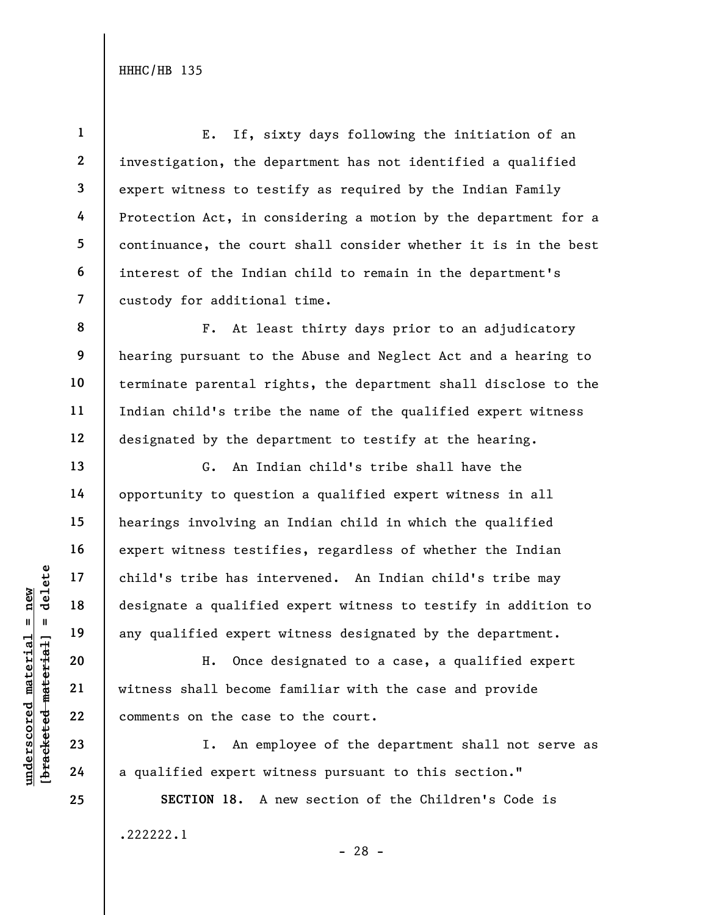1 2 3 4 5 6 7 E. If, sixty days following the initiation of an investigation, the department has not identified a qualified expert witness to testify as required by the Indian Family Protection Act, in considering a motion by the department for a continuance, the court shall consider whether it is in the best interest of the Indian child to remain in the department's custody for additional time.

F. At least thirty days prior to an adjudicatory hearing pursuant to the Abuse and Neglect Act and a hearing to terminate parental rights, the department shall disclose to the Indian child's tribe the name of the qualified expert witness designated by the department to testify at the hearing.

underscored material = new [bracketed material] = delete G. An Indian child's tribe shall have the opportunity to question a qualified expert witness in all hearings involving an Indian child in which the qualified expert witness testifies, regardless of whether the Indian child's tribe has intervened. An Indian child's tribe may designate a qualified expert witness to testify in addition to any qualified expert witness designated by the department.

H. Once designated to a case, a qualified expert witness shall become familiar with the case and provide comments on the case to the court.

I. An employee of the department shall not serve as a qualified expert witness pursuant to this section."

SECTION 18. A new section of the Children's Code is .222222.1 - 28 -

8

9

10

11

12

13

14

15

16

17

18

19

20

21

22

23

24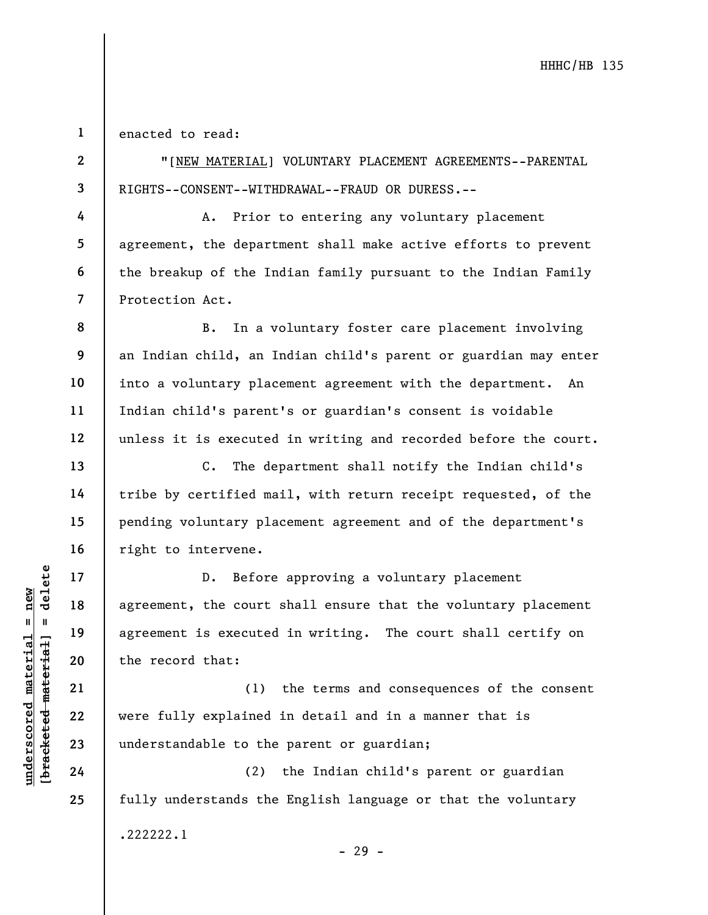1 enacted to read:

2

3

4

5

6

7

8

9

10

11

12

13

14

15

16

17

18

19

20

21

22

23

24

25

"[NEW MATERIAL] VOLUNTARY PLACEMENT AGREEMENTS--PARENTAL RIGHTS--CONSENT--WITHDRAWAL--FRAUD OR DURESS.--

A. Prior to entering any voluntary placement agreement, the department shall make active efforts to prevent the breakup of the Indian family pursuant to the Indian Family Protection Act.

B. In a voluntary foster care placement involving an Indian child, an Indian child's parent or guardian may enter into a voluntary placement agreement with the department. An Indian child's parent's or guardian's consent is voidable unless it is executed in writing and recorded before the court.

C. The department shall notify the Indian child's tribe by certified mail, with return receipt requested, of the pending voluntary placement agreement and of the department's right to intervene.

understandable to the<br>
understandable to the<br>
definition of the secured<br>
the record that:<br>
21<br>
22<br>
understandable to the<br>
24<br>
24<br>
24<br>
22<br>
24<br>
24<br>
22<br>
24<br>
22<br>
24<br>
22<br>
24<br>
22<br>
24<br>
22<br>
24<br>
22<br>
24<br>
22<br>
24<br>
22<br>
24 D. Before approving a voluntary placement agreement, the court shall ensure that the voluntary placement agreement is executed in writing. The court shall certify on the record that:

(1) the terms and consequences of the consent were fully explained in detail and in a manner that is understandable to the parent or guardian;

(2) the Indian child's parent or guardian fully understands the English language or that the voluntary .222222.1

- 29 -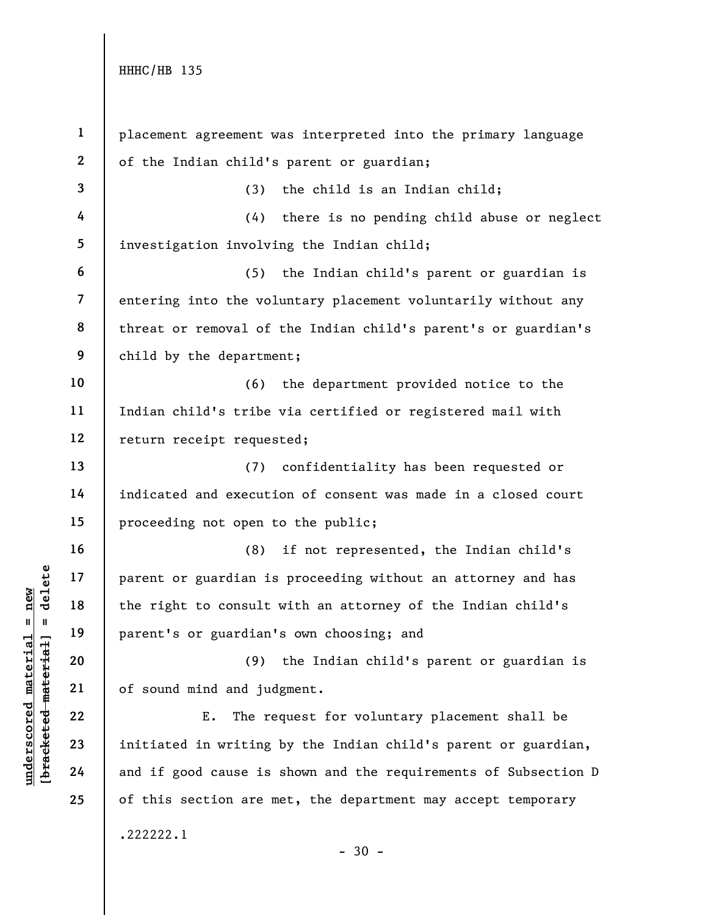understand material material parent or guardian is<br>  $\begin{array}{c|c|c|c} \text{u} & \text{u} & \text{u} & \text{u} & \text{u} \\ \hline \text{u} & \text{u} & \text{u} & \text{u} & \text{u} \\ \text{u} & \text{u} & \text{u} & \text{u} & \text{u} \\ \text{u} & \text{u} & \text{u} & \text{u} & \text{u} \\ \text{u} & \text{u} & \text{u} & \text{u} & \text{u} \\ \text{$ 1 2 3 4 5 6 7 8 9 10 11 12 13 14 15 16 17 18 19 20 21 22 23 24 25 placement agreement was interpreted into the primary language of the Indian child's parent or guardian; (3) the child is an Indian child; (4) there is no pending child abuse or neglect investigation involving the Indian child; (5) the Indian child's parent or guardian is entering into the voluntary placement voluntarily without any threat or removal of the Indian child's parent's or guardian's child by the department; (6) the department provided notice to the Indian child's tribe via certified or registered mail with return receipt requested; (7) confidentiality has been requested or indicated and execution of consent was made in a closed court proceeding not open to the public; (8) if not represented, the Indian child's parent or guardian is proceeding without an attorney and has the right to consult with an attorney of the Indian child's parent's or guardian's own choosing; and (9) the Indian child's parent or guardian is of sound mind and judgment. E. The request for voluntary placement shall be initiated in writing by the Indian child's parent or guardian, and if good cause is shown and the requirements of Subsection D of this section are met, the department may accept temporary .222222.1  $-30 -$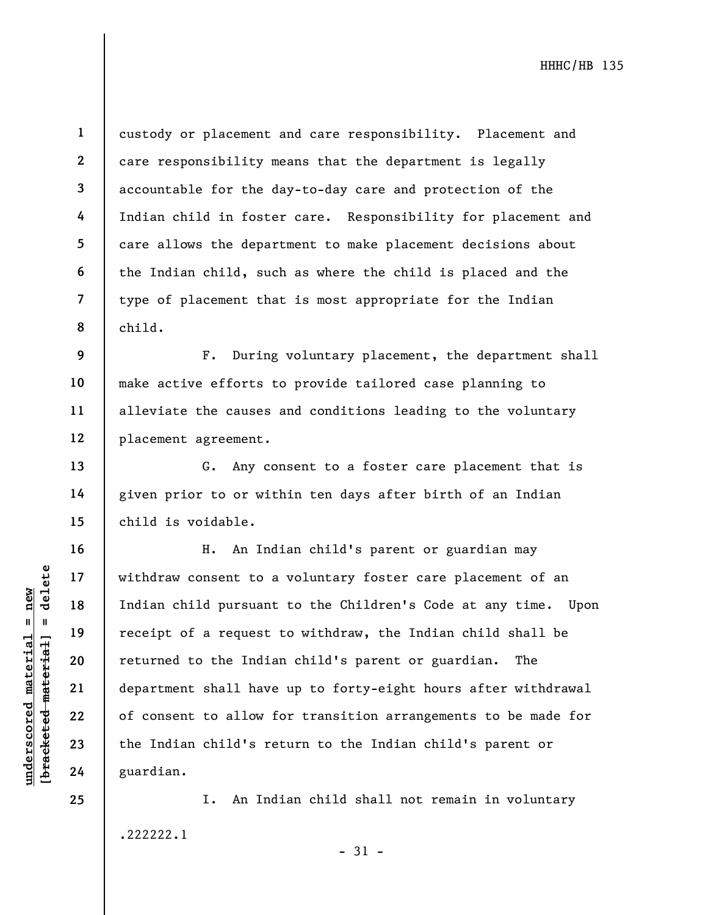8

13

14

15

16

17

18

19

20

21

22

23

24

25

1

custody or placement and care responsibility. Placement and care responsibility means that the department is legally accountable for the day-to-day care and protection of the Indian child in foster care. Responsibility for placement and care allows the department to make placement decisions about the Indian child, such as where the child is placed and the type of placement that is most appropriate for the Indian child.

9 10 11 12 F. During voluntary placement, the department shall make active efforts to provide tailored case planning to alleviate the causes and conditions leading to the voluntary placement agreement.

G. Any consent to a foster care placement that is given prior to or within ten days after birth of an Indian child is voidable.

underscored material = new [bracketed material] = delete H. An Indian child's parent or guardian may withdraw consent to a voluntary foster care placement of an Indian child pursuant to the Children's Code at any time. Upon receipt of a request to withdraw, the Indian child shall be returned to the Indian child's parent or guardian. The department shall have up to forty-eight hours after withdrawal of consent to allow for transition arrangements to be made for the Indian child's return to the Indian child's parent or guardian.

> I. An Indian child shall not remain in voluntary .222222.1

- 31 -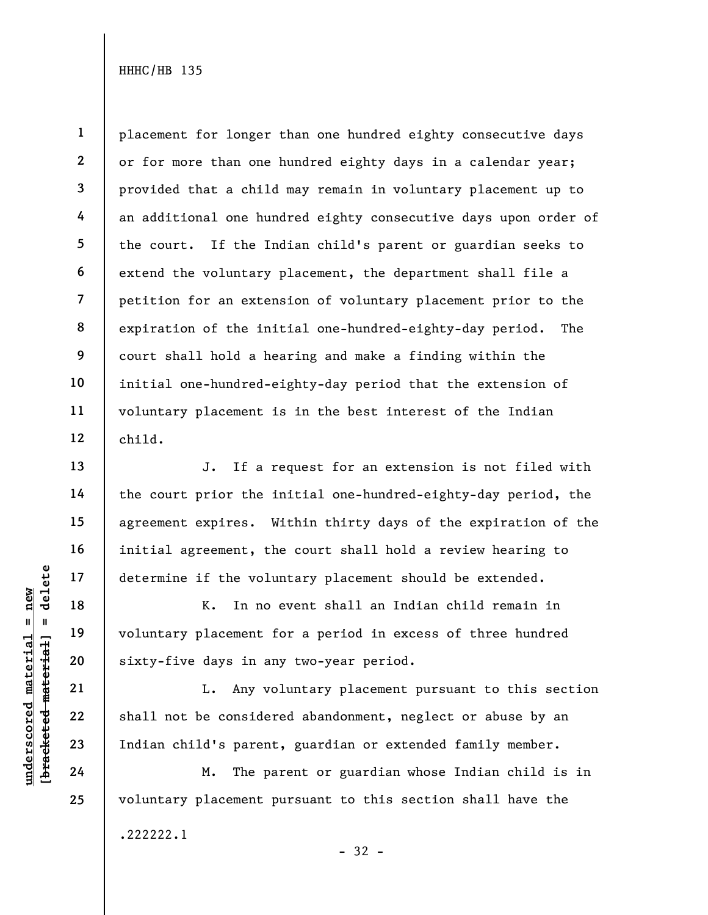1 2 3 4 5 6 7 8 9 10 11 12 placement for longer than one hundred eighty consecutive days or for more than one hundred eighty days in a calendar year; provided that a child may remain in voluntary placement up to an additional one hundred eighty consecutive days upon order of the court. If the Indian child's parent or guardian seeks to extend the voluntary placement, the department shall file a petition for an extension of voluntary placement prior to the expiration of the initial one-hundred-eighty-day period. The court shall hold a hearing and make a finding within the initial one-hundred-eighty-day period that the extension of voluntary placement is in the best interest of the Indian child.

J. If a request for an extension is not filed with the court prior the initial one-hundred-eighty-day period, the agreement expires. Within thirty days of the expiration of the initial agreement, the court shall hold a review hearing to determine if the voluntary placement should be extended.

understand material states of the volume of the volume of the volume of the volume of the volume of the volume of the volume of the volume of the volume of the volume of the volume of the volume of the volume of the volume K. In no event shall an Indian child remain in voluntary placement for a period in excess of three hundred sixty-five days in any two-year period.

L. Any voluntary placement pursuant to this section shall not be considered abandonment, neglect or abuse by an Indian child's parent, guardian or extended family member.

M. The parent or guardian whose Indian child is in voluntary placement pursuant to this section shall have the .222222.1 - 32 -

24

13

14

15

16

17

18

19

20

21

22

23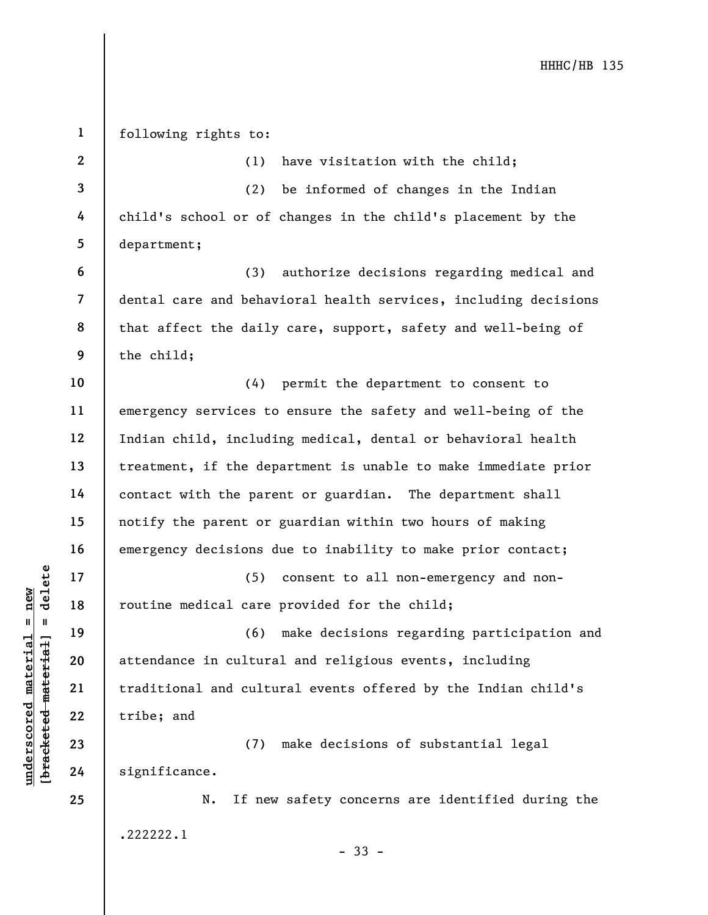understand material care<br>
understand material care<br>
were the contract material care<br>
were the contract material care<br>
21 traditional and culture<br>
22 tribe; and<br>
24 significance. 1 2 3 4 5 6 7 8 9 10 11 12 13 14 15 16 17 18 19 20 21 22 23 24 25 following rights to: (1) have visitation with the child; (2) be informed of changes in the Indian child's school or of changes in the child's placement by the department; (3) authorize decisions regarding medical and dental care and behavioral health services, including decisions that affect the daily care, support, safety and well-being of the child; (4) permit the department to consent to emergency services to ensure the safety and well-being of the Indian child, including medical, dental or behavioral health treatment, if the department is unable to make immediate prior contact with the parent or guardian. The department shall notify the parent or guardian within two hours of making emergency decisions due to inability to make prior contact; (5) consent to all non-emergency and nonroutine medical care provided for the child; (6) make decisions regarding participation and attendance in cultural and religious events, including traditional and cultural events offered by the Indian child's tribe; and (7) make decisions of substantial legal significance. N. If new safety concerns are identified during the .222222.1 - 33 -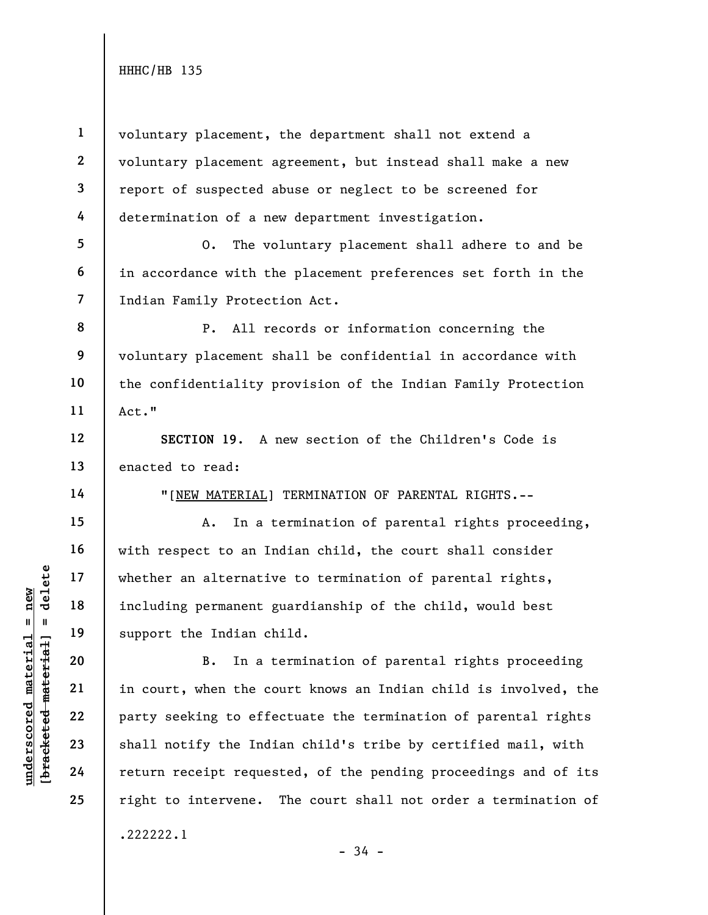6

12

13

14

15

16

17

18

19

20

21

22

23

24

25

1 2 3 4 voluntary placement, the department shall not extend a voluntary placement agreement, but instead shall make a new report of suspected abuse or neglect to be screened for determination of a new department investigation.

5 7 O. The voluntary placement shall adhere to and be in accordance with the placement preferences set forth in the Indian Family Protection Act.

8 9 10 11 P. All records or information concerning the voluntary placement shall be confidential in accordance with the confidentiality provision of the Indian Family Protection Act."

SECTION 19. A new section of the Children's Code is enacted to read:

"[NEW MATERIAL] TERMINATION OF PARENTAL RIGHTS.--

A. In a termination of parental rights proceeding, with respect to an Indian child, the court shall consider whether an alternative to termination of parental rights, including permanent guardianship of the child, would best support the Indian child.

underscored material = new [bracketed material] = delete B. In a termination of parental rights proceeding in court, when the court knows an Indian child is involved, the party seeking to effectuate the termination of parental rights shall notify the Indian child's tribe by certified mail, with return receipt requested, of the pending proceedings and of its right to intervene. The court shall not order a termination of .222222.1

```
- 34 -
```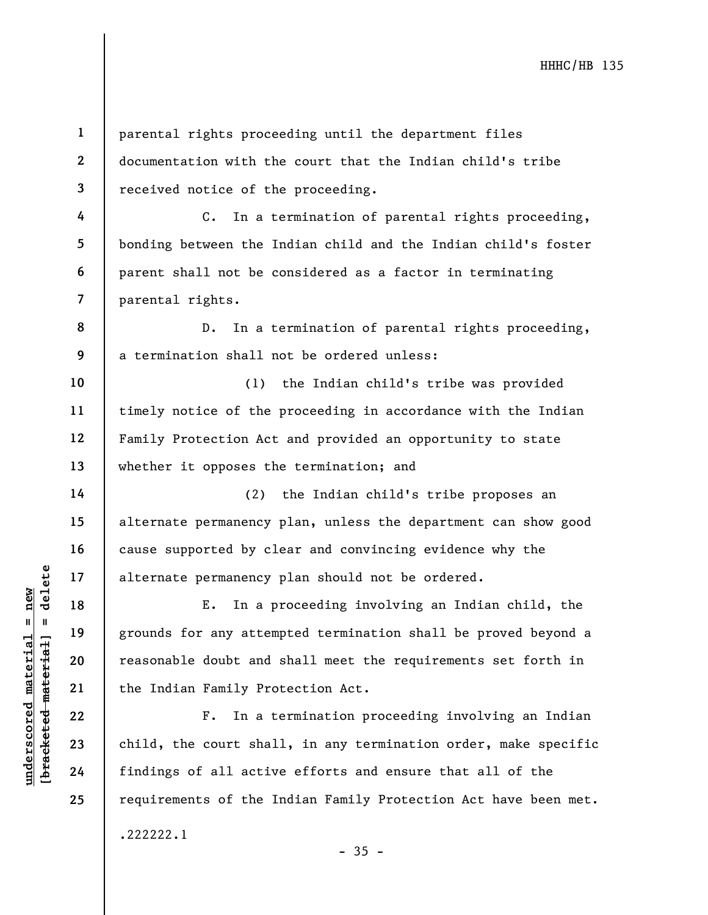parental rights proceeding until the department files documentation with the court that the Indian child's tribe received notice of the proceeding.

C. In a termination of parental rights proceeding, bonding between the Indian child and the Indian child's foster parent shall not be considered as a factor in terminating parental rights.

D. In a termination of parental rights proceeding, a termination shall not be ordered unless:

10 11 12 13 (1) the Indian child's tribe was provided timely notice of the proceeding in accordance with the Indian Family Protection Act and provided an opportunity to state whether it opposes the termination; and

(2) the Indian child's tribe proposes an alternate permanency plan, unless the department can show good cause supported by clear and convincing evidence why the alternate permanency plan should not be ordered.

understand material material external permanency<br>  $\begin{array}{c|c|c|c} \n\text{u} & \text{u} & \text{u} & \text{u} & \text{u} & \text{u} & \text{u} & \text{u} & \text{u} & \text{u} & \text{u} & \text{u} & \text{u} & \text{u} & \text{u} & \text{u} & \text{u} & \text{u} & \text{u} & \text{u} & \text{u} & \text{u} & \text{u} & \text{u} & \text{u} & \text{u} &$ E. In a proceeding involving an Indian child, the grounds for any attempted termination shall be proved beyond a reasonable doubt and shall meet the requirements set forth in the Indian Family Protection Act.

F. In a termination proceeding involving an Indian child, the court shall, in any termination order, make specific findings of all active efforts and ensure that all of the requirements of the Indian Family Protection Act have been met.

 $-35 -$ 

1

2

3

4

5

6

7

8

9

14

15

16

17

18

19

20

21

22

23

24

25

.222222.1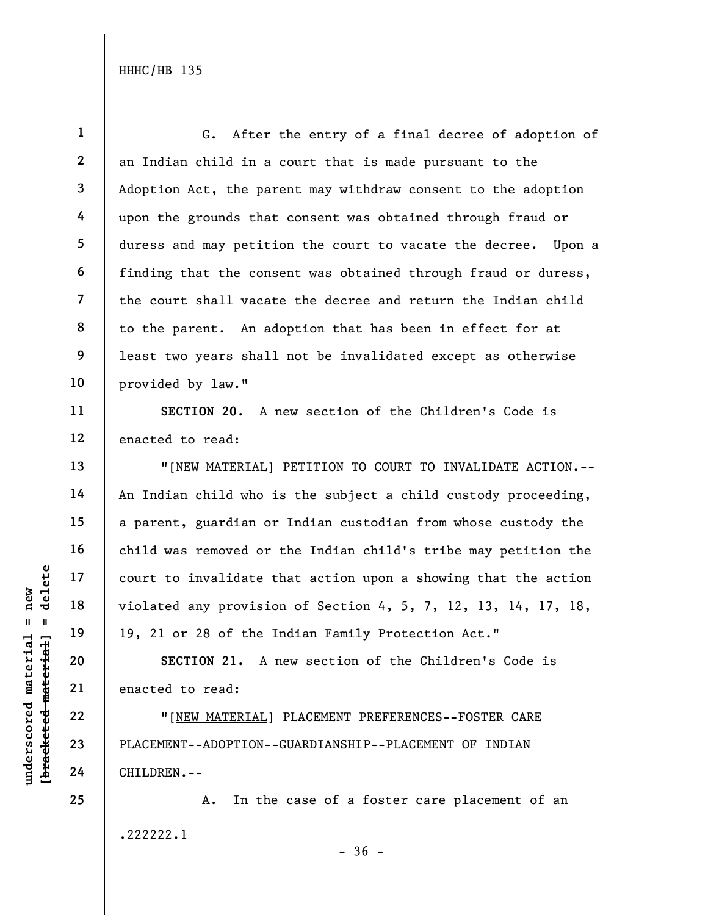1 2 3 4 5 6 7 8 9 10 G. After the entry of a final decree of adoption of an Indian child in a court that is made pursuant to the Adoption Act, the parent may withdraw consent to the adoption upon the grounds that consent was obtained through fraud or duress and may petition the court to vacate the decree. Upon a finding that the consent was obtained through fraud or duress, the court shall vacate the decree and return the Indian child to the parent. An adoption that has been in effect for at least two years shall not be invalidated except as otherwise provided by law."

SECTION 20. A new section of the Children's Code is enacted to read:

UNDERENT--ADOPTION-<br>
WE HALL TO SECTION 21. A<br>
WE HALL TO SECTION 21. A<br>
WE HALL TO SECTION 21. A<br>
22<br>
PLACEMENT--ADOPTION--<br>
24<br>
CHILDREN.--"[NEW MATERIAL] PETITION TO COURT TO INVALIDATE ACTION.-- An Indian child who is the subject a child custody proceeding, a parent, guardian or Indian custodian from whose custody the child was removed or the Indian child's tribe may petition the court to invalidate that action upon a showing that the action violated any provision of Section 4, 5, 7, 12, 13, 14, 17, 18, 19, 21 or 28 of the Indian Family Protection Act."

SECTION 21. A new section of the Children's Code is enacted to read:

"[NEW MATERIAL] PLACEMENT PREFERENCES--FOSTER CARE PLACEMENT--ADOPTION--GUARDIANSHIP--PLACEMENT OF INDIAN CHILDREN.--

A. In the case of a foster care placement of an .222222.1  $-36 -$ 

11

12

13

14

15

16

17

18

19

20

21

22

23

24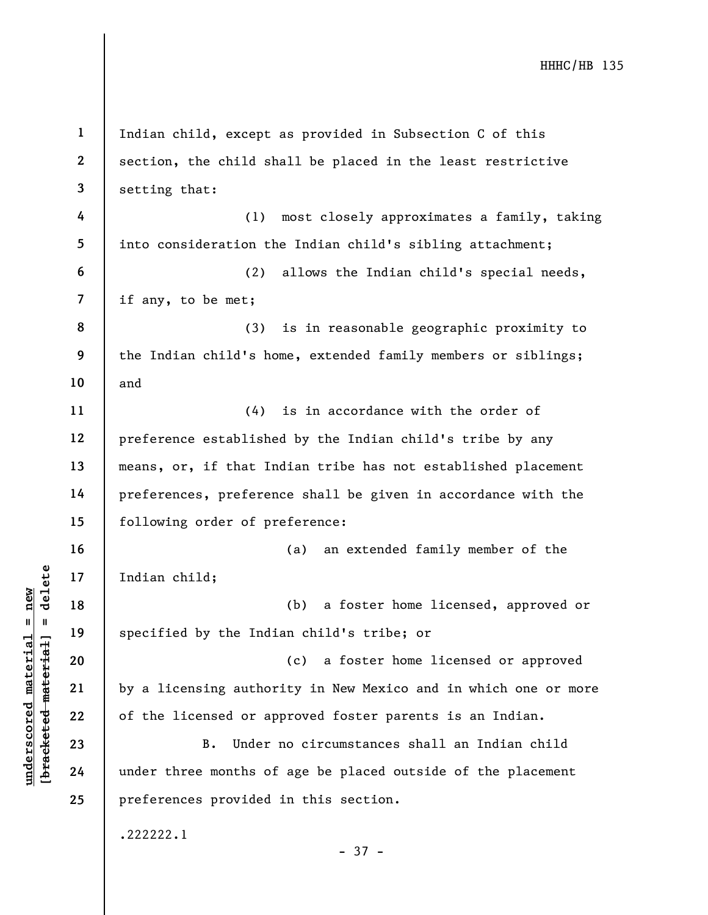underscored material = new [bracketed material] = delete 1 2 3 4 5 6 7 8 9 10 11 12 13 14 15 16 17 18 19 20 21 22 23 24 25 Indian child, except as provided in Subsection C of this section, the child shall be placed in the least restrictive setting that: (1) most closely approximates a family, taking into consideration the Indian child's sibling attachment; (2) allows the Indian child's special needs, if any, to be met; (3) is in reasonable geographic proximity to the Indian child's home, extended family members or siblings; and (4) is in accordance with the order of preference established by the Indian child's tribe by any means, or, if that Indian tribe has not established placement preferences, preference shall be given in accordance with the following order of preference: (a) an extended family member of the Indian child; (b) a foster home licensed, approved or specified by the Indian child's tribe; or (c) a foster home licensed or approved by a licensing authority in New Mexico and in which one or more of the licensed or approved foster parents is an Indian. B. Under no circumstances shall an Indian child under three months of age be placed outside of the placement preferences provided in this section. .222222.1 - 37 -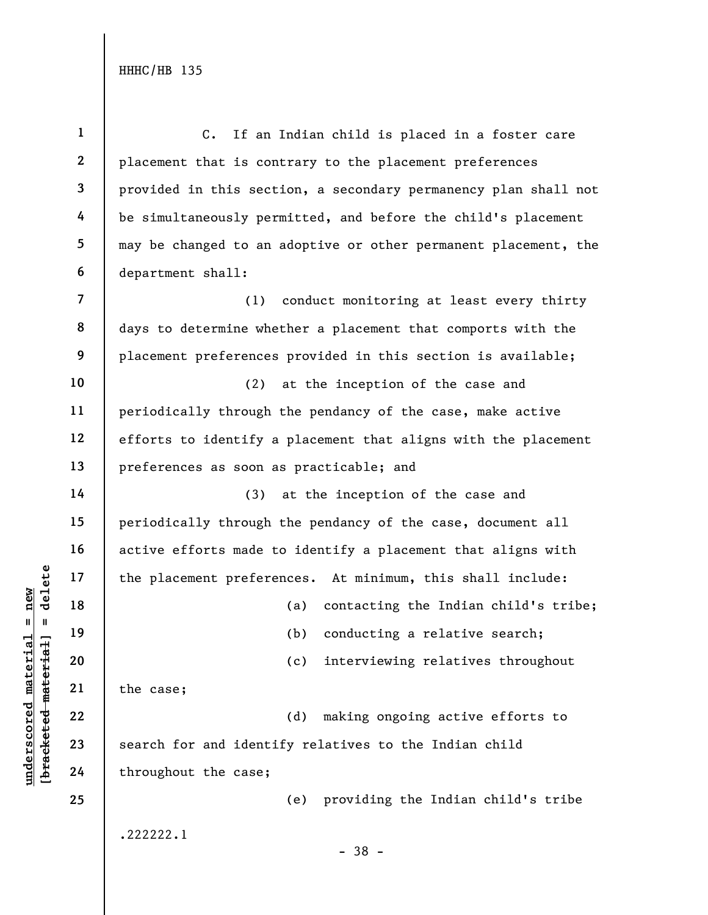understand material material material material material control is a search for and identified and throughout the case; 1 2 3 4 5 6 7 8 9 10 11 12 13 14 15 16 17 18 19 20 21 22 23 24 25 C. If an Indian child is placed in a foster care placement that is contrary to the placement preferences provided in this section, a secondary permanency plan shall not be simultaneously permitted, and before the child's placement may be changed to an adoptive or other permanent placement, the department shall: (1) conduct monitoring at least every thirty days to determine whether a placement that comports with the placement preferences provided in this section is available; (2) at the inception of the case and periodically through the pendancy of the case, make active efforts to identify a placement that aligns with the placement preferences as soon as practicable; and (3) at the inception of the case and periodically through the pendancy of the case, document all active efforts made to identify a placement that aligns with the placement preferences. At minimum, this shall include: (a) contacting the Indian child's tribe; (b) conducting a relative search; (c) interviewing relatives throughout the case; (d) making ongoing active efforts to search for and identify relatives to the Indian child throughout the case; (e) providing the Indian child's tribe .222222.1 - 38 -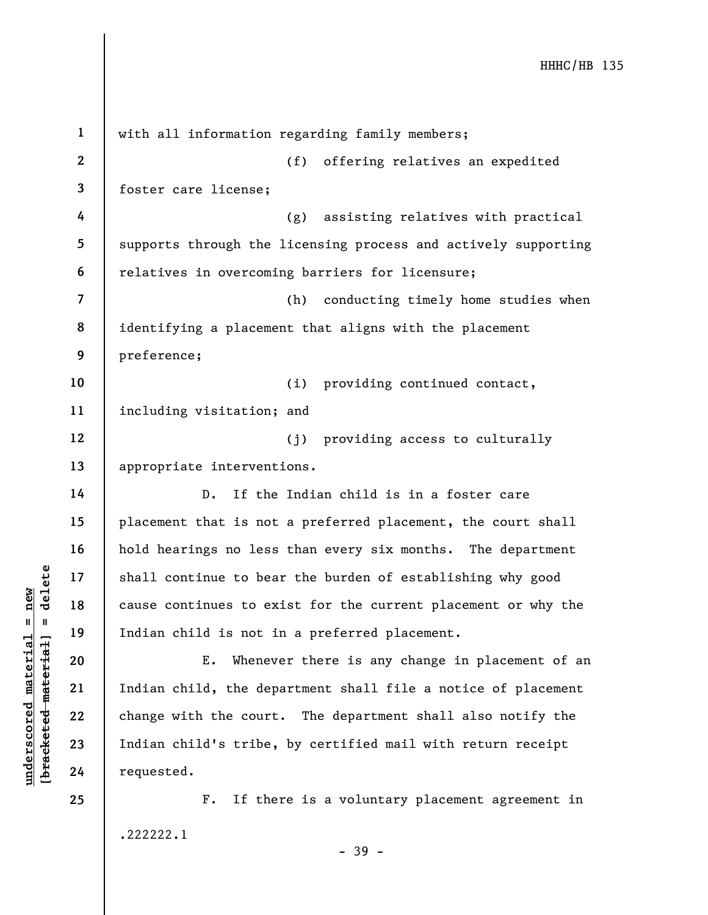under 17<br>
= 18<br>
= 18<br>
= 19<br>
= 19<br>
= 19<br>
= 19<br>
= 19<br>
= 11<br>
= 19<br>
= 11<br>
= 11<br>
= 11<br>
= 11<br>
= 11<br>
= 11<br>
= 11<br>
= 11<br>
= 11<br>
= 11<br>
= 11<br>
= 11<br>
= 11<br>
= 11<br>
= 11<br>
= 11<br>
= 11<br>
= 11<br>
= 11<br>
= 11<br>
= 11<br>
= 11<br>
= 11<br>
= 11<br>
= 11<br>
= 11<br>
= 1 2 3 4 5 6 7 8 9 10 11 12 13 14 15 16 17 18 19 20 21 22 23 24 25 with all information regarding family members; (f) offering relatives an expedited foster care license; (g) assisting relatives with practical supports through the licensing process and actively supporting relatives in overcoming barriers for licensure; (h) conducting timely home studies when identifying a placement that aligns with the placement preference; (i) providing continued contact, including visitation; and (j) providing access to culturally appropriate interventions. D. If the Indian child is in a foster care placement that is not a preferred placement, the court shall hold hearings no less than every six months. The department shall continue to bear the burden of establishing why good cause continues to exist for the current placement or why the Indian child is not in a preferred placement. E. Whenever there is any change in placement of an Indian child, the department shall file a notice of placement change with the court. The department shall also notify the Indian child's tribe, by certified mail with return receipt requested. F. If there is a voluntary placement agreement in .222222.1

- 39 -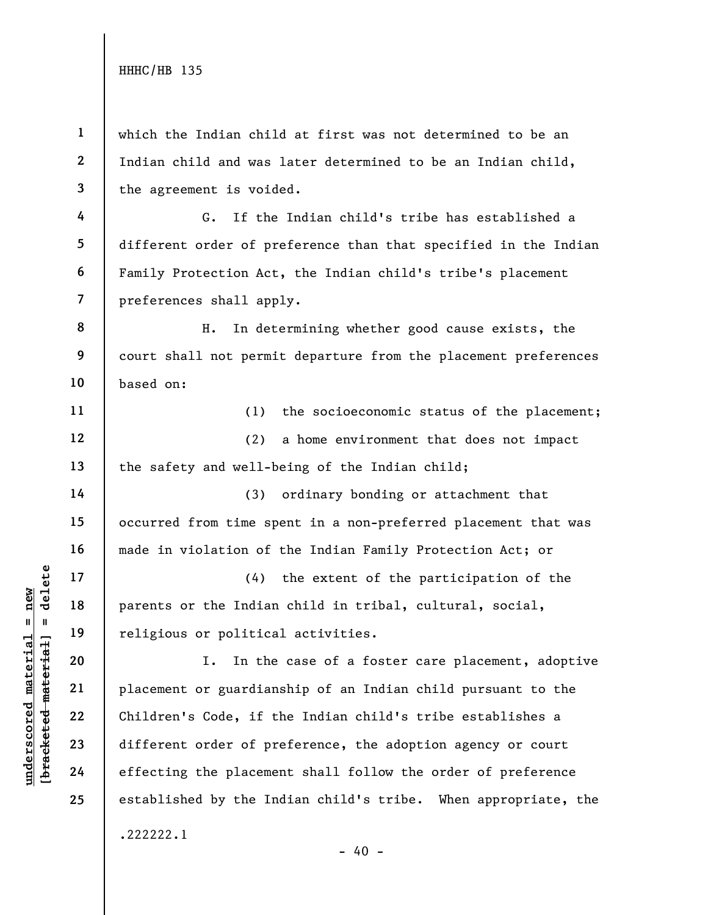4

5

6

14

15

16

17

18

19

20

21

22

23

24

25

1 2 3 which the Indian child at first was not determined to be an Indian child and was later determined to be an Indian child, the agreement is voided.

7 G. If the Indian child's tribe has established a different order of preference than that specified in the Indian Family Protection Act, the Indian child's tribe's placement preferences shall apply.

8 9 10 H. In determining whether good cause exists, the court shall not permit departure from the placement preferences based on:

11 12 13 (1) the socioeconomic status of the placement; (2) a home environment that does not impact the safety and well-being of the Indian child;

(3) ordinary bonding or attachment that occurred from time spent in a non-preferred placement that was made in violation of the Indian Family Protection Act; or

(4) the extent of the participation of the parents or the Indian child in tribal, cultural, social, religious or political activities.

underscored material material parents or the Indian<br>
religious or politica<br>
religious or politica<br>
religious or politica<br>
religious or politica<br>
21<br>
placement or guardian<br>
22<br>
children's Code, if t<br>
23<br>
different order of I. In the case of a foster care placement, adoptive placement or guardianship of an Indian child pursuant to the Children's Code, if the Indian child's tribe establishes a different order of preference, the adoption agency or court effecting the placement shall follow the order of preference established by the Indian child's tribe. When appropriate, the .222222.1

 $- 40 -$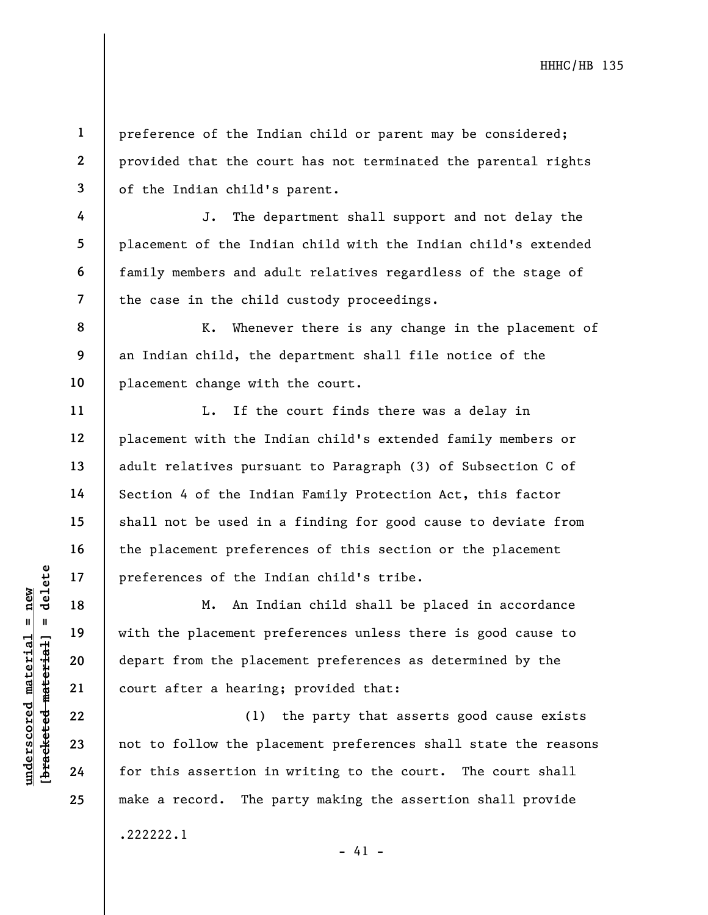1 2 3 preference of the Indian child or parent may be considered; provided that the court has not terminated the parental rights of the Indian child's parent.

J. The department shall support and not delay the placement of the Indian child with the Indian child's extended family members and adult relatives regardless of the stage of the case in the child custody proceedings.

K. Whenever there is any change in the placement of an Indian child, the department shall file notice of the placement change with the court.

L. If the court finds there was a delay in placement with the Indian child's extended family members or adult relatives pursuant to Paragraph (3) of Subsection C of Section 4 of the Indian Family Protection Act, this factor shall not be used in a finding for good cause to deviate from the placement preferences of this section or the placement preferences of the Indian child's tribe.

understand material material end of the Indian of the Indian 19<br>
with the placement properties of the Indian 19<br>
with the placement properties of the Indian 19<br>
with the placement properties of the place<br>
depart from the p M. An Indian child shall be placed in accordance with the placement preferences unless there is good cause to depart from the placement preferences as determined by the court after a hearing; provided that:

(1) the party that asserts good cause exists not to follow the placement preferences shall state the reasons for this assertion in writing to the court. The court shall make a record. The party making the assertion shall provide

 $- 41 -$ 

.222222.1

4

5

6

7

8

9

10

11

12

13

14

15

16

17

18

19

20

21

22

23

24

25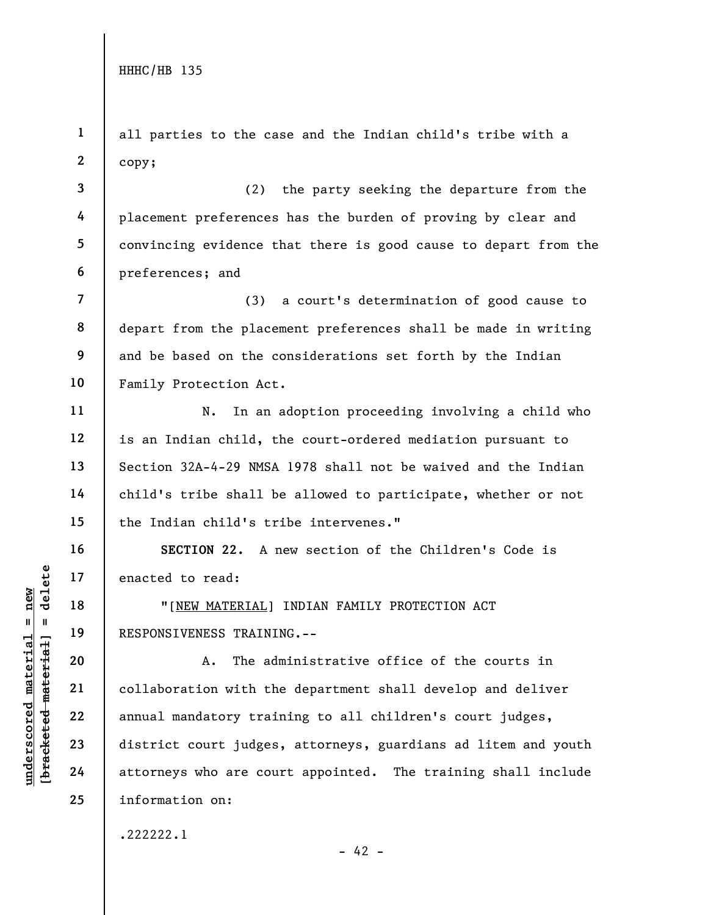UNDERTENT MATERIAL PRESPONSIVENESS TRAINI<br>
UNDERTRAINING THE MATERIAL PRESPONSIVENESS TRAINING<br>
20 A. The add<br>
22 annual mandatory training<br>
23 district court judges<br>
24 attorneys who are counter 1 2 3 4 5 6 7 8 9 10 11 12 13 14 15 16 17 18 19 20 21 22 23 24 25 all parties to the case and the Indian child's tribe with a copy; (2) the party seeking the departure from the placement preferences has the burden of proving by clear and convincing evidence that there is good cause to depart from the preferences; and (3) a court's determination of good cause to depart from the placement preferences shall be made in writing and be based on the considerations set forth by the Indian Family Protection Act. N. In an adoption proceeding involving a child who is an Indian child, the court-ordered mediation pursuant to Section 32A-4-29 NMSA 1978 shall not be waived and the Indian child's tribe shall be allowed to participate, whether or not the Indian child's tribe intervenes." SECTION 22. A new section of the Children's Code is enacted to read: "[NEW MATERIAL] INDIAN FAMILY PROTECTION ACT RESPONSIVENESS TRAINING.-- A. The administrative office of the courts in collaboration with the department shall develop and deliver annual mandatory training to all children's court judges, district court judges, attorneys, guardians ad litem and youth attorneys who are court appointed. The training shall include information on: .222222.1

 $- 42 -$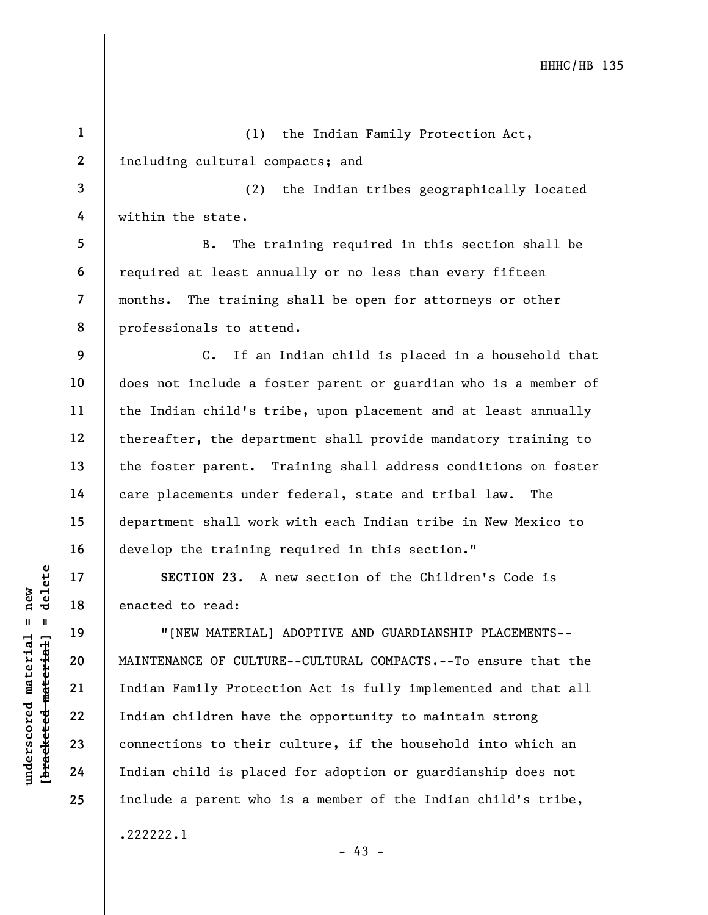underscored material = new [bracketed material] = delete 1 2 3 4 5 6 7 8 9 10 11 12 13 14 15 16 17 18 19 20 21 22 23 24 25 (1) the Indian Family Protection Act, including cultural compacts; and (2) the Indian tribes geographically located within the state. B. The training required in this section shall be required at least annually or no less than every fifteen months. The training shall be open for attorneys or other professionals to attend. C. If an Indian child is placed in a household that does not include a foster parent or guardian who is a member of the Indian child's tribe, upon placement and at least annually thereafter, the department shall provide mandatory training to the foster parent. Training shall address conditions on foster care placements under federal, state and tribal law. The department shall work with each Indian tribe in New Mexico to develop the training required in this section." SECTION 23. A new section of the Children's Code is enacted to read: "[NEW MATERIAL] ADOPTIVE AND GUARDIANSHIP PLACEMENTS-- MAINTENANCE OF CULTURE--CULTURAL COMPACTS.--To ensure that the Indian Family Protection Act is fully implemented and that all Indian children have the opportunity to maintain strong connections to their culture, if the household into which an Indian child is placed for adoption or guardianship does not include a parent who is a member of the Indian child's tribe, .222222.1  $- 43 -$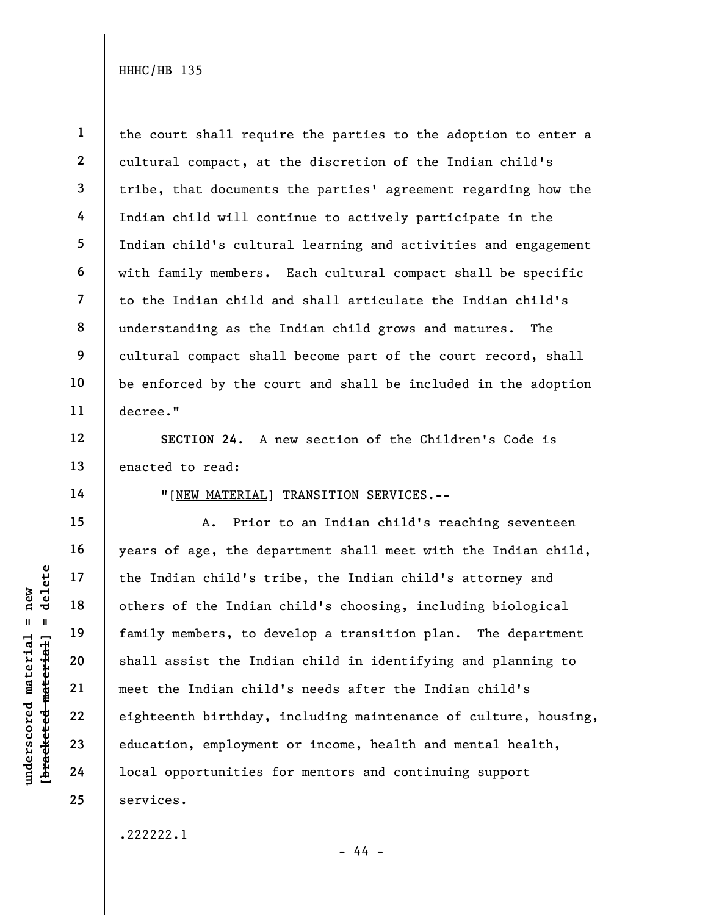1 2 3 4 5 6 7 8 9 10 11 the court shall require the parties to the adoption to enter a cultural compact, at the discretion of the Indian child's tribe, that documents the parties' agreement regarding how the Indian child will continue to actively participate in the Indian child's cultural learning and activities and engagement with family members. Each cultural compact shall be specific to the Indian child and shall articulate the Indian child's understanding as the Indian child grows and matures. The cultural compact shall become part of the court record, shall be enforced by the court and shall be included in the adoption decree."

SECTION 24. A new section of the Children's Code is enacted to read:

14

15

16

17

18

19

20

21

22

23

24

25

12

13

"[NEW MATERIAL] TRANSITION SERVICES.--

underscored material experiences in the Indian child's transported material others of the Indian family members, to de<br>shall assist the Indian child<br>example 22<br>underscore material meet the Indian child<br>eighteenth birthday, A. Prior to an Indian child's reaching seventeen years of age, the department shall meet with the Indian child, the Indian child's tribe, the Indian child's attorney and others of the Indian child's choosing, including biological family members, to develop a transition plan. The department shall assist the Indian child in identifying and planning to meet the Indian child's needs after the Indian child's eighteenth birthday, including maintenance of culture, housing, education, employment or income, health and mental health, local opportunities for mentors and continuing support services.

.222222.1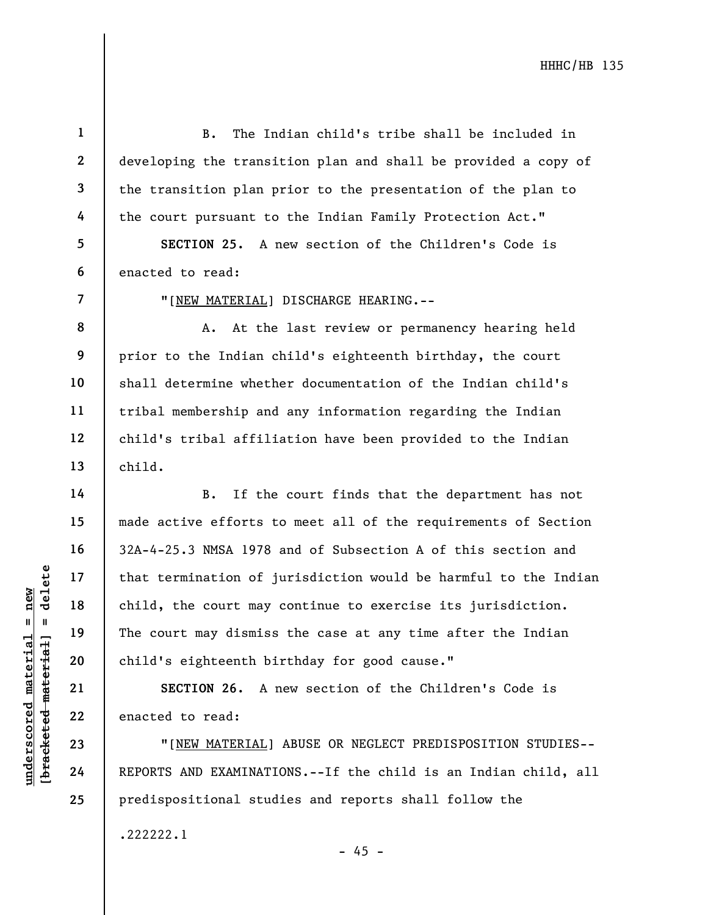B. The Indian child's tribe shall be included in developing the transition plan and shall be provided a copy of the transition plan prior to the presentation of the plan to the court pursuant to the Indian Family Protection Act." SECTION 25. A new section of the Children's Code is

6 enacted to read:

"[NEW MATERIAL] DISCHARGE HEARING.--

A. At the last review or permanency hearing held prior to the Indian child's eighteenth birthday, the court shall determine whether documentation of the Indian child's tribal membership and any information regarding the Indian child's tribal affiliation have been provided to the Indian child.

UNE DESCREED MATERIAL 24<br>
We are the count may dismiss<br>
and the court may dismiss<br>
child's eighteenth bi<br>
SECTION 26. A<br>
22<br>
23<br>
TINEW MATERIAL]<br>
24<br>
REPORTS AND EXAMINATI B. If the court finds that the department has not made active efforts to meet all of the requirements of Section 32A-4-25.3 NMSA 1978 and of Subsection A of this section and that termination of jurisdiction would be harmful to the Indian child, the court may continue to exercise its jurisdiction. The court may dismiss the case at any time after the Indian child's eighteenth birthday for good cause."

SECTION 26. A new section of the Children's Code is enacted to read:

"[NEW MATERIAL] ABUSE OR NEGLECT PREDISPOSITION STUDIES-- REPORTS AND EXAMINATIONS.--If the child is an Indian child, all predispositional studies and reports shall follow the

.222222.1

 $- 45 -$ 

1

2

3

4

5

7

8

9

10

11

12

13

14

15

16

17

18

19

20

21

22

23

24

25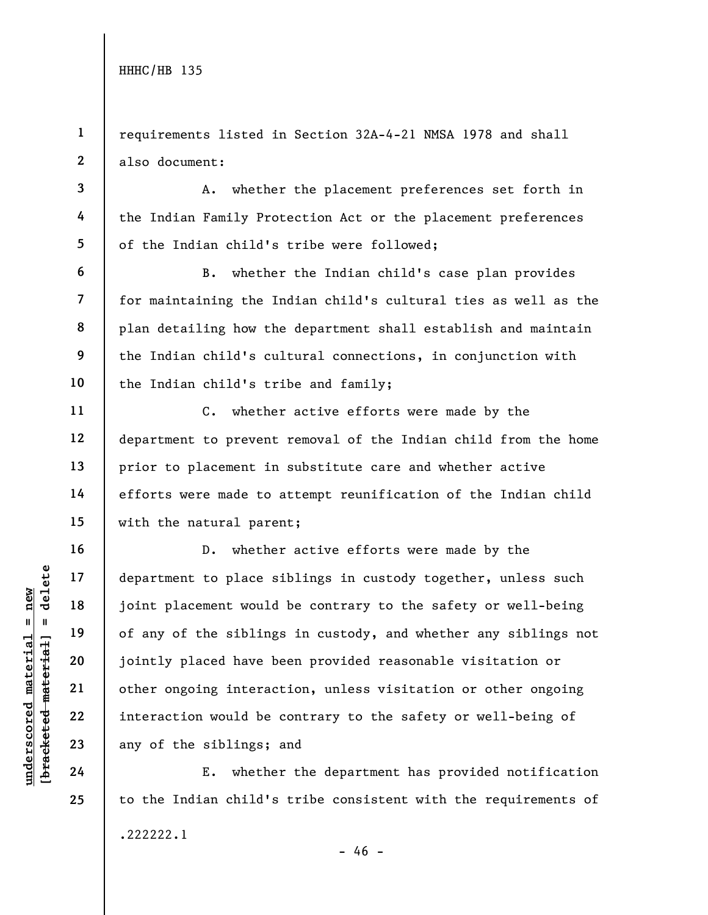3

4

5

6

7

8

9

10

11

12

13

14

15

16

17

18

19

20

21

22

23

24

25

1 2 requirements listed in Section 32A-4-21 NMSA 1978 and shall also document:

A. whether the placement preferences set forth in the Indian Family Protection Act or the placement preferences of the Indian child's tribe were followed;

B. whether the Indian child's case plan provides for maintaining the Indian child's cultural ties as well as the plan detailing how the department shall establish and maintain the Indian child's cultural connections, in conjunction with the Indian child's tribe and family;

C. whether active efforts were made by the department to prevent removal of the Indian child from the home prior to placement in substitute care and whether active efforts were made to attempt reunification of the Indian child with the natural parent;

understand material states of any of the sibling<br>
weight and the sibling<br>
weight and the sibling<br>
weight and the sibling<br>
21<br>
22<br>
23<br>
24<br>
24<br>
24<br>
25<br>
24<br>
26<br>
26<br>
26<br>
26<br>
26<br>
26<br>
26<br>
26<br>
26<br>
27<br>
27<br>
27<br>
28<br>
27<br>
28<br>
27<br>
28<br> D. whether active efforts were made by the department to place siblings in custody together, unless such joint placement would be contrary to the safety or well-being of any of the siblings in custody, and whether any siblings not jointly placed have been provided reasonable visitation or other ongoing interaction, unless visitation or other ongoing interaction would be contrary to the safety or well-being of any of the siblings; and

E. whether the department has provided notification to the Indian child's tribe consistent with the requirements of .222222.1  $- 46 -$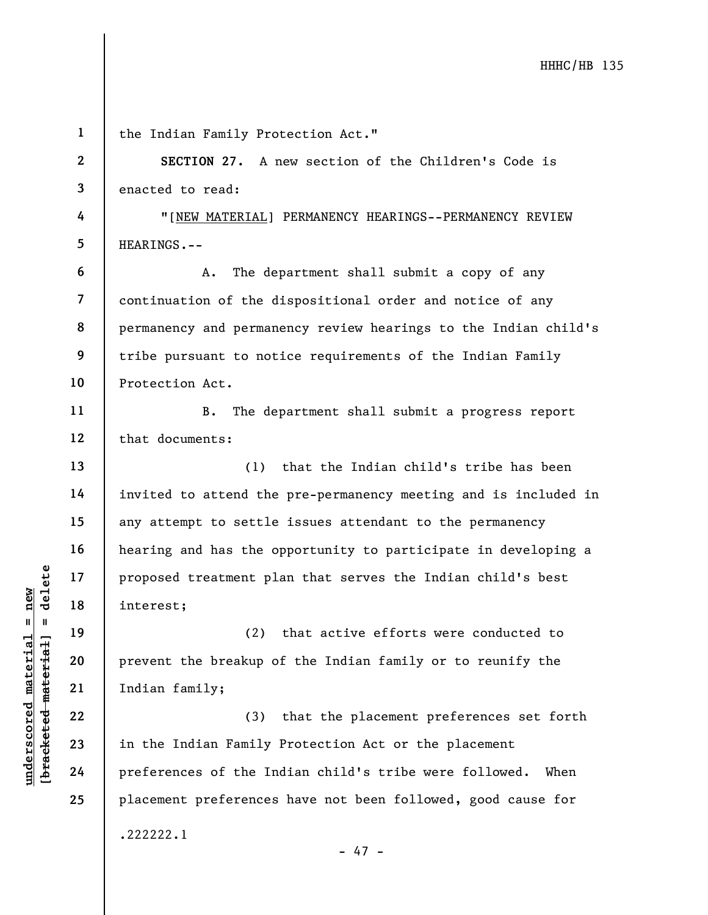|                     | $\mathbf{1}$   | the Indian Family Protection Act."                              |
|---------------------|----------------|-----------------------------------------------------------------|
|                     | $\mathbf{2}$   | SECTION 27. A new section of the Children's Code is             |
|                     | 3              | enacted to read:                                                |
|                     | 4              | "[NEW MATERIAL] PERMANENCY HEARINGS--PERMANENCY REVIEW          |
|                     | 5              | HEARINGS.--                                                     |
|                     | 6              | The department shall submit a copy of any<br>Α.                 |
|                     | $\overline{7}$ | continuation of the dispositional order and notice of any       |
|                     | 8              | permanency and permanency review hearings to the Indian child's |
|                     | 9              | tribe pursuant to notice requirements of the Indian Family      |
|                     | 10             | Protection Act.                                                 |
|                     | 11             | The department shall submit a progress report<br><b>B.</b>      |
|                     | 12             | that documents:                                                 |
|                     | 13             | that the Indian child's tribe has been<br>(1)                   |
|                     | 14             | invited to attend the pre-permanency meeting and is included in |
|                     | 15             | any attempt to settle issues attendant to the permanency        |
|                     | 16             | hearing and has the opportunity to participate in developing a  |
| delete              | 17             | proposed treatment plan that serves the Indian child's best     |
| new                 | 18             | interest;                                                       |
| Ш.<br>- 11          | 19             | (2) that active efforts were conducted to                       |
| material            | 20             | prevent the breakup of the Indian family or to reunify the      |
|                     | 21             | Indian family;                                                  |
| [bracketed material | 22             | that the placement preferences set forth<br>(3)                 |
| underscored         | 23             | in the Indian Family Protection Act or the placement            |
|                     | 24             | preferences of the Indian child's tribe were followed.<br>When  |
|                     | 25             | placement preferences have not been followed, good cause for    |
|                     |                | .222222.1                                                       |
|                     |                | $-47 -$                                                         |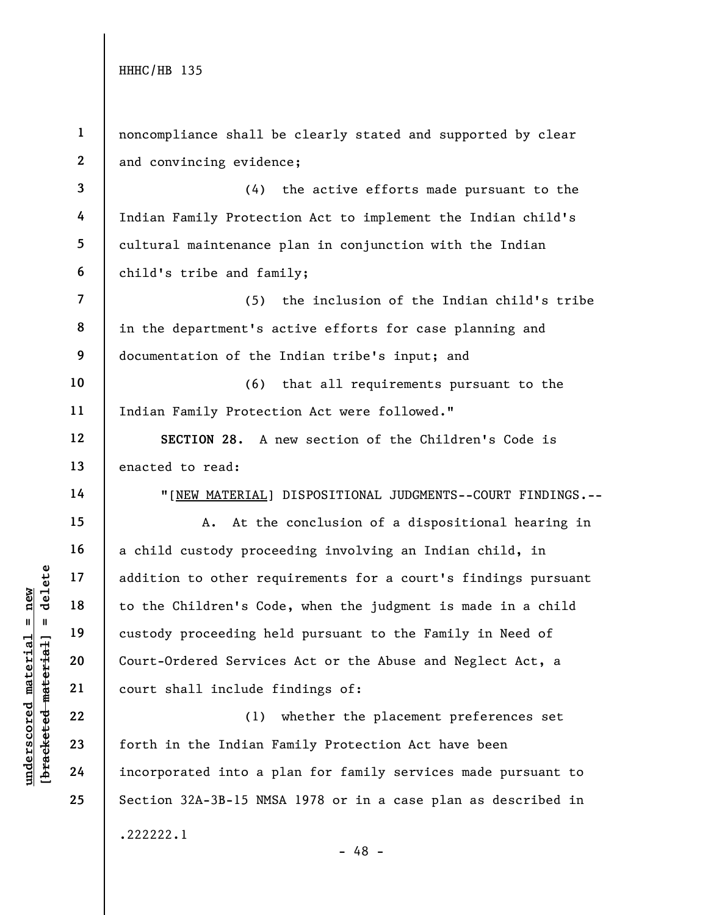| $\mathbf{1}$            | noncompliance shall be clearly stated and supported by clear   |
|-------------------------|----------------------------------------------------------------|
| $\overline{2}$          | and convincing evidence;                                       |
| 3                       | the active efforts made pursuant to the<br>(4)                 |
| 4                       | Indian Family Protection Act to implement the Indian child's   |
| 5                       | cultural maintenance plan in conjunction with the Indian       |
| 6                       | child's tribe and family;                                      |
| $\overline{\mathbf{7}}$ | (5)<br>the inclusion of the Indian child's tribe               |
| 8                       | in the department's active efforts for case planning and       |
| 9                       | documentation of the Indian tribe's input; and                 |
| 10                      | that all requirements pursuant to the<br>(6)                   |
| 11                      | Indian Family Protection Act were followed."                   |
| 12                      | SECTION 28. A new section of the Children's Code is            |
| 13                      | enacted to read:                                               |
| 14                      | "[NEW MATERIAL] DISPOSITIONAL JUDGMENTS--COURT FINDINGS.--     |
| 15                      | At the conclusion of a dispositional hearing in<br>Α.          |
| 16                      | a child custody proceeding involving an Indian child, in       |
| 17                      | addition to other requirements for a court's findings pursuant |
| 18                      | to the Children's Code, when the judgment is made in a child   |
| 19                      | custody proceeding held pursuant to the Family in Need of      |
| 20                      | Court-Ordered Services Act or the Abuse and Neglect Act, a     |
| 21                      | court shall include findings of:                               |
| 22                      | whether the placement preferences set<br>(1)                   |
| 23                      | forth in the Indian Family Protection Act have been            |
| 24                      | incorporated into a plan for family services made pursuant to  |
| 25                      | Section 32A-3B-15 NMSA 1978 or in a case plan as described in  |
|                         | .222222.1                                                      |

 $\frac{\text{underscored material = new}}{\text{beac detected-matter}+\text{d}}$  = delete

- 48 -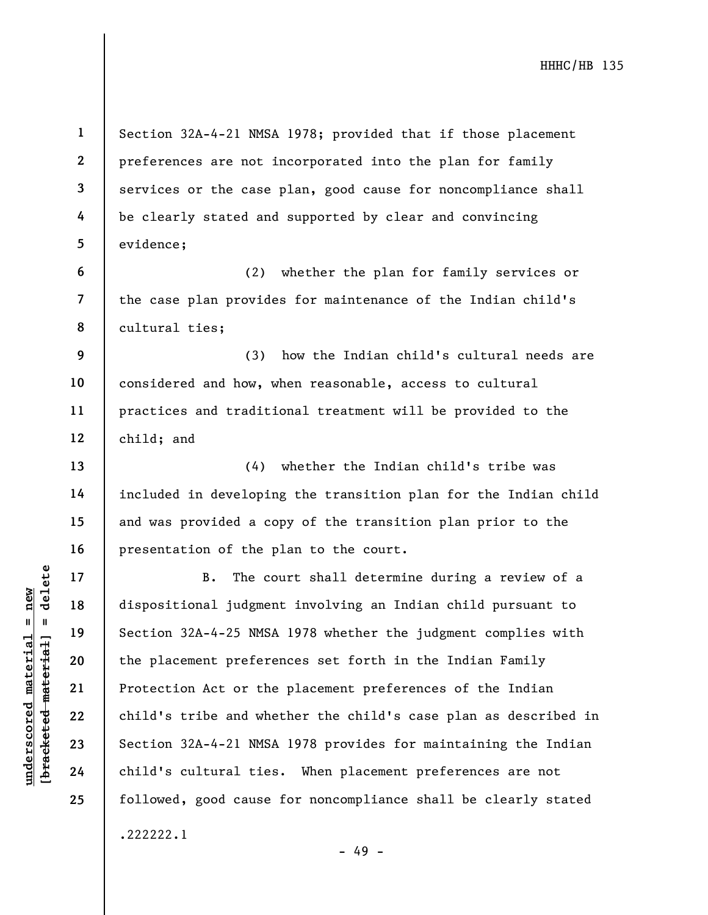Section 32A-4-21 NMSA 1978; provided that if those placement preferences are not incorporated into the plan for family services or the case plan, good cause for noncompliance shall be clearly stated and supported by clear and convincing evidence;

(2) whether the plan for family services or the case plan provides for maintenance of the Indian child's cultural ties;

(3) how the Indian child's cultural needs are considered and how, when reasonable, access to cultural practices and traditional treatment will be provided to the child; and

(4) whether the Indian child's tribe was included in developing the transition plan for the Indian child and was provided a copy of the transition plan prior to the presentation of the plan to the court.

underscored material = new [bracketed material] = delete B. The court shall determine during a review of a dispositional judgment involving an Indian child pursuant to Section 32A-4-25 NMSA 1978 whether the judgment complies with the placement preferences set forth in the Indian Family Protection Act or the placement preferences of the Indian child's tribe and whether the child's case plan as described in Section 32A-4-21 NMSA 1978 provides for maintaining the Indian child's cultural ties. When placement preferences are not followed, good cause for noncompliance shall be clearly stated .222222.1

- 49 -

1

2

3

4

5

6

7

8

9

10

11

12

13

14

15

16

17

18

19

20

21

22

23

24

25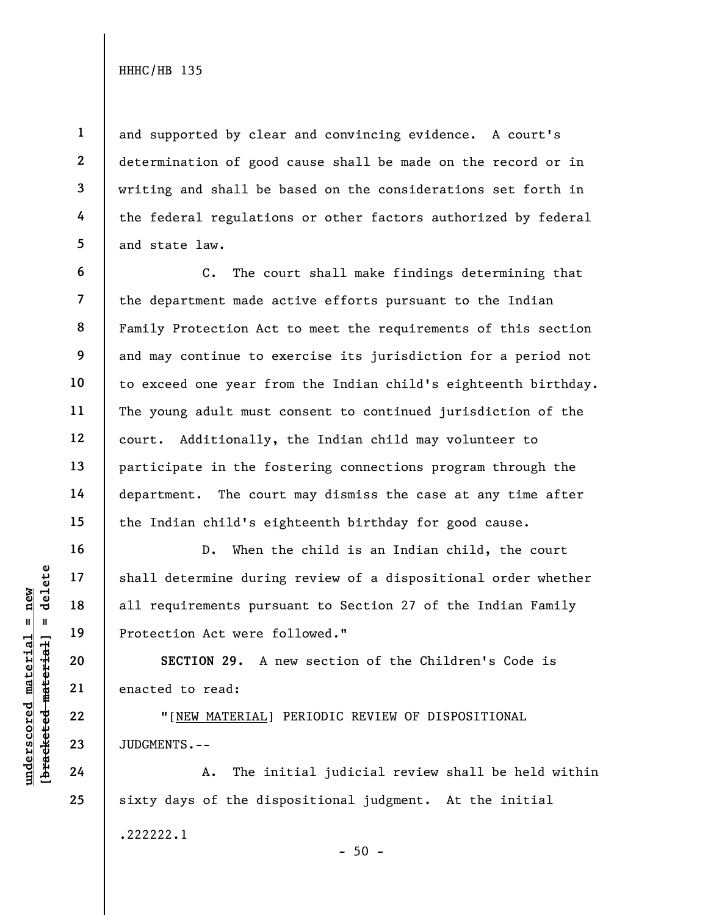1

2

3

4

5

6

7

9

10

11

12

13

14

15

16

17

18

19

20

21

22

23

24

25

and supported by clear and convincing evidence. A court's determination of good cause shall be made on the record or in writing and shall be based on the considerations set forth in the federal regulations or other factors authorized by federal and state law.

8 C. The court shall make findings determining that the department made active efforts pursuant to the Indian Family Protection Act to meet the requirements of this section and may continue to exercise its jurisdiction for a period not to exceed one year from the Indian child's eighteenth birthday. The young adult must consent to continued jurisdiction of the court. Additionally, the Indian child may volunteer to participate in the fostering connections program through the department. The court may dismiss the case at any time after the Indian child's eighteenth birthday for good cause.

UNDERENTS.--<br>
WE HAVE TO MATERIAL PROTECTION 29. A 1<br>
WE HAVE TO MATERIAL<br>
22<br>
UNDERENTS.--<br>
24<br>
PROTENTS.--<br>
24<br>
PROTENTS.--<br>
24<br>
A. The in D. When the child is an Indian child, the court shall determine during review of a dispositional order whether all requirements pursuant to Section 27 of the Indian Family Protection Act were followed."

SECTION 29. A new section of the Children's Code is enacted to read:

"[NEW MATERIAL] PERIODIC REVIEW OF DISPOSITIONAL JUDGMENTS.--

A. The initial judicial review shall be held within sixty days of the dispositional judgment. At the initial .222222.1  $-50 -$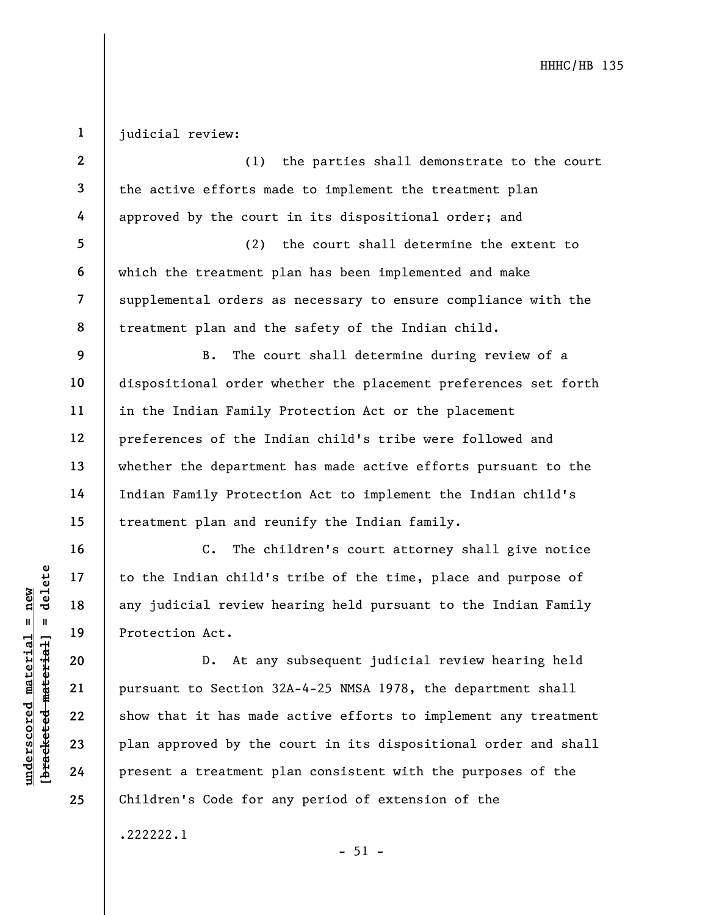1 judicial review:

| $\mathbf{2}$            | (1) the parties shall demonstrate to the court                  |
|-------------------------|-----------------------------------------------------------------|
| $\overline{\mathbf{3}}$ | the active efforts made to implement the treatment plan         |
| 4                       | approved by the court in its dispositional order; and           |
| $5\phantom{.0}$         | the court shall determine the extent to<br>(2)                  |
| 6                       | which the treatment plan has been implemented and make          |
| $\overline{7}$          | supplemental orders as necessary to ensure compliance with the  |
| 8                       | treatment plan and the safety of the Indian child.              |
| 9                       | The court shall determine during review of a<br>$B$ .           |
| 10                      | dispositional order whether the placement preferences set forth |
| 11                      | in the Indian Family Protection Act or the placement            |
| 12                      | preferences of the Indian child's tribe were followed and       |
| 13                      | whether the department has made active efforts pursuant to the  |
| 14                      | Indian Family Protection Act to implement the Indian child's    |
| 15                      | treatment plan and reunify the Indian family.                   |
| 16                      | $C$ .<br>The children's court attorney shall give notice        |
| 17                      | to the Indian child's tribe of the time, place and purpose of   |
| 18                      | any judicial review hearing held pursuant to the Indian Family  |
| 19                      | Protection Act.                                                 |
| 20                      | At any subsequent judicial review hearing held<br>$D$ .         |

understand material to the Indian child's<br>
any judicial review he<br>
any judicial review he<br>
Protection Act.<br>
D. At any<br>
pursuant to Section 3<br>
22<br>
23<br>
Plan approved by the<br>
24<br>
Present a treatment p pursuant to Section 32A-4-25 NMSA 1978, the department shall show that it has made active efforts to implement any treatment plan approved by the court in its dispositional order and shall present a treatment plan consistent with the purposes of the Children's Code for any period of extension of the

- 51 -

.222222.1

21

22

23

24

25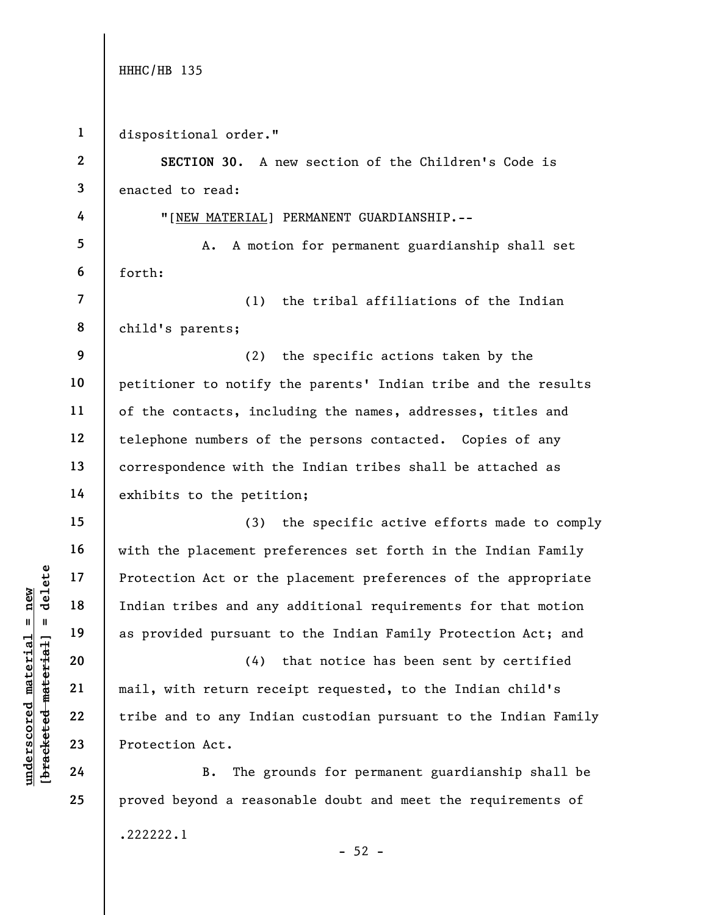understand material material experience of the<br>
material experience and any<br>
experience of the mail, with return recession<br>
22<br>
understand to any Indian tribes and any<br>
22<br>
experience of the and to any Indian<br>
24<br>
Protecti 1 2 3 4 5 6 7 8 9 10 11 12 13 14 15 16 17 18 19 20 21 22 23 24 25 dispositional order." SECTION 30. A new section of the Children's Code is enacted to read: "[NEW MATERIAL] PERMANENT GUARDIANSHIP.-- A. A motion for permanent guardianship shall set forth: (1) the tribal affiliations of the Indian child's parents; (2) the specific actions taken by the petitioner to notify the parents' Indian tribe and the results of the contacts, including the names, addresses, titles and telephone numbers of the persons contacted. Copies of any correspondence with the Indian tribes shall be attached as exhibits to the petition; (3) the specific active efforts made to comply with the placement preferences set forth in the Indian Family Protection Act or the placement preferences of the appropriate Indian tribes and any additional requirements for that motion as provided pursuant to the Indian Family Protection Act; and (4) that notice has been sent by certified mail, with return receipt requested, to the Indian child's tribe and to any Indian custodian pursuant to the Indian Family Protection Act. B. The grounds for permanent guardianship shall be proved beyond a reasonable doubt and meet the requirements of .222222.1

 $-52 -$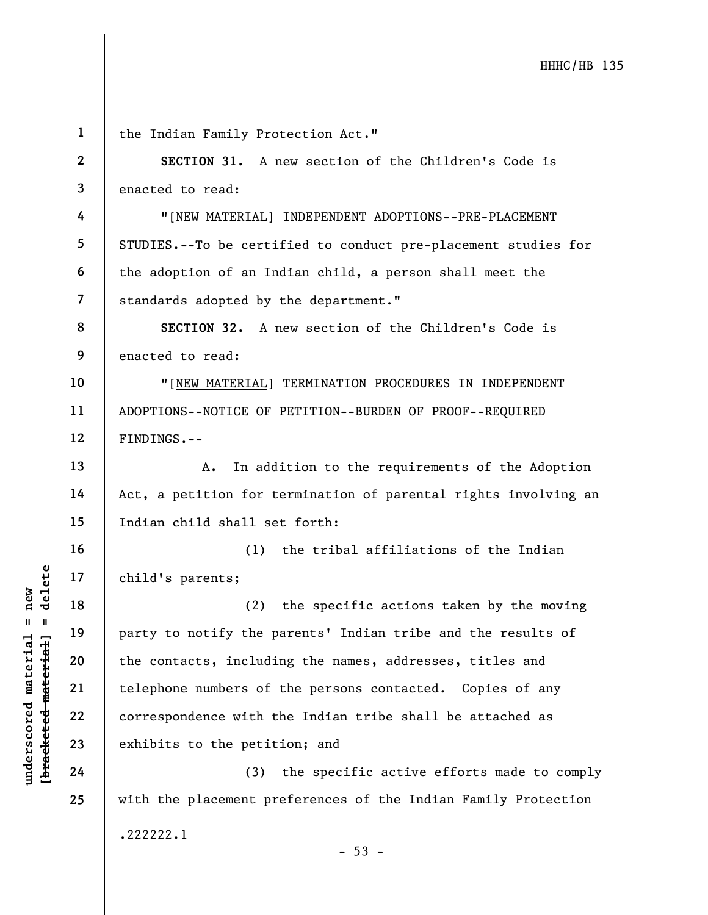|                                                          | $\mathbf{1}$             | the Indian Family Protection Act."                              |
|----------------------------------------------------------|--------------------------|-----------------------------------------------------------------|
|                                                          | $\mathbf{2}$             | SECTION 31. A new section of the Children's Code is             |
|                                                          | $\mathbf{3}$             | enacted to read:                                                |
|                                                          | 4                        | "[NEW MATERIAL] INDEPENDENT ADOPTIONS--PRE-PLACEMENT            |
|                                                          | 5                        | STUDIES.--To be certified to conduct pre-placement studies for  |
|                                                          | 6                        | the adoption of an Indian child, a person shall meet the        |
|                                                          | $\overline{\mathcal{L}}$ | standards adopted by the department."                           |
|                                                          | 8                        | SECTION 32. A new section of the Children's Code is             |
|                                                          | 9                        | enacted to read:                                                |
|                                                          | 10                       | "[NEW MATERIAL] TERMINATION PROCEDURES IN INDEPENDENT           |
|                                                          | 11                       | ADOPTIONS--NOTICE OF PETITION--BURDEN OF PROOF--REQUIRED        |
|                                                          | 12                       | FINDINGS.--                                                     |
|                                                          | 13                       | In addition to the requirements of the Adoption<br>A.           |
|                                                          | 14                       | Act, a petition for termination of parental rights involving an |
|                                                          | 15                       | Indian child shall set forth:                                   |
|                                                          | 16                       | the tribal affiliations of the Indian<br>(1)                    |
| delete                                                   | 17                       | child's parents;                                                |
| new                                                      | 18                       | the specific actions taken by the moving<br>(2)                 |
| $\mathbf{II}$<br>- 11                                    | 19                       | party to notify the parents' Indian tribe and the results of    |
| material<br>[ <del>brack</del> ete <del>d material</del> | 20                       | the contacts, including the names, addresses, titles and        |
|                                                          | 21                       | telephone numbers of the persons contacted. Copies of any       |
| $\bm{{\rm underscore}}$                                  | 22                       | correspondence with the Indian tribe shall be attached as       |
|                                                          | 23                       | exhibits to the petition; and                                   |
|                                                          | 24                       | the specific active efforts made to comply<br>(3)               |
|                                                          | 25                       | with the placement preferences of the Indian Family Protection  |
|                                                          |                          | .222222.1                                                       |

- 53 -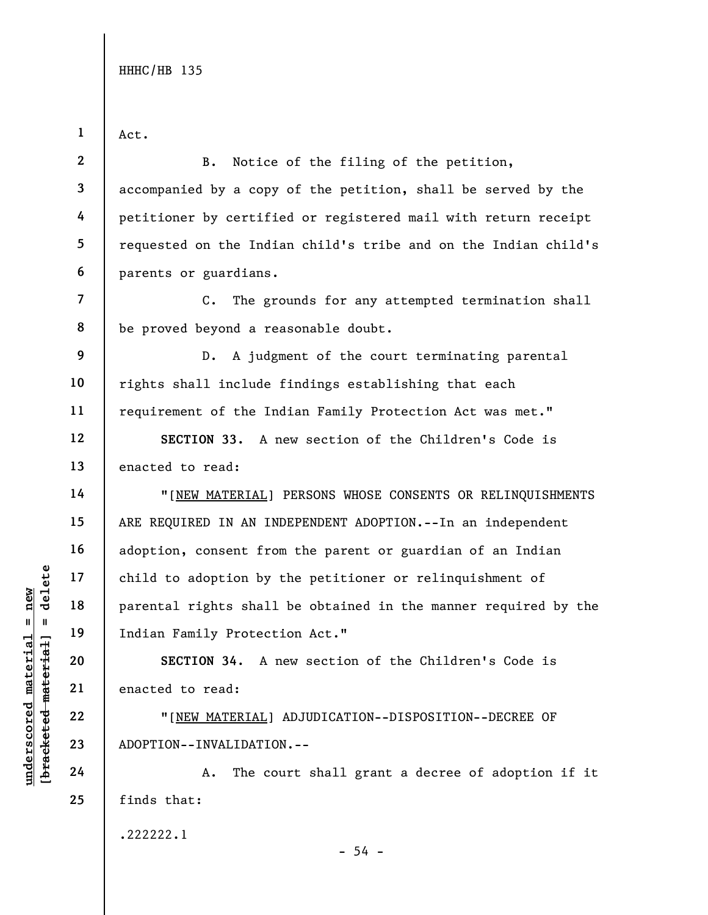Act.

1

7

8

14

15

16

17

18

19

20

21

22

23

24

25

2 3 4 5 6 B. Notice of the filing of the petition, accompanied by a copy of the petition, shall be served by the petitioner by certified or registered mail with return receipt requested on the Indian child's tribe and on the Indian child's parents or guardians.

C. The grounds for any attempted termination shall be proved beyond a reasonable doubt.

9 10 11 D. A judgment of the court terminating parental rights shall include findings establishing that each requirement of the Indian Family Protection Act was met."

12 13 SECTION 33. A new section of the Children's Code is enacted to read:

UNDERTRIAL PROPETION 34. A PROPETION 34. A PROPETION 34. A PROPETION 34. A PROPETION 34. A PROPETION --INVALIDATION--INVALIDATION 4. The compare of the compare of the compare of the compare of the compare of the compare of "[NEW MATERIAL] PERSONS WHOSE CONSENTS OR RELINQUISHMENTS ARE REQUIRED IN AN INDEPENDENT ADOPTION.--In an independent adoption, consent from the parent or guardian of an Indian child to adoption by the petitioner or relinquishment of parental rights shall be obtained in the manner required by the Indian Family Protection Act."

SECTION 34. A new section of the Children's Code is enacted to read:

"[NEW MATERIAL] ADJUDICATION--DISPOSITION--DECREE OF ADOPTION--INVALIDATION.--

A. The court shall grant a decree of adoption if it finds that:

.222222.1

 $-54 -$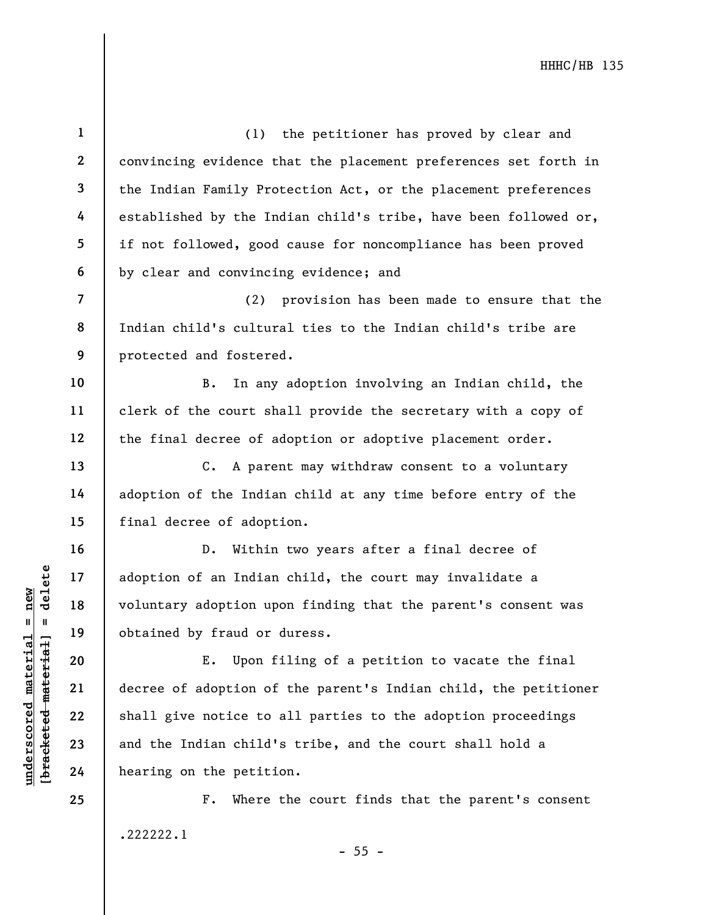under 17<br>
adoption of an Indian<br>
voluntary adoption up<br>
voluntary adoption up<br>
obtained by fraud or<br>
E. Upon f<br>
decree of adoption of<br>
22<br>
shall give notice to<br>
23<br>
and the Indian child'<br>
24<br>
hearing on the petiti 1 2 3 4 5 6 7 8 9 10 11 12 13 14 15 16 17 18 19 20 21 22 23 24 25 (1) the petitioner has proved by clear and convincing evidence that the placement preferences set forth in the Indian Family Protection Act, or the placement preferences established by the Indian child's tribe, have been followed or, if not followed, good cause for noncompliance has been proved by clear and convincing evidence; and (2) provision has been made to ensure that the Indian child's cultural ties to the Indian child's tribe are protected and fostered. B. In any adoption involving an Indian child, the clerk of the court shall provide the secretary with a copy of the final decree of adoption or adoptive placement order. C. A parent may withdraw consent to a voluntary adoption of the Indian child at any time before entry of the final decree of adoption. D. Within two years after a final decree of adoption of an Indian child, the court may invalidate a voluntary adoption upon finding that the parent's consent was obtained by fraud or duress. E. Upon filing of a petition to vacate the final decree of adoption of the parent's Indian child, the petitioner shall give notice to all parties to the adoption proceedings and the Indian child's tribe, and the court shall hold a hearing on the petition. F. Where the court finds that the parent's consent

.222222.1

 $- 55 -$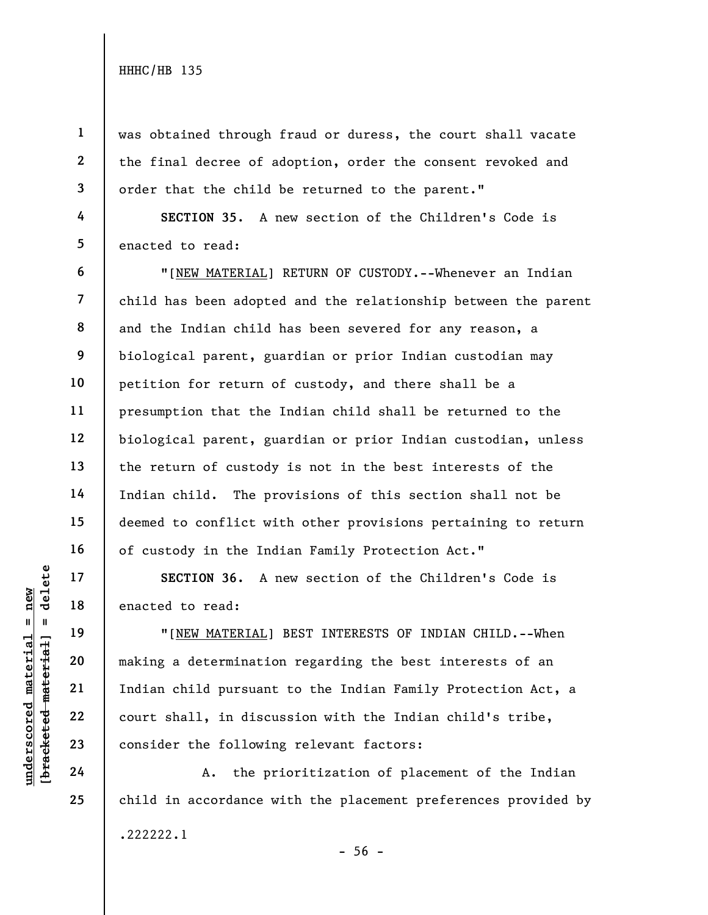1

2

3

4

5

6

7

8

9

10

11

12

13

14

15

16

17

18

19

20

21

22

23

24

25

was obtained through fraud or duress, the court shall vacate the final decree of adoption, order the consent revoked and order that the child be returned to the parent."

SECTION 35. A new section of the Children's Code is enacted to read:

"[NEW MATERIAL] RETURN OF CUSTODY.--Whenever an Indian child has been adopted and the relationship between the parent and the Indian child has been severed for any reason, a biological parent, guardian or prior Indian custodian may petition for return of custody, and there shall be a presumption that the Indian child shall be returned to the biological parent, guardian or prior Indian custodian, unless the return of custody is not in the best interests of the Indian child. The provisions of this section shall not be deemed to conflict with other provisions pertaining to return of custody in the Indian Family Protection Act."

SECTION 36. A new section of the Children's Code is enacted to read:

underscored material = new [bracketed material] = delete "[NEW MATERIAL] BEST INTERESTS OF INDIAN CHILD.--When making a determination regarding the best interests of an Indian child pursuant to the Indian Family Protection Act, a court shall, in discussion with the Indian child's tribe, consider the following relevant factors:

A. the prioritization of placement of the Indian child in accordance with the placement preferences provided by .222222.1  $-56 -$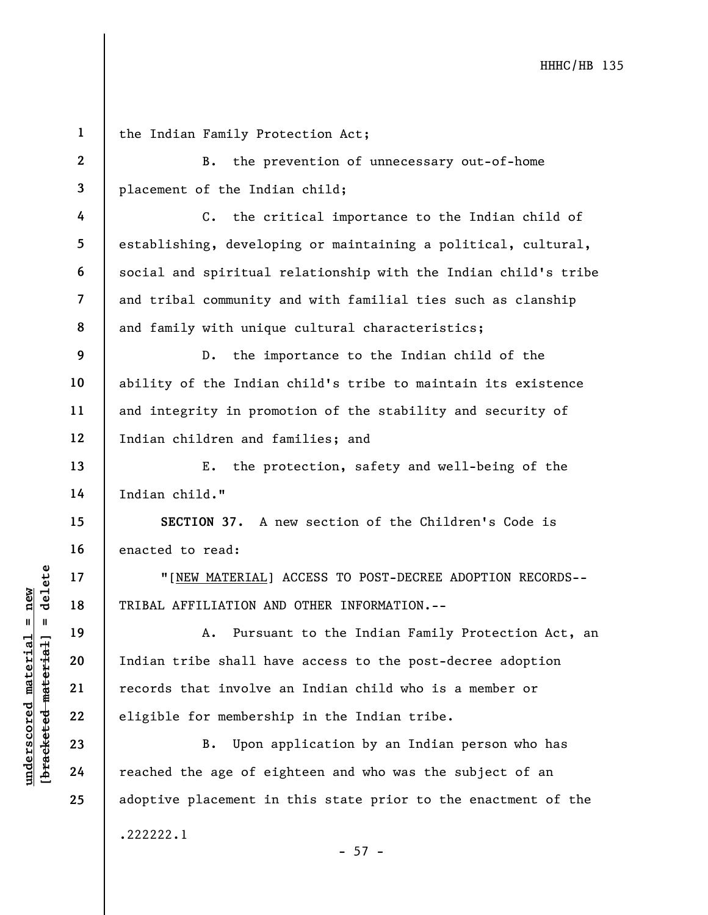underscored material = new [bracketed material] = delete 1 2 3 4 5 6 7 8 9 10 11 12 13 14 15 16 17 18 19 20 21 22 23 24 25 the Indian Family Protection Act; B. the prevention of unnecessary out-of-home placement of the Indian child; C. the critical importance to the Indian child of and family with unique cultural characteristics; D. the importance to the Indian child of the and integrity in promotion of the stability and security of Indian children and families; and E. the protection, safety and well-being of the Indian child." SECTION 37. A new section of the Children's Code is enacted to read: "[NEW MATERIAL] ACCESS TO POST-DECREE ADOPTION RECORDS-- TRIBAL AFFILIATION AND OTHER INFORMATION.-- A. Pursuant to the Indian Family Protection Act, an Indian tribe shall have access to the post-decree adoption records that involve an Indian child who is a member or eligible for membership in the Indian tribe. B. Upon application by an Indian person who has reached the age of eighteen and who was the subject of an adoptive placement in this state prior to the enactment of the .222222.1

 $- 57 -$ 

establishing, developing or maintaining a political, cultural, social and spiritual relationship with the Indian child's tribe and tribal community and with familial ties such as clanship

ability of the Indian child's tribe to maintain its existence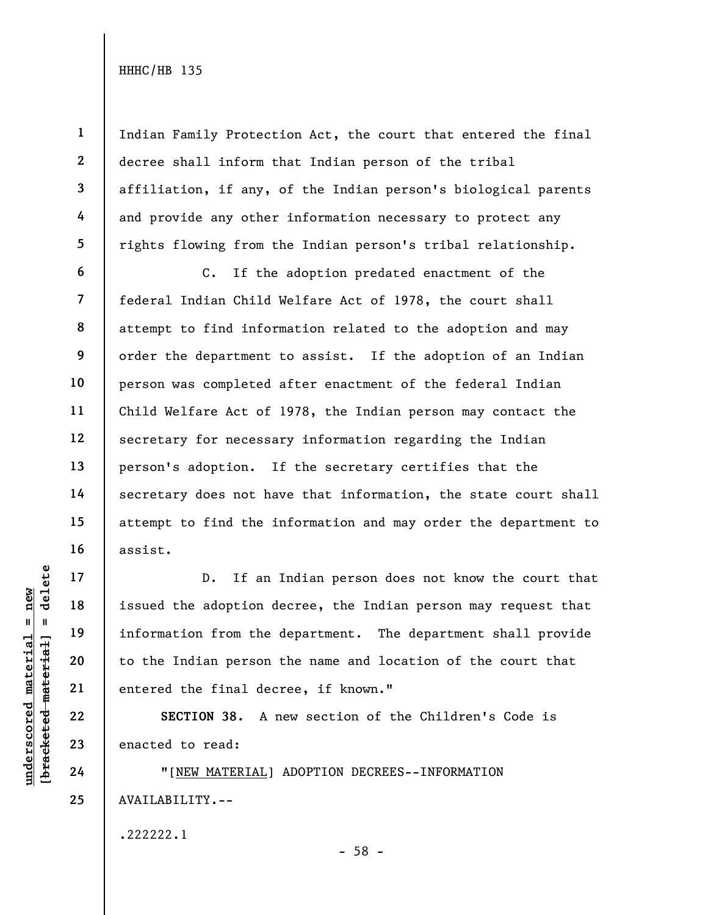1

2

3

4

5

6

11

13

14

17

18

19

20

21

22

23

24

25

Indian Family Protection Act, the court that entered the final decree shall inform that Indian person of the tribal affiliation, if any, of the Indian person's biological parents and provide any other information necessary to protect any rights flowing from the Indian person's tribal relationship.

7 8 9 10 12 15 16 C. If the adoption predated enactment of the federal Indian Child Welfare Act of 1978, the court shall attempt to find information related to the adoption and may order the department to assist. If the adoption of an Indian person was completed after enactment of the federal Indian Child Welfare Act of 1978, the Indian person may contact the secretary for necessary information regarding the Indian person's adoption. If the secretary certifies that the secretary does not have that information, the state court shall attempt to find the information and may order the department to assist.

UNDERTENTED 18<br>
UNDERTRESS TO LET A 19<br>
UNDERTRESS TO LET A 19<br>
UNDERTRESS TO LET A 19<br>
UNDERTRESS TO LET A 1<br>
UNDERTRESS POSTAGE MATERIAL<br>
23<br>
UNDERTRESS POSTAGE MATERIAL<br>
24<br>
TINEW MATERIAL] D. If an Indian person does not know the court that issued the adoption decree, the Indian person may request that information from the department. The department shall provide to the Indian person the name and location of the court that entered the final decree, if known."

SECTION 38. A new section of the Children's Code is enacted to read:

"[NEW MATERIAL] ADOPTION DECREES--INFORMATION AVAILABILITY.--

.222222.1

- 58 -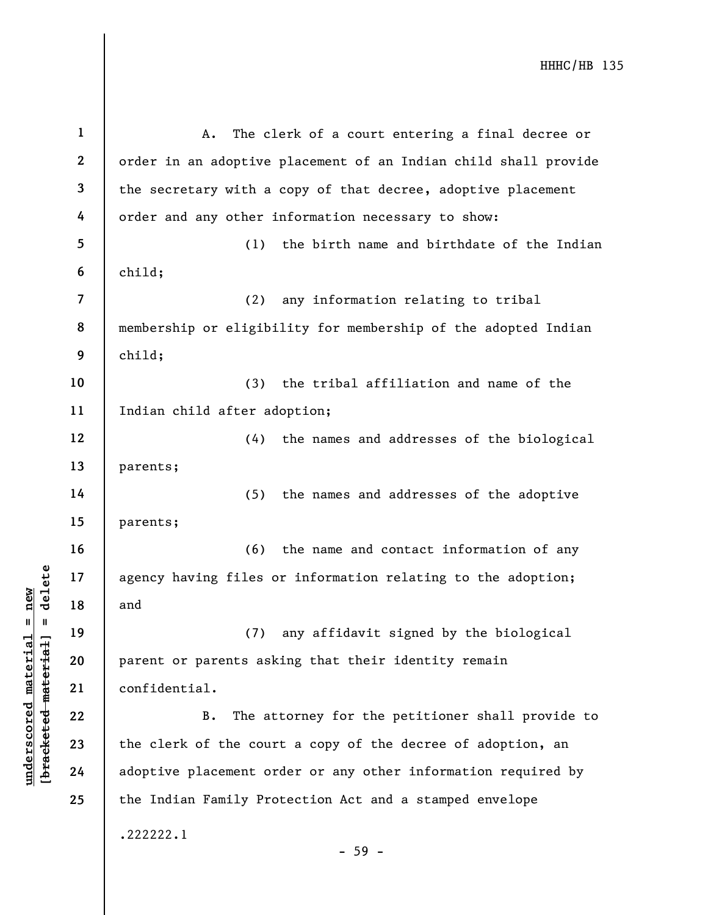understand material and<br>  $\begin{array}{c|c|c|c} \mathbf{u} & \mathbf{u} & \mathbf{u} & \mathbf{u} \\ \hline \mathbf{u} & \mathbf{u} & \mathbf{u} & \mathbf{u} \\ \hline \mathbf{u} & \mathbf{u} & \mathbf{u} & \mathbf{u} \\ \hline \mathbf{u} & \mathbf{u} & \mathbf{u} & \mathbf{u} \\ \hline \mathbf{u} & \mathbf{u} & \mathbf{u} & \mathbf{u} \\ \hline \mathbf{u} & \mathbf{u} & \mathbf{u} & \mathbf{u} \\$ 1 2 3 4 5 6 7 8 9 10 11 12 13 14 15 16 17 18 19 20 21 22 23 24 25 A. The clerk of a court entering a final decree or order in an adoptive placement of an Indian child shall provide the secretary with a copy of that decree, adoptive placement order and any other information necessary to show: (1) the birth name and birthdate of the Indian child; (2) any information relating to tribal membership or eligibility for membership of the adopted Indian child; (3) the tribal affiliation and name of the Indian child after adoption; (4) the names and addresses of the biological parents; (5) the names and addresses of the adoptive parents; (6) the name and contact information of any agency having files or information relating to the adoption; and (7) any affidavit signed by the biological parent or parents asking that their identity remain confidential. B. The attorney for the petitioner shall provide to the clerk of the court a copy of the decree of adoption, an adoptive placement order or any other information required by the Indian Family Protection Act and a stamped envelope .222222.1 - 59 -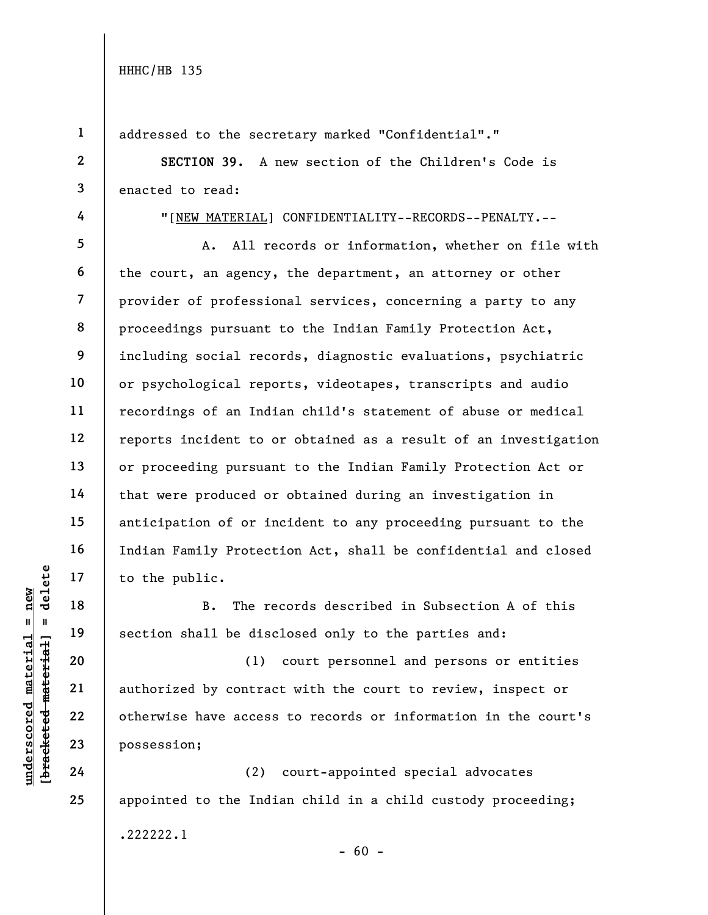1

2

3

4

5

6

7

8

9

25

addressed to the secretary marked "Confidential"."

SECTION 39. A new section of the Children's Code is enacted to read:

"[NEW MATERIAL] CONFIDENTIALITY--RECORDS--PENALTY.--

A. All records or information, whether on file with the court, an agency, the department, an attorney or other provider of professional services, concerning a party to any proceedings pursuant to the Indian Family Protection Act, including social records, diagnostic evaluations, psychiatric or psychological reports, videotapes, transcripts and audio recordings of an Indian child's statement of abuse or medical reports incident to or obtained as a result of an investigation or proceeding pursuant to the Indian Family Protection Act or that were produced or obtained during an investigation in anticipation of or incident to any proceeding pursuant to the Indian Family Protection Act, shall be confidential and closed to the public.

B. The records described in Subsection A of this section shall be disclosed only to the parties and:

understand material material entire material entire material entire material entire den access<br>graduate de material de disconstructure de la contracte de la contracte de la contracte de la contracte de la contracte de la c (1) court personnel and persons or entities authorized by contract with the court to review, inspect or otherwise have access to records or information in the court's possession;

(2) court-appointed special advocates appointed to the Indian child in a child custody proceeding; .222222.1

 $- 60 -$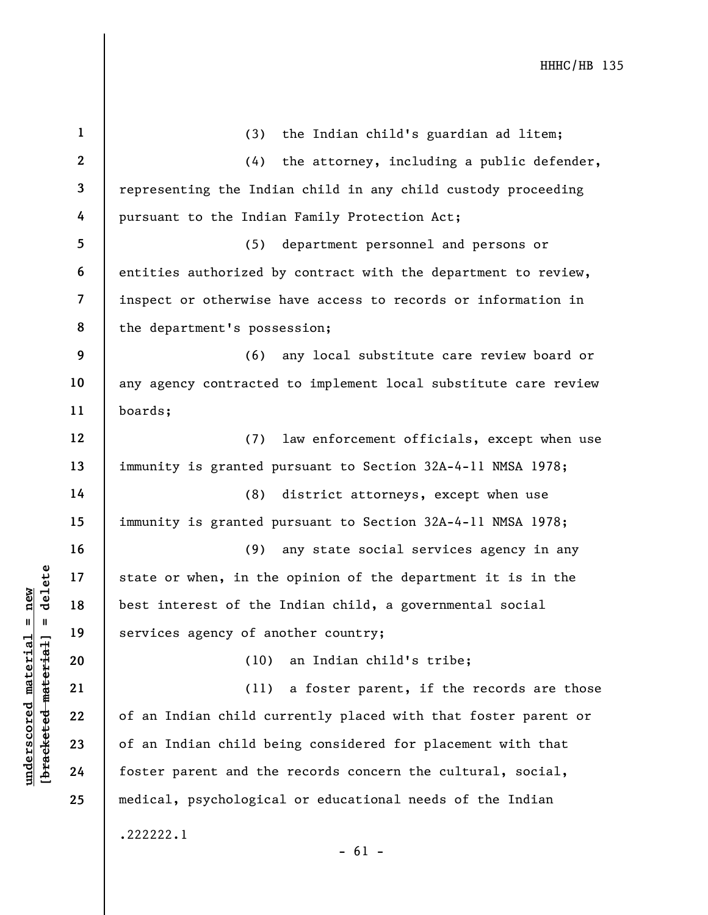| $\mathbf{1}$            | (3)<br>the Indian child's guardian ad litem;                    |
|-------------------------|-----------------------------------------------------------------|
| $\mathbf{2}$            | the attorney, including a public defender,<br>(4)               |
| $\overline{\mathbf{3}}$ | representing the Indian child in any child custody proceeding   |
| 4                       | pursuant to the Indian Family Protection Act;                   |
| 5                       | (5) department personnel and persons or                         |
| 6                       | entities authorized by contract with the department to review,  |
| $\overline{7}$          | inspect or otherwise have access to records or information in   |
| 8                       | the department's possession;                                    |
| 9                       | (6) any local substitute care review board or                   |
| 10                      | any agency contracted to implement local substitute care review |
| 11                      | boards;                                                         |
| 12                      | (7)<br>law enforcement officials, except when use               |
| 13                      | immunity is granted pursuant to Section 32A-4-11 NMSA 1978;     |
| 14                      | (8) district attorneys, except when use                         |
| 15                      | immunity is granted pursuant to Section 32A-4-11 NMSA 1978;     |
| 16                      | (9)<br>any state social services agency in any                  |
| 17                      | state or when, in the opinion of the department it is in the    |
| 18                      | best interest of the Indian child, a governmental social        |
| 19                      | services agency of another country;                             |
| 20                      | (10) an Indian child's tribe;                                   |
| 21                      | (11)<br>a foster parent, if the records are those               |
| 22                      | of an Indian child currently placed with that foster parent or  |
| 23                      | of an Indian child being considered for placement with that     |
| 24                      | foster parent and the records concern the cultural, social,     |
| 25                      | medical, psychological or educational needs of the Indian       |
|                         | .222222.1<br>$-61 -$                                            |

 $\frac{\text{underscored material = new}}{\text{beac detected-matter}+\text{d}}$  = delete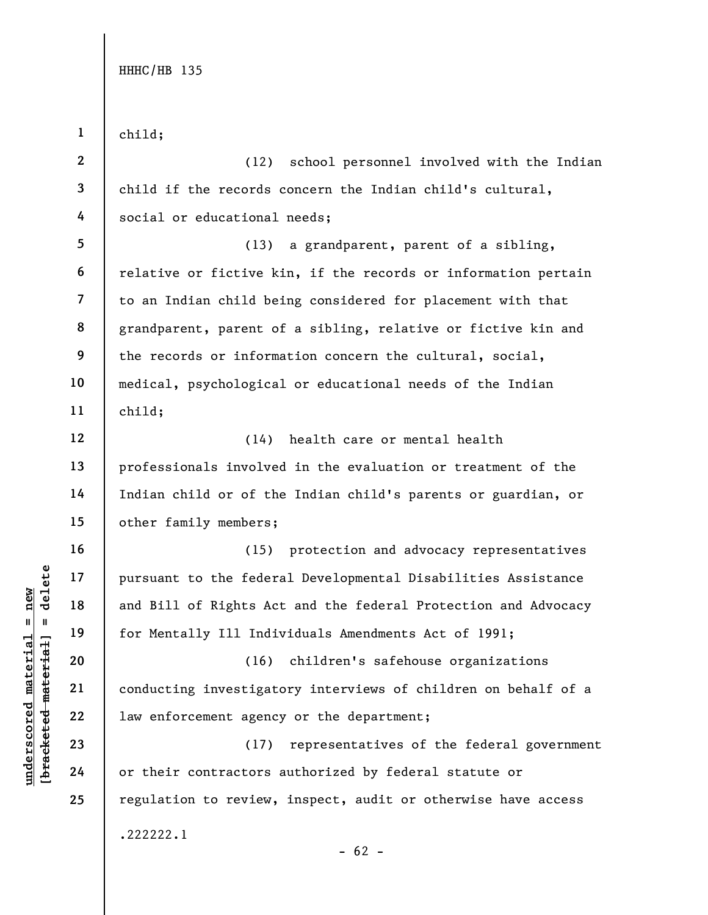under 17<br>
and Bill of Rights Actions of the feder<br>
and Bill of Rights Actions and Bill of Rights Actions (16)<br>
deleted the set of the set of the set of the set of their contractors<br>
24 or their contractors 1 2 3 4 5 6 7 8 9 10 11 12 13 14 15 16 17 18 19 20 21 22 23 24 25 child; (12) school personnel involved with the Indian child if the records concern the Indian child's cultural, social or educational needs; (13) a grandparent, parent of a sibling, relative or fictive kin, if the records or information pertain to an Indian child being considered for placement with that grandparent, parent of a sibling, relative or fictive kin and the records or information concern the cultural, social, medical, psychological or educational needs of the Indian child; (14) health care or mental health professionals involved in the evaluation or treatment of the Indian child or of the Indian child's parents or guardian, or other family members; (15) protection and advocacy representatives pursuant to the federal Developmental Disabilities Assistance and Bill of Rights Act and the federal Protection and Advocacy for Mentally Ill Individuals Amendments Act of 1991; (16) children's safehouse organizations conducting investigatory interviews of children on behalf of a law enforcement agency or the department; (17) representatives of the federal government or their contractors authorized by federal statute or regulation to review, inspect, audit or otherwise have access .222222.1  $- 62 -$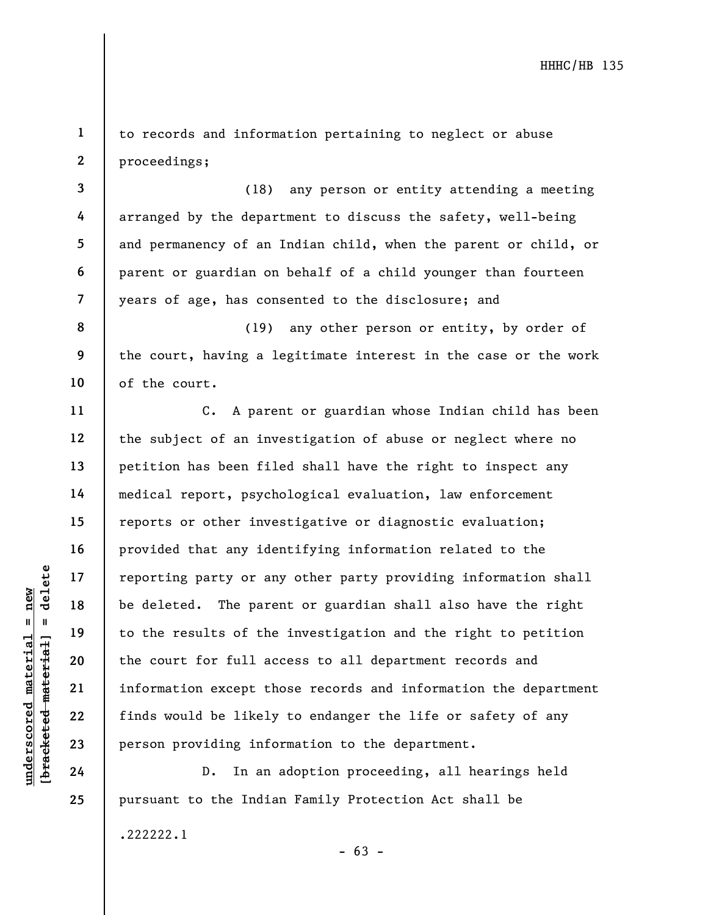1 2 to records and information pertaining to neglect or abuse proceedings;

(18) any person or entity attending a meeting arranged by the department to discuss the safety, well-being and permanency of an Indian child, when the parent or child, or parent or guardian on behalf of a child younger than fourteen years of age, has consented to the disclosure; and

8 9 10 (19) any other person or entity, by order of the court, having a legitimate interest in the case or the work of the court.

understand material material space of the deleted. The pare<br>
understand to the results of the<br>
except the court for full ace<br>
understand the court for full ace<br>
out for full ace<br>
out for full ace<br>
out for full ace<br>
out for C. A parent or guardian whose Indian child has been the subject of an investigation of abuse or neglect where no petition has been filed shall have the right to inspect any medical report, psychological evaluation, law enforcement reports or other investigative or diagnostic evaluation; provided that any identifying information related to the reporting party or any other party providing information shall be deleted. The parent or guardian shall also have the right to the results of the investigation and the right to petition the court for full access to all department records and information except those records and information the department finds would be likely to endanger the life or safety of any person providing information to the department.

D. In an adoption proceeding, all hearings held pursuant to the Indian Family Protection Act shall be

.222222.1

3

4

5

6

7

11

12

13

14

15

16

17

18

19

20

21

22

23

24

25

 $- 63 -$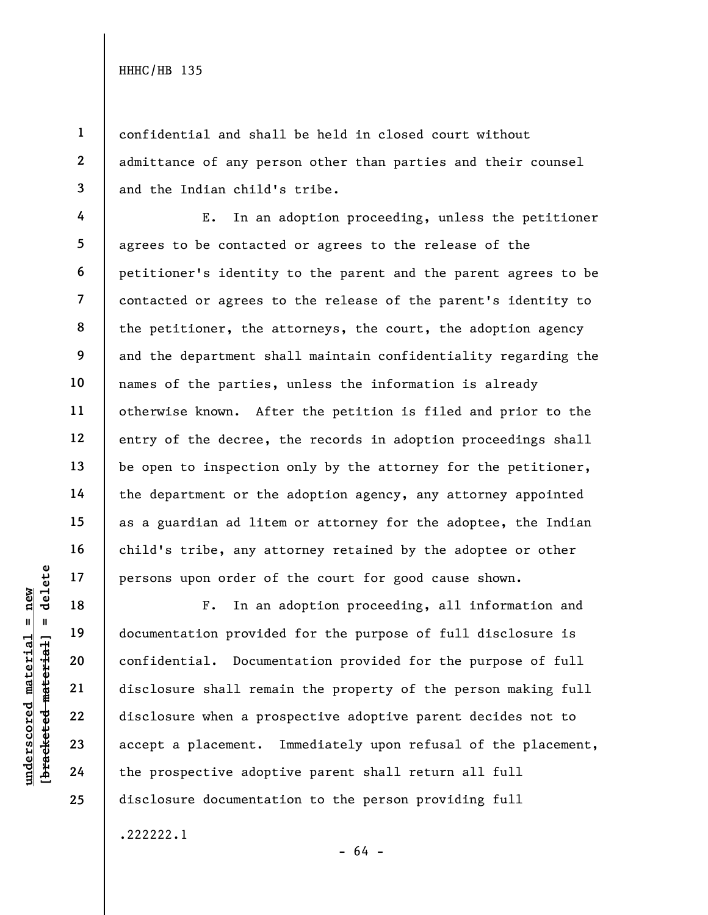6

1 2 3 confidential and shall be held in closed court without admittance of any person other than parties and their counsel and the Indian child's tribe.

4 5 7 8 9 10 11 12 13 14 15 16 17 E. In an adoption proceeding, unless the petitioner agrees to be contacted or agrees to the release of the petitioner's identity to the parent and the parent agrees to be contacted or agrees to the release of the parent's identity to the petitioner, the attorneys, the court, the adoption agency and the department shall maintain confidentiality regarding the names of the parties, unless the information is already otherwise known. After the petition is filed and prior to the entry of the decree, the records in adoption proceedings shall be open to inspection only by the attorney for the petitioner, the department or the adoption agency, any attorney appointed as a guardian ad litem or attorney for the adoptee, the Indian child's tribe, any attorney retained by the adoptee or other persons upon order of the court for good cause shown.

under order of<br>  $\begin{array}{c|c|c|c} \n\text{u} & \text{u} & \text{u} & \text{u} & \text{u} & \text{u} & \text{u} & \text{u} & \text{u} & \text{u} & \text{u} & \text{u} & \text{u} & \text{u} & \text{u} & \text{u} & \text{u} & \text{u} & \text{u} & \text{u} & \text{u} & \text{u} & \text{u} & \text{u} & \text{u} & \text{u} & \text{u} & \text{u} & \text{u} & \text{u} & \text{u} & \text{u$ F. In an adoption proceeding, all information and documentation provided for the purpose of full disclosure is confidential. Documentation provided for the purpose of full disclosure shall remain the property of the person making full disclosure when a prospective adoptive parent decides not to accept a placement. Immediately upon refusal of the placement, the prospective adoptive parent shall return all full disclosure documentation to the person providing full

.222222.1

18

19

20

21

22

23

24

25

- 64 -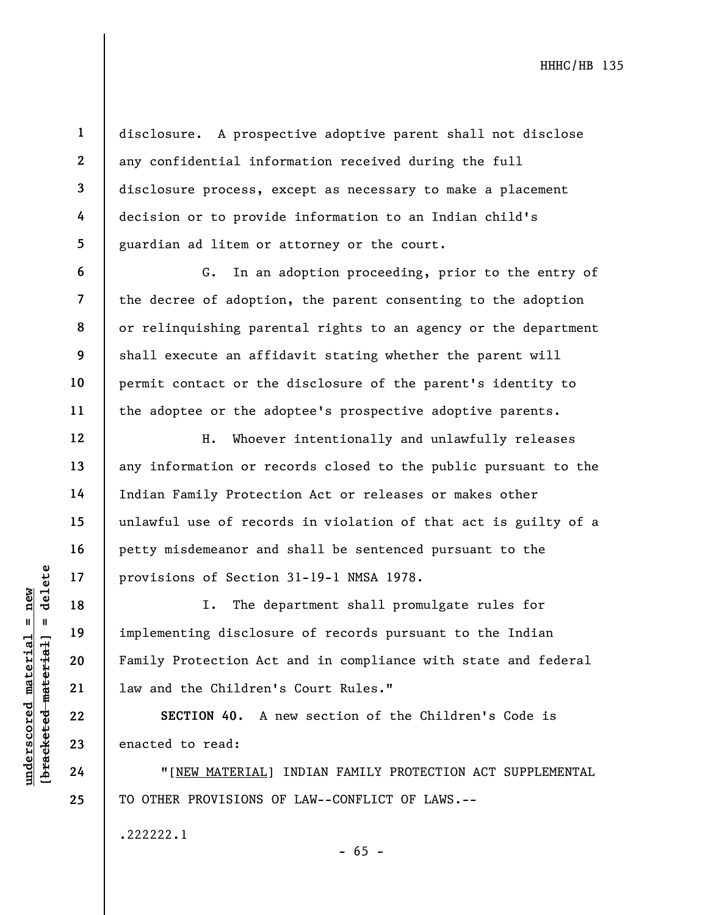disclosure. A prospective adoptive parent shall not disclose any confidential information received during the full disclosure process, except as necessary to make a placement decision or to provide information to an Indian child's guardian ad litem or attorney or the court.

G. In an adoption proceeding, prior to the entry of the decree of adoption, the parent consenting to the adoption or relinquishing parental rights to an agency or the department shall execute an affidavit stating whether the parent will permit contact or the disclosure of the parent's identity to the adoptee or the adoptee's prospective adoptive parents.

H. Whoever intentionally and unlawfully releases any information or records closed to the public pursuant to the Indian Family Protection Act or releases or makes other unlawful use of records in violation of that act is guilty of a petty misdemeanor and shall be sentenced pursuant to the provisions of Section 31-19-1 NMSA 1978.

underscored material = new [bracketed material] = delete I. The department shall promulgate rules for implementing disclosure of records pursuant to the Indian Family Protection Act and in compliance with state and federal law and the Children's Court Rules."

SECTION 40. A new section of the Children's Code is enacted to read:

"[NEW MATERIAL] INDIAN FAMILY PROTECTION ACT SUPPLEMENTAL TO OTHER PROVISIONS OF LAW--CONFLICT OF LAWS.--

 $- 65 -$ 

.222222.1

1

2

3

4

5

6

7

8

9

10

11

12

13

14

15

16

17

18

19

20

21

22

23

24

25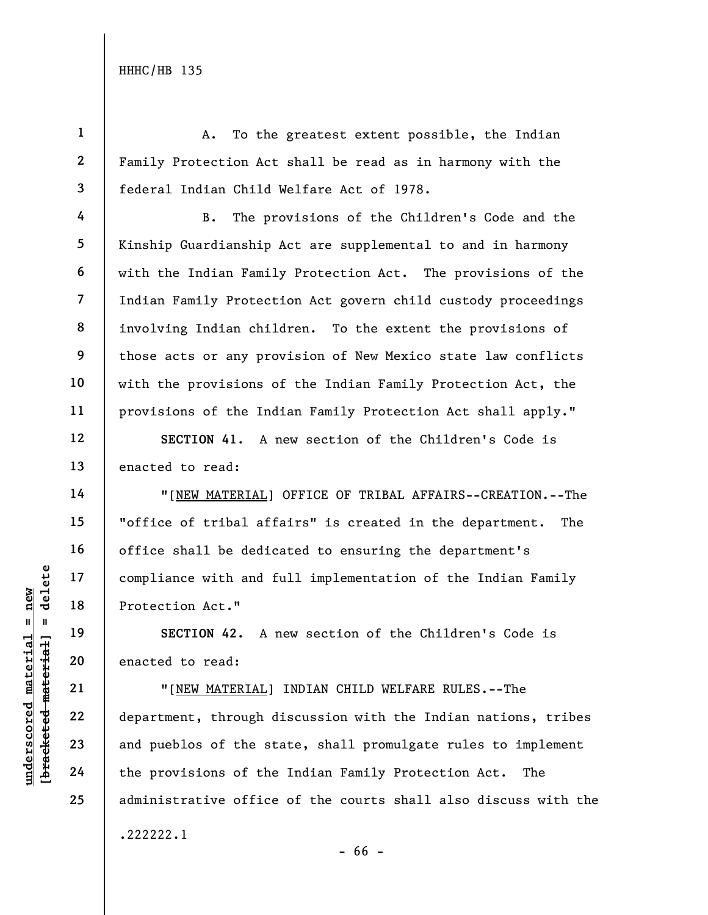4

5

6

7

8

9

10

11

12

13

14

15

16

17

18

19

20

21

22

23

24

25

1 2 3 A. To the greatest extent possible, the Indian Family Protection Act shall be read as in harmony with the federal Indian Child Welfare Act of 1978.

B. The provisions of the Children's Code and the Kinship Guardianship Act are supplemental to and in harmony with the Indian Family Protection Act. The provisions of the Indian Family Protection Act govern child custody proceedings involving Indian children. To the extent the provisions of those acts or any provision of New Mexico state law conflicts with the provisions of the Indian Family Protection Act, the provisions of the Indian Family Protection Act shall apply."

SECTION 41. A new section of the Children's Code is enacted to read:

"[NEW MATERIAL] OFFICE OF TRIBAL AFFAIRS--CREATION.--The "office of tribal affairs" is created in the department. The office shall be dedicated to ensuring the department's compliance with and full implementation of the Indian Family Protection Act."

SECTION 42. A new section of the Children's Code is enacted to read:

UNE MATERIAL)<br>
UNE 18<br>
Protection Act."<br>
Protection Act."<br>
SECTION 42. A<br>
Protection Act."<br>
SECTION 42. A<br>
SECTION 42. A<br>
SECTION 42. A<br>
PROTEION 42. A<br>
PROTEION 42. A<br>
PROTEION 42. A<br>
PROTEION 42. A<br>
PROTEION 42. A<br>
PROTE "[NEW MATERIAL] INDIAN CHILD WELFARE RULES.--The department, through discussion with the Indian nations, tribes and pueblos of the state, shall promulgate rules to implement the provisions of the Indian Family Protection Act. The administrative office of the courts shall also discuss with the .222222.1

- 66 -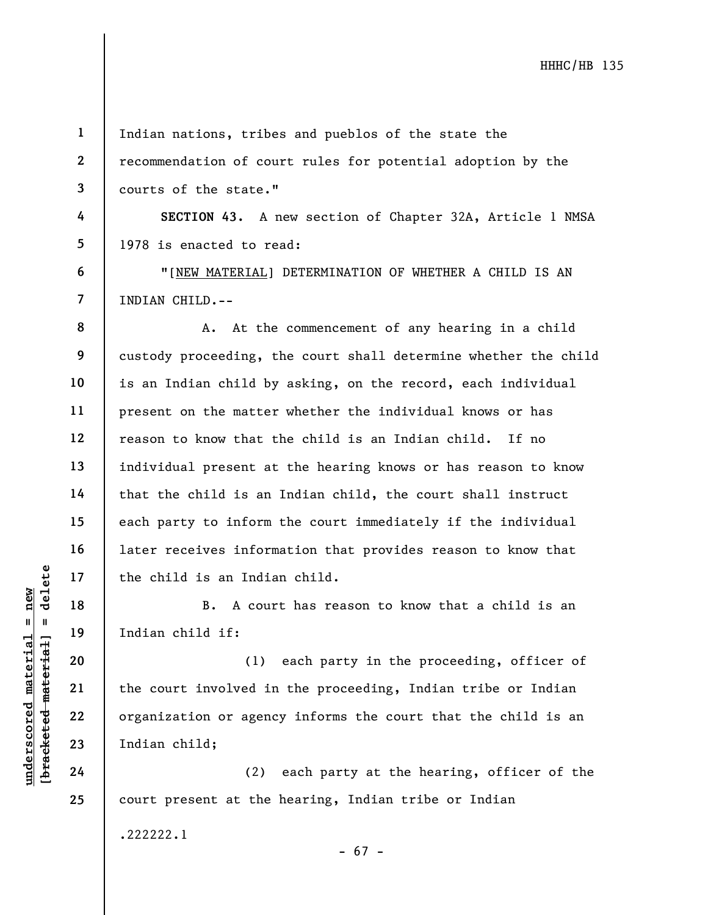1

2

3

4

5

6

7

8

9

10

11

12

13

14

15

16

17

18

19

20

21

22

23

24

25

Indian nations, tribes and pueblos of the state the recommendation of court rules for potential adoption by the courts of the state."

SECTION 43. A new section of Chapter 32A, Article 1 NMSA 1978 is enacted to read:

"[NEW MATERIAL] DETERMINATION OF WHETHER A CHILD IS AN INDIAN CHILD.--

A. At the commencement of any hearing in a child custody proceeding, the court shall determine whether the child is an Indian child by asking, on the record, each individual present on the matter whether the individual knows or has reason to know that the child is an Indian child. If no individual present at the hearing knows or has reason to know that the child is an Indian child, the court shall instruct each party to inform the court immediately if the individual later receives information that provides reason to know that the child is an Indian child.

B. A court has reason to know that a child is an Indian child if:

underscored material states of the child is an India<br>
and the child is an India<br>
material is an India<br>
material of the court involved in<br>
22<br>
23<br>
The court involved in<br>
23<br>
Indian child;<br>
24 (2) (1) each party in the proceeding, officer of the court involved in the proceeding, Indian tribe or Indian organization or agency informs the court that the child is an Indian child;

(2) each party at the hearing, officer of the court present at the hearing, Indian tribe or Indian

.222222.1

- 67 -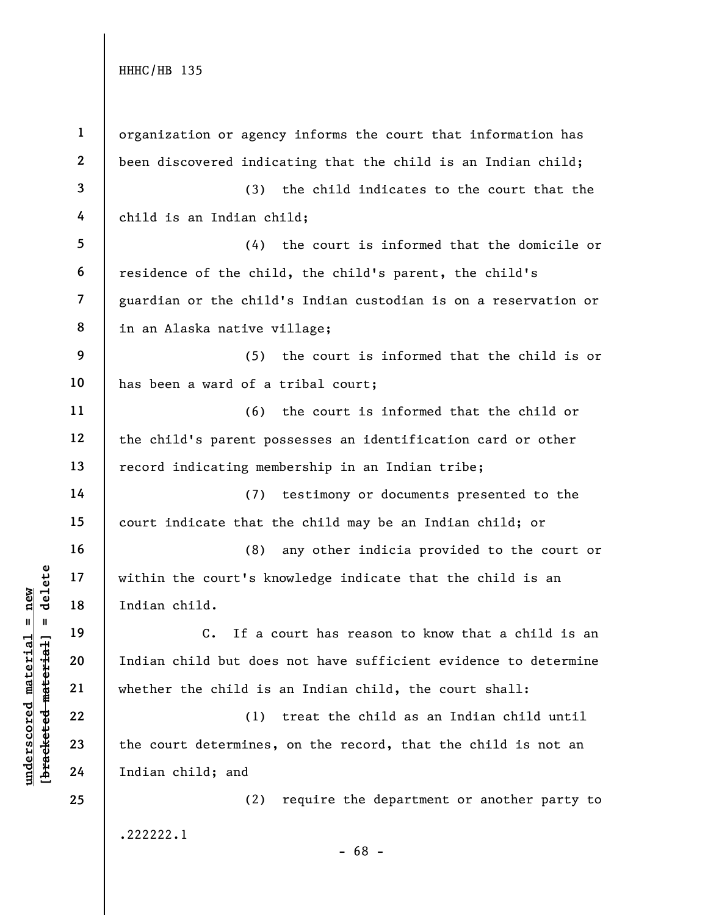| $\mathbf{1}$   | organization or agency informs the court that information has      |
|----------------|--------------------------------------------------------------------|
| $\mathbf{2}$   | been discovered indicating that the child is an Indian child;      |
| 3              | (3) the child indicates to the court that the                      |
| 4              | child is an Indian child;                                          |
| 5              | the court is informed that the domicile or<br>(4)                  |
| 6              | residence of the child, the child's parent, the child's            |
| $\overline{7}$ | guardian or the child's Indian custodian is on a reservation or    |
| 8              | in an Alaska native village;                                       |
| 9              | (5) the court is informed that the child is or                     |
| 10             | has been a ward of a tribal court;                                 |
| 11             | (6) the court is informed that the child or                        |
| 12             | the child's parent possesses an identification card or other       |
| 13             | record indicating membership in an Indian tribe;                   |
| 14             | (7) testimony or documents presented to the                        |
| 15             | court indicate that the child may be an Indian child; or           |
| 16             | (8) any other indicia provided to the court or                     |
| 17             | within the court's knowledge indicate that the child is an         |
| 18             | Indian child.                                                      |
| 19             | $\mathsf{C}$ .<br>If a court has reason to know that a child is an |
| 20             | Indian child but does not have sufficient evidence to determine    |
| 21             | whether the child is an Indian child, the court shall:             |
| 22             | (1)<br>treat the child as an Indian child until                    |
| 23             | the court determines, on the record, that the child is not an      |
| 24             | Indian child; and                                                  |
| 25             | require the department or another party to<br>(2)                  |
|                | .222222.1                                                          |
|                | $-68 -$                                                            |

 $\frac{\text{underscored material = new}}{\text{beac detected-matter}+\text{d}}$  = delete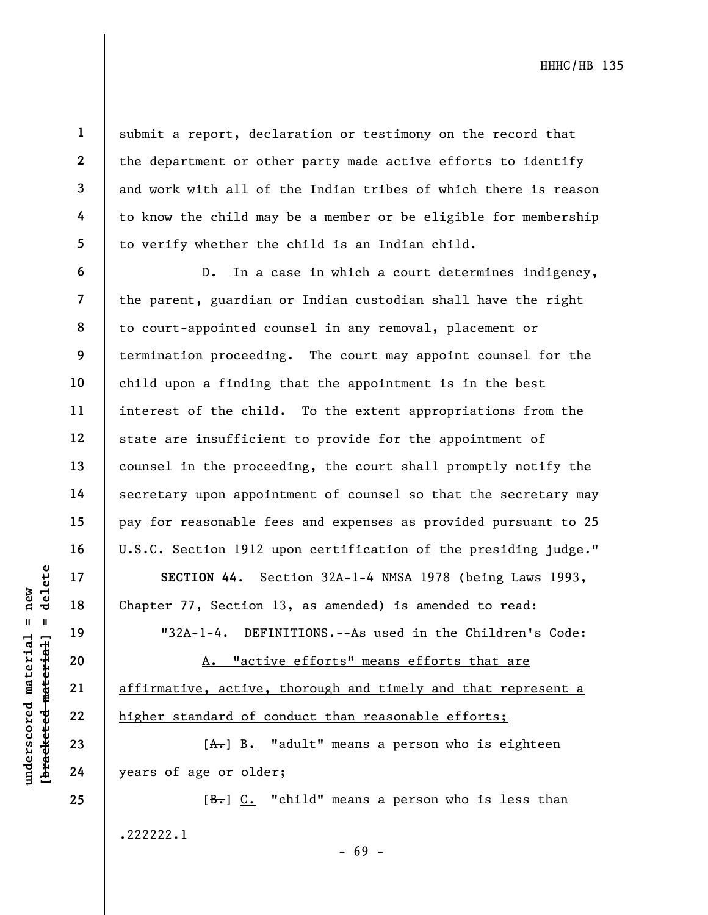6

7

8

9

10

11

12

13

14

15

16

17

18

19

20

21

22

23

1

submit a report, declaration or testimony on the record that the department or other party made active efforts to identify and work with all of the Indian tribes of which there is reason to know the child may be a member or be eligible for membership to verify whether the child is an Indian child.

D. In a case in which a court determines indigency, the parent, guardian or Indian custodian shall have the right to court-appointed counsel in any removal, placement or termination proceeding. The court may appoint counsel for the child upon a finding that the appointment is in the best interest of the child. To the extent appropriations from the state are insufficient to provide for the appointment of counsel in the proceeding, the court shall promptly notify the secretary upon appointment of counsel so that the secretary may pay for reasonable fees and expenses as provided pursuant to 25 U.S.C. Section 1912 upon certification of the presiding judge."

SECTION 44. Section 32A-1-4 NMSA 1978 (being Laws 1993, Chapter 77, Section 13, as amended) is amended to read:

"32A-1-4. DEFINITIONS.--As used in the Children's Code:

UN SECTION 44. Section 1<br>
19 18 Chapter 77, Section 1<br>
19 132A-1-4. DEFII<br>
19 132A-1-4. DEFII<br>
19 132A-1-4. DEFII<br>
19 132A-1-4. DEFII<br>
19 132A-1-4. DEFII<br>
19 132A-1-4. DEFII<br>
19 132A-1-4. DEFII<br>
19 132A-1-4. DEFII<br>
19 132A A. "active efforts" means efforts that are affirmative, active, thorough and timely and that represent a higher standard of conduct than reasonable efforts;

 $[A<sub>1</sub>]$  B. "adult" means a person who is eighteen years of age or older;

[B.] C. "child" means a person who is less than .222222.1 - 69 -

24 25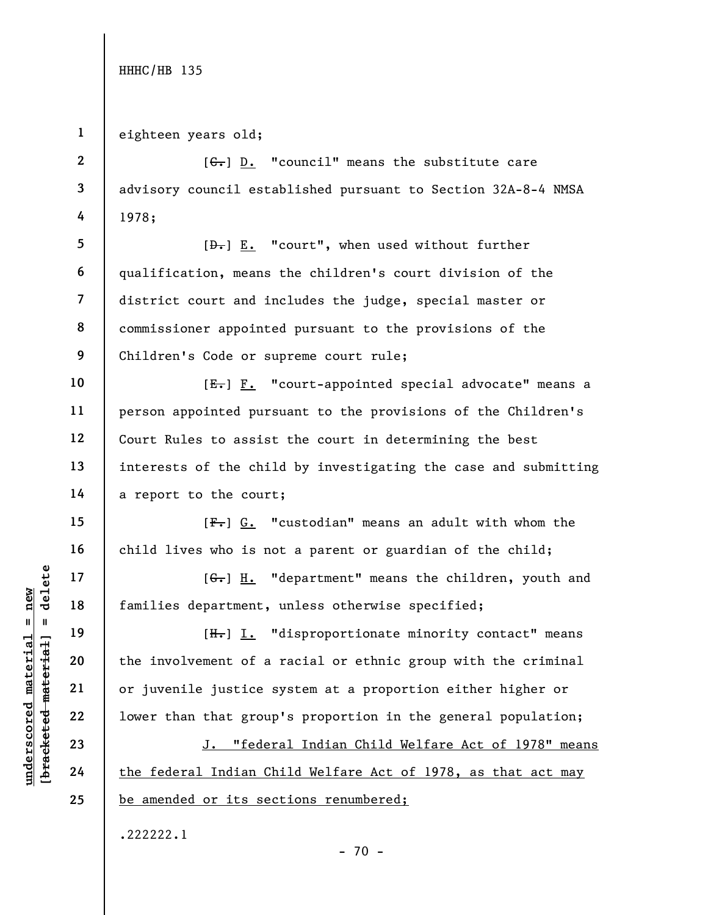2

3

4

10

11

12

13

14

15

16

17

18

19

20

21

22

23

24

25

1 eighteen years old;

 $[G<sub>1</sub>]$   $D.$  "council" means the substitute care advisory council established pursuant to Section 32A-8-4 NMSA 1978;

5 6 7 8 9 [ $\theta$ .] E. "court", when used without further qualification, means the children's court division of the district court and includes the judge, special master or commissioner appointed pursuant to the provisions of the Children's Code or supreme court rule;

[E.] F. "court-appointed special advocate" means a person appointed pursuant to the provisions of the Children's Court Rules to assist the court in determining the best interests of the child by investigating the case and submitting a report to the court;

 $[F-]$  G. "custodian" means an adult with whom the child lives who is not a parent or guardian of the child;

[G.] H. "department" means the children, youth and families department, unless otherwise specified;

underscored material = new [bracketed material] = delete [H.] I. "disproportionate minority contact" means the involvement of a racial or ethnic group with the criminal or juvenile justice system at a proportion either higher or lower than that group's proportion in the general population;

J. "federal Indian Child Welfare Act of 1978" means the federal Indian Child Welfare Act of 1978, as that act may be amended or its sections renumbered;

 $- 70 -$ 

.222222.1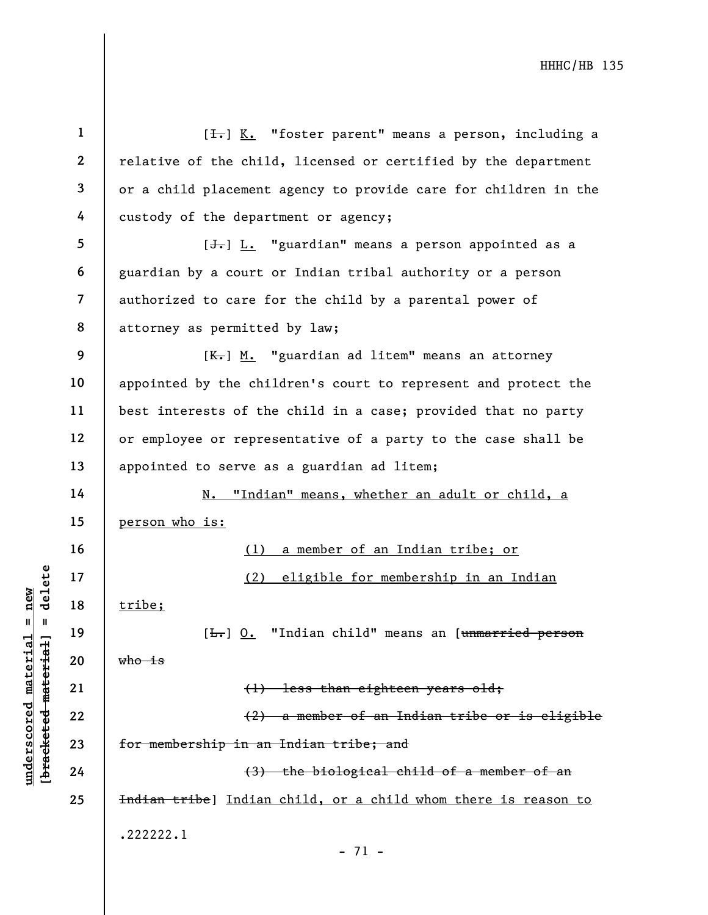|                                                           | $\mathbf{1}$   | [ <del>I.</del> ] K. "foster parent" means a person, including a     |
|-----------------------------------------------------------|----------------|----------------------------------------------------------------------|
|                                                           | $\mathbf{2}$   | relative of the child, licensed or certified by the department       |
|                                                           | 3              | or a child placement agency to provide care for children in the      |
|                                                           | 4              | custody of the department or agency;                                 |
|                                                           | 5              | [ <del>J.</del> ] L. "guardian" means a person appointed as a        |
|                                                           | 6              | guardian by a court or Indian tribal authority or a person           |
|                                                           | $\overline{7}$ | authorized to care for the child by a parental power of              |
|                                                           | 8              | attorney as permitted by law;                                        |
|                                                           | 9              | [ <del>K.</del> ] M. "guardian ad litem" means an attorney           |
|                                                           | 10             | appointed by the children's court to represent and protect the       |
|                                                           | 11             | best interests of the child in a case; provided that no party        |
|                                                           | 12             | or employee or representative of a party to the case shall be        |
|                                                           | 13             | appointed to serve as a guardian ad litem;                           |
|                                                           | 14             | "Indian" means, whether an adult or child, a<br>N.                   |
|                                                           | 15             | person who is:                                                       |
|                                                           | 16             | a member of an Indian tribe; or<br>(1)                               |
| delete                                                    | 17             | eligible for membership in an Indian<br>(2)                          |
| $n$ ew<br>Ш<br>- II                                       | 18             | tribe;                                                               |
|                                                           | 19             | "Indian child" means an [unmarried person<br>$[\frac{L}{\cdot},]$ 0. |
|                                                           | 20             | <del>who is</del>                                                    |
|                                                           | 21             | (1) less than eighteen years old;                                    |
| underscored material<br>[ <del>bracketed material</del> ] | 22             | (2) a member of an Indian tribe or is eligible                       |
|                                                           | 23             | for membership in an Indian tribe; and                               |
|                                                           | 24             | (3) the biological child of a member of an                           |
|                                                           | 25             | Indian tribe) Indian child, or a child whom there is reason to       |
|                                                           |                | .222222.1<br>$-71 -$                                                 |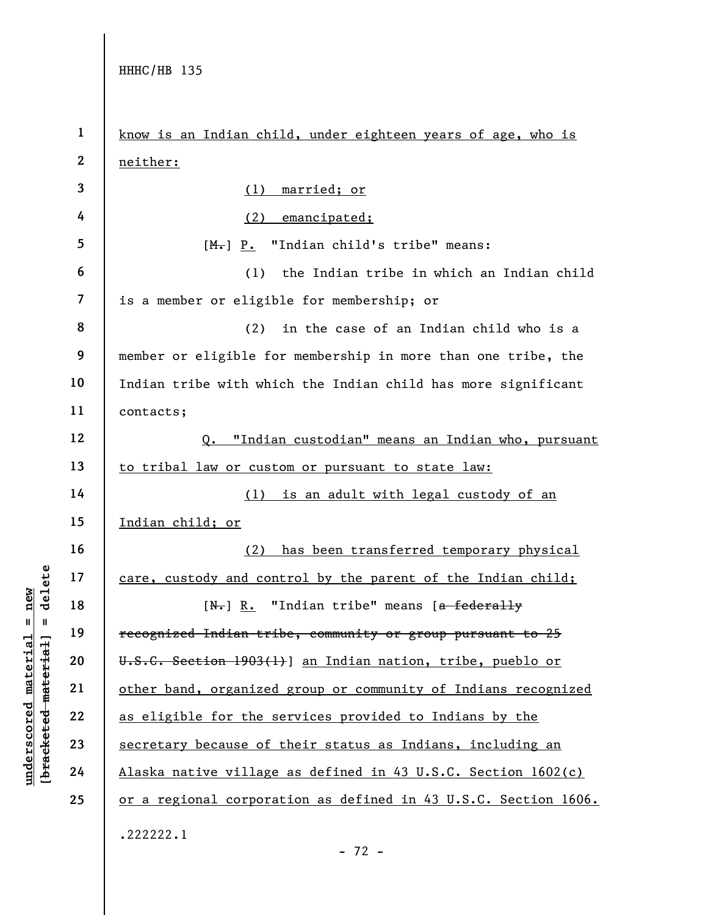under 17<br>
= 18<br>
= 18<br>
= 19<br>
= 19<br>
= 19<br>
= 19<br>
= 19<br>
= 19<br>
= 19<br>
= 19<br>
= 19<br>
= 19<br>
= 19<br>
= 19<br>
= 19<br>
= 19<br>
= 19<br>
= 1903(1<br>
= 1903(1<br>
= 1903(1<br>
= 1903(1<br>
= 1903(1<br>
= 1903(1<br>
= 1903(1<br>
= 1903(1<br>
= 1903(1<br>
= 1903(1<br>
= 1903(1<br> 1 2 3 4 5 6 7 8 9 10 11 12 13 14 15 16 17 18 19 20 21 22 23 24 25 know is an Indian child, under eighteen years of age, who is neither: (1) married; or (2) emancipated;  $[M_{\bullet}]$  P. "Indian child's tribe" means: (1) the Indian tribe in which an Indian child is a member or eligible for membership; or (2) in the case of an Indian child who is a member or eligible for membership in more than one tribe, the Indian tribe with which the Indian child has more significant contacts; Q. "Indian custodian" means an Indian who, pursuant to tribal law or custom or pursuant to state law: (1) is an adult with legal custody of an Indian child; or (2) has been transferred temporary physical care, custody and control by the parent of the Indian child;  $[N_r]$  R. "Indian tribe" means  $[a-federally]$ recognized Indian tribe, community or group pursuant to 25 U.S.C. Section 1903(1)] an Indian nation, tribe, pueblo or other band, organized group or community of Indians recognized as eligible for the services provided to Indians by the secretary because of their status as Indians, including an Alaska native village as defined in 43 U.S.C. Section 1602(c) or a regional corporation as defined in 43 U.S.C. Section 1606. .222222.1

- 72 -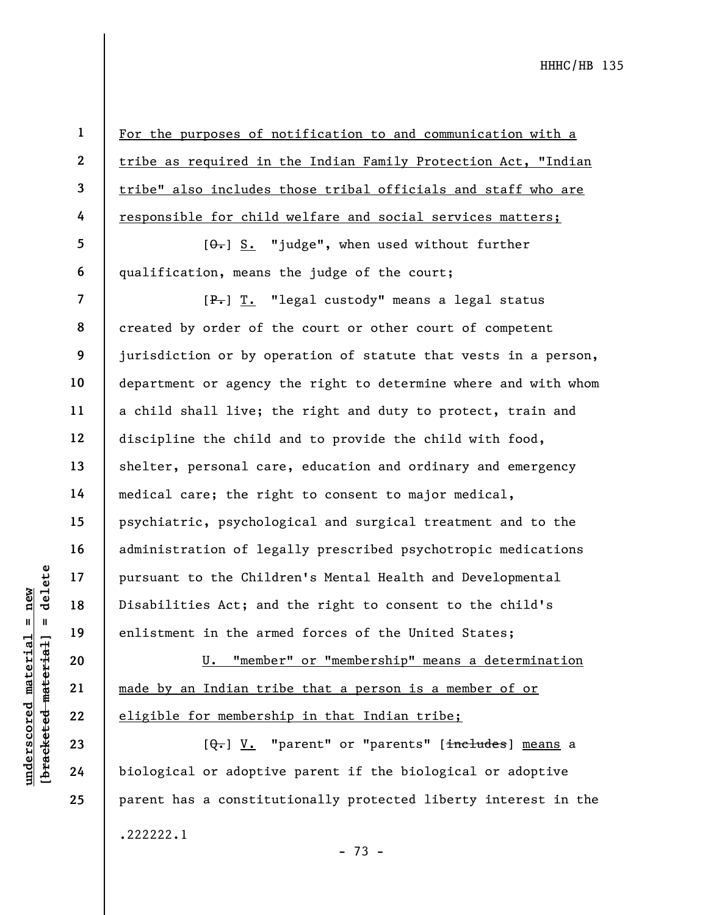1 2

3

4

5

6

7

9

10

11

13

14

15

16

17

18

19

20

21

22

23

24

25

For the purposes of notification to and communication with a tribe as required in the Indian Family Protection Act, "Indian tribe" also includes those tribal officials and staff who are responsible for child welfare and social services matters;

 $[ $\theta$  -] S. "judge", when used without further$ qualification, means the judge of the court;

UN DESCRIPTION OF THE MATH OF THE MATH OF THE MATH OF THE MATH OF THE MATH OF THE MATH OF THE MATH OF THE MATH OF THE MATH OF THE MATH OF THE MATH OF THE MATH OF THE MATH OF THE MATH OF THE MATH OF THE MATH OF THE MATH OF 8 12 [P.] T. "legal custody" means a legal status created by order of the court or other court of competent jurisdiction or by operation of statute that vests in a person, department or agency the right to determine where and with whom a child shall live; the right and duty to protect, train and discipline the child and to provide the child with food, shelter, personal care, education and ordinary and emergency medical care; the right to consent to major medical, psychiatric, psychological and surgical treatment and to the administration of legally prescribed psychotropic medications pursuant to the Children's Mental Health and Developmental Disabilities Act; and the right to consent to the child's enlistment in the armed forces of the United States;

U. "member" or "membership" means a determination made by an Indian tribe that a person is a member of or eligible for membership in that Indian tribe;

[Q.] V. "parent" or "parents" [includes] means a biological or adoptive parent if the biological or adoptive parent has a constitutionally protected liberty interest in the .222222.1 - 73 -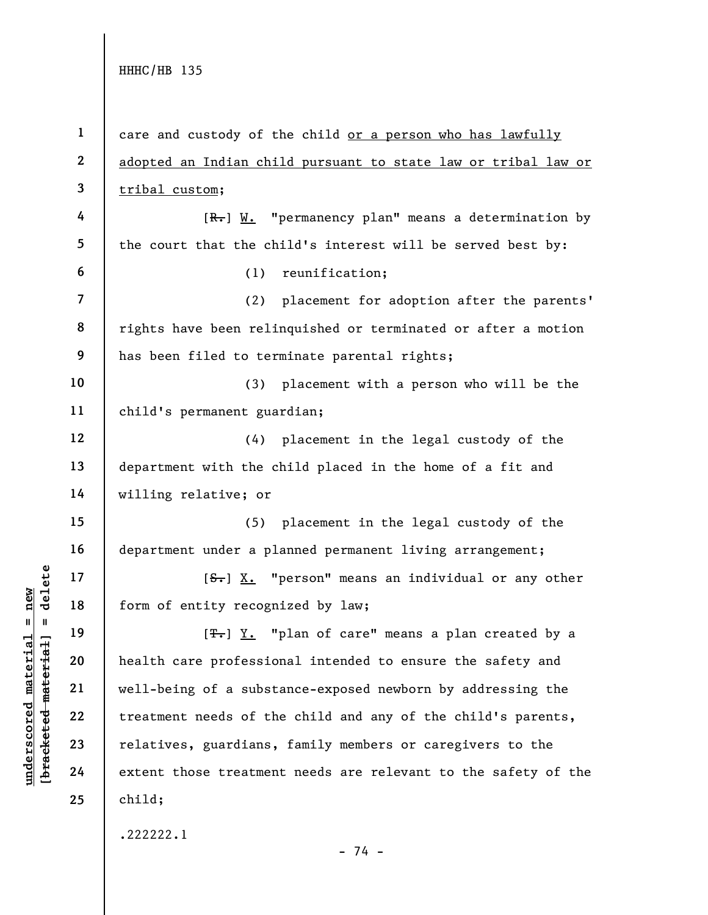$\begin{array}{c|c|c|c} \multicolumn{1}{|c|}{\text{B}} & \multicolumn{1}{|c|}{\text{B}} & \multicolumn{1}{|c|}{\text{form of entity recognition}} \\ \hline \multicolumn{1}{|c|}{\text{of } 18} & \multicolumn{1}{|c|}{\text{form of entity recognition}} \\ \multicolumn{1}{|c|}{\text{from of entity recognition}} \\ \multicolumn{1}{|c|}{\text{from of entity recognition}} \\ \multicolumn{1}{|c|}{\text{from of entity recognition}} \\ \multicolumn{1}{|c|}{\text{from of entity recognition}} \\ \multicolumn{1}{|c|}{\text{from of entity recognition}} \\ \multicolumn{1}{|c$ 1 2 3 4 5 6 7 8 9 10 11 12 13 14 15 16 17 18 19 20 21 22 23 24 25 care and custody of the child or a person who has lawfully adopted an Indian child pursuant to state law or tribal law or tribal custom;  $[R_r]$  W. "permanency plan" means a determination by the court that the child's interest will be served best by: (1) reunification; (2) placement for adoption after the parents' rights have been relinquished or terminated or after a motion has been filed to terminate parental rights; (3) placement with a person who will be the child's permanent guardian; (4) placement in the legal custody of the department with the child placed in the home of a fit and willing relative; or (5) placement in the legal custody of the department under a planned permanent living arrangement;  $[**S**$ . "person" means an individual or any other form of entity recognized by law;  $[T_r]$   $Y.$  "plan of care" means a plan created by a health care professional intended to ensure the safety and well-being of a substance-exposed newborn by addressing the treatment needs of the child and any of the child's parents, relatives, guardians, family members or caregivers to the extent those treatment needs are relevant to the safety of the child; .222222.1

- 74 -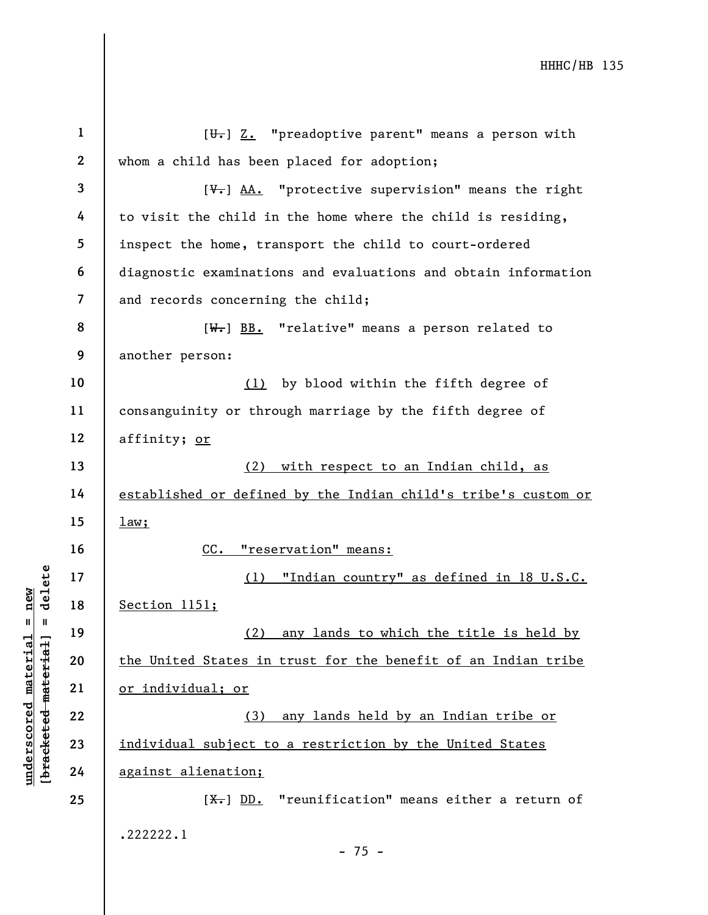|                                             | $\mathbf 1$    | $[\theta_{\tau}]$ Z. "preadoptive parent" means a person with            |
|---------------------------------------------|----------------|--------------------------------------------------------------------------|
|                                             | $\mathbf{2}$   | whom a child has been placed for adoption;                               |
|                                             | $\overline{3}$ | $[\overline{\mathbf{u}}_r]$ AA. "protective supervision" means the right |
|                                             | $\overline{4}$ |                                                                          |
|                                             |                | to visit the child in the home where the child is residing,              |
|                                             | 5              | inspect the home, transport the child to court-ordered                   |
|                                             | 6              | diagnostic examinations and evaluations and obtain information           |
|                                             | $\overline{7}$ | and records concerning the child;                                        |
|                                             | 8              | $[W_r]$ BB. "relative" means a person related to                         |
|                                             | 9              | another person:                                                          |
|                                             | 10             | by blood within the fifth degree of<br>(1)                               |
|                                             | 11             | consanguinity or through marriage by the fifth degree of                 |
|                                             | 12             | affinity; or                                                             |
|                                             | 13             | with respect to an Indian child, as<br>(2)                               |
|                                             | 14             | established or defined by the Indian child's tribe's custom or           |
|                                             | 15             | $\frac{1aw}{1}$                                                          |
|                                             | 16             | CC.<br>"reservation" means:                                              |
|                                             | 17             | "Indian country" as defined in 18 U.S.C.<br>(1)                          |
| delete<br>new                               | 18             | Section 1151;                                                            |
| $\mathbf{II}$<br>- II                       | 19             | any lands to which the title is held by<br>(2)                           |
|                                             | 20             | the United States in trust for the benefit of an Indian tribe            |
| underscored material<br>[bracketed material |                |                                                                          |
|                                             | 21             | or individual; or                                                        |
|                                             | 22             | any lands held by an Indian tribe or<br>(3)                              |
|                                             | 23             | individual subject to a restriction by the United States                 |
|                                             | 24             | against alienation;                                                      |
|                                             | 25             | "reunification" means either a return of<br>$[X-]$ DD.                   |
|                                             |                | .222222.1                                                                |
|                                             |                | $-75 -$                                                                  |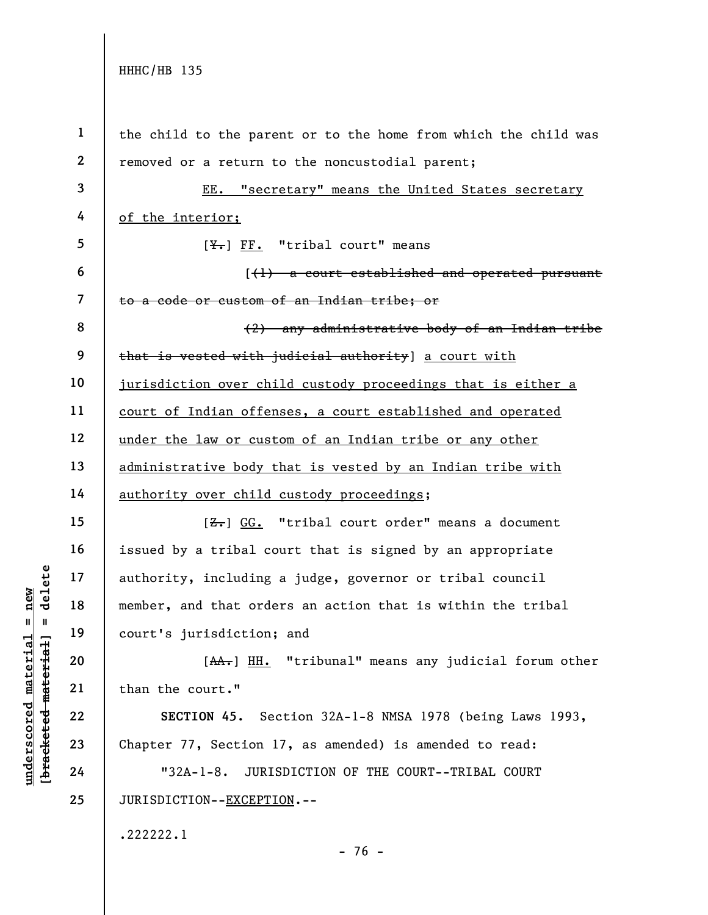underscored material = new [bracketed material] = delete 1 2 3 4 5 6 7 8 9 10 11 12 13 14 15 16 17 18 19 20 21 22 23 24 25 the child to the parent or to the home from which the child was removed or a return to the noncustodial parent; EE. "secretary" means the United States secretary of the interior;  $[\frac{V}{N}]$  FF. "tribal court" means [(1) a court established and operated pursuant to a code or custom of an Indian tribe; or (2) any administrative body of an Indian tribe that is vested with judicial authority] a court with jurisdiction over child custody proceedings that is either a court of Indian offenses, a court established and operated under the law or custom of an Indian tribe or any other administrative body that is vested by an Indian tribe with authority over child custody proceedings;  $[**Z**]<sub>+</sub>$  GG. "tribal court order" means a document issued by a tribal court that is signed by an appropriate authority, including a judge, governor or tribal council member, and that orders an action that is within the tribal court's jurisdiction; and [AA.] HH. "tribunal" means any judicial forum other than the court." SECTION 45. Section 32A-1-8 NMSA 1978 (being Laws 1993, Chapter 77, Section 17, as amended) is amended to read: "32A-1-8. JURISDICTION OF THE COURT--TRIBAL COURT JURISDICTION--EXCEPTION.--.222222.1

- 76 -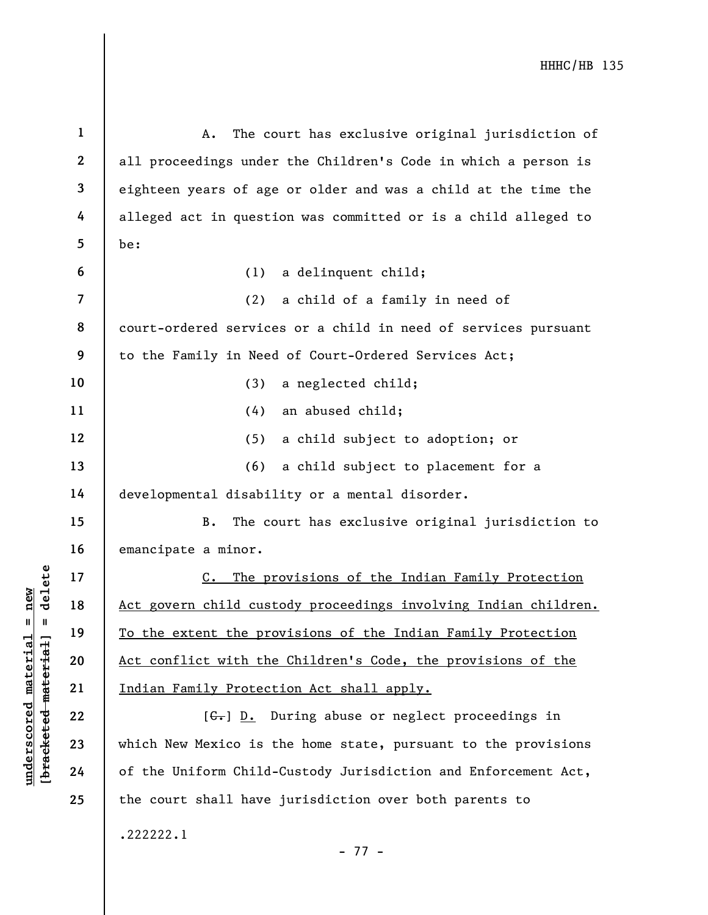UN EXTERN 17<br>
UN EXTERN 18<br>
Indian Family Protect<br>
To the extent the protect<br>
21<br>
UN EXTERN 19<br>
22<br>
23<br>
UN EXTERN 19<br>
23<br>
UN EXTERN 19<br>
24<br>
Of the Uniform Child-1 2 3 4 5 6 7 8 9 10 11 12 13 14 15 16 17 18 19 20 21 22 23 24 25 A. The court has exclusive original jurisdiction of all proceedings under the Children's Code in which a person is eighteen years of age or older and was a child at the time the alleged act in question was committed or is a child alleged to be: (1) a delinquent child; (2) a child of a family in need of court-ordered services or a child in need of services pursuant to the Family in Need of Court-Ordered Services Act; (3) a neglected child; (4) an abused child; (5) a child subject to adoption; or (6) a child subject to placement for a developmental disability or a mental disorder. B. The court has exclusive original jurisdiction to emancipate a minor. C. The provisions of the Indian Family Protection Act govern child custody proceedings involving Indian children. To the extent the provisions of the Indian Family Protection Act conflict with the Children's Code, the provisions of the Indian Family Protection Act shall apply.  $[G<sub>r</sub>]$  D. During abuse or neglect proceedings in which New Mexico is the home state, pursuant to the provisions of the Uniform Child-Custody Jurisdiction and Enforcement Act, the court shall have jurisdiction over both parents to .222222.1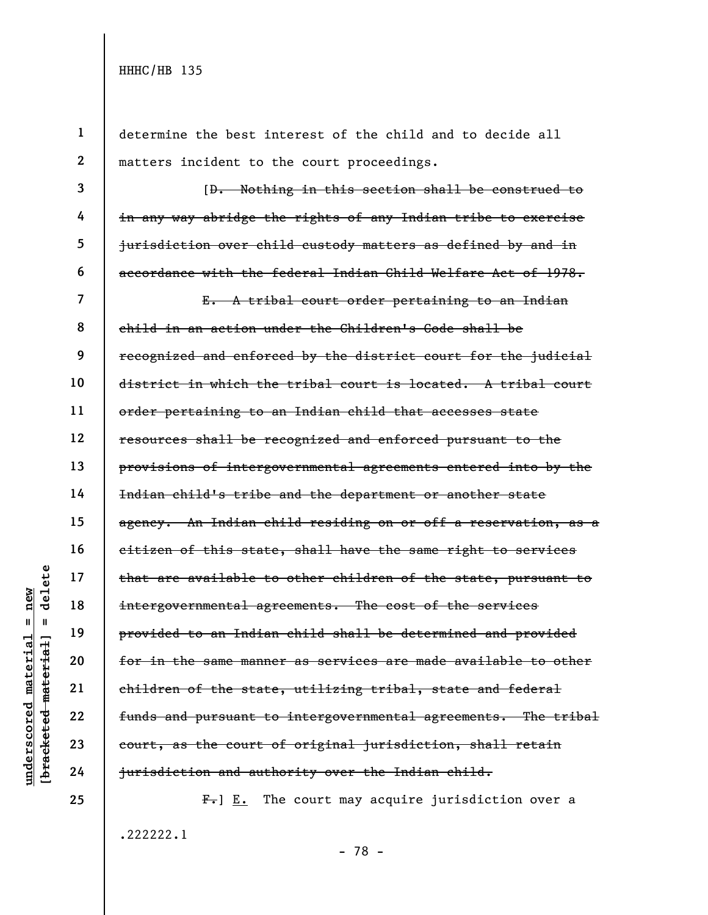25

1

2

3

4

5

6

determine the best interest of the child and to decide all matters incident to the court proceedings.

[D. Nothing in this section shall be construed to in any way abridge the rights of any Indian tribe to exercise jurisdiction over child custody matters as defined by and in accordance with the federal Indian Child Welfare Act of 1978.

understand material etch material and that are available to<br>
intergovernmental agreemental agreemental agreemental agreemental agreemental<br>
undergovernmental agreemental agreemental<br>
deleted to an Indian<br>
etch material for 7 8 9 10 16 17 18 19 21 22 23 24 E. A tribal court order pertaining to an Indian child in an action under the Children's Code shall be recognized and enforced by the district court for the judicial district in which the tribal court is located. A tribal court order pertaining to an Indian child that accesses state resources shall be recognized and enforced pursuant to the provisions of intergovernmental agreements entered into by the Indian child's tribe and the department or another state agency. An Indian child residing on or off a reservation, as a citizen of this state, shall have the same right to services that are available to other children of the state, pursuant to intergovernmental agreements. The cost of the services provided to an Indian child shall be determined and provided for in the same manner as services are made available to other children of the state, utilizing tribal, state and federal funds and pursuant to intergovernmental agreements. The tribal court, as the court of original jurisdiction, shall retain jurisdiction and authority over the Indian child.

> $F-$ ]  $E.$  The court may acquire jurisdiction over a .222222.1 - 78 -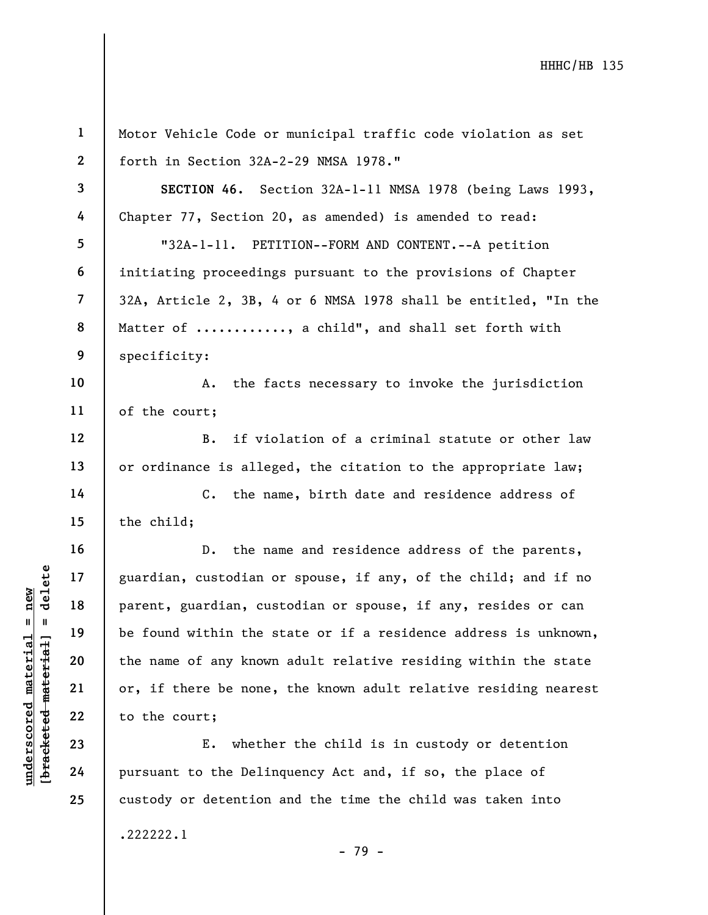|                                            | $\mathbf{1}$   | Motor Vehicle Code or municipal traffic code violation as set   |
|--------------------------------------------|----------------|-----------------------------------------------------------------|
|                                            | $\mathbf{2}$   | forth in Section 32A-2-29 NMSA 1978."                           |
|                                            | $\mathbf{3}$   | SECTION 46. Section 32A-1-11 NMSA 1978 (being Laws 1993,        |
|                                            | 4              | Chapter 77, Section 20, as amended) is amended to read:         |
|                                            | 5              | "32A-1-11. PETITION--FORM AND CONTENT.--A petition              |
|                                            | 6              | initiating proceedings pursuant to the provisions of Chapter    |
|                                            | $\overline{7}$ | 32A, Article 2, 3B, 4 or 6 NMSA 1978 shall be entitled, "In the |
|                                            | 8              | Matter of , a child", and shall set forth with                  |
|                                            | 9              | specificity:                                                    |
|                                            | 10             | the facts necessary to invoke the jurisdiction<br>Α.            |
|                                            | 11             | of the court;                                                   |
|                                            | 12             | if violation of a criminal statute or other law<br><b>B.</b>    |
|                                            | 13             | or ordinance is alleged, the citation to the appropriate law;   |
|                                            | 14             | the name, birth date and residence address of<br>$\mathbf{C}$ . |
|                                            | 15             | the child;                                                      |
|                                            | 16             | the name and residence address of the parents,<br>$D$ .         |
| delete                                     | 17             | guardian, custodian or spouse, if any, of the child; and if no  |
| new<br>II                                  | 18             | parent, guardian, custodian or spouse, if any, resides or can   |
|                                            | 19             | be found within the state or if a residence address is unknown, |
|                                            | 20             | the name of any known adult relative residing within the state  |
|                                            | 21             | or, if there be none, the known adult relative residing nearest |
| underscored materia<br>[bracketed-material | 22             | to the court;                                                   |
|                                            | 23             | Ε.<br>whether the child is in custody or detention              |
|                                            | 24             | pursuant to the Delinquency Act and, if so, the place of        |
|                                            | 25             | custody or detention and the time the child was taken into      |
|                                            |                | .222222.1                                                       |

- 79 -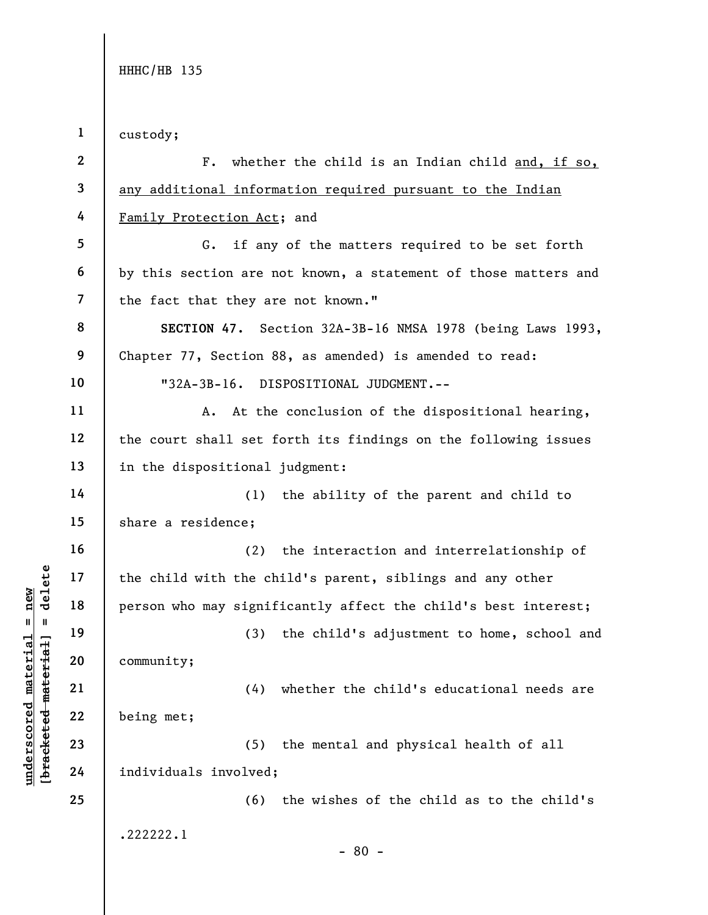underscored material material entity;<br>
and the child with the child with the child with the child with the child with the child with the child with the child with the child with the child with the child with the child with 1 2 3 4 5 6 7 8 9 10 11 12 13 14 15 16 17 18 19 20 21 22 23 24 25 custody; F. whether the child is an Indian child and, if so, any additional information required pursuant to the Indian Family Protection Act; and G. if any of the matters required to be set forth by this section are not known, a statement of those matters and the fact that they are not known." SECTION 47. Section 32A-3B-16 NMSA 1978 (being Laws 1993, Chapter 77, Section 88, as amended) is amended to read: "32A-3B-16. DISPOSITIONAL JUDGMENT.-- A. At the conclusion of the dispositional hearing, the court shall set forth its findings on the following issues in the dispositional judgment: (1) the ability of the parent and child to share a residence; (2) the interaction and interrelationship of the child with the child's parent, siblings and any other person who may significantly affect the child's best interest; (3) the child's adjustment to home, school and community; (4) whether the child's educational needs are being met; (5) the mental and physical health of all individuals involved; (6) the wishes of the child as to the child's .222222.1 - 80 -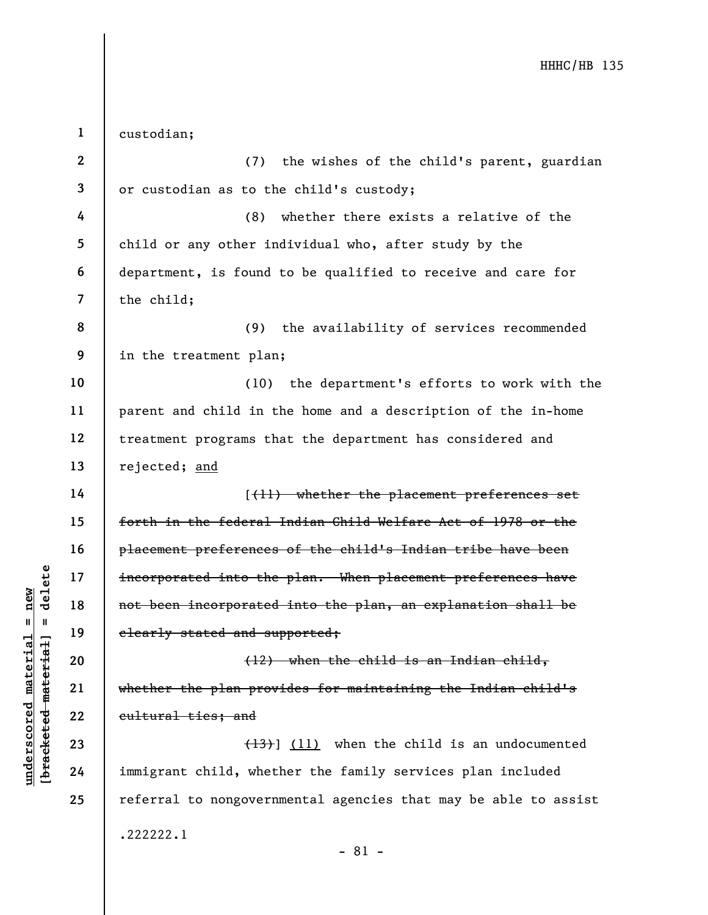|                                                                | $\mathbf{1}$            | custodian;                                                      |
|----------------------------------------------------------------|-------------------------|-----------------------------------------------------------------|
|                                                                | $\boldsymbol{2}$        | the wishes of the child's parent, guardian<br>(7)               |
|                                                                | 3                       | or custodian as to the child's custody;                         |
|                                                                | 4                       | whether there exists a relative of the<br>(8)                   |
|                                                                | 5                       | child or any other individual who, after study by the           |
|                                                                | 6                       | department, is found to be qualified to receive and care for    |
|                                                                | $\overline{\mathbf{z}}$ | the child;                                                      |
|                                                                | 8                       | the availability of services recommended<br>(9)                 |
|                                                                | 9                       | in the treatment plan;                                          |
|                                                                | 10                      | (10) the department's efforts to work with the                  |
|                                                                | 11                      | parent and child in the home and a description of the in-home   |
|                                                                | 12                      | treatment programs that the department has considered and       |
|                                                                | 13                      | rejected; and                                                   |
|                                                                | 14                      | [(11) whether the placement preferences set                     |
|                                                                | 15                      | forth in the federal Indian Child Welfare Act of 1978 or the    |
|                                                                | 16                      | placement preferences of the child's Indian tribe have been     |
| delete                                                         | 17                      | incorporated into the plan. When placement preferences have     |
| new                                                            | 18                      | not been incorporated into the plan, an explanation shall be    |
| Ш<br>- 11                                                      | 19                      | clearly stated and supported;                                   |
| material<br>material                                           | 20                      | (12) when the child is an Indian child,                         |
|                                                                | 21                      | whether the plan provides for maintaining the Indian child's    |
| $\bm{{\rm underscore}}$<br>[ <del>brack</del> ete <del>d</del> | 22                      | eultural ties; and                                              |
|                                                                | 23                      | $(13)$ ] (11) when the child is an undocumented                 |
|                                                                | 24                      | immigrant child, whether the family services plan included      |
|                                                                | 25                      | referral to nongovernmental agencies that may be able to assist |
|                                                                |                         | .222222.1                                                       |
|                                                                |                         | $-81 -$                                                         |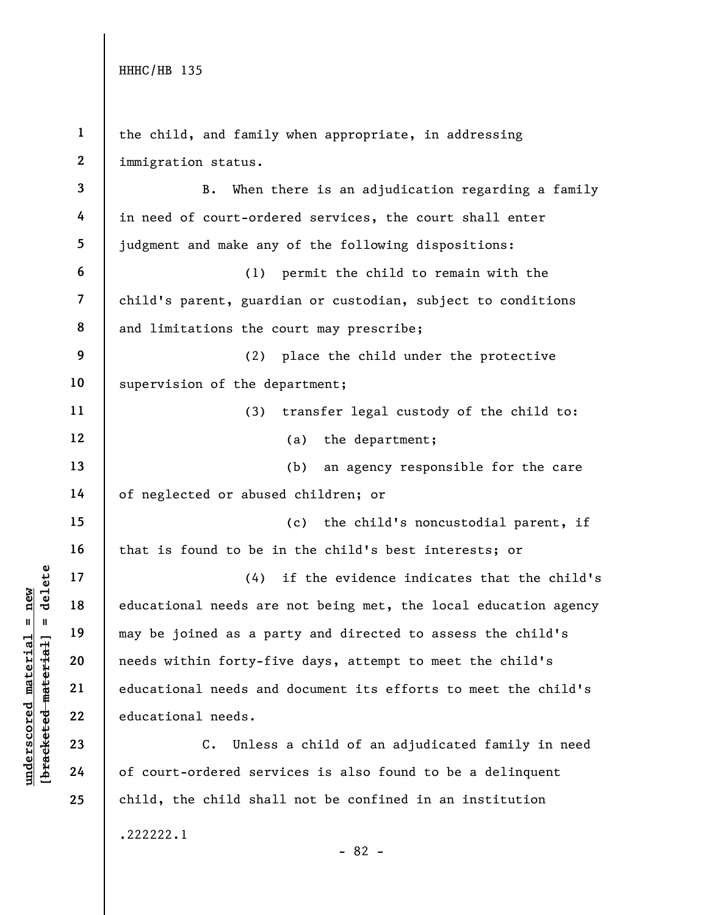|                         | $\mathbf{1}$     | the child, and family when appropriate, in addressing             |
|-------------------------|------------------|-------------------------------------------------------------------|
|                         | $\boldsymbol{2}$ | immigration status.                                               |
|                         | 3                | When there is an adjudication regarding a family<br>В.            |
|                         | 4                | in need of court-ordered services, the court shall enter          |
|                         | 5                | judgment and make any of the following dispositions:              |
|                         | 6                | permit the child to remain with the<br>(1)                        |
|                         | $\overline{7}$   | child's parent, guardian or custodian, subject to conditions      |
|                         | 8                | and limitations the court may prescribe;                          |
|                         | 9                | place the child under the protective<br>(2)                       |
|                         | 10               | supervision of the department;                                    |
|                         | 11               | (3)<br>transfer legal custody of the child to:                    |
|                         | 12               | the department;<br>(a)                                            |
|                         | 13               | (b)<br>an agency responsible for the care                         |
|                         | 14               | of neglected or abused children; or                               |
|                         | 15               | (c)<br>the child's noncustodial parent, if                        |
|                         | 16               | that is found to be in the child's best interests; or             |
| delete                  | 17               | if the evidence indicates that the child's<br>(4)                 |
| new                     | 18               | educational needs are not being met, the local education agency   |
| $\mathbf{u}$<br>$\,$ II | 19               | may be joined as a party and directed to assess the child's       |
| [bracketed material     | 20               | needs within forty-five days, attempt to meet the child's         |
|                         | 21               | educational needs and document its efforts to meet the child's    |
|                         | 22               | educational needs.                                                |
|                         | 23               | $\mathsf{C}$ .<br>Unless a child of an adjudicated family in need |
| underscored material    | 24               | of court-ordered services is also found to be a delinquent        |
|                         | 25               | child, the child shall not be confined in an institution          |
|                         |                  |                                                                   |

.222222.1

- 82 -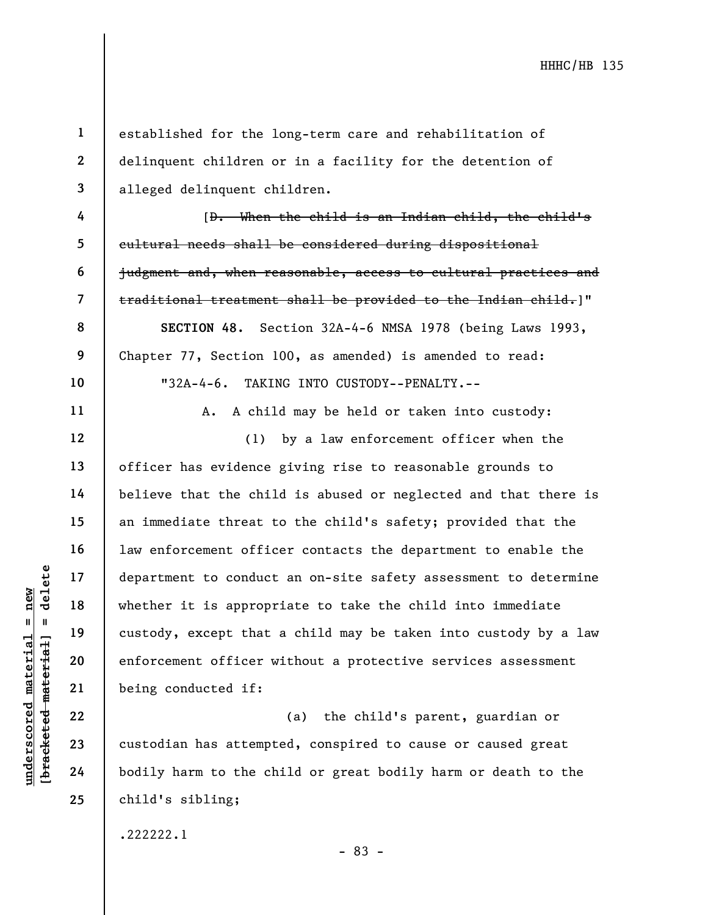11

12

13

14

15

16

17

18

19

20

21

22

23

24

25

1

2

3

established for the long-term care and rehabilitation of delinquent children or in a facility for the detention of alleged delinquent children.

4 5 6 7 8 9 10 [D. When the child is an Indian child, the child's cultural needs shall be considered during dispositional judgment and, when reasonable, access to cultural practices and traditional treatment shall be provided to the Indian child.]" SECTION 48. Section 32A-4-6 NMSA 1978 (being Laws 1993, Chapter 77, Section 100, as amended) is amended to read: "32A-4-6. TAKING INTO CUSTODY--PENALTY.--

A. A child may be held or taken into custody:

understand to conduct<br>  $\begin{array}{c|c|c|c} \n \multicolumn{1}{|c|}{\text{a}} & \multicolumn{1}{|c|}{\text{d}} & \multicolumn{1}{|c|}{\text{d}} & \multicolumn{1}{|c|}{\text{d}} & \multicolumn{1}{|c|}{\text{d}} & \multicolumn{1}{|c|}{\text{d}} & \multicolumn{1}{|c|}{\text{d}} & \multicolumn{1}{|c|}{\text{d}} & \multicolumn{1}{|c|}{\text{d}} & \multicolumn{1}{|c|}{\text{d}} & \multicolumn{1}{|c|}{\text$ (1) by a law enforcement officer when the officer has evidence giving rise to reasonable grounds to believe that the child is abused or neglected and that there is an immediate threat to the child's safety; provided that the law enforcement officer contacts the department to enable the department to conduct an on-site safety assessment to determine whether it is appropriate to take the child into immediate custody, except that a child may be taken into custody by a law enforcement officer without a protective services assessment being conducted if:

(a) the child's parent, guardian or custodian has attempted, conspired to cause or caused great bodily harm to the child or great bodily harm or death to the child's sibling;

.222222.1

- 83 -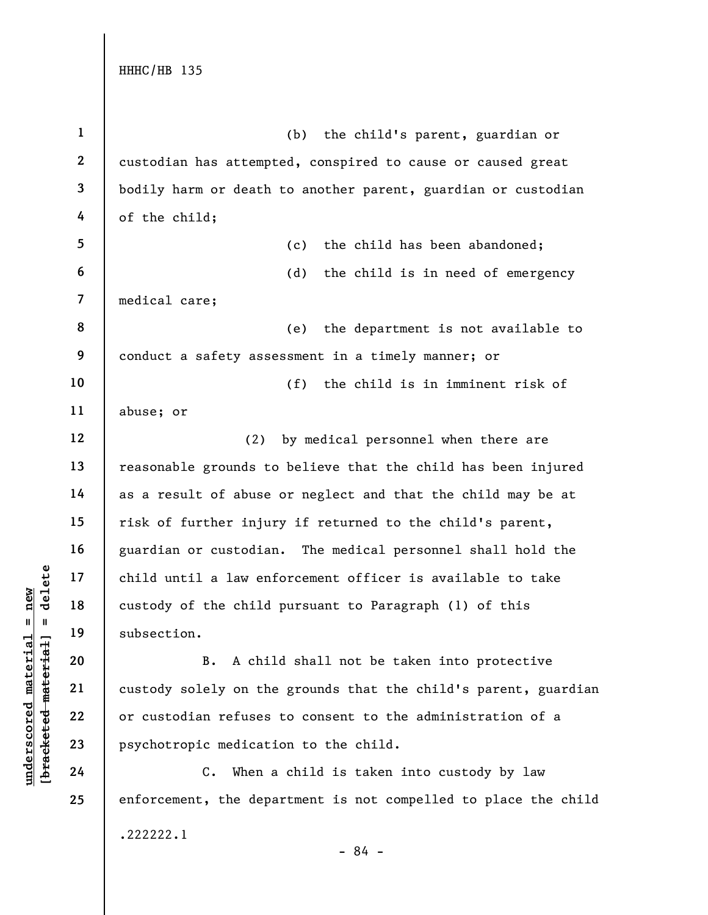|                         | $\mathbf{1}$            | (b)<br>the child's parent, guardian or                          |
|-------------------------|-------------------------|-----------------------------------------------------------------|
|                         | $\boldsymbol{2}$        | custodian has attempted, conspired to cause or caused great     |
|                         | 3                       | bodily harm or death to another parent, guardian or custodian   |
|                         | 4                       | of the child;                                                   |
|                         | 5                       | the child has been abandoned;<br>(c)                            |
|                         | 6                       | (d)<br>the child is in need of emergency                        |
|                         | $\overline{\mathbf{z}}$ | medical care;                                                   |
|                         | 8                       | the department is not available to<br>(e)                       |
|                         | 9                       | conduct a safety assessment in a timely manner; or              |
|                         | 10                      | the child is in imminent risk of<br>(f)                         |
|                         | 11                      | abuse; or                                                       |
|                         | 12                      | (2)<br>by medical personnel when there are                      |
|                         | 13                      | reasonable grounds to believe that the child has been injured   |
|                         | 14                      | as a result of abuse or neglect and that the child may be at    |
|                         | 15                      | risk of further injury if returned to the child's parent,       |
|                         | 16                      | guardian or custodian. The medical personnel shall hold the     |
| delete                  | 17                      | child until a law enforcement officer is available to take      |
| new                     | 18                      | custody of the child pursuant to Paragraph (1) of this          |
| Ш                       | 19                      | subsection.                                                     |
| materia<br>material     | 20                      | A child shall not be taken into protective<br>B.                |
|                         | 21                      | custody solely on the grounds that the child's parent, guardian |
| underscored             | 22                      | or custodian refuses to consent to the administration of a      |
| [ <del>brack</del> eted | 23                      | psychotropic medication to the child.                           |
|                         | 24                      | When a child is taken into custody by law<br>C.                 |
|                         | 25                      | enforcement, the department is not compelled to place the child |
|                         |                         | .222222.1                                                       |

- 84 -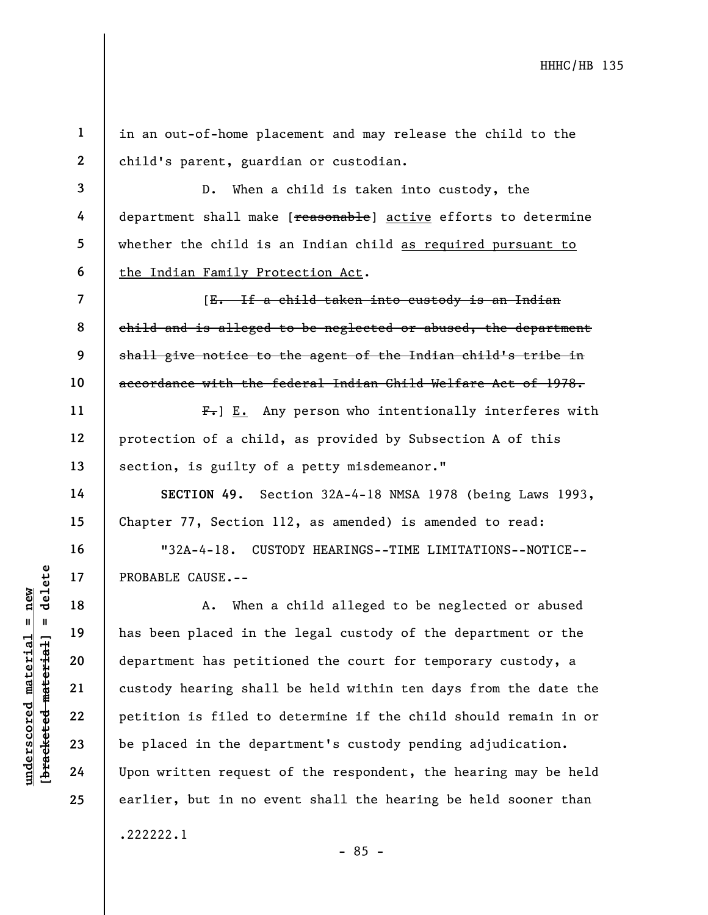1 2 in an out-of-home placement and may release the child to the child's parent, guardian or custodian.

3 4 5 6 D. When a child is taken into custody, the department shall make [reasonable] active efforts to determine whether the child is an Indian child as required pursuant to the Indian Family Protection Act.

8 9 [E. If a child taken into custody is an Indian child and is alleged to be neglected or abused, the department shall give notice to the agent of the Indian child's tribe in accordance with the federal Indian Child Welfare Act of 1978.

 $F_{\tau}$ ] E. Any person who intentionally interferes with protection of a child, as provided by Subsection A of this section, is guilty of a petty misdemeanor."

SECTION 49. Section 32A-4-18 NMSA 1978 (being Laws 1993, Chapter 77, Section 112, as amended) is amended to read:

"32A-4-18. CUSTODY HEARINGS--TIME LIMITATIONS--NOTICE-- PROBABLE CAUSE.--

under 17<br>
= 18<br>
= 18<br>
= 19<br>
= 19<br>
= 19<br>
= 19<br>
= 19<br>
= 19<br>
= 19<br>
= 19<br>
= 19<br>
= 19<br>
= 19<br>
= 19<br>
= 19<br>
= 19<br>
= 19<br>
= 19<br>
= 19<br>
= 19<br>
= 19<br>
= 19<br>
= 19<br>
= 19<br>
= 19<br>
= 19<br>
= 19<br>
= 19<br>
= 19<br>
= 19<br>
= 19<br>
= 19<br>
= 19<br>
= 19<br>
= 19<br>
= A. When a child alleged to be neglected or abused has been placed in the legal custody of the department or the department has petitioned the court for temporary custody, a custody hearing shall be held within ten days from the date the petition is filed to determine if the child should remain in or be placed in the department's custody pending adjudication. Upon written request of the respondent, the hearing may be held earlier, but in no event shall the hearing be held sooner than .222222.1

7

10

11

12

13

14

15

16

17

18

19

20

21

22

23

24

25

 $-85 -$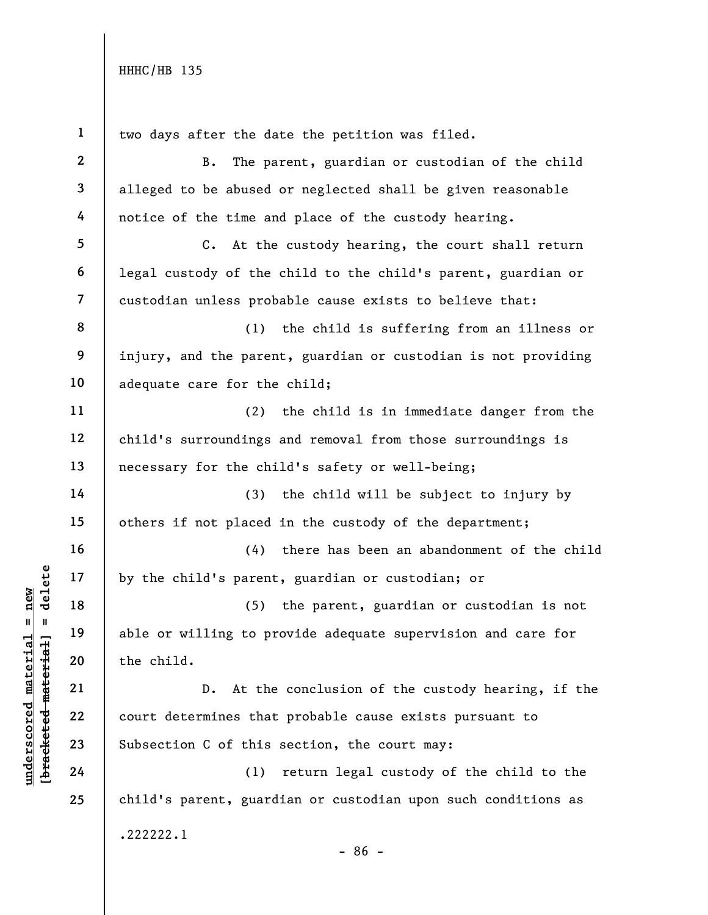| $\mathbf{1}$             | two days after the date the petition was filed.                |
|--------------------------|----------------------------------------------------------------|
| $\boldsymbol{2}$         | <b>B.</b><br>The parent, guardian or custodian of the child    |
| $\mathbf{3}$             | alleged to be abused or neglected shall be given reasonable    |
| 4                        | notice of the time and place of the custody hearing.           |
| 5                        | C. At the custody hearing, the court shall return              |
| 6                        | legal custody of the child to the child's parent, guardian or  |
| $\overline{\phantom{a}}$ | custodian unless probable cause exists to believe that:        |
| 8                        | the child is suffering from an illness or<br>(1)               |
| 9                        | injury, and the parent, guardian or custodian is not providing |
| 10                       | adequate care for the child;                                   |
| 11                       | (2)<br>the child is in immediate danger from the               |
| 12                       | child's surroundings and removal from those surroundings is    |
| 13                       | necessary for the child's safety or well-being;                |
| 14                       | (3)<br>the child will be subject to injury by                  |
| 15                       | others if not placed in the custody of the department;         |
| 16                       | there has been an abandonment of the child<br>(4)              |
| 17                       | by the child's parent, guardian or custodian; or               |
| 18                       | the parent, guardian or custodian is not<br>(5)                |
| 19                       | able or willing to provide adequate supervision and care for   |
| 20                       | the child.                                                     |
| 21                       | At the conclusion of the custody hearing, if the<br>$D$ .      |
| 22                       | court determines that probable cause exists pursuant to        |
| 23                       | Subsection C of this section, the court may:                   |
| 24                       | return legal custody of the child to the<br>(1)                |
| 25                       | child's parent, guardian or custodian upon such conditions as  |
|                          | .222222.1<br>$-86 -$                                           |

# $\frac{\text{underscored material = new}}{\text{beac detected-matter}+\text{d}}$  = delete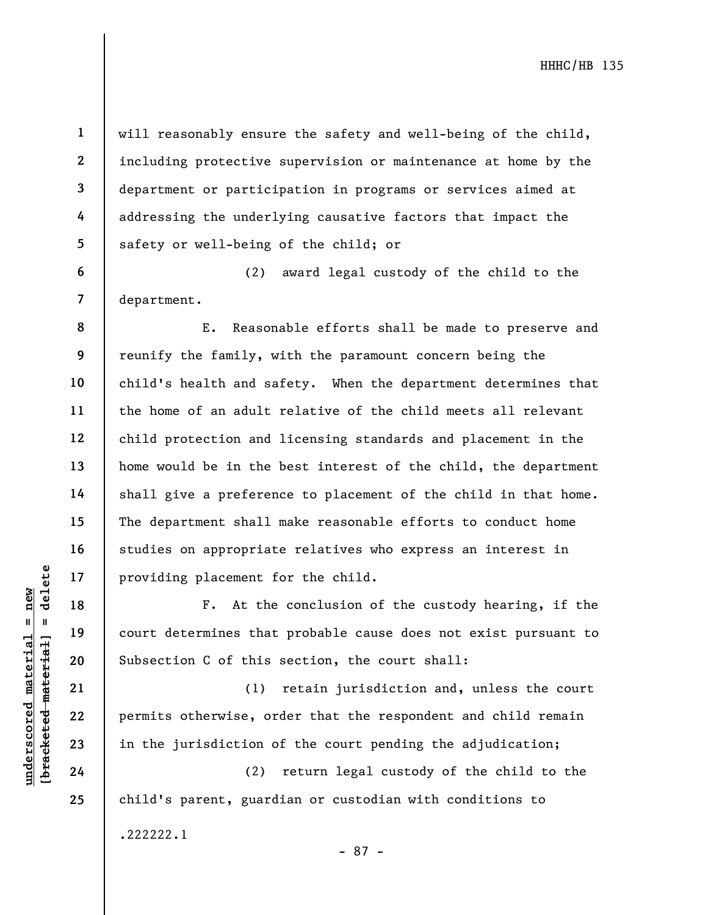8

9

10

11

12

13

14

15

16

17

18

19

20

21

22

23

24

25

1

2

will reasonably ensure the safety and well-being of the child, including protective supervision or maintenance at home by the department or participation in programs or services aimed at addressing the underlying causative factors that impact the safety or well-being of the child; or

(2) award legal custody of the child to the department.

E. Reasonable efforts shall be made to preserve and reunify the family, with the paramount concern being the child's health and safety. When the department determines that the home of an adult relative of the child meets all relevant child protection and licensing standards and placement in the home would be in the best interest of the child, the department shall give a preference to placement of the child in that home. The department shall make reasonable efforts to conduct home studies on appropriate relatives who express an interest in providing placement for the child.

F. At the conclusion of the custody hearing, if the court determines that probable cause does not exist pursuant to Subsection C of this section, the court shall:

understand material material providing placement for all the determines that<br>  $\begin{array}{ccc}\n\text{Equation 19}\n\text{Equation 20}\n\text{Equation 32}\n\text{Equation 4}\n\end{array}\n\quad\n\begin{array}{c}\n\text{Equation 19}\n\text{Equation 21}\n\text{Equation 3}\n\end{array}\n\quad\n\begin{array}{c}\n\text{Equation 21}\n\text{Equation 3}\n\end{array}\n\quad\n\begin{array}{$ (1) retain jurisdiction and, unless the court permits otherwise, order that the respondent and child remain in the jurisdiction of the court pending the adjudication;

(2) return legal custody of the child to the child's parent, guardian or custodian with conditions to .222222.1

- 87 -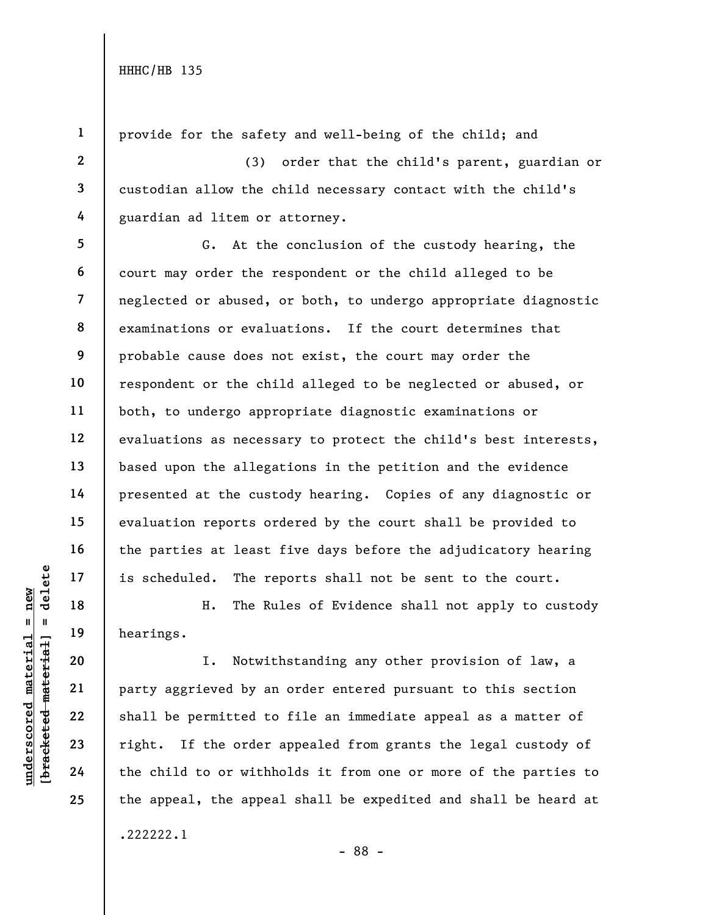25

2

3

4

5

6

7

8

9

1 provide for the safety and well-being of the child; and

(3) order that the child's parent, guardian or custodian allow the child necessary contact with the child's guardian ad litem or attorney.

G. At the conclusion of the custody hearing, the court may order the respondent or the child alleged to be neglected or abused, or both, to undergo appropriate diagnostic examinations or evaluations. If the court determines that probable cause does not exist, the court may order the respondent or the child alleged to be neglected or abused, or both, to undergo appropriate diagnostic examinations or evaluations as necessary to protect the child's best interests, based upon the allegations in the petition and the evidence presented at the custody hearing. Copies of any diagnostic or evaluation reports ordered by the court shall be provided to the parties at least five days before the adjudicatory hearing is scheduled. The reports shall not be sent to the court.

H. The Rules of Evidence shall not apply to custody hearings.

understand material is scheduled. The reading of the Runder of H. The Runder of H. The Runder of the child to or with the child to or with the child to or with the child to or with  $\frac{1}{2}$  and  $\frac{1}{2}$  and  $\frac{1}{2}$  and I. Notwithstanding any other provision of law, a party aggrieved by an order entered pursuant to this section shall be permitted to file an immediate appeal as a matter of right. If the order appealed from grants the legal custody of the child to or withholds it from one or more of the parties to the appeal, the appeal shall be expedited and shall be heard at .222222.1

- 88 -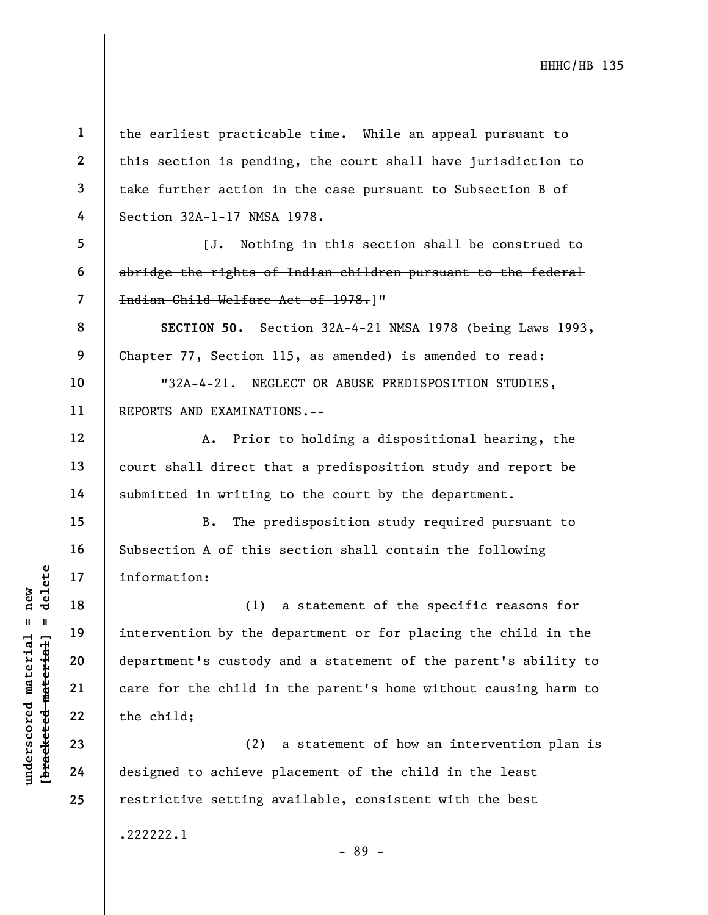underscored material = new [bracketed material] = delete 1 2 3 4 5 6 7 8 9 10 11 12 13 14 15 16 17 18 19 20 21 22 23 24 25 the earliest practicable time. While an appeal pursuant to this section is pending, the court shall have jurisdiction to take further action in the case pursuant to Subsection B of Section 32A-1-17 NMSA 1978. [J. Nothing in this section shall be construed to abridge the rights of Indian children pursuant to the federal Indian Child Welfare Act of 1978.]" SECTION 50. Section 32A-4-21 NMSA 1978 (being Laws 1993, Chapter 77, Section 115, as amended) is amended to read: "32A-4-21. NEGLECT OR ABUSE PREDISPOSITION STUDIES, REPORTS AND EXAMINATIONS.-- A. Prior to holding a dispositional hearing, the court shall direct that a predisposition study and report be submitted in writing to the court by the department. B. The predisposition study required pursuant to Subsection A of this section shall contain the following information: (1) a statement of the specific reasons for intervention by the department or for placing the child in the department's custody and a statement of the parent's ability to care for the child in the parent's home without causing harm to the child; (2) a statement of how an intervention plan is designed to achieve placement of the child in the least restrictive setting available, consistent with the best .222222.1 - 89 -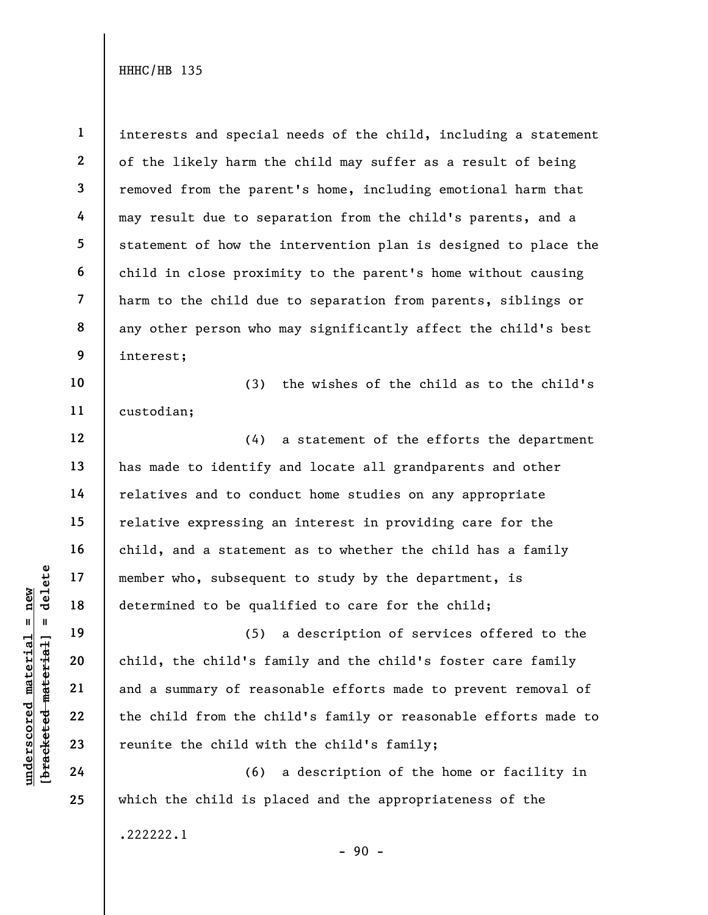1 2 3 4 5 6 7 8 9 interests and special needs of the child, including a statement of the likely harm the child may suffer as a result of being removed from the parent's home, including emotional harm that may result due to separation from the child's parents, and a statement of how the intervention plan is designed to place the child in close proximity to the parent's home without causing harm to the child due to separation from parents, siblings or any other person who may significantly affect the child's best interest;

10 11 (3) the wishes of the child as to the child's custodian;

(4) a statement of the efforts the department has made to identify and locate all grandparents and other relatives and to conduct home studies on any appropriate relative expressing an interest in providing care for the child, and a statement as to whether the child has a family member who, subsequent to study by the department, is determined to be qualified to care for the child;

underscored material = new [bracketed material] = delete (5) a description of services offered to the child, the child's family and the child's foster care family and a summary of reasonable efforts made to prevent removal of the child from the child's family or reasonable efforts made to reunite the child with the child's family;

(6) a description of the home or facility in which the child is placed and the appropriateness of the .222222.1

- 90 -

12

13

14

15

16

17

18

19

20

21

22

23

24

25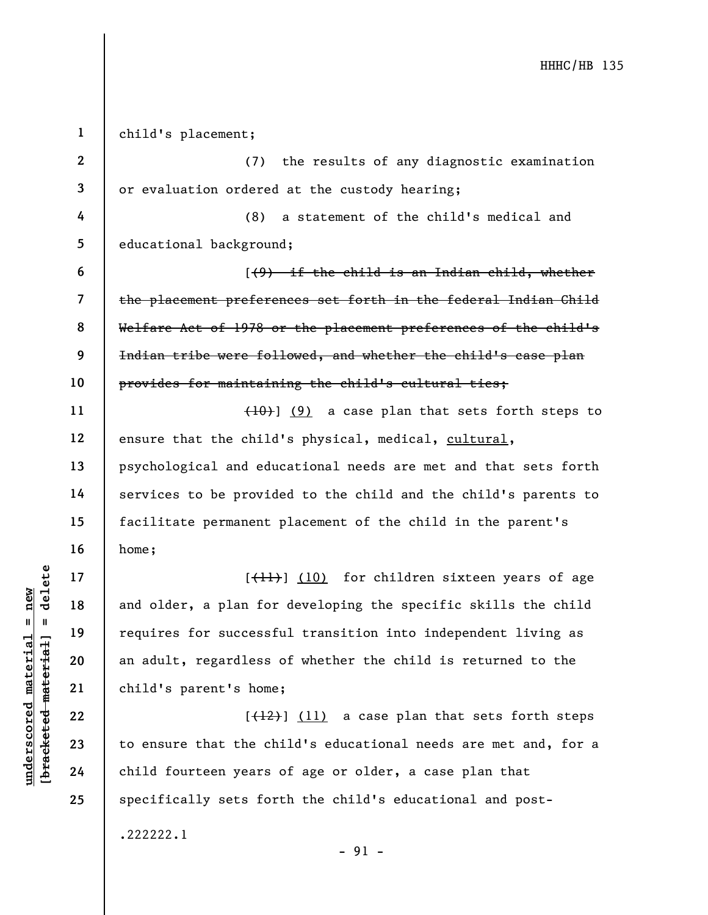$\begin{array}{c|c|c|c} \mathbf{u} & \mathbf{u} & \mathbf{u} & \mathbf{v} & \mathbf{v} & \mathbf{v} & \mathbf{v} & \mathbf{v} & \mathbf{v} & \mathbf{v} & \mathbf{v} & \mathbf{v} & \mathbf{v} & \mathbf{v} & \mathbf{v} & \mathbf{v} & \mathbf{v} & \mathbf{v} & \mathbf{v} & \mathbf{v} & \mathbf{v} & \mathbf{v} & \mathbf{v} & \mathbf{v} & \mathbf{v} & \mathbf{v} & \mathbf{v} & \mathbf{v} & \mathbf{v} & \mathbf{$ 1 2 3 4 5 6 7 8 9 10 11 12 13 14 15 16 17 18 19 20 21 22 23 child's placement; (7) the results of any diagnostic examination or evaluation ordered at the custody hearing; (8) a statement of the child's medical and educational background;  $(1, 9)$  if the child is an Indian child, whether the placement preferences set forth in the federal Indian Child Welfare Act of 1978 or the placement preferences of the child's Indian tribe were followed, and whether the child's case plan provides for maintaining the child's cultural ties;  $(10)$ ] (9) a case plan that sets forth steps to ensure that the child's physical, medical, cultural, psychological and educational needs are met and that sets forth services to be provided to the child and the child's parents to facilitate permanent placement of the child in the parent's home;  $[\frac{11}{1}]$  (10) for children sixteen years of age and older, a plan for developing the specific skills the child requires for successful transition into independent living as an adult, regardless of whether the child is returned to the child's parent's home;  $[\frac{12}{12}]$  (11) a case plan that sets forth steps

to ensure that the child's educational needs are met and, for a child fourteen years of age or older, a case plan that specifically sets forth the child's educational and post-

- 91 -

24

25

.222222.1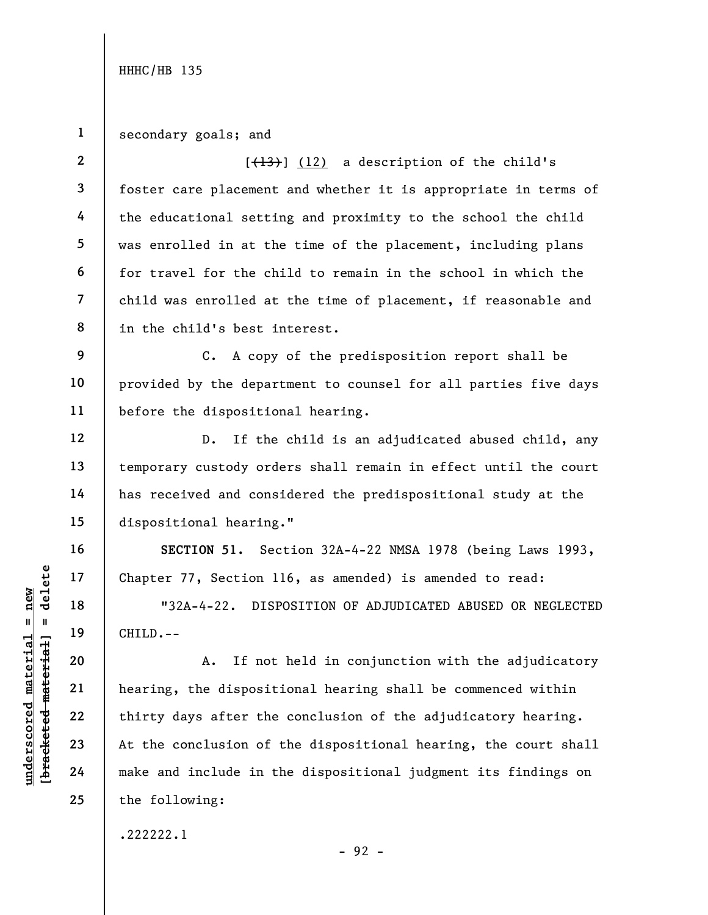6

12

13

14

15

16

17

18

19

20

21

22

23

24

25

1 secondary goals; and

2 3 4 5 7 8  $[$ (13)]  $(12)$  a description of the child's foster care placement and whether it is appropriate in terms of the educational setting and proximity to the school the child was enrolled in at the time of the placement, including plans for travel for the child to remain in the school in which the child was enrolled at the time of placement, if reasonable and in the child's best interest.

9 10 11 C. A copy of the predisposition report shall be provided by the department to counsel for all parties five days before the dispositional hearing.

D. If the child is an adjudicated abused child, any temporary custody orders shall remain in effect until the court has received and considered the predispositional study at the dispositional hearing."

SECTION 51. Section 32A-4-22 NMSA 1978 (being Laws 1993, Chapter 77, Section 116, as amended) is amended to read:

"32A-4-22. DISPOSITION OF ADJUDICATED ABUSED OR NEGLECTED CHILD.--

underscored material = new [bracketed material] = delete A. If not held in conjunction with the adjudicatory hearing, the dispositional hearing shall be commenced within thirty days after the conclusion of the adjudicatory hearing. At the conclusion of the dispositional hearing, the court shall make and include in the dispositional judgment its findings on the following:

.222222.1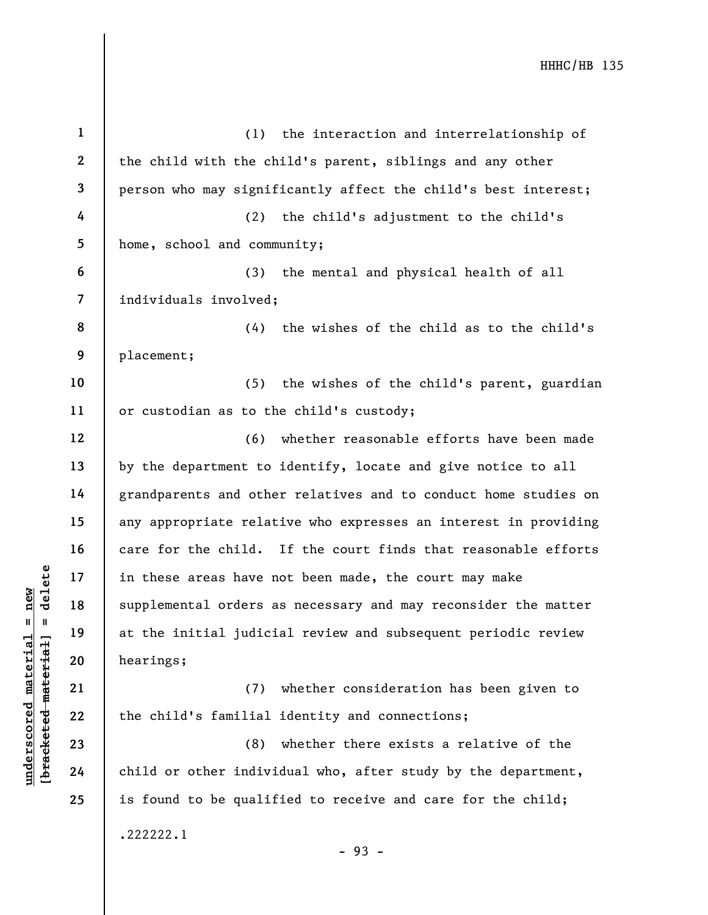|                                | $\mathbf{1}$             | (1) the interaction and interrelationship of                    |
|--------------------------------|--------------------------|-----------------------------------------------------------------|
|                                | $\mathbf{2}$             | the child with the child's parent, siblings and any other       |
|                                | 3                        | person who may significantly affect the child's best interest;  |
|                                | 4                        | (2)<br>the child's adjustment to the child's                    |
|                                | 5                        | home, school and community;                                     |
|                                | 6                        | (3)<br>the mental and physical health of all                    |
|                                | $\overline{\mathcal{L}}$ | individuals involved;                                           |
|                                | 8                        | the wishes of the child as to the child's<br>(4)                |
|                                | 9                        | placement;                                                      |
|                                | 10                       | (5)<br>the wishes of the child's parent, guardian               |
|                                | 11                       | or custodian as to the child's custody;                         |
|                                | 12                       | whether reasonable efforts have been made<br>(6)                |
|                                | 13                       | by the department to identify, locate and give notice to all    |
|                                | 14                       | grandparents and other relatives and to conduct home studies on |
|                                | 15                       | any appropriate relative who expresses an interest in providing |
|                                | 16                       | care for the child. If the court finds that reasonable efforts  |
| delete                         | 17                       | in these areas have not been made, the court may make           |
| new                            | 18                       | supplemental orders as necessary and may reconsider the matter  |
| Ш.<br>- II                     | 19                       | at the initial judicial review and subsequent periodic review   |
| materia<br>[bracketed material | 20                       | hearings;                                                       |
|                                | 21                       | (7)<br>whether consideration has been given to                  |
| $\bm{{\rm underscore}}$        | 22                       | the child's familial identity and connections;                  |
|                                | 23                       | whether there exists a relative of the<br>(8)                   |
|                                | 24                       | child or other individual who, after study by the department,   |
|                                | 25                       | is found to be qualified to receive and care for the child;     |
|                                |                          | .222222.1                                                       |

- 93 -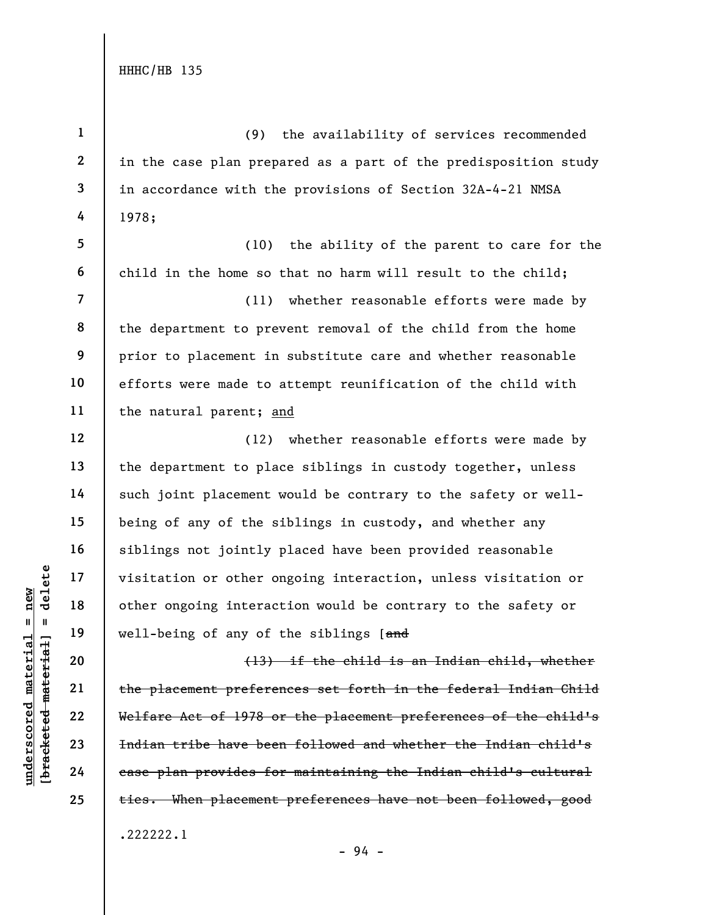under 17<br>
under 18<br>
under 19<br>
under 19<br>
under 19<br>
under 19<br>
under 19<br>
20<br>
under 1978<br>
22<br>
under 1978<br>
under 1978<br>
23<br>
under 1978<br>
under 1978<br>
24<br>
<br>
The placement prefere<br>
under 1978<br>
exace plan provides for<br>
the placement 1 2 3 4 5 6 7 8 9 10 11 12 13 14 15 16 17 18 19 20 21 22 23 24 25 (9) the availability of services recommended in the case plan prepared as a part of the predisposition study in accordance with the provisions of Section 32A-4-21 NMSA 1978; (10) the ability of the parent to care for the child in the home so that no harm will result to the child; (11) whether reasonable efforts were made by the department to prevent removal of the child from the home prior to placement in substitute care and whether reasonable efforts were made to attempt reunification of the child with the natural parent; and (12) whether reasonable efforts were made by the department to place siblings in custody together, unless such joint placement would be contrary to the safety or wellbeing of any of the siblings in custody, and whether any siblings not jointly placed have been provided reasonable visitation or other ongoing interaction, unless visitation or other ongoing interaction would be contrary to the safety or well-being of any of the siblings [and (13) if the child is an Indian child, whether the placement preferences set forth in the federal Indian Child Welfare Act of 1978 or the placement preferences of the child's Indian tribe have been followed and whether the Indian child's case plan provides for maintaining the Indian child's cultural ties. When placement preferences have not been followed, good .222222.1

- 94 -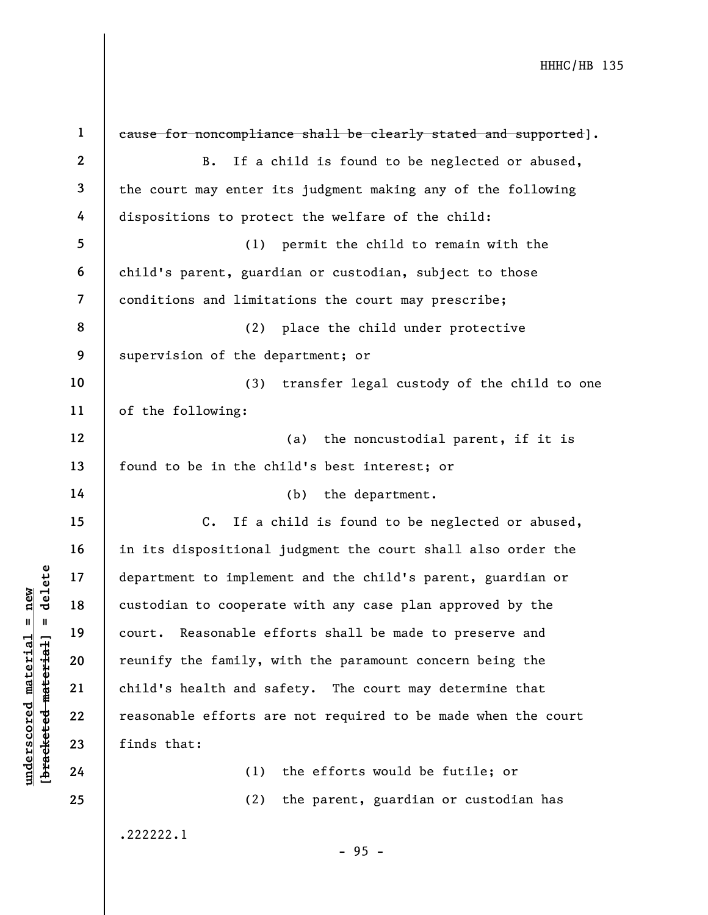|                                | $\mathbf{1}$   | eause for noncompliance shall be clearly stated and supported]. |
|--------------------------------|----------------|-----------------------------------------------------------------|
|                                | $\mathbf{2}$   | If a child is found to be neglected or abused,<br>B.            |
|                                | $\mathbf{3}$   | the court may enter its judgment making any of the following    |
|                                | 4              | dispositions to protect the welfare of the child:               |
|                                | 5              | permit the child to remain with the<br>(1)                      |
|                                | 6              | child's parent, guardian or custodian, subject to those         |
|                                | $\overline{7}$ | conditions and limitations the court may prescribe;             |
|                                | 8              | place the child under protective<br>(2)                         |
|                                | 9              | supervision of the department; or                               |
|                                | 10             | transfer legal custody of the child to one<br>(3)               |
|                                | 11             | of the following:                                               |
|                                | 12             | (a)<br>the noncustodial parent, if it is                        |
|                                | 13             | found to be in the child's best interest; or                    |
|                                | 14             | the department.<br>(b)                                          |
|                                | 15             | $C_{\bullet}$<br>If a child is found to be neglected or abused, |
|                                | 16             | in its dispositional judgment the court shall also order the    |
| delete                         | 17             | department to implement and the child's parent, guardian or     |
| new                            | 18             | custodian to cooperate with any case plan approved by the       |
| Ш<br>- II                      | 19             | Reasonable efforts shall be made to preserve and<br>court.      |
| materia<br>[bracketed material | 20             | reunify the family, with the paramount concern being the        |
|                                | 21             | child's health and safety. The court may determine that         |
| underscored                    | 22             | reasonable efforts are not required to be made when the court   |
|                                | 23             | finds that:                                                     |
|                                | 24             | the efforts would be futile; or<br>(1)                          |
|                                | 25             | the parent, guardian or custodian has<br>(2)                    |
|                                |                | .222222.1                                                       |

- 95 -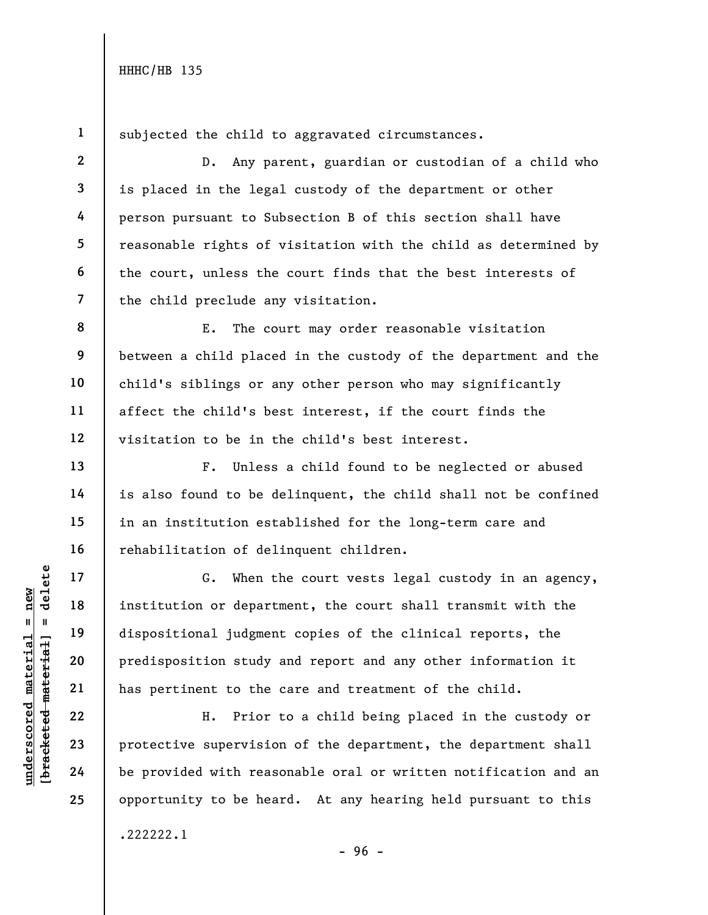2

3

4

5

6

7

13

14

15

16

17

18

19

20

21

22

23

24

25

1 subjected the child to aggravated circumstances.

D. Any parent, guardian or custodian of a child who is placed in the legal custody of the department or other person pursuant to Subsection B of this section shall have reasonable rights of visitation with the child as determined by the court, unless the court finds that the best interests of the child preclude any visitation.

8 9 10 11 12 E. The court may order reasonable visitation between a child placed in the custody of the department and the child's siblings or any other person who may significantly affect the child's best interest, if the court finds the visitation to be in the child's best interest.

F. Unless a child found to be neglected or abused is also found to be delinquent, the child shall not be confined in an institution established for the long-term care and rehabilitation of delinquent children.

UN DEN 17<br>
UN DEN 18<br>
UN DEN 19<br>
UN DEN 19<br>
UN DEN 19<br>
UN DEN 19<br>
UN DEN 19<br>
UN DEN 19<br>
UN DEN 19<br>
UN DEN 19<br>
UN DEN 19<br>
UN DEN 19<br>
UN DEN 19<br>
UN DEN 19<br>
UN DEN 19<br>
UN DEN 19<br>
UN DEN 19<br>
UN DEN 19<br>
UN DEN 19<br>
UN DEN 19<br>
UN G. When the court vests legal custody in an agency, institution or department, the court shall transmit with the dispositional judgment copies of the clinical reports, the predisposition study and report and any other information it has pertinent to the care and treatment of the child.

H. Prior to a child being placed in the custody or protective supervision of the department, the department shall be provided with reasonable oral or written notification and an opportunity to be heard. At any hearing held pursuant to this .222222.1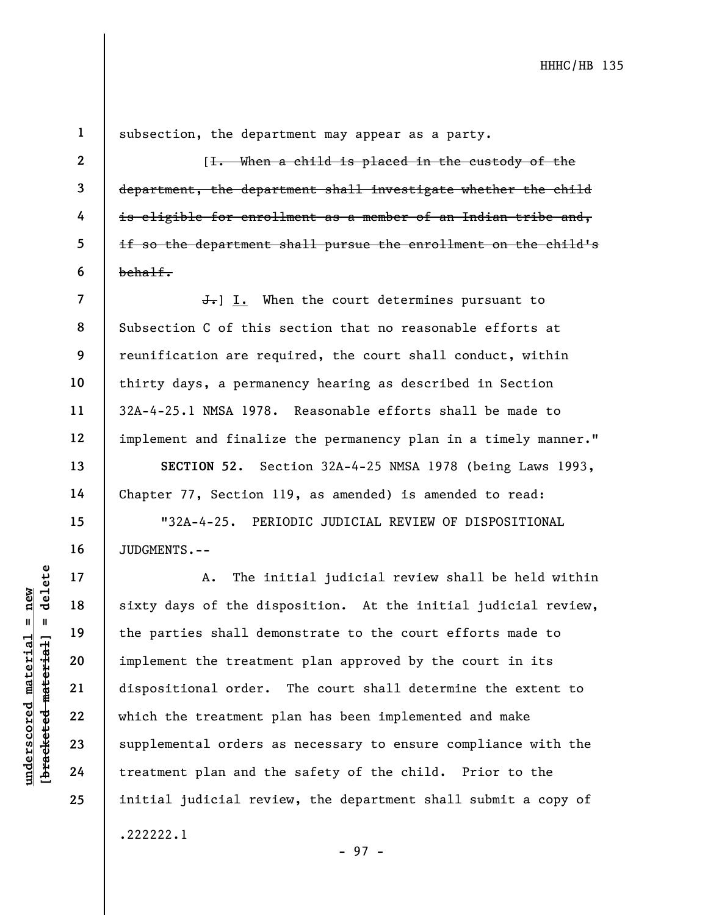24

25

1

2

3

4

5

6

7

8

9

subsection, the department may appear as a party.

[I. When a child is placed in the custody of the department, the department shall investigate whether the child is eligible for enrollment as a member of an Indian tribe and, if so the department shall pursue the enrollment on the child's behalf.

**J.** I. When the court determines pursuant to Subsection C of this section that no reasonable efforts at reunification are required, the court shall conduct, within thirty days, a permanency hearing as described in Section 32A-4-25.1 NMSA 1978. Reasonable efforts shall be made to implement and finalize the permanency plan in a timely manner."

SECTION 52. Section 32A-4-25 NMSA 1978 (being Laws 1993, Chapter 77, Section 119, as amended) is amended to read:

"32A-4-25. PERIODIC JUDICIAL REVIEW OF DISPOSITIONAL JUDGMENTS.--

understand material material sixty days of the distributed material of the parties shall demonstrated material dispositional order.<br>
The parties shall demonstrated material dispositional order.<br>
23 supplemental orders a<br>
2 A. The initial judicial review shall be held within sixty days of the disposition. At the initial judicial review, the parties shall demonstrate to the court efforts made to implement the treatment plan approved by the court in its dispositional order. The court shall determine the extent to which the treatment plan has been implemented and make supplemental orders as necessary to ensure compliance with the treatment plan and the safety of the child. Prior to the initial judicial review, the department shall submit a copy of .222222.1

- 97 -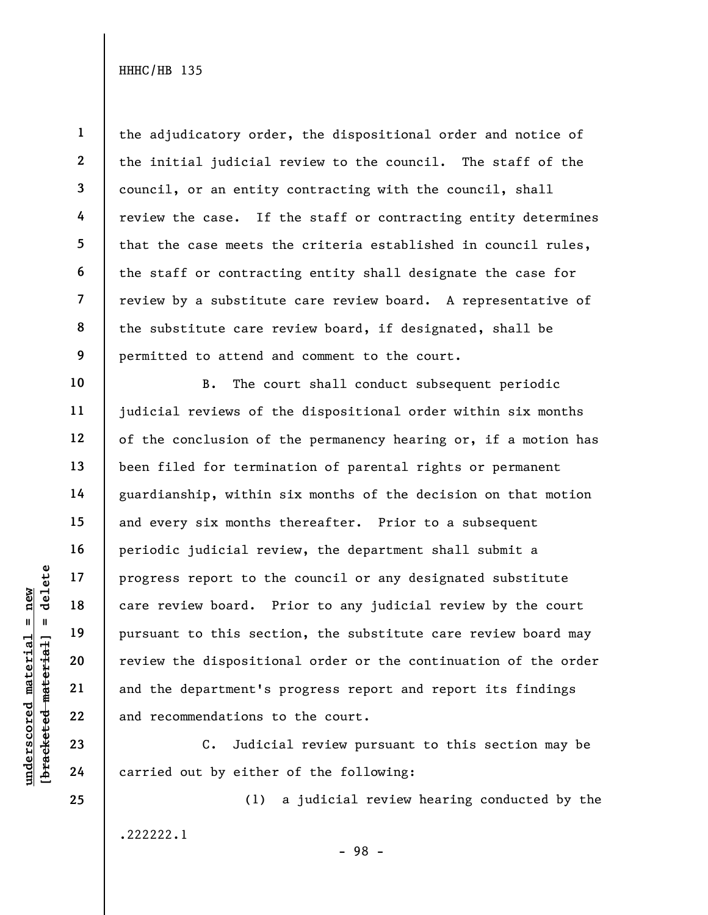25

1 2 3 4 5 6 8 9 the adjudicatory order, the dispositional order and notice of the initial judicial review to the council. The staff of the council, or an entity contracting with the council, shall review the case. If the staff or contracting entity determines that the case meets the criteria established in council rules, the staff or contracting entity shall designate the case for review by a substitute care review board. A representative of the substitute care review board, if designated, shall be permitted to attend and comment to the court.

underscored material = new [bracketed material] = delete B. The court shall conduct subsequent periodic judicial reviews of the dispositional order within six months of the conclusion of the permanency hearing or, if a motion has been filed for termination of parental rights or permanent guardianship, within six months of the decision on that motion and every six months thereafter. Prior to a subsequent periodic judicial review, the department shall submit a progress report to the council or any designated substitute care review board. Prior to any judicial review by the court pursuant to this section, the substitute care review board may review the dispositional order or the continuation of the order and the department's progress report and report its findings and recommendations to the court.

C. Judicial review pursuant to this section may be carried out by either of the following:

.222222.1

(1) a judicial review hearing conducted by the

- 98 -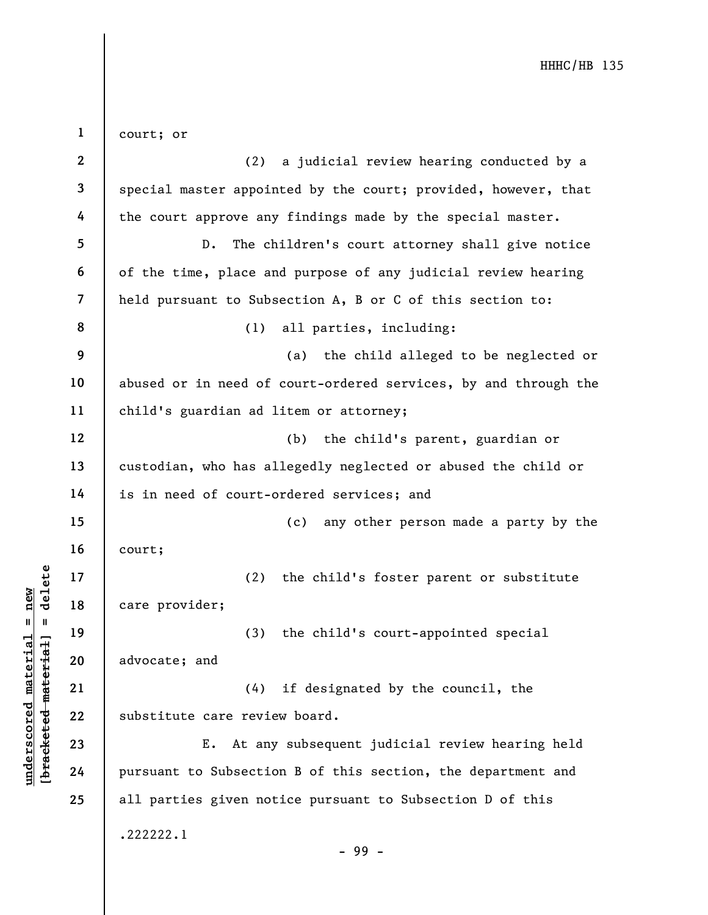underscored material material material and the substitute care revies<br>and the substitute care revies of the substitute care revies<br>is advocate; and (4)<br>advocate; and (4)<br>substitute care revies<br>is the substitute care revies 1 2 3 4 5 6 7 8 9 10 11 12 13 14 15 16 17 18 19 20 21 22 23 24 25 court; or (2) a judicial review hearing conducted by a special master appointed by the court; provided, however, that the court approve any findings made by the special master. D. The children's court attorney shall give notice of the time, place and purpose of any judicial review hearing held pursuant to Subsection A, B or C of this section to: (1) all parties, including: (a) the child alleged to be neglected or abused or in need of court-ordered services, by and through the child's guardian ad litem or attorney; (b) the child's parent, guardian or custodian, who has allegedly neglected or abused the child or is in need of court-ordered services; and (c) any other person made a party by the court; (2) the child's foster parent or substitute care provider; (3) the child's court-appointed special advocate; and (4) if designated by the council, the substitute care review board. E. At any subsequent judicial review hearing held pursuant to Subsection B of this section, the department and all parties given notice pursuant to Subsection D of this .222222.1 - 99 -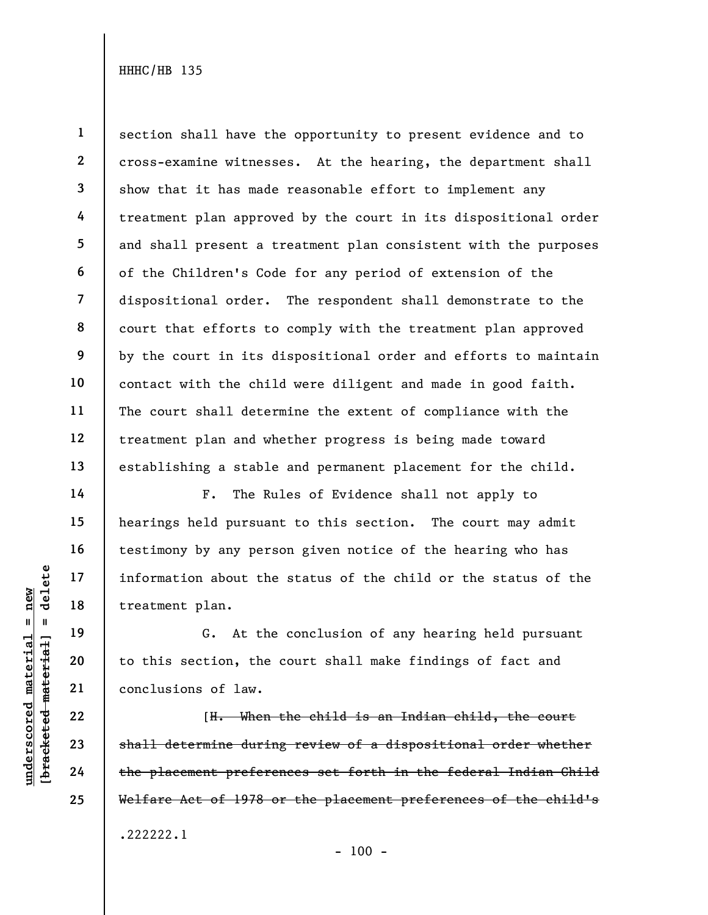1 2 3 4 5 6 7 8 9 10 11 12 13 section shall have the opportunity to present evidence and to cross-examine witnesses. At the hearing, the department shall show that it has made reasonable effort to implement any treatment plan approved by the court in its dispositional order and shall present a treatment plan consistent with the purposes of the Children's Code for any period of extension of the dispositional order. The respondent shall demonstrate to the court that efforts to comply with the treatment plan approved by the court in its dispositional order and efforts to maintain contact with the child were diligent and made in good faith. The court shall determine the extent of compliance with the treatment plan and whether progress is being made toward establishing a stable and permanent placement for the child.

F. The Rules of Evidence shall not apply to hearings held pursuant to this section. The court may admit testimony by any person given notice of the hearing who has information about the status of the child or the status of the treatment plan.

G. At the conclusion of any hearing held pursuant to this section, the court shall make findings of fact and conclusions of law.

underscored material = new [bracketed material] = delete [H. When the child is an Indian child, the court shall determine during review of a dispositional order whether the placement preferences set forth in the federal Indian Child Welfare Act of 1978 or the placement preferences of the child's .222222.1

- 100 -

14

15

16

17

18

19

20

21

22

23

24

25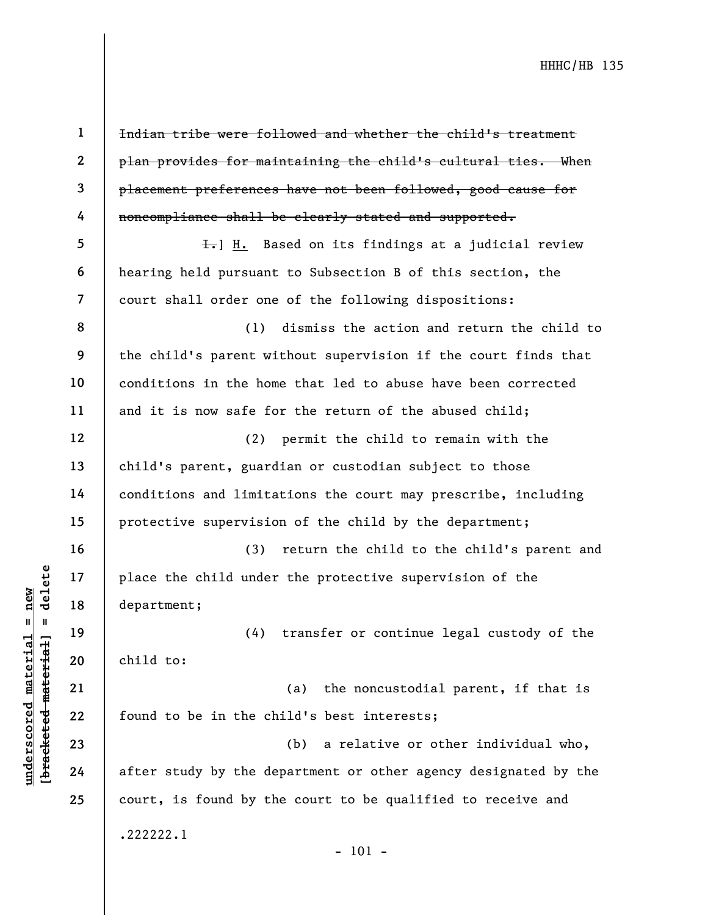underscored material = new [bracketed material] = delete 1 2 3 4 5 6 7 8 9 10 11 12 13 14 15 16 17 18 19 20 21 22 23 24 25 Indian tribe were followed and whether the child's treatment plan provides for maintaining the child's cultural ties. When placement preferences have not been followed, good cause for noncompliance shall be clearly stated and supported.  $\overline{f}$ . Based on its findings at a judicial review hearing held pursuant to Subsection B of this section, the court shall order one of the following dispositions: (1) dismiss the action and return the child to the child's parent without supervision if the court finds that conditions in the home that led to abuse have been corrected and it is now safe for the return of the abused child; (2) permit the child to remain with the child's parent, guardian or custodian subject to those conditions and limitations the court may prescribe, including protective supervision of the child by the department; (3) return the child to the child's parent and place the child under the protective supervision of the department; (4) transfer or continue legal custody of the child to: (a) the noncustodial parent, if that is found to be in the child's best interests; (b) a relative or other individual who, after study by the department or other agency designated by the court, is found by the court to be qualified to receive and .222222.1 - 101 -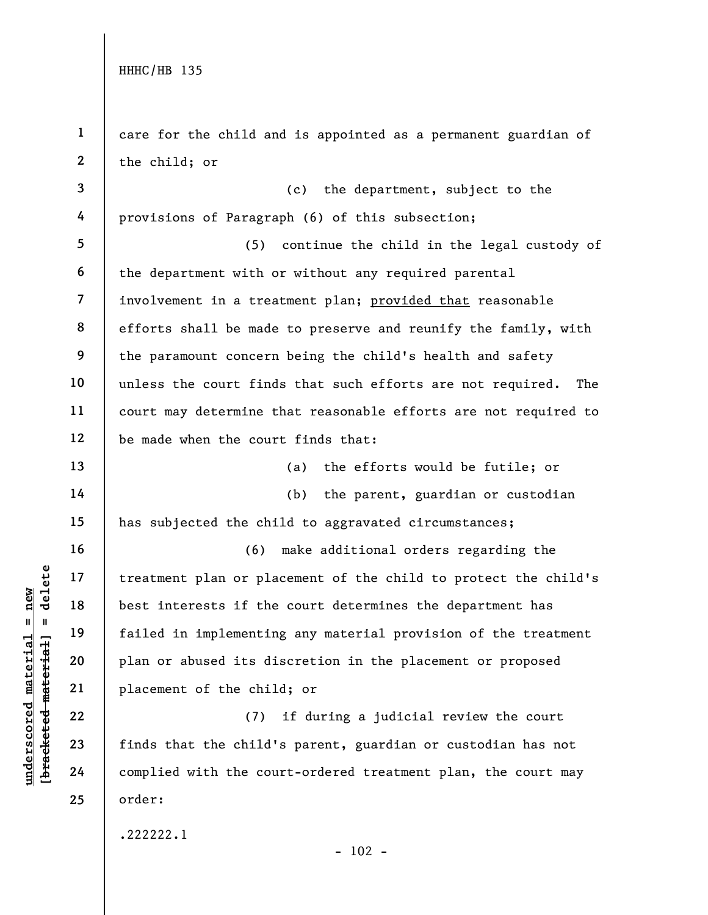4

13

14

15

16

17

18

19

20

21

22

23

24

25

1 2 3 care for the child and is appointed as a permanent guardian of the child; or (c) the department, subject to the

provisions of Paragraph (6) of this subsection;

5 6 7 8 9 10 11 12 (5) continue the child in the legal custody of the department with or without any required parental involvement in a treatment plan; provided that reasonable efforts shall be made to preserve and reunify the family, with the paramount concern being the child's health and safety unless the court finds that such efforts are not required. The court may determine that reasonable efforts are not required to be made when the court finds that:

(a) the efforts would be futile; or

(b) the parent, guardian or custodian

has subjected the child to aggravated circumstances;

underscored material = new [bracketed material] = delete (6) make additional orders regarding the treatment plan or placement of the child to protect the child's best interests if the court determines the department has failed in implementing any material provision of the treatment plan or abused its discretion in the placement or proposed placement of the child; or

(7) if during a judicial review the court finds that the child's parent, guardian or custodian has not complied with the court-ordered treatment plan, the court may order:

.222222.1

 $- 102 -$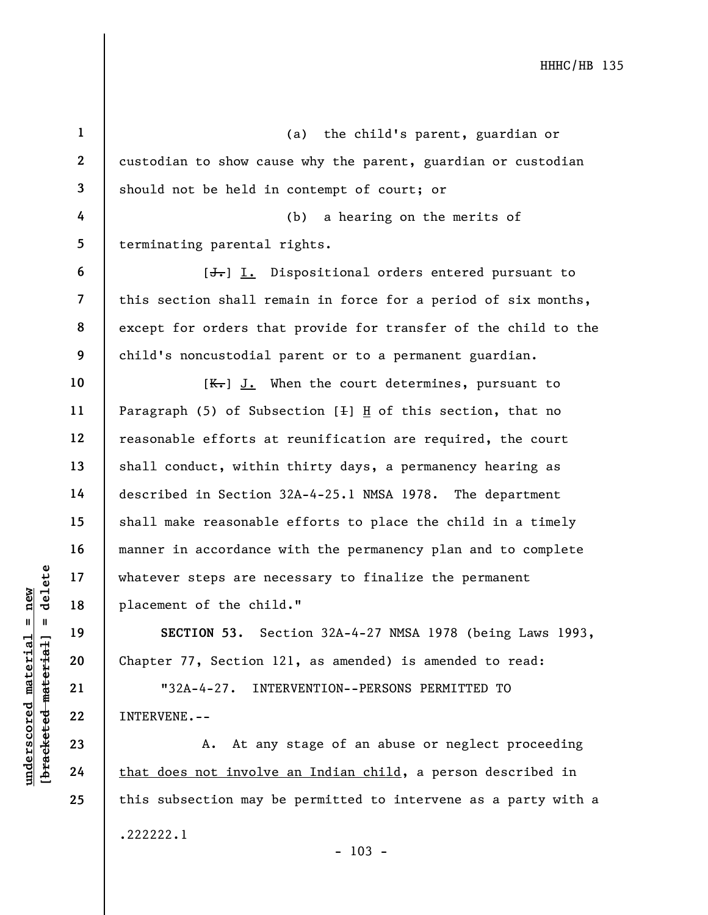underscored material = new [bracketed material] = delete 1 2 3 4 5 6 7 8 9 10 11 12 13 14 15 16 17 18 19 20 21 22 23 24 25 (a) the child's parent, guardian or custodian to show cause why the parent, guardian or custodian should not be held in contempt of court; or (b) a hearing on the merits of terminating parental rights. [<del>J.</del>] I. Dispositional orders entered pursuant to this section shall remain in force for a period of six months, except for orders that provide for transfer of the child to the child's noncustodial parent or to a permanent guardian.  $[K-]$  J. When the court determines, pursuant to Paragraph (5) of Subsection  $[+]$  H of this section, that no reasonable efforts at reunification are required, the court shall conduct, within thirty days, a permanency hearing as described in Section 32A-4-25.1 NMSA 1978. The department shall make reasonable efforts to place the child in a timely manner in accordance with the permanency plan and to complete whatever steps are necessary to finalize the permanent placement of the child." SECTION 53. Section 32A-4-27 NMSA 1978 (being Laws 1993, Chapter 77, Section 121, as amended) is amended to read: "32A-4-27. INTERVENTION--PERSONS PERMITTED TO INTERVENE.-- A. At any stage of an abuse or neglect proceeding that does not involve an Indian child, a person described in this subsection may be permitted to intervene as a party with a

.222222.1

 $- 103 -$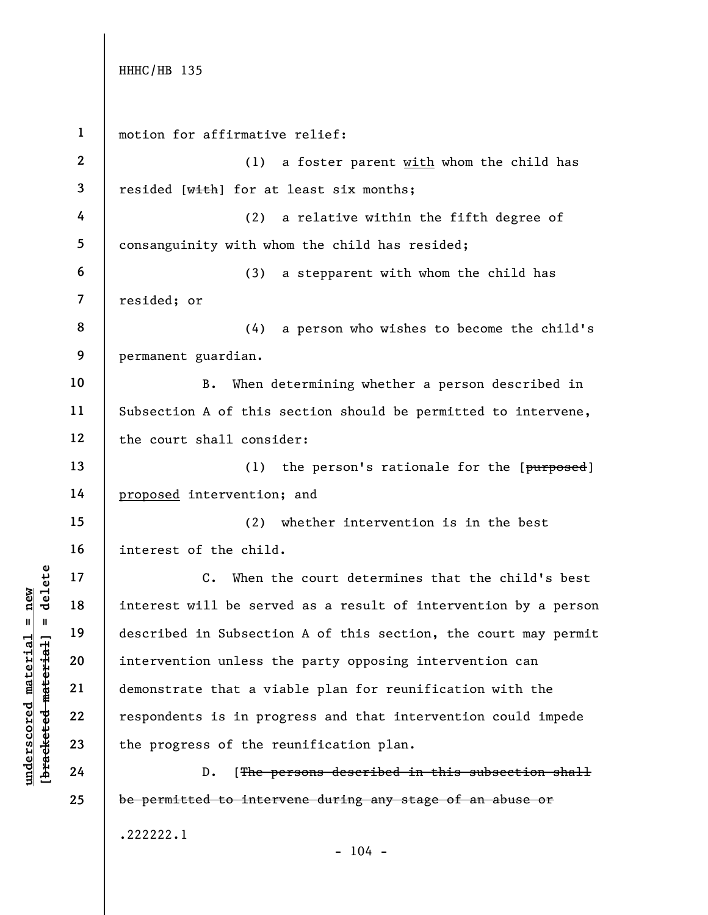```
under 17<br>
under 18<br>
interest will be served in Subsecti<br>
described in Subsecti<br>
described in Subsecti<br>
intervention unless to<br>
demonstrate that a vi<br>
respondents is in pro<br>
23<br>
the progress of the r<br>
24<br>
D. [<del>The p</del>
        1 
        2 
        3 
        4 
        5 
        6 
        7 
        8 
        9 
       10 
       11 
       12 
       13 
       14 
       15 
       16 
       17 
       18 
       19 
       20 
       21 
       22 
       23 
       24 
       25 
               motion for affirmative relief:
                                   (1) a foster parent with whom the child has
               resided [with] for at least six months;
                                   (2) a relative within the fifth degree of
               consanguinity with whom the child has resided; 
                                   (3) a stepparent with whom the child has
               resided; or
                                   (4) a person who wishes to become the child's
               permanent guardian.
                            B. When determining whether a person described in
               Subsection A of this section should be permitted to intervene,
               the court shall consider:
                                   (1) the person's rationale for the [<i>purposed</i>]proposed intervention; and
                                   (2) whether intervention is in the best
               interest of the child.
                            C. When the court determines that the child's best
               interest will be served as a result of intervention by a person
               described in Subsection A of this section, the court may permit
               intervention unless the party opposing intervention can
               demonstrate that a viable plan for reunification with the
               respondents is in progress and that intervention could impede
               the progress of the reunification plan.
                            D. [The persons described in this subsection shall
               be permitted to intervene during any stage of an abuse or
               .222222.1
                                                  - 104 -
```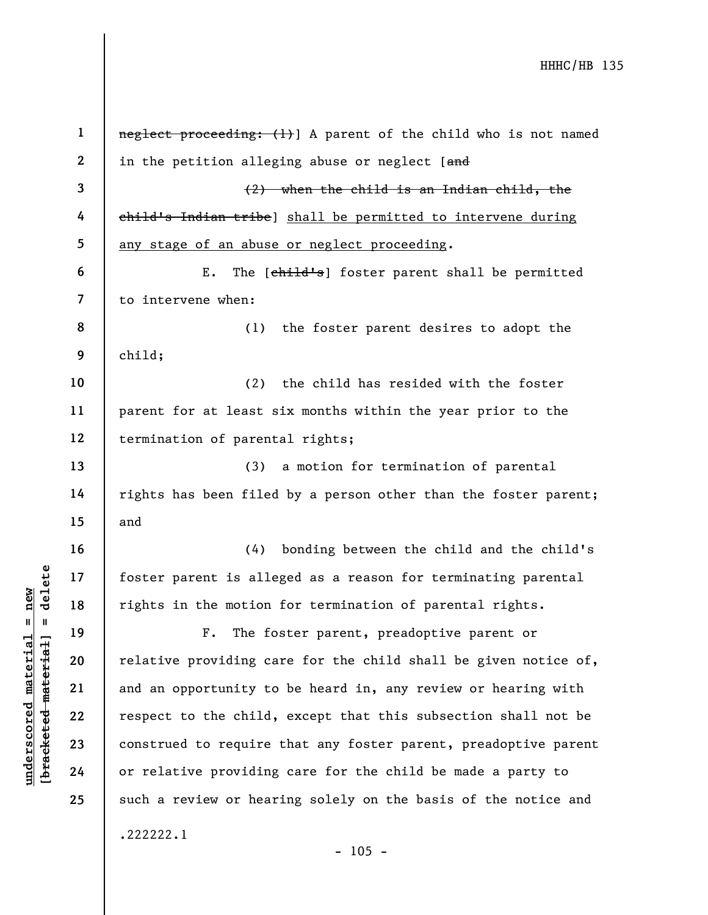|                                    | $\mathbf 1$              | neglect proceeding: (1) A parent of the child who is not named  |
|------------------------------------|--------------------------|-----------------------------------------------------------------|
|                                    | $\mathbf{2}$             | in the petition alleging abuse or neglect [and                  |
|                                    | 3                        | $(2)$ when the child is an Indian child, the                    |
|                                    | 4                        | child's Indian tribe) shall be permitted to intervene during    |
|                                    | 5                        | any stage of an abuse or neglect proceeding.                    |
|                                    | 6                        | ${\bf E}$ .<br>The [child's] foster parent shall be permitted   |
|                                    | $\overline{\mathcal{L}}$ | to intervene when:                                              |
|                                    | 8                        | the foster parent desires to adopt the<br>(1)                   |
|                                    | 9                        | child;                                                          |
|                                    | 10                       | the child has resided with the foster<br>(2)                    |
|                                    | 11                       | parent for at least six months within the year prior to the     |
|                                    | 12                       | termination of parental rights;                                 |
|                                    | 13                       | a motion for termination of parental<br>(3)                     |
|                                    | 14                       | rights has been filed by a person other than the foster parent; |
|                                    | 15                       | and                                                             |
|                                    | 16                       | (4) bonding between the child and the child's                   |
| delete                             | 17                       | foster parent is alleged as a reason for terminating parental   |
| new                                | 18                       | rights in the motion for termination of parental rights.        |
| Ш                                  | 19                       | The foster parent, preadoptive parent or<br>${\bf F}$ .         |
| materia                            | 20                       | relative providing care for the child shall be given notice of, |
|                                    | 21                       | and an opportunity to be heard in, any review or hearing with   |
| [bracketed material<br>underscored | 22                       | respect to the child, except that this subsection shall not be  |
|                                    | 23                       | construed to require that any foster parent, preadoptive parent |
|                                    | 24                       | or relative providing care for the child be made a party to     |
|                                    | 25                       | such a review or hearing solely on the basis of the notice and  |
|                                    |                          | .222222.1                                                       |
|                                    |                          | $-105 -$                                                        |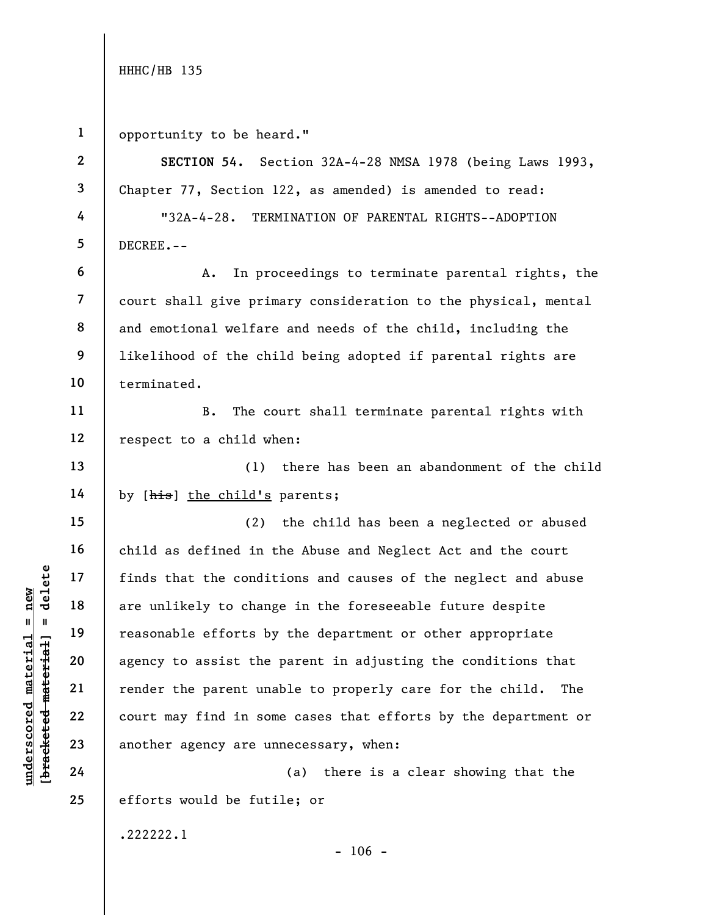| $\mathbf{1}$             | opportunity to be heard."                                       |
|--------------------------|-----------------------------------------------------------------|
| $\mathbf{2}$             | SECTION 54. Section 32A-4-28 NMSA 1978 (being Laws 1993,        |
| 3                        | Chapter 77, Section 122, as amended) is amended to read:        |
| 4                        | "32A-4-28. TERMINATION OF PARENTAL RIGHTS--ADOPTION             |
| 5                        | DECREE.--                                                       |
| 6                        | In proceedings to terminate parental rights, the<br>Α.          |
| $\overline{\mathcal{L}}$ | court shall give primary consideration to the physical, mental  |
| 8                        | and emotional welfare and needs of the child, including the     |
| 9                        | likelihood of the child being adopted if parental rights are    |
| 10                       | terminated.                                                     |
| 11                       | The court shall terminate parental rights with<br>$B$ .         |
| 12                       | respect to a child when:                                        |
| 13                       | (1) there has been an abandonment of the child                  |
| 14                       | by [his] the child's parents;                                   |
| 15                       | (2) the child has been a neglected or abused                    |
| 16                       | child as defined in the Abuse and Neglect Act and the court     |
| 17                       | finds that the conditions and causes of the neglect and abuse   |
| 18                       | are unlikely to change in the foreseeable future despite        |
| 19                       | reasonable efforts by the department or other appropriate       |
| 20                       | agency to assist the parent in adjusting the conditions that    |
| 21                       | render the parent unable to properly care for the child.<br>The |
| 22                       | court may find in some cases that efforts by the department or  |
| 23                       | another agency are unnecessary, when:                           |
| 24                       | there is a clear showing that the<br>(a)                        |
| 25                       | efforts would be futile; or                                     |
|                          | .222222.1<br>$-106 -$                                           |

# $\frac{\text{undersecond material} = \text{new}}{\text{beac detected} - \text{meter} \cdot \text{t} + \text{a}}$  = delete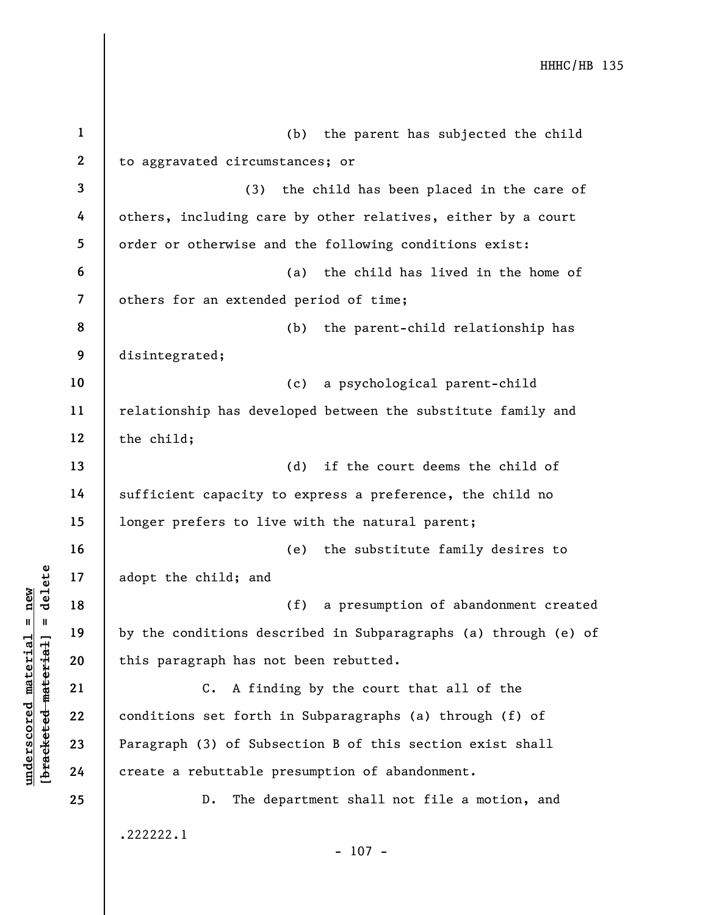|                                             | $\mathbf{1}$            | the parent has subjected the child<br>(b)                       |
|---------------------------------------------|-------------------------|-----------------------------------------------------------------|
|                                             | $\boldsymbol{2}$        | to aggravated circumstances; or                                 |
|                                             | 3                       | (3)<br>the child has been placed in the care of                 |
|                                             | 4                       | others, including care by other relatives, either by a court    |
|                                             | 5                       | order or otherwise and the following conditions exist:          |
|                                             | 6                       | the child has lived in the home of<br>(a)                       |
|                                             | $\overline{\mathbf{z}}$ | others for an extended period of time;                          |
|                                             | 8                       | (b)<br>the parent-child relationship has                        |
|                                             | 9                       | disintegrated;                                                  |
|                                             | 10                      | a psychological parent-child<br>(c)                             |
|                                             | 11                      | relationship has developed between the substitute family and    |
|                                             | 12                      | the child;                                                      |
|                                             | 13                      | if the court deems the child of<br>(d)                          |
|                                             | 14                      | sufficient capacity to express a preference, the child no       |
|                                             | 15                      | longer prefers to live with the natural parent;                 |
|                                             | 16                      | the substitute family desires to<br>(e)                         |
| delete                                      | 17                      | adopt the child; and                                            |
| new                                         | 18                      | (f)<br>a presumption of abandonment created                     |
| $\mathbf I$<br>- 11                         | 19                      | by the conditions described in Subparagraphs (a) through (e) of |
|                                             | 20                      | this paragraph has not been rebutted.                           |
| underscored material<br>[bracketed material | 21                      | A finding by the court that all of the<br>$\mathsf{c}$ .        |
|                                             | 22                      | conditions set forth in Subparagraphs (a) through (f) of        |
|                                             | 23                      | Paragraph (3) of Subsection B of this section exist shall       |
|                                             | 24                      | create a rebuttable presumption of abandonment.                 |
|                                             | 25                      | The department shall not file a motion, and<br>$D$ .            |
|                                             |                         | .222222.1<br>$-107 -$                                           |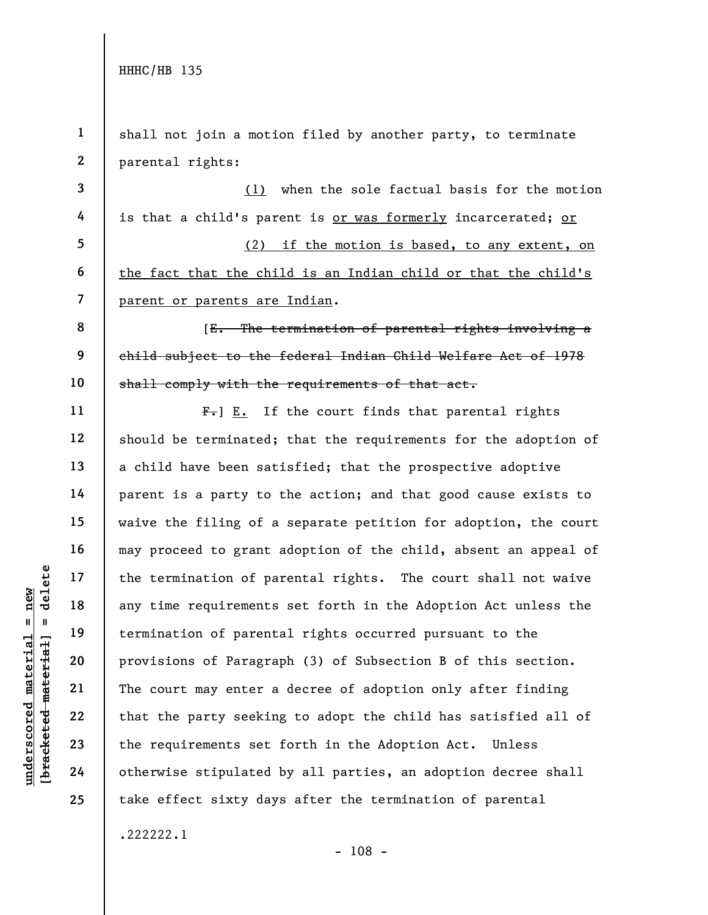under 17<br>
= 18<br>
= 18<br>
= 19<br>
= 19<br>
= 19<br>
= 19<br>
= 19<br>
= 19<br>
= 19<br>
= 19<br>
= 19<br>
= 19<br>
= 19<br>
= 19<br>
= 19<br>
= 19<br>
= 19<br>
= 19<br>
= 19<br>
= 19<br>
= 19<br>
= 19<br>
= 19<br>
= 19<br>
= 19<br>
= 19<br>
= 19<br>
= 19<br>
= 19<br>
= 19<br>
= 19<br>
= 19<br>
= 19<br>
= 19<br>
= 19<br>
= 1 2 3 4 5 6 7 8 9 10 11 12 13 14 15 16 17 18 19 20 21 22 23 24 25 shall not join a motion filed by another party, to terminate parental rights: (1) when the sole factual basis for the motion is that a child's parent is or was formerly incarcerated; or (2) if the motion is based, to any extent, on the fact that the child is an Indian child or that the child's parent or parents are Indian. [E. The termination of parental rights involving a child subject to the federal Indian Child Welfare Act of 1978 shall comply with the requirements of that act.  $F-$ ] E. If the court finds that parental rights should be terminated; that the requirements for the adoption of a child have been satisfied; that the prospective adoptive parent is a party to the action; and that good cause exists to waive the filing of a separate petition for adoption, the court may proceed to grant adoption of the child, absent an appeal of the termination of parental rights. The court shall not waive any time requirements set forth in the Adoption Act unless the termination of parental rights occurred pursuant to the provisions of Paragraph (3) of Subsection B of this section. The court may enter a decree of adoption only after finding that the party seeking to adopt the child has satisfied all of the requirements set forth in the Adoption Act. Unless otherwise stipulated by all parties, an adoption decree shall take effect sixty days after the termination of parental .222222.1

- 108 -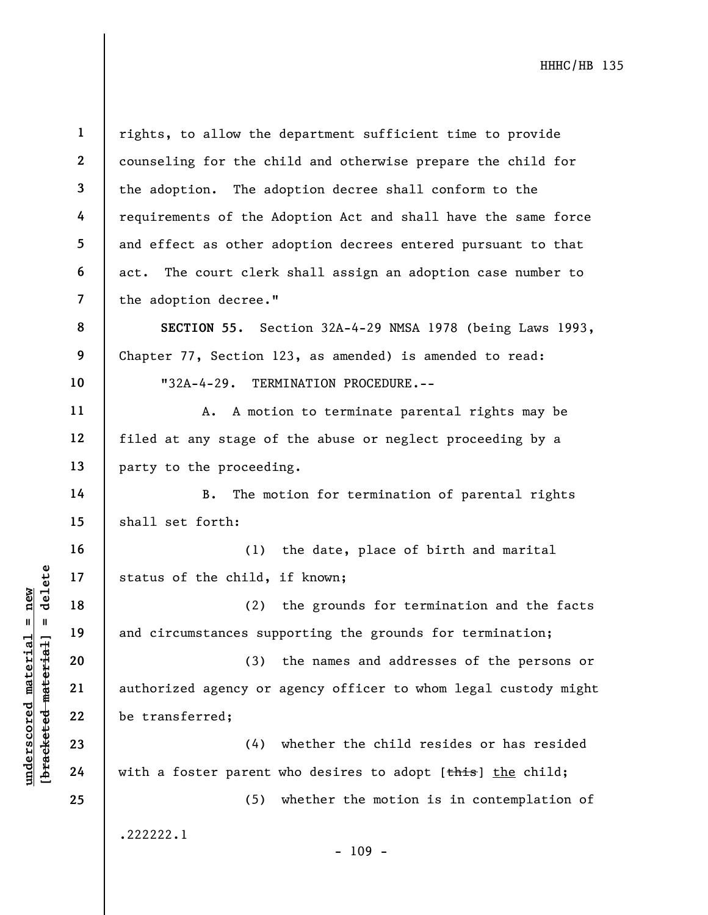| $\mathbf{1}$            | rights, to allow the department sufficient time to provide      |
|-------------------------|-----------------------------------------------------------------|
| $\boldsymbol{2}$        | counseling for the child and otherwise prepare the child for    |
| 3                       | the adoption. The adoption decree shall conform to the          |
| 4                       | requirements of the Adoption Act and shall have the same force  |
| 5                       | and effect as other adoption decrees entered pursuant to that   |
| 6                       | act. The court clerk shall assign an adoption case number to    |
| $\overline{\mathbf{z}}$ | the adoption decree."                                           |
| 8                       | SECTION 55. Section 32A-4-29 NMSA 1978 (being Laws 1993,        |
| 9                       | Chapter 77, Section 123, as amended) is amended to read:        |
| 10                      | "32A-4-29. TERMINATION PROCEDURE.--                             |
| 11                      | A. A motion to terminate parental rights may be                 |
| 12                      | filed at any stage of the abuse or neglect proceeding by a      |
| 13                      | party to the proceeding.                                        |
| 14                      | The motion for termination of parental rights<br><b>B</b> .     |
| 15                      | shall set forth:                                                |
| 16                      | the date, place of birth and marital<br>(1)                     |
| 17                      | status of the child, if known;                                  |
| 18                      | the grounds for termination and the facts<br>(2)                |
| 19                      | and circumstances supporting the grounds for termination;       |
| 20                      | the names and addresses of the persons or<br>(3)                |
| 21                      | authorized agency or agency officer to whom legal custody might |
| 22                      | be transferred;                                                 |
| 23                      | whether the child resides or has resided<br>(4)                 |
| 24                      | with a foster parent who desires to adopt [this] the child;     |
| 25                      | whether the motion is in contemplation of<br>(5)                |
|                         | .222222.1<br>$-109 -$                                           |

 $\frac{\text{underscored material = new}}{\text{beac detected-matter}+\text{d}}$  = delete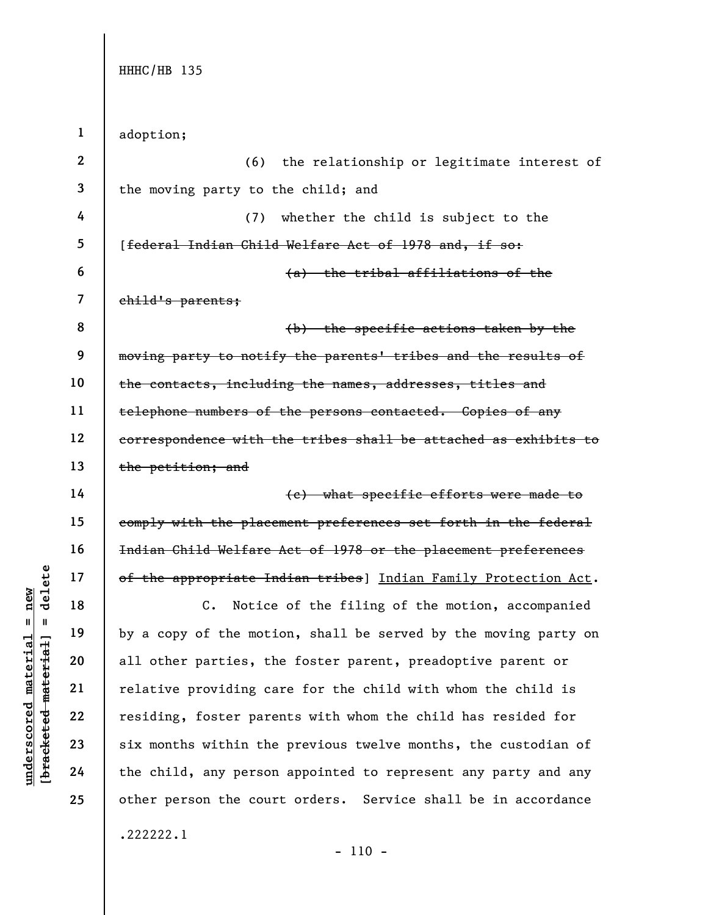1 adoption;

2 3 4 5 6 7 8 9 10 11 12 13 14 15 16 17 (6) the relationship or legitimate interest of the moving party to the child; and (7) whether the child is subject to the [federal Indian Child Welfare Act of 1978 and, if so: (a) the tribal affiliations of the child's parents; (b) the specific actions taken by the moving party to notify the parents' tribes and the results of the contacts, including the names, addresses, titles and telephone numbers of the persons contacted. Copies of any correspondence with the tribes shall be attached as exhibits to the petition; and (c) what specific efforts were made to comply with the placement preferences set forth in the federal Indian Child Welfare Act of 1978 or the placement preferences of the appropriate Indian tribes] Indian Family Protection Act.

understand material efficiency of the appropriate In equal to the motion of the motion of the motion of the motion of the motion of the motion of the motion of the motion of the motion of the motion of the motion of the mo C. Notice of the filing of the motion, accompanied by a copy of the motion, shall be served by the moving party on all other parties, the foster parent, preadoptive parent or relative providing care for the child with whom the child is residing, foster parents with whom the child has resided for six months within the previous twelve months, the custodian of the child, any person appointed to represent any party and any other person the court orders. Service shall be in accordance .222222.1

- 110 -

18

19

20

21

22

23

24

25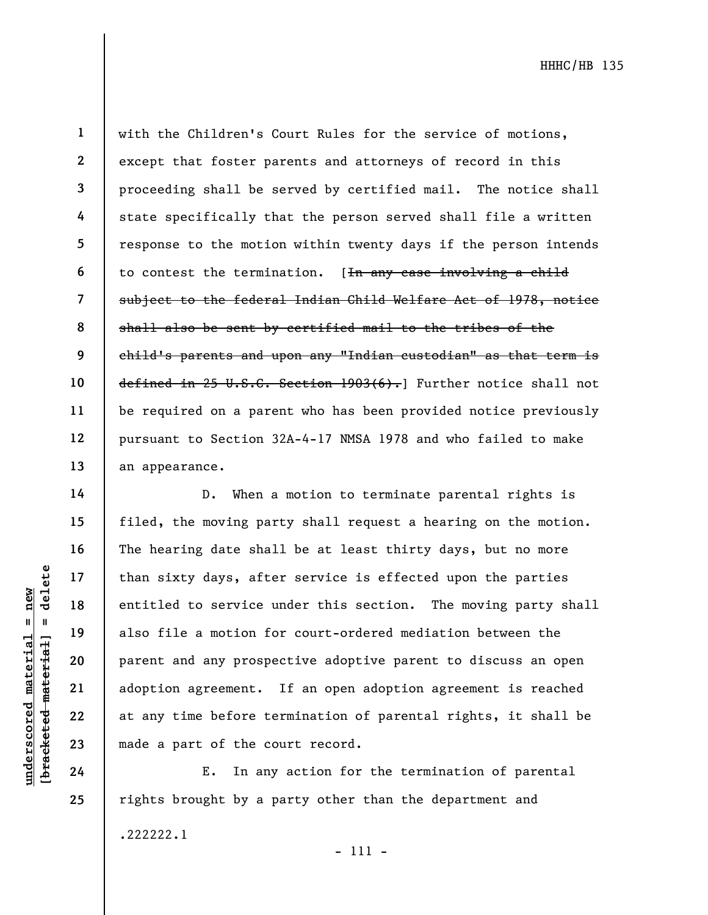24

25

1 2 3 4 5 6 7 8 9 with the Children's Court Rules for the service of motions, except that foster parents and attorneys of record in this proceeding shall be served by certified mail. The notice shall state specifically that the person served shall file a written response to the motion within twenty days if the person intends to contest the termination. [In any case involving a child subject to the federal Indian Child Welfare Act of 1978, notice shall also be sent by certified mail to the tribes of the child's parents and upon any "Indian custodian" as that term is defined in 25 U.S.C. Section 1903(6). Further notice shall not be required on a parent who has been provided notice previously pursuant to Section 32A-4-17 NMSA 1978 and who failed to make an appearance.

understand material entitled to service understanding also file a motion for a material and a motion for a material contract and any prosper adoption agreement.<br>
The same of the contract and a motion for a material and a m D. When a motion to terminate parental rights is filed, the moving party shall request a hearing on the motion. The hearing date shall be at least thirty days, but no more than sixty days, after service is effected upon the parties entitled to service under this section. The moving party shall also file a motion for court-ordered mediation between the parent and any prospective adoptive parent to discuss an open adoption agreement. If an open adoption agreement is reached at any time before termination of parental rights, it shall be made a part of the court record.

E. In any action for the termination of parental rights brought by a party other than the department and .222222.1

- 111 -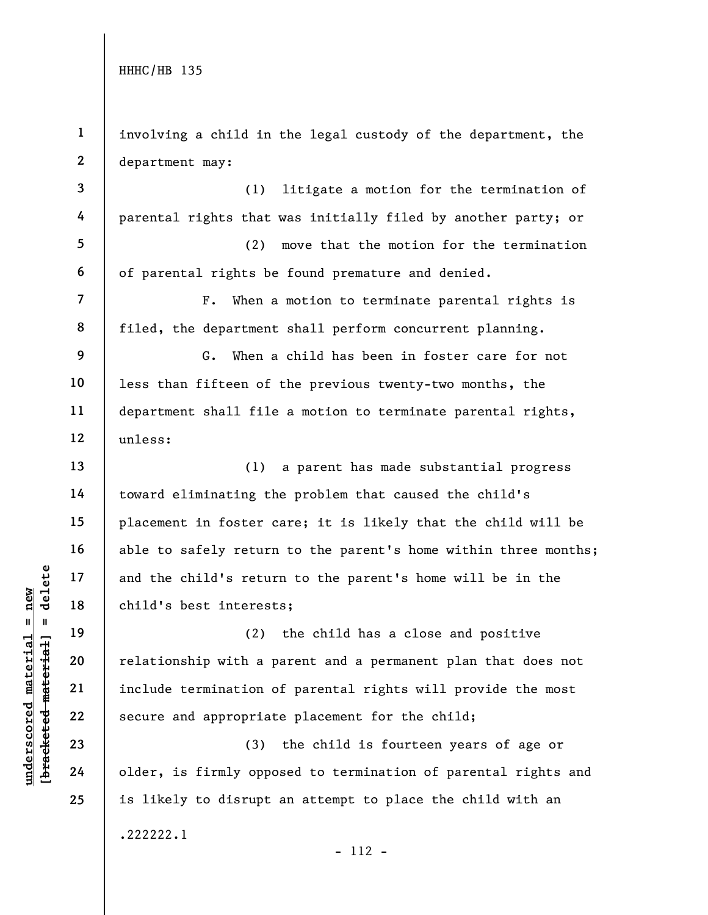understand material of the child's returned material extended material of the child's best interest<br>core of the child's best interest<br>deleted material and the child's returned<br>20 colder material (2)<br>include termination c<br>s 1 2 3 4 5 6 7 8 9 10 11 12 13 14 15 16 17 18 19 20 21 22 23 24 25 involving a child in the legal custody of the department, the department may: (1) litigate a motion for the termination of parental rights that was initially filed by another party; or (2) move that the motion for the termination of parental rights be found premature and denied. F. When a motion to terminate parental rights is filed, the department shall perform concurrent planning. G. When a child has been in foster care for not less than fifteen of the previous twenty-two months, the department shall file a motion to terminate parental rights, unless: (1) a parent has made substantial progress toward eliminating the problem that caused the child's placement in foster care; it is likely that the child will be able to safely return to the parent's home within three months; and the child's return to the parent's home will be in the child's best interests; (2) the child has a close and positive relationship with a parent and a permanent plan that does not include termination of parental rights will provide the most secure and appropriate placement for the child; (3) the child is fourteen years of age or older, is firmly opposed to termination of parental rights and is likely to disrupt an attempt to place the child with an .222222.1 - 112 -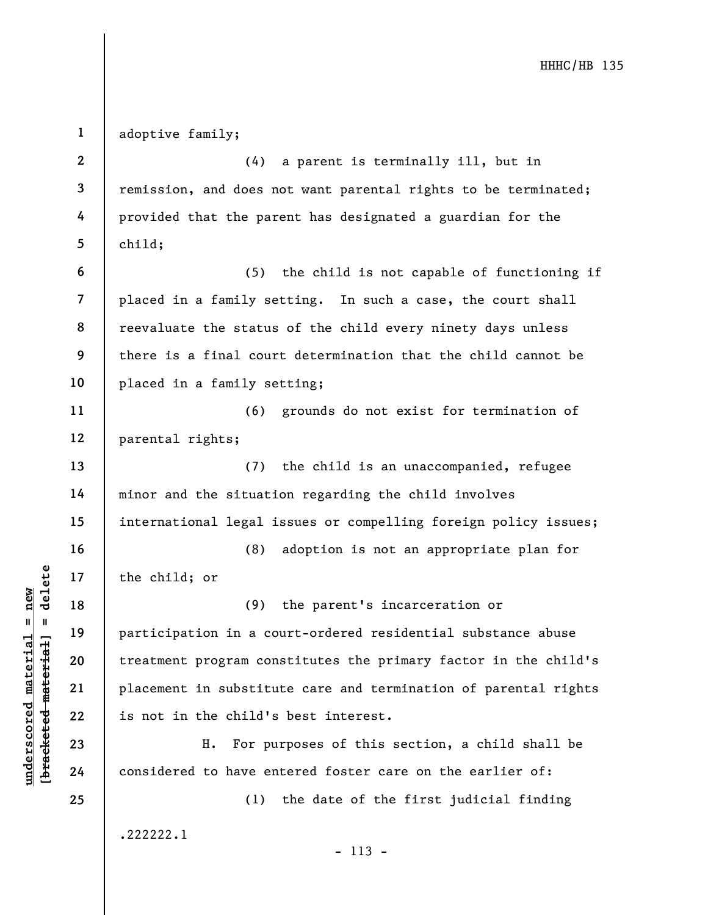underscored material spaces of the child; or<br>  $\begin{array}{c|c|c|c} \hline \text{u} & \text{u} & \text{u} & \text{u} & \text{u} \\ \hline \text{u} & \text{u} & \text{u} & \text{u} & \text{u} \\ \hline \text{u} & \text{u} & \text{u} & \text{u} & \text{u} \\ \hline \text{u} & \text{u} & \text{u} & \text{u} & \text{u} \\ \hline \text{u} & \text{u} & \text{u} & \text{u} & \text{$ 1 2 3 4 5 6 7 8 9 10 11 12 13 14 15 16 17 18 19 20 21 22 23 24 25 adoptive family; (4) a parent is terminally ill, but in remission, and does not want parental rights to be terminated; provided that the parent has designated a guardian for the child; (5) the child is not capable of functioning if placed in a family setting. In such a case, the court shall reevaluate the status of the child every ninety days unless there is a final court determination that the child cannot be placed in a family setting; (6) grounds do not exist for termination of parental rights; (7) the child is an unaccompanied, refugee minor and the situation regarding the child involves international legal issues or compelling foreign policy issues; (8) adoption is not an appropriate plan for the child; or (9) the parent's incarceration or participation in a court-ordered residential substance abuse treatment program constitutes the primary factor in the child's placement in substitute care and termination of parental rights is not in the child's best interest. H. For purposes of this section, a child shall be considered to have entered foster care on the earlier of: (1) the date of the first judicial finding .222222.1 - 113 -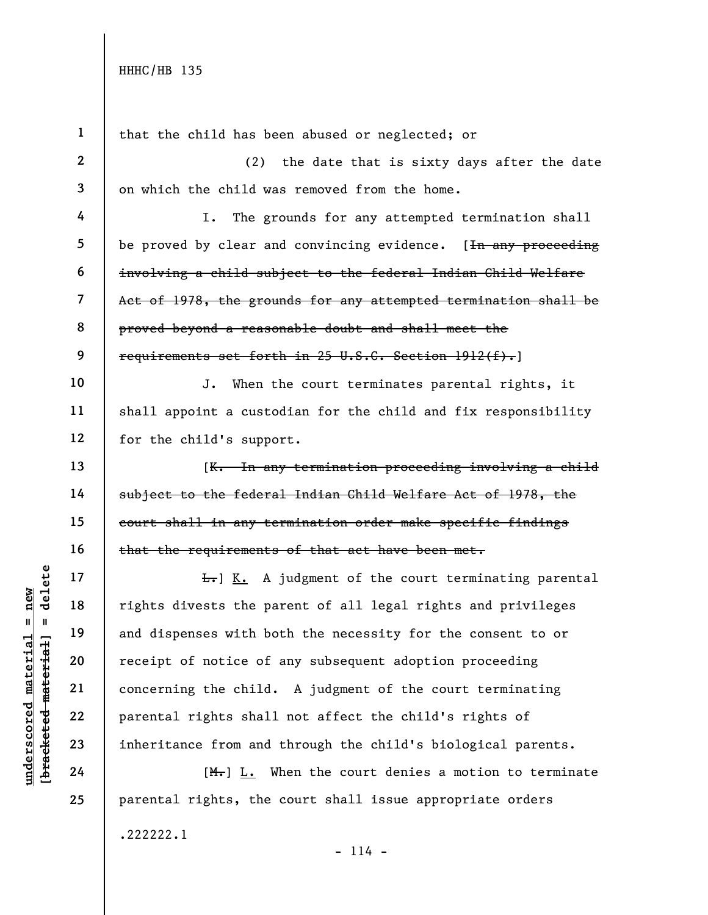| $\mathbf{1}$            | that the child has been abused or neglected; or                 |
|-------------------------|-----------------------------------------------------------------|
| $\mathbf{2}$            | the date that is sixty days after the date<br>(2)               |
| 3                       | on which the child was removed from the home.                   |
| 4                       | The grounds for any attempted termination shall<br>I.           |
| 5                       | be proved by clear and convincing evidence. [In any proceeding  |
| 6                       | involving a child subject to the federal Indian Child Welfare   |
| $\overline{\mathbf{7}}$ | Act of 1978, the grounds for any attempted termination shall be |
| 8                       | proved beyond a reasonable doubt and shall meet the             |
| 9                       | requirements set forth in 25 U.S.C. Section 1912(f).]           |
| 10                      | J. When the court terminates parental rights, it                |
| 11                      | shall appoint a custodian for the child and fix responsibility  |
| 12                      | for the child's support.                                        |
| 13                      | [K. In any termination proceeding involving a child             |
| 14                      | subject to the federal Indian Child Welfare Act of 1978, the    |
| 15                      | court shall in any termination order make specific findings     |
| 16                      | that the requirements of that act have been met.                |
| 17                      | $E_r$ ] K. A judgment of the court terminating parental         |
| 18                      | rights divests the parent of all legal rights and privileges    |
| 19                      | and dispenses with both the necessity for the consent to or     |
| 20                      | receipt of notice of any subsequent adoption proceeding         |
| 21                      | concerning the child. A judgment of the court terminating       |
| 22                      | parental rights shall not affect the child's rights of          |
| 23                      | inheritance from and through the child's biological parents.    |
| 24                      | $[M1]$ L. When the court denies a motion to terminate           |
| 25                      | parental rights, the court shall issue appropriate orders       |
|                         | .222222.1                                                       |

 $\frac{\text{undersecond material} = \text{new}}{\text{beac detected} - \text{meter} \cdot \text{t} + \text{a}}$  = delete

- 114 -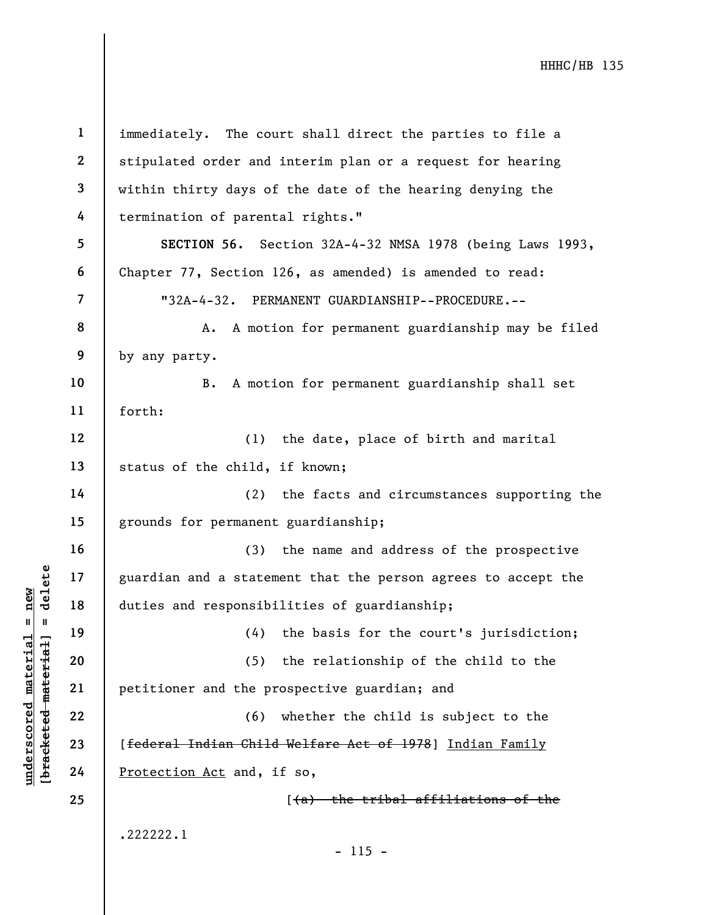underscored material = new [bracketed material] = delete 1 2 3 4 5 6 7 8 9 10 11 12 13 14 15 16 17 18 19 20 21 22 23 24 25 immediately. The court shall direct the parties to file a stipulated order and interim plan or a request for hearing within thirty days of the date of the hearing denying the termination of parental rights." SECTION 56. Section 32A-4-32 NMSA 1978 (being Laws 1993, Chapter 77, Section 126, as amended) is amended to read: "32A-4-32. PERMANENT GUARDIANSHIP--PROCEDURE.-- A. A motion for permanent guardianship may be filed by any party. B. A motion for permanent guardianship shall set forth: (1) the date, place of birth and marital status of the child, if known; (2) the facts and circumstances supporting the grounds for permanent guardianship; (3) the name and address of the prospective guardian and a statement that the person agrees to accept the duties and responsibilities of guardianship; (4) the basis for the court's jurisdiction; (5) the relationship of the child to the petitioner and the prospective guardian; and (6) whether the child is subject to the [federal Indian Child Welfare Act of 1978] Indian Family Protection Act and, if so, [(a) the tribal affiliations of the .222222.1 - 115 -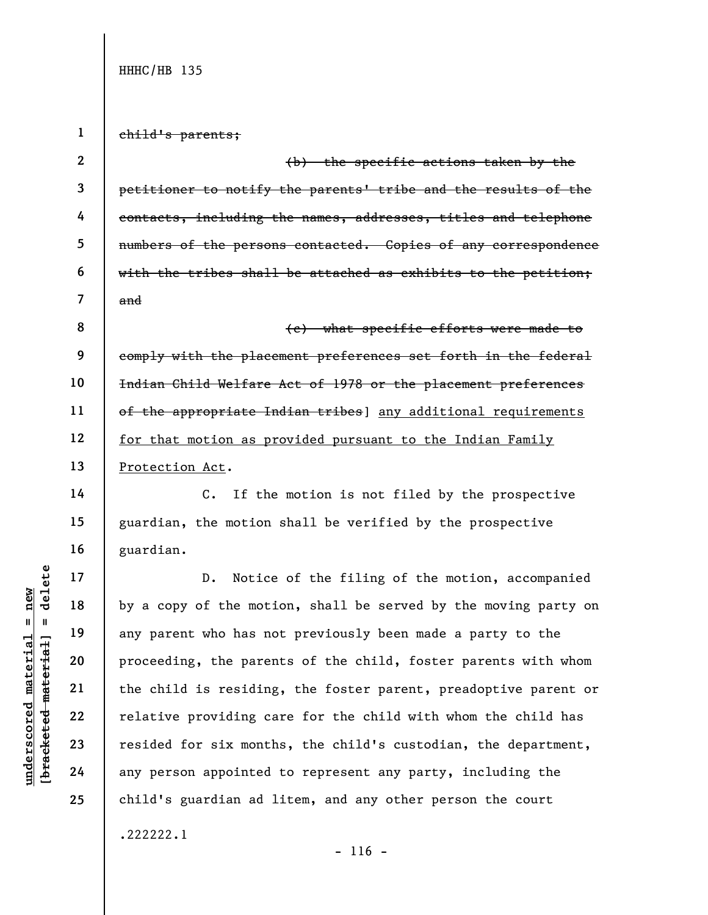1 child's parents;

2 3 4 5 6 7 (b) the specific actions taken by the petitioner to notify the parents' tribe and the results of the contacts, including the names, addresses, titles and telephone numbers of the persons contacted. Copies of any correspondence with the tribes shall be attached as exhibits to the petition; and

8 9 10 11 12 13 (c) what specific efforts were made to comply with the placement preferences set forth in the federal Indian Child Welfare Act of 1978 or the placement preferences of the appropriate Indian tribes] any additional requirements for that motion as provided pursuant to the Indian Family Protection Act.

C. If the motion is not filed by the prospective guardian, the motion shall be verified by the prospective guardian.

underscored material = new [bracketed material] = delete D. Notice of the filing of the motion, accompanied by a copy of the motion, shall be served by the moving party on any parent who has not previously been made a party to the proceeding, the parents of the child, foster parents with whom the child is residing, the foster parent, preadoptive parent or relative providing care for the child with whom the child has resided for six months, the child's custodian, the department, any person appointed to represent any party, including the child's guardian ad litem, and any other person the court .222222.1

14

15

16

17

18

19

20

21

22

23

24

25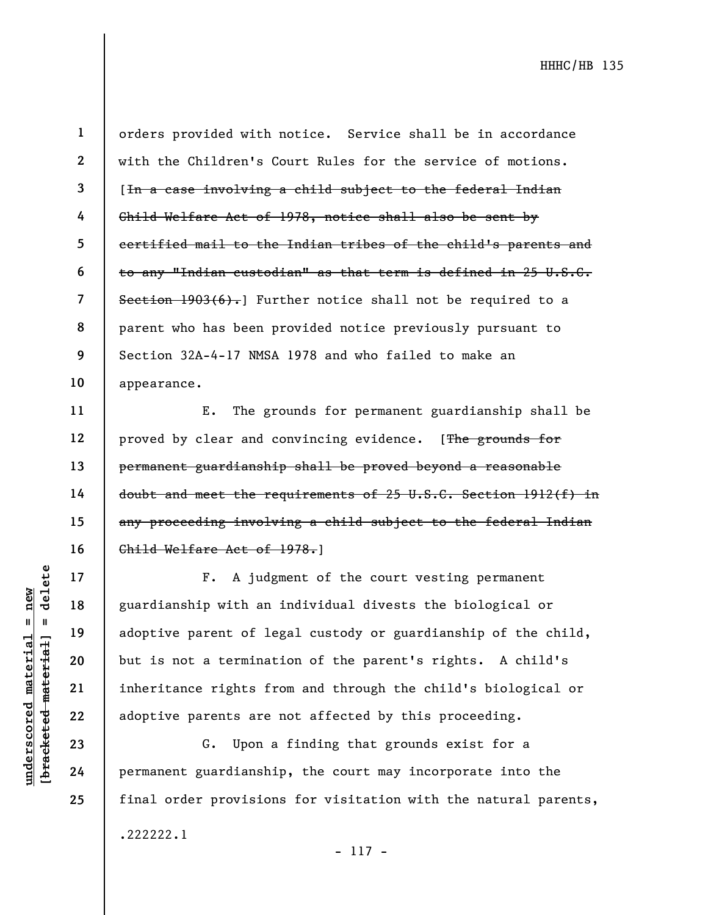11

12

13

14

15

16

17

18

19

20

21

22

23

24

25

1 2 3 4 5 6 7 8 9 10 orders provided with notice. Service shall be in accordance with the Children's Court Rules for the service of motions. [In a case involving a child subject to the federal Indian Child Welfare Act of 1978, notice shall also be sent by certified mail to the Indian tribes of the child's parents and to any "Indian custodian" as that term is defined in 25 U.S.C. Section  $1903(6)$ . Further notice shall not be required to a parent who has been provided notice previously pursuant to Section 32A-4-17 NMSA 1978 and who failed to make an appearance.

E. The grounds for permanent guardianship shall be proved by clear and convincing evidence. [The grounds for permanent guardianship shall be proved beyond a reasonable doubt and meet the requirements of 25 U.S.C. Section 1912(f) in any proceeding involving a child subject to the federal Indian Child Welfare Act of 1978.]

underscore material material entity of the set of the set of the set of the set of the set of the set of the set of the set of the set of the set of the set of the set of the set of the set of the set of the set of the set F. A judgment of the court vesting permanent guardianship with an individual divests the biological or adoptive parent of legal custody or guardianship of the child, but is not a termination of the parent's rights. A child's inheritance rights from and through the child's biological or adoptive parents are not affected by this proceeding.

G. Upon a finding that grounds exist for a permanent guardianship, the court may incorporate into the final order provisions for visitation with the natural parents, .222222.1

- 117 -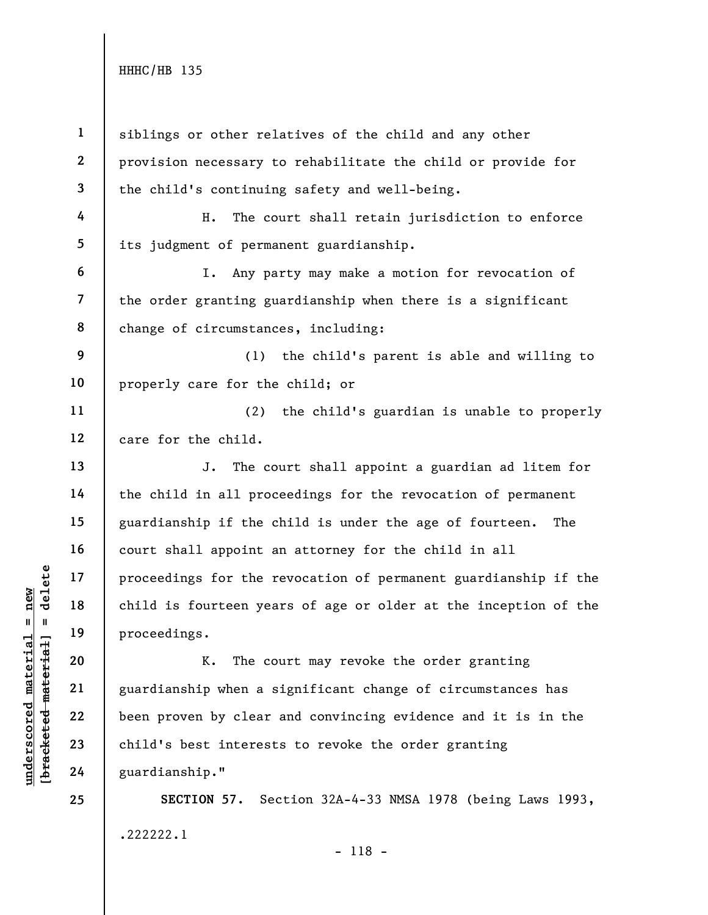understand material material of the material of the material of the material of the material of the material contract of the contract of the contract of the contract of the contract of the contract of the contract of the c 1 2 3 4 5 6 7 8 9 10 11 12 13 14 15 16 17 18 19 20 21 22 23 24 25 siblings or other relatives of the child and any other provision necessary to rehabilitate the child or provide for the child's continuing safety and well-being. H. The court shall retain jurisdiction to enforce its judgment of permanent guardianship. I. Any party may make a motion for revocation of the order granting guardianship when there is a significant change of circumstances, including: (1) the child's parent is able and willing to properly care for the child; or (2) the child's guardian is unable to properly care for the child. J. The court shall appoint a guardian ad litem for the child in all proceedings for the revocation of permanent guardianship if the child is under the age of fourteen. The court shall appoint an attorney for the child in all proceedings for the revocation of permanent guardianship if the child is fourteen years of age or older at the inception of the proceedings. K. The court may revoke the order granting guardianship when a significant change of circumstances has been proven by clear and convincing evidence and it is in the child's best interests to revoke the order granting guardianship." SECTION 57. Section 32A-4-33 NMSA 1978 (being Laws 1993, .222222.1

- 118 -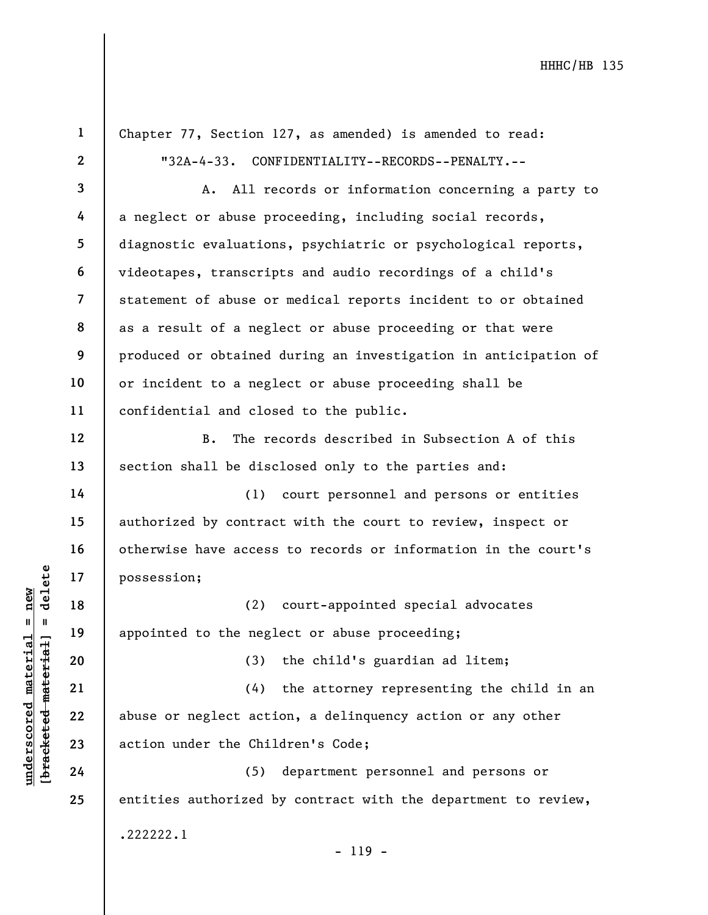underscored material = new [bracketed material] = delete 1 2 3 4 5 6 7 8 9 10 11 12 13 14 15 16 17 18 19 20 21 22 23 24 25 Chapter 77, Section 127, as amended) is amended to read: "32A-4-33. CONFIDENTIALITY--RECORDS--PENALTY.-- A. All records or information concerning a party to a neglect or abuse proceeding, including social records, diagnostic evaluations, psychiatric or psychological reports, videotapes, transcripts and audio recordings of a child's statement of abuse or medical reports incident to or obtained as a result of a neglect or abuse proceeding or that were produced or obtained during an investigation in anticipation of or incident to a neglect or abuse proceeding shall be confidential and closed to the public. B. The records described in Subsection A of this section shall be disclosed only to the parties and: (1) court personnel and persons or entities authorized by contract with the court to review, inspect or otherwise have access to records or information in the court's possession; (2) court-appointed special advocates appointed to the neglect or abuse proceeding; (3) the child's guardian ad litem; (4) the attorney representing the child in an abuse or neglect action, a delinquency action or any other action under the Children's Code; (5) department personnel and persons or entities authorized by contract with the department to review, .222222.1 - 119 -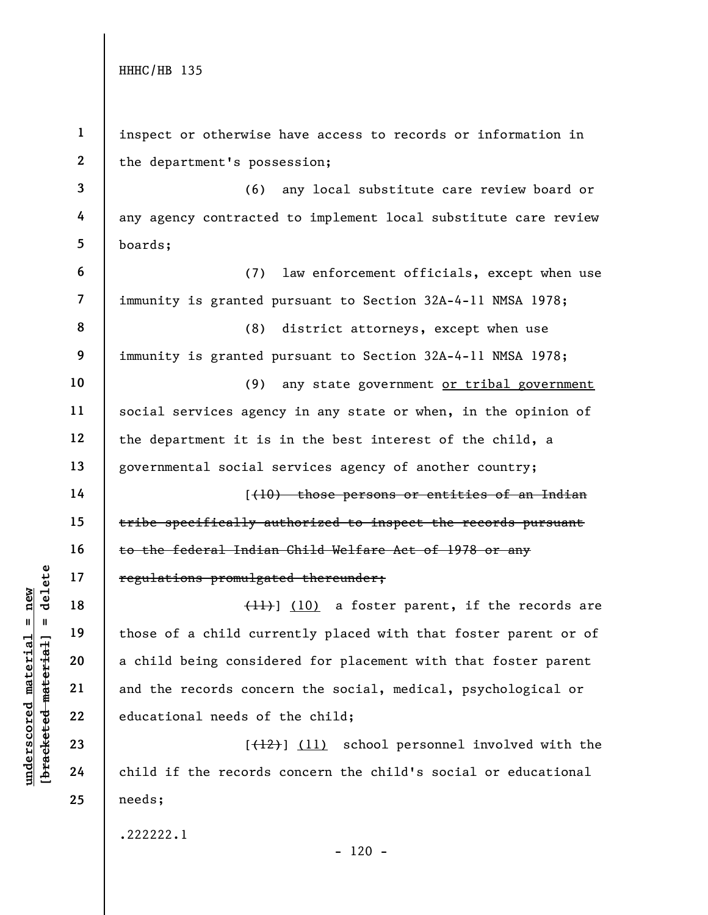|                                 | $\mathbf{1}$     | inspect or otherwise have access to records or information in   |
|---------------------------------|------------------|-----------------------------------------------------------------|
|                                 | $\boldsymbol{2}$ | the department's possession;                                    |
|                                 | $\mathbf{3}$     | (6)<br>any local substitute care review board or                |
|                                 | 4                | any agency contracted to implement local substitute care review |
|                                 | 5                | boards;                                                         |
|                                 | $\boldsymbol{6}$ | law enforcement officials, except when use<br>(7)               |
|                                 | $\overline{7}$   | immunity is granted pursuant to Section 32A-4-11 NMSA 1978;     |
|                                 | 8                | (8)<br>district attorneys, except when use                      |
|                                 | 9                | immunity is granted pursuant to Section 32A-4-11 NMSA 1978;     |
|                                 | 10               | any state government or tribal government<br>(9)                |
|                                 | 11               | social services agency in any state or when, in the opinion of  |
|                                 | 12               | the department it is in the best interest of the child, a       |
|                                 | 13               | governmental social services agency of another country;         |
|                                 | 14               | ((10) those persons or entities of an Indian                    |
|                                 | 15               | tribe specifically authorized to inspect the records pursuant   |
|                                 | 16               | to the federal Indian Child Welfare Act of 1978 or any          |
| delete                          | 17               | regulations promulgated thereunder;                             |
| new<br>II                       | 18               | $(H)$ (10) a foster parent, if the records are                  |
| 님                               | 19               | those of a child currently placed with that foster parent or of |
|                                 | 20               | a child being considered for placement with that foster parent  |
|                                 | 21               | and the records concern the social, medical, psychological or   |
| [ <del>bracketed material</del> | 22               | educational needs of the child;                                 |
|                                 | 23               | [(12)] (11) school personnel involved with the                  |
| underscored materi              | 24               | child if the records concern the child's social or educational  |
|                                 | 25               | needs;                                                          |
|                                 |                  | .222222.1                                                       |

- 120 -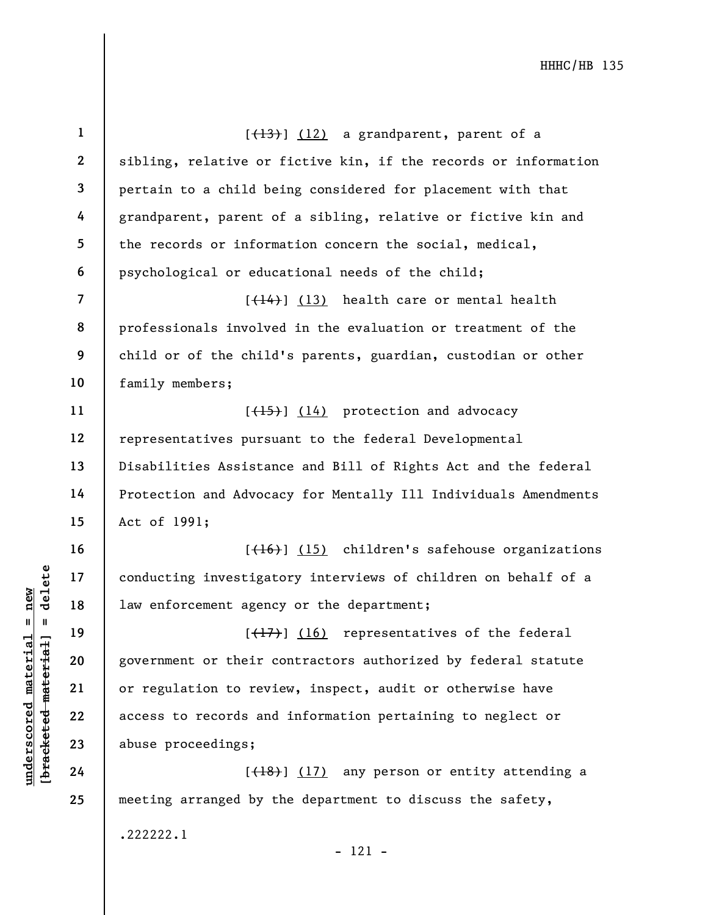|                         | $\mathbf{1}$            | $[\frac{13}{13}]$ (12) a grandparent, parent of a               |
|-------------------------|-------------------------|-----------------------------------------------------------------|
|                         | $\mathbf{2}$            | sibling, relative or fictive kin, if the records or information |
|                         | $\overline{3}$          | pertain to a child being considered for placement with that     |
|                         | 4                       | grandparent, parent of a sibling, relative or fictive kin and   |
|                         | 5                       | the records or information concern the social, medical,         |
|                         | 6                       | psychological or educational needs of the child;                |
|                         | $\overline{\mathbf{7}}$ | $\left[\frac{14}{14}\right]$ (13) health care or mental health  |
|                         | 8                       | professionals involved in the evaluation or treatment of the    |
|                         | 9                       | child or of the child's parents, guardian, custodian or other   |
|                         | 10                      | family members;                                                 |
|                         | 11                      | $[\frac{(15)}{(14)}]$ protection and advocacy                   |
|                         | 12                      | representatives pursuant to the federal Developmental           |
|                         | 13                      | Disabilities Assistance and Bill of Rights Act and the federal  |
|                         | 14                      | Protection and Advocacy for Mentally Ill Individuals Amendments |
|                         | 15                      | Act of 1991;                                                    |
|                         | 16                      | [(16)] (15) children's safehouse organizations                  |
| delete                  | 17                      | conducting investigatory interviews of children on behalf of a  |
| $n$ ew                  | 18                      | law enforcement agency or the department;                       |
| Ш                       | 19                      | $(\overline{+17})$ (16) representatives of the federal          |
| material<br>materia     | 20                      | government or their contractors authorized by federal statute   |
|                         | 21                      | or regulation to review, inspect, audit or otherwise have       |
|                         | 22                      | access to records and information pertaining to neglect or      |
| [bracketed              | 23                      | abuse proceedings;                                              |
| $\bm{{\rm underscore}}$ | 24                      | [(18)] (17) any person or entity attending a                    |
|                         | 25                      | meeting arranged by the department to discuss the safety,       |

.222222.1

- 121 -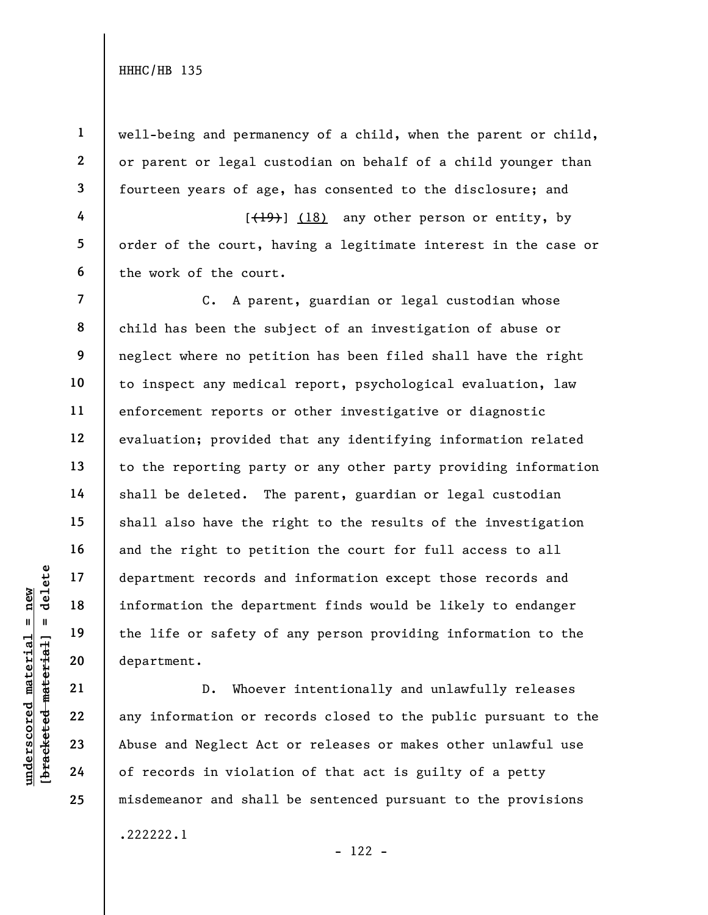1

2

3

4

5

6

7

8

9

10

11

12

13

14

15

16

17

18

19

20

21

22

23

24

25

well-being and permanency of a child, when the parent or child, or parent or legal custodian on behalf of a child younger than fourteen years of age, has consented to the disclosure; and

 $[\frac{(19)}{18}]$  (18) any other person or entity, by order of the court, having a legitimate interest in the case or the work of the court.

understand material of records and the department records and<br>
information the department<br>  $\begin{array}{c|c|c|c} \hline \text{u} & \text{u} & \text{u} & \text{u} & \text{u} & \text{u} & \text{u} & \text{u} & \text{u} & \text{u} & \text{u} & \text{u} & \text{u} & \text{u} & \text{u} & \text{u} & \text{u} & \text{u} & \text{u} &$ C. A parent, guardian or legal custodian whose child has been the subject of an investigation of abuse or neglect where no petition has been filed shall have the right to inspect any medical report, psychological evaluation, law enforcement reports or other investigative or diagnostic evaluation; provided that any identifying information related to the reporting party or any other party providing information shall be deleted. The parent, guardian or legal custodian shall also have the right to the results of the investigation and the right to petition the court for full access to all department records and information except those records and information the department finds would be likely to endanger the life or safety of any person providing information to the department.

D. Whoever intentionally and unlawfully releases any information or records closed to the public pursuant to the Abuse and Neglect Act or releases or makes other unlawful use of records in violation of that act is guilty of a petty misdemeanor and shall be sentenced pursuant to the provisions .222222.1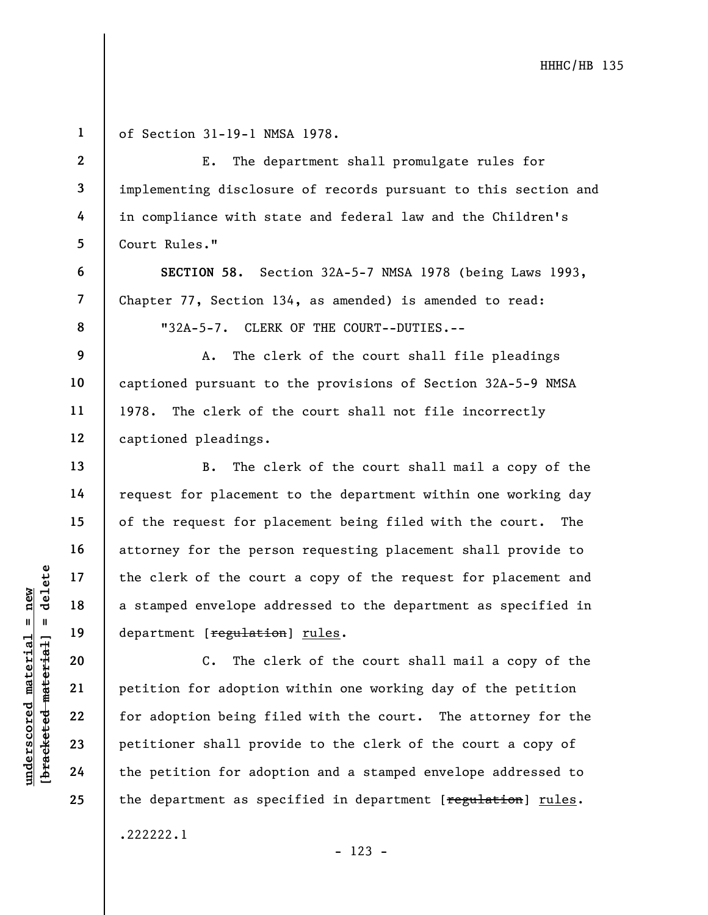underscored material = new [bracketed material] = delete of Section 31-19-1 NMSA 1978. Court Rules." captioned pleadings. department [regulation] rules.

.222222.1

1

2

3

4

5

6

7

8

9

10

11

12

13

14

15

16

17

18

19

20

21

22

23

24

25

E. The department shall promulgate rules for implementing disclosure of records pursuant to this section and in compliance with state and federal law and the Children's

SECTION 58. Section 32A-5-7 NMSA 1978 (being Laws 1993, Chapter 77, Section 134, as amended) is amended to read: "32A-5-7. CLERK OF THE COURT--DUTIES.--

A. The clerk of the court shall file pleadings captioned pursuant to the provisions of Section 32A-5-9 NMSA 1978. The clerk of the court shall not file incorrectly

B. The clerk of the court shall mail a copy of the request for placement to the department within one working day of the request for placement being filed with the court. The attorney for the person requesting placement shall provide to the clerk of the court a copy of the request for placement and a stamped envelope addressed to the department as specified in

C. The clerk of the court shall mail a copy of the petition for adoption within one working day of the petition for adoption being filed with the court. The attorney for the petitioner shall provide to the clerk of the court a copy of the petition for adoption and a stamped envelope addressed to the department as specified in department [regulation] rules.

- 123 -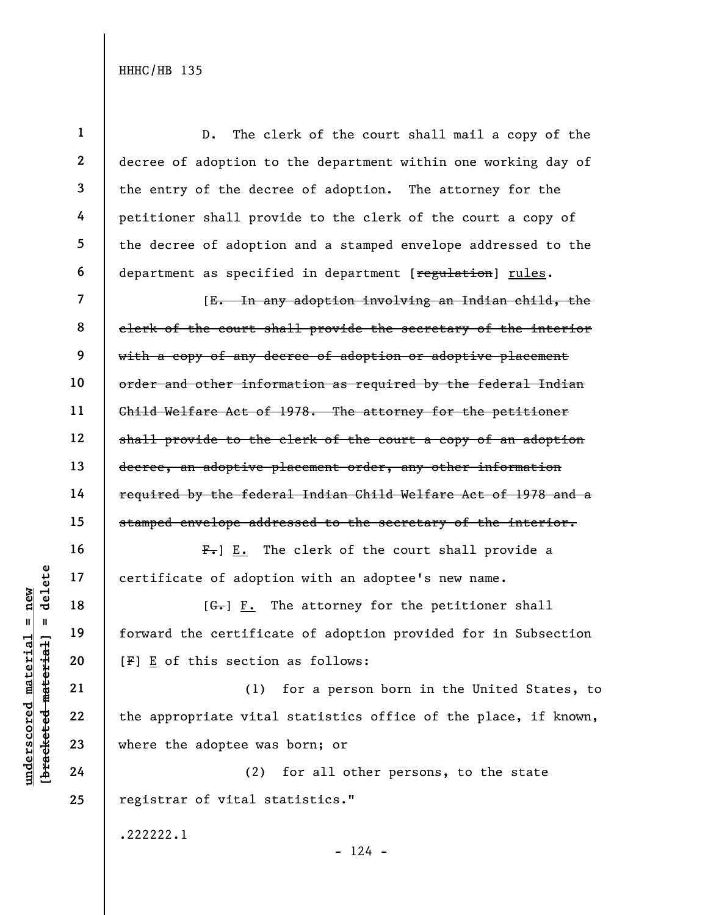understand material species of adoptical deviation<br>  $\begin{bmatrix}\n\mathbf{u} & \mathbf{u} & \mathbf{u} \\
\mathbf{u} & \mathbf{u} & \mathbf{u} \\
\mathbf{u} & \mathbf{u} & \mathbf{u} \\
\mathbf{u} & \mathbf{u} & \mathbf{u} \\
\mathbf{u} & \mathbf{u} & \mathbf{u} \\
\mathbf{u} & \mathbf{u} & \mathbf{u} \\
\mathbf{u} & \mathbf{u} & \mathbf{u} \\
\mathbf{u} & \mathbf{u} & \$ 1 2 3 4 5 6 7 8 9 10 11 12 13 14 15 16 17 18 19 20 21 22 23 24 25 D. The clerk of the court shall mail a copy of the decree of adoption to the department within one working day of the entry of the decree of adoption. The attorney for the petitioner shall provide to the clerk of the court a copy of the decree of adoption and a stamped envelope addressed to the department as specified in department [regulation] rules. [E. In any adoption involving an Indian child, the clerk of the court shall provide the secretary of the interior with a copy of any decree of adoption or adoptive placement order and other information as required by the federal Indian Child Welfare Act of 1978. The attorney for the petitioner shall provide to the clerk of the court a copy of an adoption decree, an adoptive placement order, any other information required by the federal Indian Child Welfare Act of 1978 and a stamped envelope addressed to the secretary of the interior.  $F_{\tau}$ ]  $E_{\tau}$  The clerk of the court shall provide a certificate of adoption with an adoptee's new name.  $[G<sub>r</sub>]$   $F<sub>r</sub>$  The attorney for the petitioner shall forward the certificate of adoption provided for in Subsection [F] E of this section as follows: (1) for a person born in the United States, to the appropriate vital statistics office of the place, if known, where the adoptee was born; or (2) for all other persons, to the state registrar of vital statistics." .222222.1

 $- 124 -$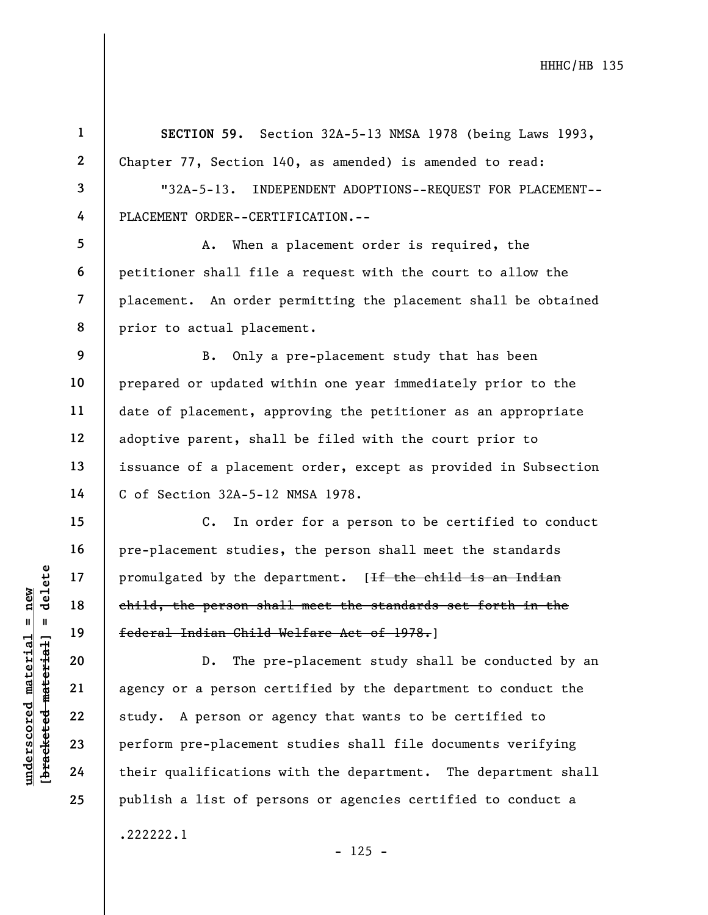understand material material end of the dender the person shapes of the set of the set of the person shapes of the person shapes of the person shapes of the person central dependence of their qualifications and their quali 1 2 3 4 5 6 7 8 9 10 11 12 13 14 15 16 17 18 19 20 21 22 23 24 25 SECTION 59. Section 32A-5-13 NMSA 1978 (being Laws 1993, Chapter 77, Section 140, as amended) is amended to read: "32A-5-13. INDEPENDENT ADOPTIONS--REQUEST FOR PLACEMENT-- PLACEMENT ORDER--CERTIFICATION.-- A. When a placement order is required, the petitioner shall file a request with the court to allow the placement. An order permitting the placement shall be obtained prior to actual placement. B. Only a pre-placement study that has been prepared or updated within one year immediately prior to the date of placement, approving the petitioner as an appropriate adoptive parent, shall be filed with the court prior to issuance of a placement order, except as provided in Subsection C of Section 32A-5-12 NMSA 1978. C. In order for a person to be certified to conduct pre-placement studies, the person shall meet the standards promulgated by the department. [If the child is an Indian child, the person shall meet the standards set forth in the federal Indian Child Welfare Act of 1978.] D. The pre-placement study shall be conducted by an agency or a person certified by the department to conduct the study. A person or agency that wants to be certified to perform pre-placement studies shall file documents verifying their qualifications with the department. The department shall publish a list of persons or agencies certified to conduct a .222222.1  $- 125 -$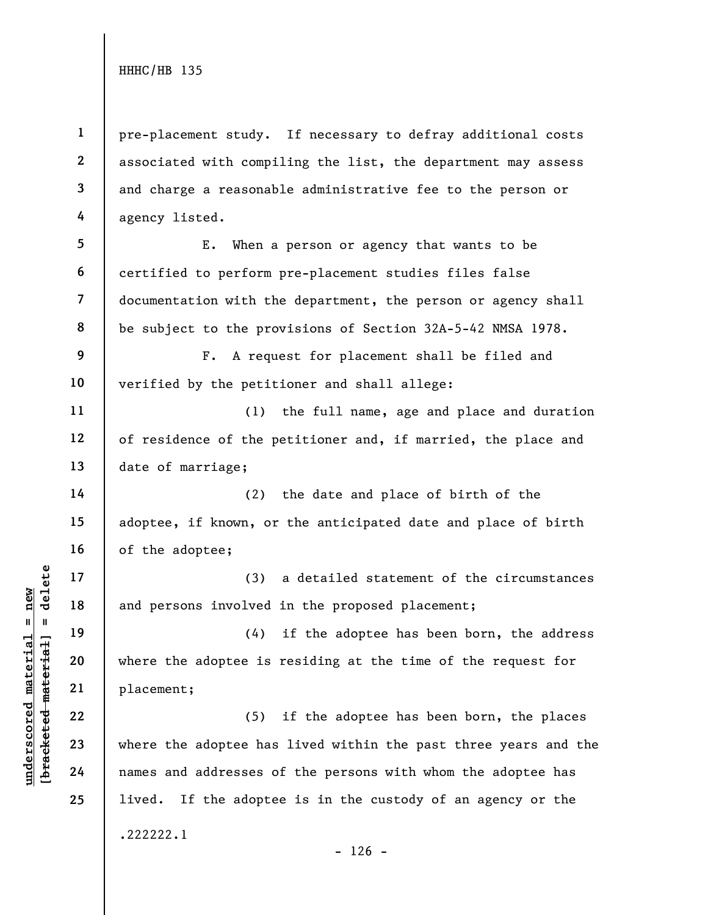1 2 3 4 pre-placement study. If necessary to defray additional costs associated with compiling the list, the department may assess and charge a reasonable administrative fee to the person or agency listed.

5 6 7 8 E. When a person or agency that wants to be certified to perform pre-placement studies files false documentation with the department, the person or agency shall be subject to the provisions of Section 32A-5-42 NMSA 1978.

F. A request for placement shall be filed and verified by the petitioner and shall allege:

(1) the full name, age and place and duration of residence of the petitioner and, if married, the place and date of marriage;

(2) the date and place of birth of the adoptee, if known, or the anticipated date and place of birth of the adoptee;

(3) a detailed statement of the circumstances and persons involved in the proposed placement;

(4) if the adoptee has been born, the address where the adoptee is residing at the time of the request for placement;

understand material material material and persons involved<br>
and persons involved<br>  $\begin{array}{c|c} \n\text{ucl } 1 & \text{ucl } 1 & \text{ucl } 2 & \text{ucl } 2 & \text{ucl } 2 & \text{ucl } 2 & \text{ucl } 2 & \text{ucl } 2 & \text{ucl } 2 & \text{ucl } 2 & \text{ucl } 2 & \text{ucl } 2 & \text{ucl } 2 & \text{ucl } 2 & \text$ (5) if the adoptee has been born, the places where the adoptee has lived within the past three years and the names and addresses of the persons with whom the adoptee has lived. If the adoptee is in the custody of an agency or the .222222.1

 $- 126 -$ 

9

10

11

12

13

14

15

16

17

18

19

20

21

22

23

24

25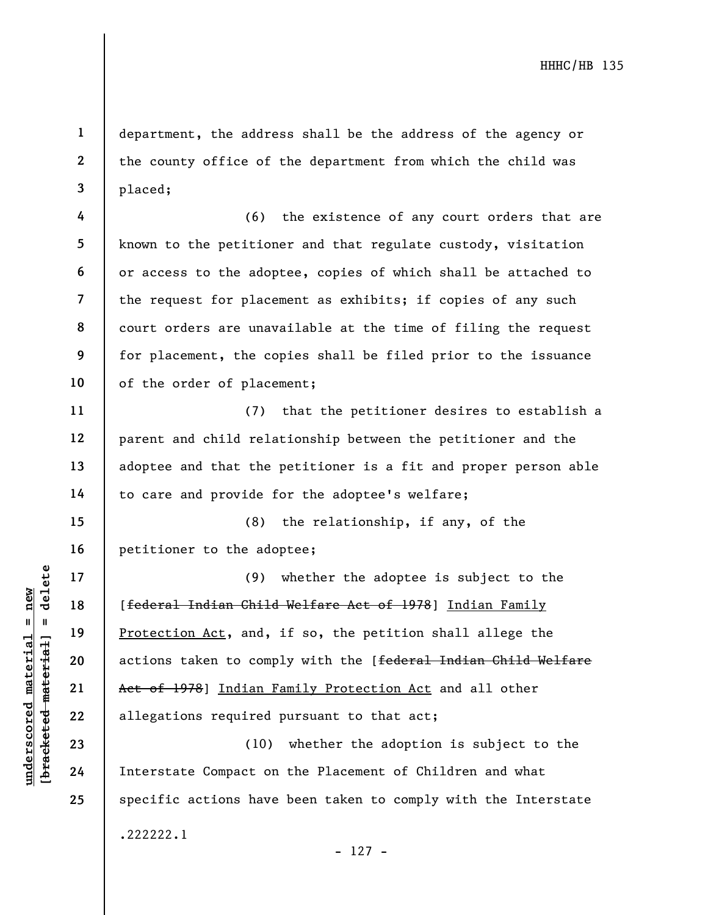department, the address shall be the address of the agency or the county office of the department from which the child was placed;

4 5 6 7 8 9 10 (6) the existence of any court orders that are known to the petitioner and that regulate custody, visitation or access to the adoptee, copies of which shall be attached to the request for placement as exhibits; if copies of any such court orders are unavailable at the time of filing the request for placement, the copies shall be filed prior to the issuance of the order of placement;

(7) that the petitioner desires to establish a parent and child relationship between the petitioner and the adoptee and that the petitioner is a fit and proper person able to care and provide for the adoptee's welfare;

15 16 (8) the relationship, if any, of the petitioner to the adoptee;

underscored material spinster of 1978<br>
The material of the set of 1978<br>
The spinster of 1978<br>
Patterial indian Faction Act, and,<br>
actions taken to computed<br>
22<br>
23<br>
24<br>
Therstate Compact on (9) whether the adoptee is subject to the [federal Indian Child Welfare Act of 1978] Indian Family Protection Act, and, if so, the petition shall allege the actions taken to comply with the [federal Indian Child Welfare Act of 1978] Indian Family Protection Act and all other allegations required pursuant to that act;

(10) whether the adoption is subject to the Interstate Compact on the Placement of Children and what specific actions have been taken to comply with the Interstate .222222.1

1

2

3

11

12

13

14

17

18

19

20

21

22

23

24

25

- 127 -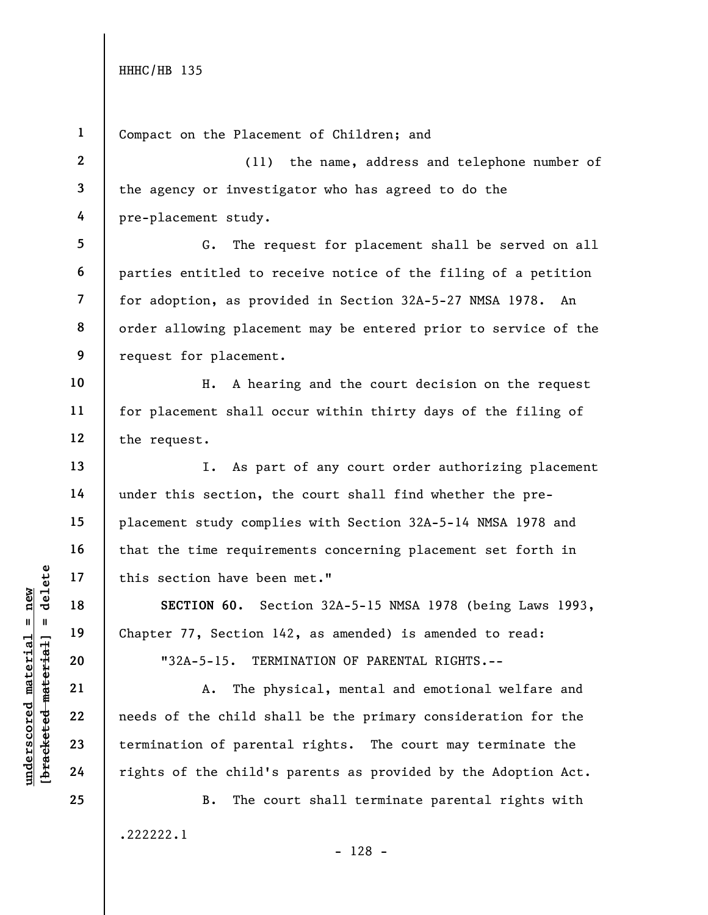25

Compact on the Placement of Children; and

(11) the name, address and telephone number of the agency or investigator who has agreed to do the pre-placement study.

G. The request for placement shall be served on all parties entitled to receive notice of the filing of a petition for adoption, as provided in Section 32A-5-27 NMSA 1978. An order allowing placement may be entered prior to service of the request for placement.

H. A hearing and the court decision on the request for placement shall occur within thirty days of the filing of the request.

I. As part of any court order authorizing placement under this section, the court shall find whether the preplacement study complies with Section 32A-5-14 NMSA 1978 and that the time requirements concerning placement set forth in this section have been met."

SECTION 60. Section 32A-5-15 NMSA 1978 (being Laws 1993, Chapter 77, Section 142, as amended) is amended to read:

"32A-5-15. TERMINATION OF PARENTAL RIGHTS.--

A. The physical, mental and emotional welfare and needs of the child shall be the primary consideration for the termination of parental rights. The court may terminate the rights of the child's parents as provided by the Adoption Act.

B. The court shall terminate parental rights with .222222.1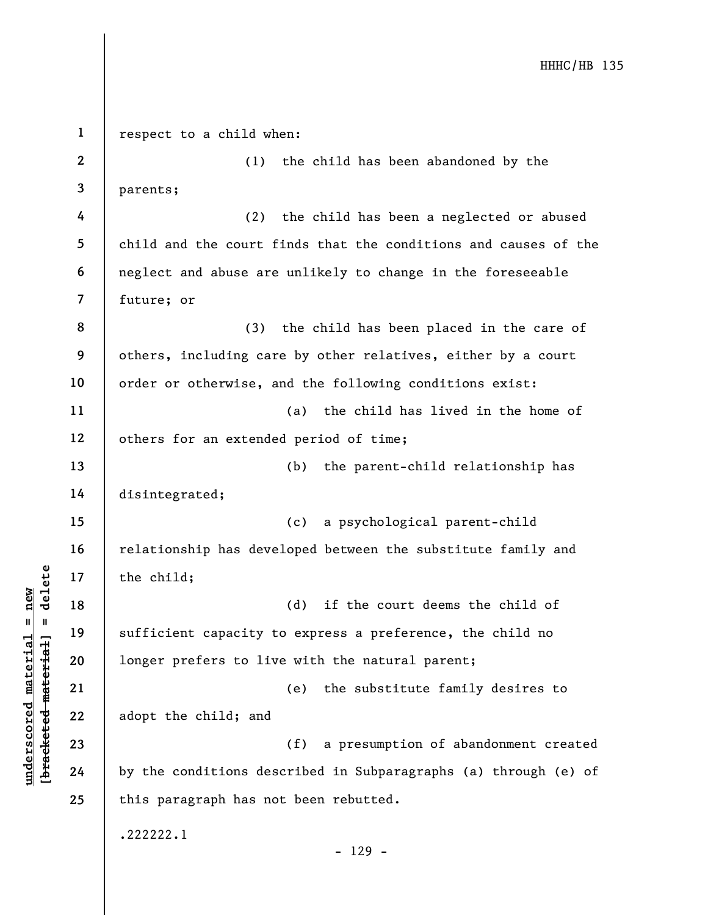underscored material = new [bracketed material] = delete 1 2 3 4 5 6 7 8 9 10 11 12 13 14 15 16 17 18 19 20 21 22 23 24 25 respect to a child when: (1) the child has been abandoned by the parents; (2) the child has been a neglected or abused child and the court finds that the conditions and causes of the neglect and abuse are unlikely to change in the foreseeable future; or (3) the child has been placed in the care of others, including care by other relatives, either by a court order or otherwise, and the following conditions exist: (a) the child has lived in the home of others for an extended period of time; (b) the parent-child relationship has disintegrated; (c) a psychological parent-child relationship has developed between the substitute family and the child; (d) if the court deems the child of sufficient capacity to express a preference, the child no longer prefers to live with the natural parent; (e) the substitute family desires to adopt the child; and (f) a presumption of abandonment created by the conditions described in Subparagraphs (a) through (e) of this paragraph has not been rebutted. .222222.1 - 129 -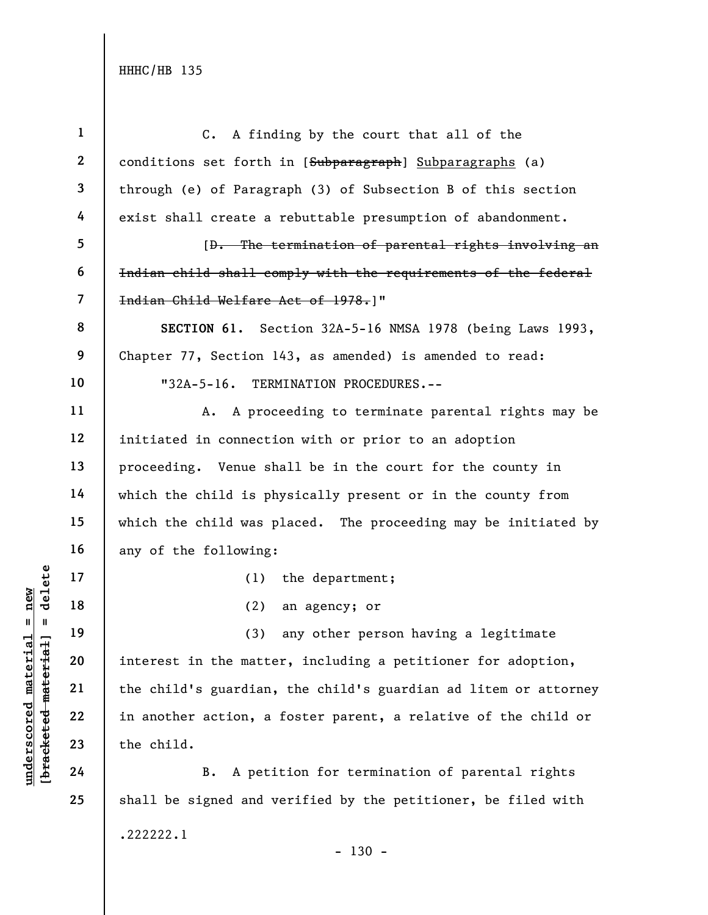underscored matterial matterial matterial matterial matterial matterial matterial matterial matterial matterial matterial matterial matterial matterial matterial matterial matterial matterial matterial matterial matterial 1 2 3 4 5 6 7 8 9 10 11 12 13 14 15 16 17 18 19 20 21 22 23 24 25 C. A finding by the court that all of the conditions set forth in [Subparagraph] Subparagraphs (a) through (e) of Paragraph (3) of Subsection B of this section exist shall create a rebuttable presumption of abandonment. [D. The termination of parental rights involving an Indian child shall comply with the requirements of the federal Indian Child Welfare Act of 1978.]" SECTION 61. Section 32A-5-16 NMSA 1978 (being Laws 1993, Chapter 77, Section 143, as amended) is amended to read: "32A-5-16. TERMINATION PROCEDURES.-- A. A proceeding to terminate parental rights may be initiated in connection with or prior to an adoption proceeding. Venue shall be in the court for the county in which the child is physically present or in the county from which the child was placed. The proceeding may be initiated by any of the following: (1) the department; (2) an agency; or (3) any other person having a legitimate interest in the matter, including a petitioner for adoption, the child's guardian, the child's guardian ad litem or attorney in another action, a foster parent, a relative of the child or the child. B. A petition for termination of parental rights shall be signed and verified by the petitioner, be filed with .222222.1

- 130 -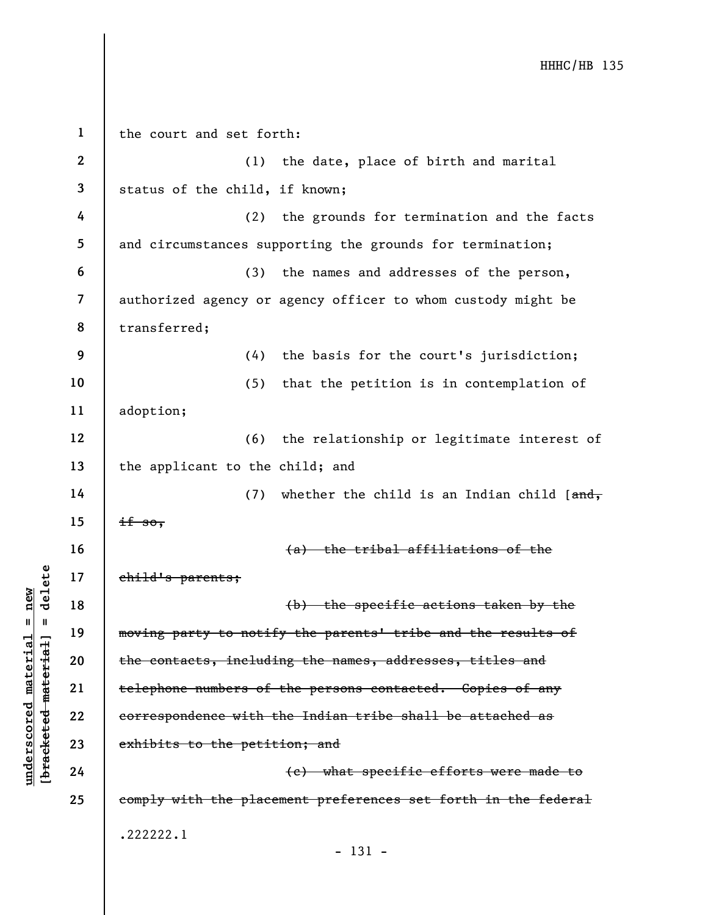understand material states.<br>
We have the contacts, including the contacts, including the contacts, including the contacts, including the contacts of<br>
we with the contacts of the period of the period of the period of the pe 1 2 3 4 5 6 7 8 9 10 11 12 13 14 15 16 17 18 19 20 21 22 23 24 25 the court and set forth: (1) the date, place of birth and marital status of the child, if known; (2) the grounds for termination and the facts and circumstances supporting the grounds for termination; (3) the names and addresses of the person, authorized agency or agency officer to whom custody might be transferred; (4) the basis for the court's jurisdiction; (5) that the petition is in contemplation of adoption; (6) the relationship or legitimate interest of the applicant to the child; and (7) whether the child is an Indian child  $[ $\frac{and}{,}$ ]$  $if so,$ (a) the tribal affiliations of the child's parents; (b) the specific actions taken by the moving party to notify the parents' tribe and the results of the contacts, including the names, addresses, titles and telephone numbers of the persons contacted. Copies of any correspondence with the Indian tribe shall be attached as exhibits to the petition; and (c) what specific efforts were made to comply with the placement preferences set forth in the federal .222222.1 - 131 -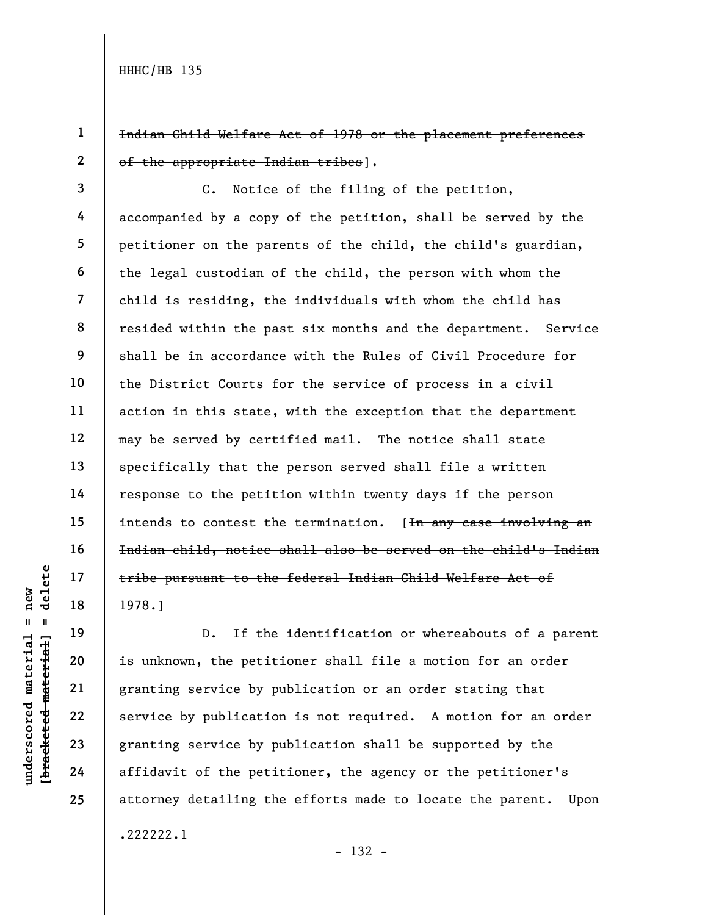1 2 Indian Child Welfare Act of 1978 or the placement preferences of the appropriate Indian tribes].

3 4 5 6 7 8 9 10 11 12 13 14 15 16 17 18 C. Notice of the filing of the petition, accompanied by a copy of the petition, shall be served by the petitioner on the parents of the child, the child's guardian, the legal custodian of the child, the person with whom the child is residing, the individuals with whom the child has resided within the past six months and the department. Service shall be in accordance with the Rules of Civil Procedure for the District Courts for the service of process in a civil action in this state, with the exception that the department may be served by certified mail. The notice shall state specifically that the person served shall file a written response to the petition within twenty days if the person intends to contest the termination. [<del>In any case involving an</del> Indian child, notice shall also be served on the child's Indian tribe pursuant to the federal Indian Child Welfare Act of 1978.]

19

20

21

22

23

24

25

understand material material end of the pursuant to the<br>
end of the pursuant to the<br>
definition of the petit<br>
granting service by publication<br>
23<br>
24 affidavit of the petit<br>
24 affidavit of the petit<br>
24 affidavit of the p D. If the identification or whereabouts of a parent is unknown, the petitioner shall file a motion for an order granting service by publication or an order stating that service by publication is not required. A motion for an order granting service by publication shall be supported by the affidavit of the petitioner, the agency or the petitioner's attorney detailing the efforts made to locate the parent. Upon .222222.1

- 132 -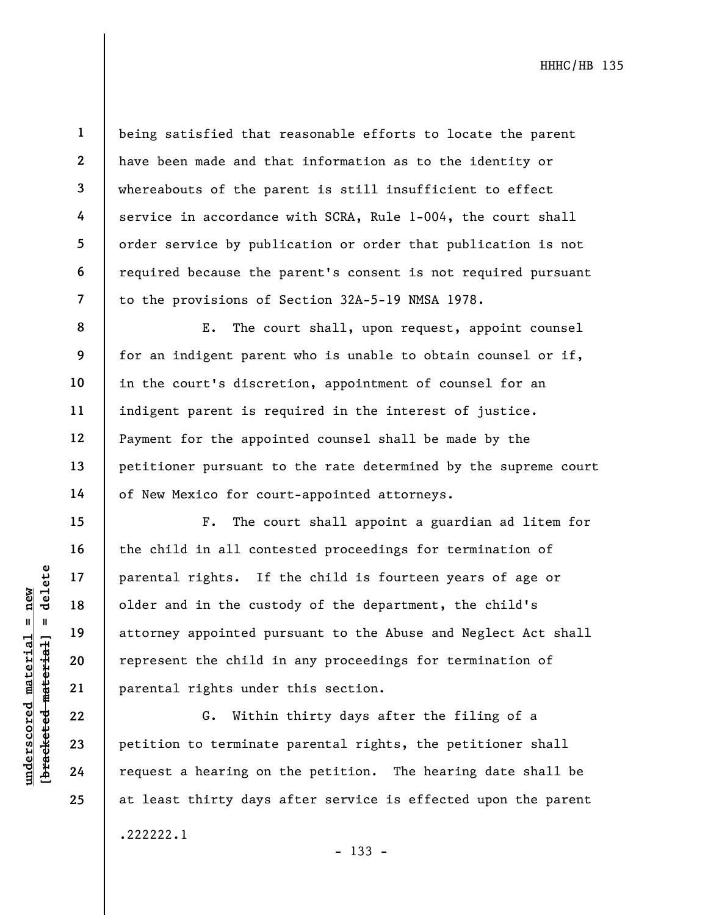6

7

8

9

10

11

12

13

14

15

16

17

18

19

20

21

22

23

24

25

1

being satisfied that reasonable efforts to locate the parent have been made and that information as to the identity or whereabouts of the parent is still insufficient to effect service in accordance with SCRA, Rule 1-004, the court shall order service by publication or order that publication is not required because the parent's consent is not required pursuant to the provisions of Section 32A-5-19 NMSA 1978.

E. The court shall, upon request, appoint counsel for an indigent parent who is unable to obtain counsel or if, in the court's discretion, appointment of counsel for an indigent parent is required in the interest of justice. Payment for the appointed counsel shall be made by the petitioner pursuant to the rate determined by the supreme court of New Mexico for court-appointed attorneys.

under 17<br>
= 18<br>
= 18<br>
= 19<br>
= 19<br>
= 19<br>
= 19<br>
= 19<br>
= 19<br>
= 19<br>
= 19<br>
= 19<br>
= 19<br>
= 19<br>
= 19<br>
= 19<br>
= 19<br>
= 19<br>
= 19<br>
= 19<br>
= 19<br>
= 19<br>
= 19<br>
= 19<br>
= 19<br>
= 19<br>
= 19<br>
= 19<br>
= 19<br>
= 19<br>
= 19<br>
= 19<br>
= 19<br>
= 19<br>
= 19<br>
= 19<br>
= F. The court shall appoint a guardian ad litem for the child in all contested proceedings for termination of parental rights. If the child is fourteen years of age or older and in the custody of the department, the child's attorney appointed pursuant to the Abuse and Neglect Act shall represent the child in any proceedings for termination of parental rights under this section.

G. Within thirty days after the filing of a petition to terminate parental rights, the petitioner shall request a hearing on the petition. The hearing date shall be at least thirty days after service is effected upon the parent .222222.1

- 133 -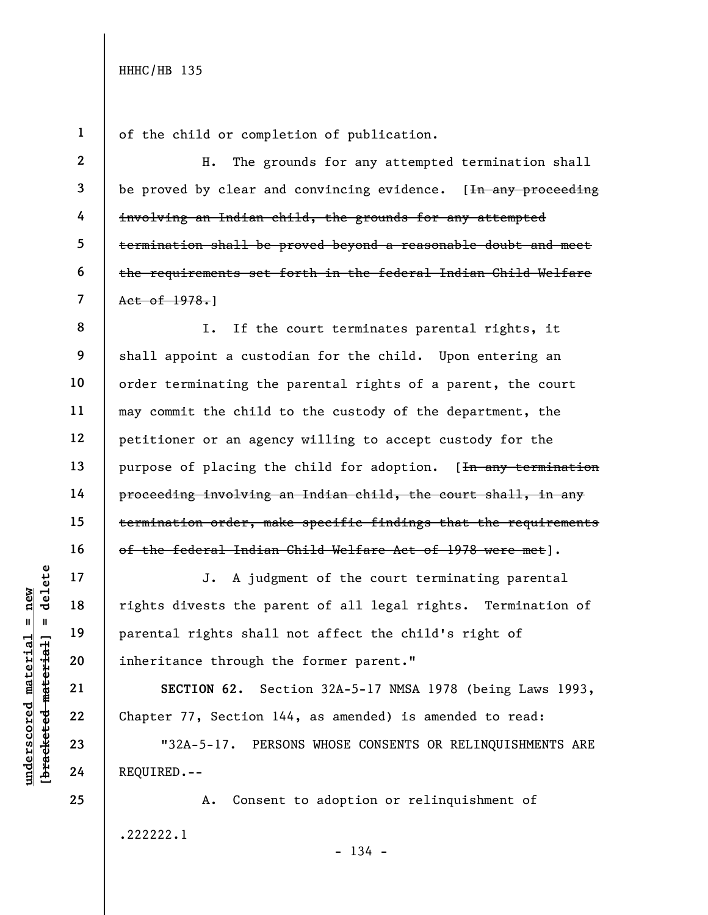1

2

3

4

5

6

7

of the child or completion of publication.

H. The grounds for any attempted termination shall be proved by clear and convincing evidence.  $[Im\; any\; preceding\;]$ involving an Indian child, the grounds for any attempted termination shall be proved beyond a reasonable doubt and meet the requirements set forth in the federal Indian Child Welfare Act of 1978.]

8 9 10 11 12 13 14 15 16 I. If the court terminates parental rights, it shall appoint a custodian for the child. Upon entering an order terminating the parental rights of a parent, the court may commit the child to the custody of the department, the petitioner or an agency willing to accept custody for the purpose of placing the child for adoption. [In any termination proceeding involving an Indian child, the court shall, in any termination order, make specific findings that the requirements of the federal Indian Child Welfare Act of 1978 were met].

Understand material schepes of the parental rights shall<br>
eventual material material material material material material material material control of the second material control of the second material control of the second J. A judgment of the court terminating parental rights divests the parent of all legal rights. Termination of parental rights shall not affect the child's right of inheritance through the former parent."

SECTION 62. Section 32A-5-17 NMSA 1978 (being Laws 1993, Chapter 77, Section 144, as amended) is amended to read:

"32A-5-17. PERSONS WHOSE CONSENTS OR RELINQUISHMENTS ARE REQUIRED.--

A. Consent to adoption or relinquishment of .222222.1

17

18

19

20

21

22

23

24

25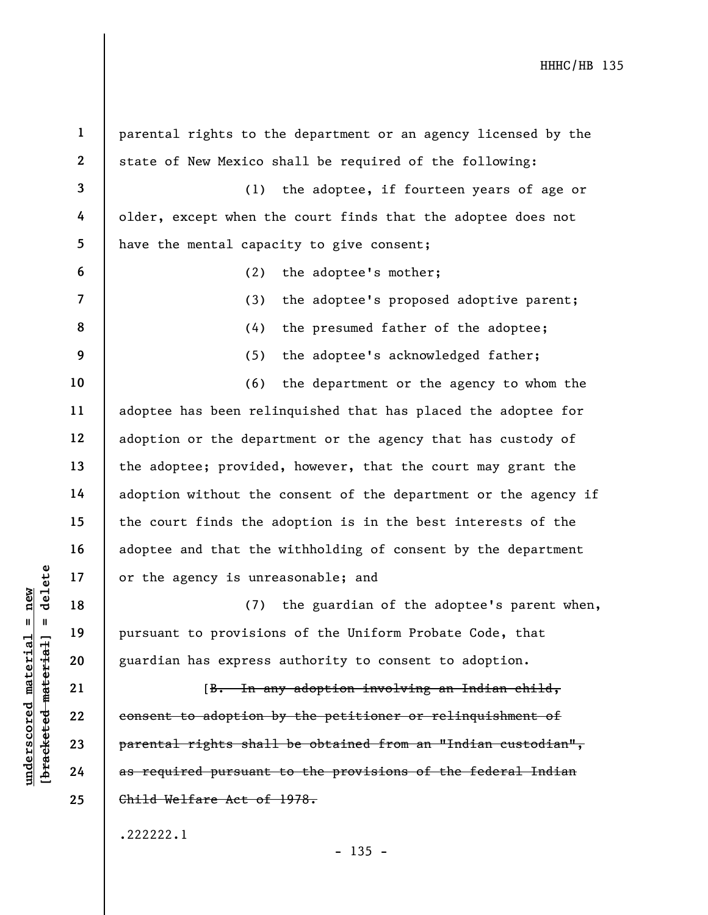|                                            | $\mathbf{1}$             | parental rights to the department or an agency licensed by the  |
|--------------------------------------------|--------------------------|-----------------------------------------------------------------|
|                                            | $\mathbf{2}$             | state of New Mexico shall be required of the following:         |
|                                            | $\mathbf{3}$             | (1)<br>the adoptee, if fourteen years of age or                 |
|                                            | 4                        | older, except when the court finds that the adoptee does not    |
|                                            | 5                        | have the mental capacity to give consent;                       |
|                                            | 6                        | (2)<br>the adoptee's mother;                                    |
|                                            | $\overline{\mathcal{L}}$ | (3)<br>the adoptee's proposed adoptive parent;                  |
|                                            | 8                        | (4)<br>the presumed father of the adoptee;                      |
|                                            | 9                        | the adoptee's acknowledged father;<br>(5)                       |
|                                            | 10                       | (6)<br>the department or the agency to whom the                 |
|                                            | 11                       | adoptee has been relinquished that has placed the adoptee for   |
|                                            | 12                       | adoption or the department or the agency that has custody of    |
|                                            | 13                       | the adoptee; provided, however, that the court may grant the    |
|                                            | 14                       | adoption without the consent of the department or the agency if |
|                                            | 15                       | the court finds the adoption is in the best interests of the    |
|                                            | 16                       | adoptee and that the withholding of consent by the department   |
| delete                                     | 17                       | or the agency is unreasonable; and                              |
| $n$ ew                                     | 18                       | (7)<br>the guardian of the adoptee's parent when,               |
| Ш                                          | 19                       | pursuant to provisions of the Uniform Probate Code, that        |
| materia<br>[ <del>bracketed materia]</del> | 20                       | guardian has express authority to consent to adoption.          |
|                                            | 21                       | [B. In any adoption involving an Indian child,                  |
|                                            | 22                       | consent to adoption by the petitioner or relinquishment of      |
|                                            | 23                       | parental rights shall be obtained from an "Indian custodian",   |
| underscored                                | 24                       | as required pursuant to the provisions of the federal Indian    |
|                                            | 25                       | Child Welfare Act of 1978.                                      |
|                                            |                          | .222222.1                                                       |

- 135 -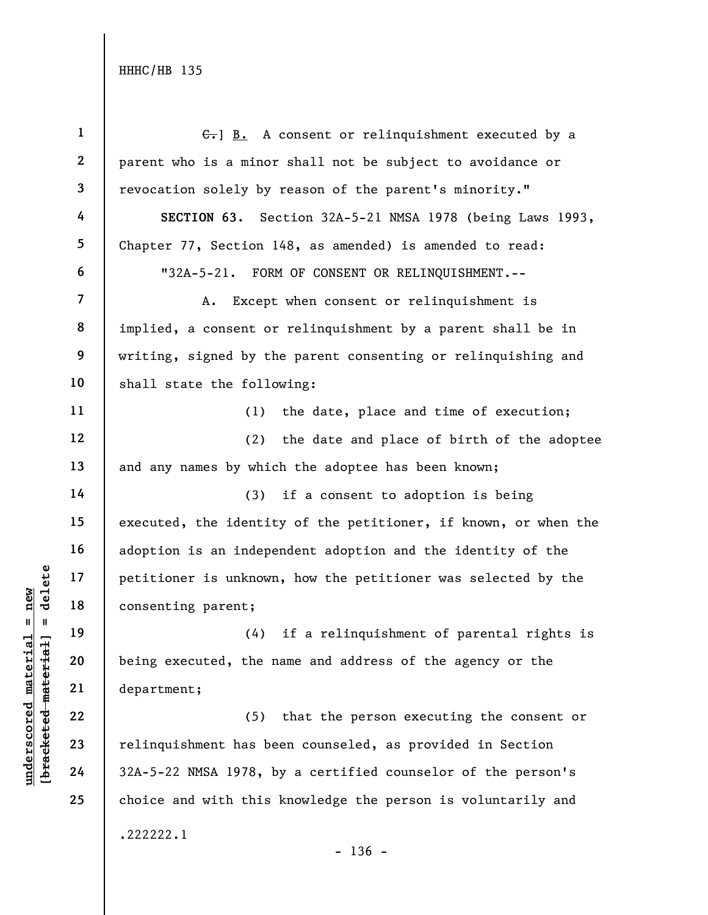| $\mathbf{1}$            | $\leftarrow$ ] B. A consent or relinguishment executed by a     |
|-------------------------|-----------------------------------------------------------------|
| $\mathbf{2}$            | parent who is a minor shall not be subject to avoidance or      |
| $\overline{\mathbf{3}}$ | revocation solely by reason of the parent's minority."          |
| 4                       | SECTION 63. Section 32A-5-21 NMSA 1978 (being Laws 1993,        |
| 5                       | Chapter 77, Section 148, as amended) is amended to read:        |
| 6                       | "32A-5-21. FORM OF CONSENT OR RELINQUISHMENT.--                 |
| $\overline{\mathbf{z}}$ | A. Except when consent or relinquishment is                     |
| 8                       | implied, a consent or relinquishment by a parent shall be in    |
| 9                       | writing, signed by the parent consenting or relinquishing and   |
| 10                      | shall state the following:                                      |
| 11                      | (1) the date, place and time of execution;                      |
| 12                      | (2) the date and place of birth of the adoptee                  |
| 13                      | and any names by which the adoptee has been known;              |
| 14                      | (3) if a consent to adoption is being                           |
| 15                      | executed, the identity of the petitioner, if known, or when the |
| 16                      | adoption is an independent adoption and the identity of the     |
| 17                      | petitioner is unknown, how the petitioner was selected by the   |
| 18                      | consenting parent;                                              |
| 19                      | if a relinquishment of parental rights is<br>(4)                |
| 20                      | being executed, the name and address of the agency or the       |
| 21                      | department;                                                     |
| 22                      | (5) that the person executing the consent or                    |
| 23                      | relinquishment has been counseled, as provided in Section       |
| 24                      | 32A-5-22 NMSA 1978, by a certified counselor of the person's    |
| 25                      | choice and with this knowledge the person is voluntarily and    |
|                         | .222222.1<br>$-136 -$                                           |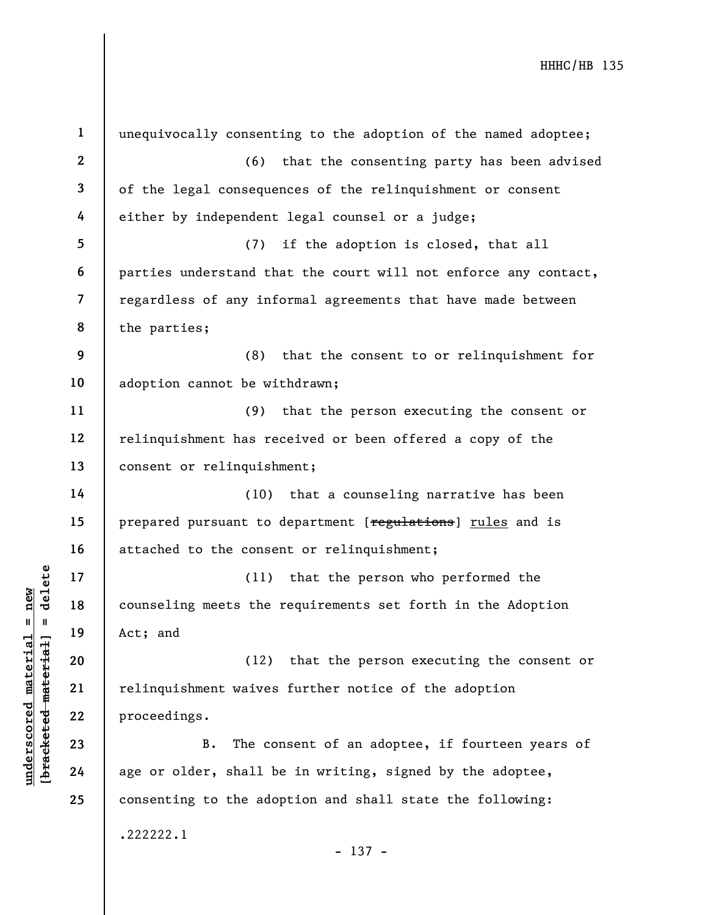| $\mathbf{1}$            | unequivocally consenting to the adoption of the named adoptee;  |
|-------------------------|-----------------------------------------------------------------|
| $\mathbf{2}$            | (6)<br>that the consenting party has been advised               |
| 3                       | of the legal consequences of the relinquishment or consent      |
| 4                       | either by independent legal counsel or a judge;                 |
| 5                       | if the adoption is closed, that all<br>(7)                      |
| 6                       | parties understand that the court will not enforce any contact, |
| $\overline{\mathbf{7}}$ | regardless of any informal agreements that have made between    |
| 8                       | the parties;                                                    |
| 9                       | (8)<br>that the consent to or relinquishment for                |
| 10                      | adoption cannot be withdrawn;                                   |
| 11                      | (9)<br>that the person executing the consent or                 |
| 12                      | relinquishment has received or been offered a copy of the       |
| 13                      | consent or relinquishment;                                      |
| 14                      | (10) that a counseling narrative has been                       |
| 15                      | prepared pursuant to department [regulations] rules and is      |
| 16                      | attached to the consent or relinquishment;                      |
| 17                      | that the person who performed the<br>(11)                       |
| 18                      | counseling meets the requirements set forth in the Adoption     |
| 19                      | Act; and                                                        |
| 20                      | that the person executing the consent or<br>(12)                |
| 21                      | relinquishment waives further notice of the adoption            |
| 22                      | proceedings.                                                    |
| 23                      | The consent of an adoptee, if fourteen years of<br>B.           |
| 24                      | age or older, shall be in writing, signed by the adoptee,       |
| 25                      | consenting to the adoption and shall state the following:       |
|                         | .222222.1                                                       |
|                         | $-137 -$                                                        |

 $\frac{\text{underscored material = new}}{\text{beac detected-matter}+\text{d}}$  = delete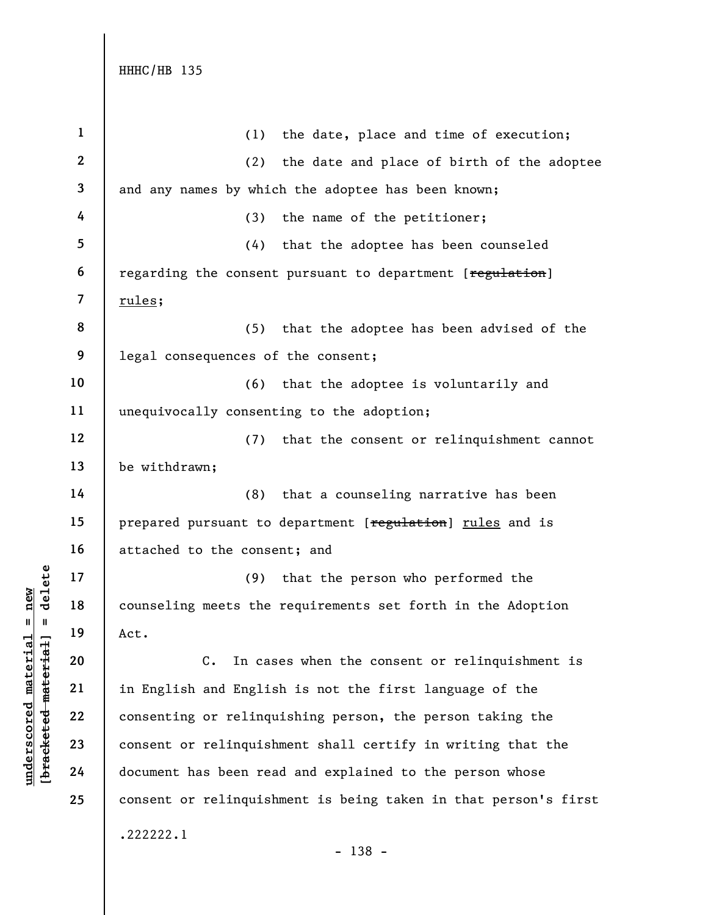| $\mathbf{1}$             | (1)<br>the date, place and time of execution;                   |
|--------------------------|-----------------------------------------------------------------|
| $\boldsymbol{2}$         | the date and place of birth of the adoptee<br>(2)               |
| 3                        | and any names by which the adoptee has been known;              |
| 4                        | (3)<br>the name of the petitioner;                              |
| 5                        | that the adoptee has been counseled<br>(4)                      |
| 6                        | regarding the consent pursuant to department [regulation]       |
| $\overline{\mathcal{L}}$ | rules;                                                          |
| 8                        | that the adoptee has been advised of the<br>(5)                 |
| 9                        | legal consequences of the consent;                              |
| 10                       | (6)<br>that the adoptee is voluntarily and                      |
| 11                       | unequivocally consenting to the adoption;                       |
| 12                       | (7)<br>that the consent or relinquishment cannot                |
| 13                       | be withdrawn;                                                   |
| 14                       | (8)<br>that a counseling narrative has been                     |
| 15                       | prepared pursuant to department [regulation] rules and is       |
| 16                       | attached to the consent; and                                    |
| 17                       | that the person who performed the<br>(9)                        |
| 18                       | counseling meets the requirements set forth in the Adoption     |
| 19                       | Act.                                                            |
| 20                       | $C_{\bullet}$<br>In cases when the consent or relinquishment is |
| 21                       | in English and English is not the first language of the         |
| 22                       | consenting or relinquishing person, the person taking the       |
| 23                       | consent or relinquishment shall certify in writing that the     |
| 24                       | document has been read and explained to the person whose        |
| 25                       | consent or relinquishment is being taken in that person's first |
|                          | .222222.1                                                       |

 $\frac{\text{underscored material = new}}{\text{beac detected-matter}+\text{d}}$  = delete

- 138 -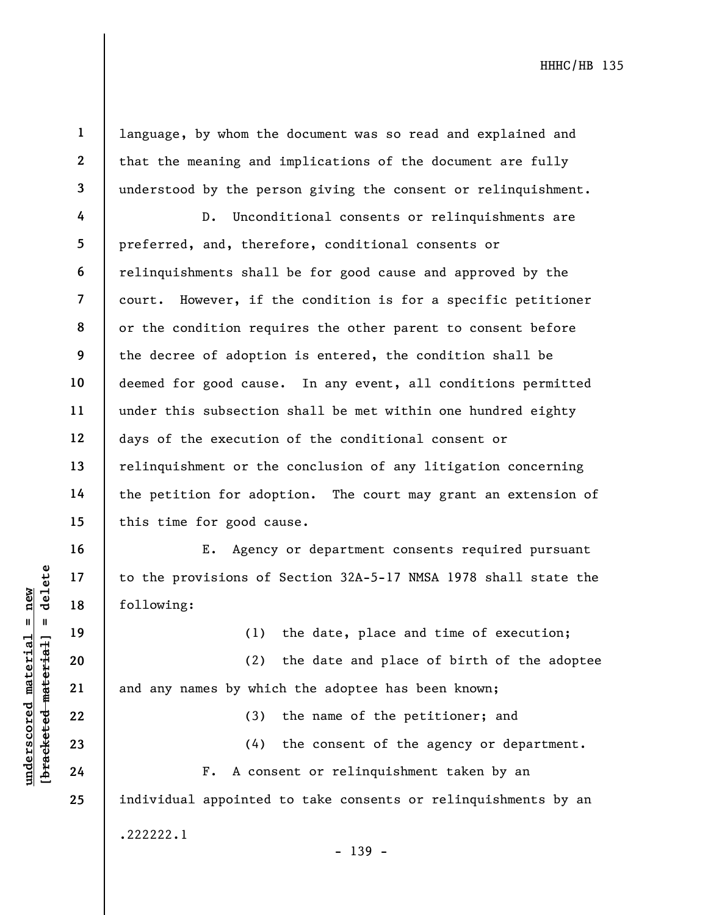2 3

1

language, by whom the document was so read and explained and that the meaning and implications of the document are fully understood by the person giving the consent or relinquishment.

4 5 6 7 8 9 10 11 12 13 14 15 D. Unconditional consents or relinquishments are preferred, and, therefore, conditional consents or relinquishments shall be for good cause and approved by the court. However, if the condition is for a specific petitioner or the condition requires the other parent to consent before the decree of adoption is entered, the condition shall be deemed for good cause. In any event, all conditions permitted under this subsection shall be met within one hundred eighty days of the execution of the conditional consent or relinquishment or the conclusion of any litigation concerning the petition for adoption. The court may grant an extension of this time for good cause.

E. Agency or department consents required pursuant to the provisions of Section 32A-5-17 NMSA 1978 shall state the following:

(1) the date, place and time of execution;

understand material material material material material experience of the provisions of<br>
following:<br>
(1)<br>
deletering:<br>
(2)<br>
and any names by whic<br>
(3)<br>
deletering:<br>
(2)<br>
(2)<br>
and any names by whic<br>
(3)<br>
(4)<br>
F. A cons (2) the date and place of birth of the adoptee and any names by which the adoptee has been known;

(3) the name of the petitioner; and

(4) the consent of the agency or department.

F. A consent or relinquishment taken by an individual appointed to take consents or relinquishments by an .222222.1

- 139 -

16

17

18

19

20

21

22

23

24

25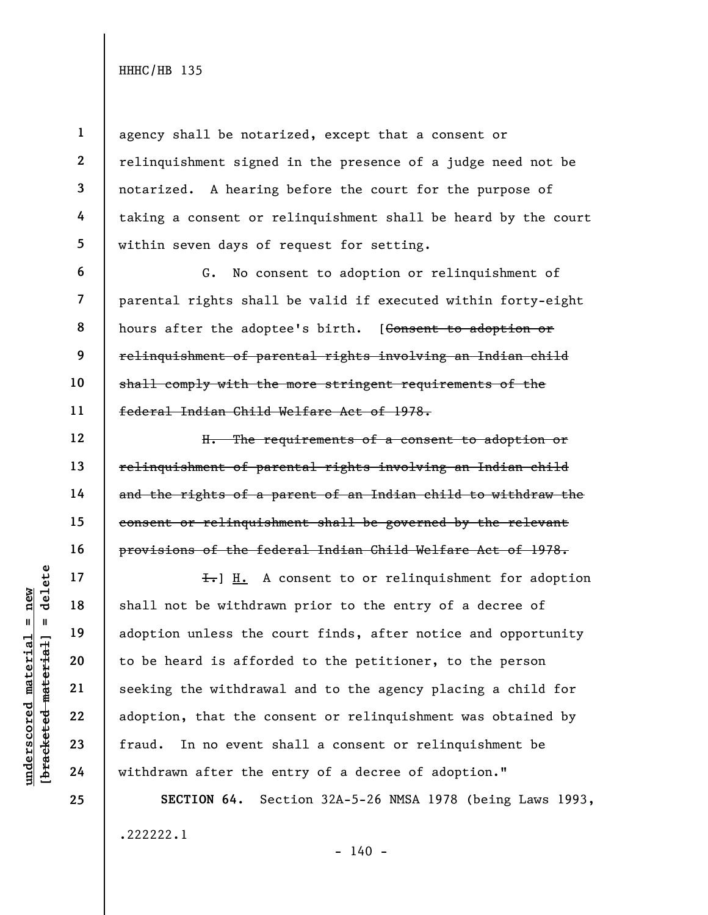1

2

4

5

6

7

8

9

10

11

12

13

14

15

16

17

18

19

20

21

22

23

24

25

3 agency shall be notarized, except that a consent or relinquishment signed in the presence of a judge need not be notarized. A hearing before the court for the purpose of taking a consent or relinquishment shall be heard by the court within seven days of request for setting.

G. No consent to adoption or relinquishment of parental rights shall be valid if executed within forty-eight hours after the adoptee's birth. [Consent to adoption or relinquishment of parental rights involving an Indian child shall comply with the more stringent requirements of the federal Indian Child Welfare Act of 1978.

H. The requirements of a consent to adoption or relinquishment of parental rights involving an Indian child and the rights of a parent of an Indian child to withdraw the consent or relinquishment shall be governed by the relevant provisions of the federal Indian Child Welfare Act of 1978.

underscored material = new [bracketed material] = delete  $\overline{f}$ . A consent to or relinquishment for adoption shall not be withdrawn prior to the entry of a decree of adoption unless the court finds, after notice and opportunity to be heard is afforded to the petitioner, to the person seeking the withdrawal and to the agency placing a child for adoption, that the consent or relinquishment was obtained by fraud. In no event shall a consent or relinquishment be withdrawn after the entry of a decree of adoption."

> SECTION 64. Section 32A-5-26 NMSA 1978 (being Laws 1993, .222222.1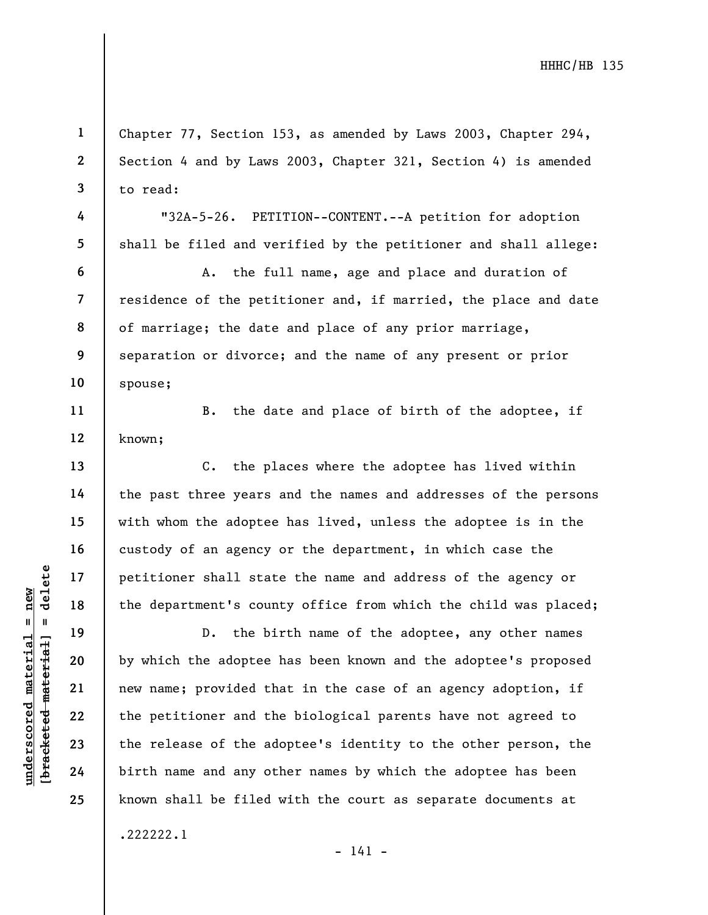Chapter 77, Section 153, as amended by Laws 2003, Chapter 294, Section 4 and by Laws 2003, Chapter 321, Section 4) is amended to read:

"32A-5-26. PETITION--CONTENT.--A petition for adoption shall be filed and verified by the petitioner and shall allege:

A. the full name, age and place and duration of residence of the petitioner and, if married, the place and date of marriage; the date and place of any prior marriage, separation or divorce; and the name of any present or prior spouse;

B. the date and place of birth of the adoptee, if known;

C. the places where the adoptee has lived within the past three years and the names and addresses of the persons with whom the adoptee has lived, unless the adoptee is in the custody of an agency or the department, in which case the petitioner shall state the name and address of the agency or the department's county office from which the child was placed;

underscored material stat of the department's counter of the bidden material stat of the bidden material of the petitioner and the petitioner and the petitioner and the release of the adopted the release of the adopted the D. the birth name of the adoptee, any other names by which the adoptee has been known and the adoptee's proposed new name; provided that in the case of an agency adoption, if the petitioner and the biological parents have not agreed to the release of the adoptee's identity to the other person, the birth name and any other names by which the adoptee has been known shall be filed with the court as separate documents at

.222222.1

- 141 -

1

2

3

4

5

6

7

8

9

10

11

12

13

14

15

16

17

18

19

20

21

22

23

24

25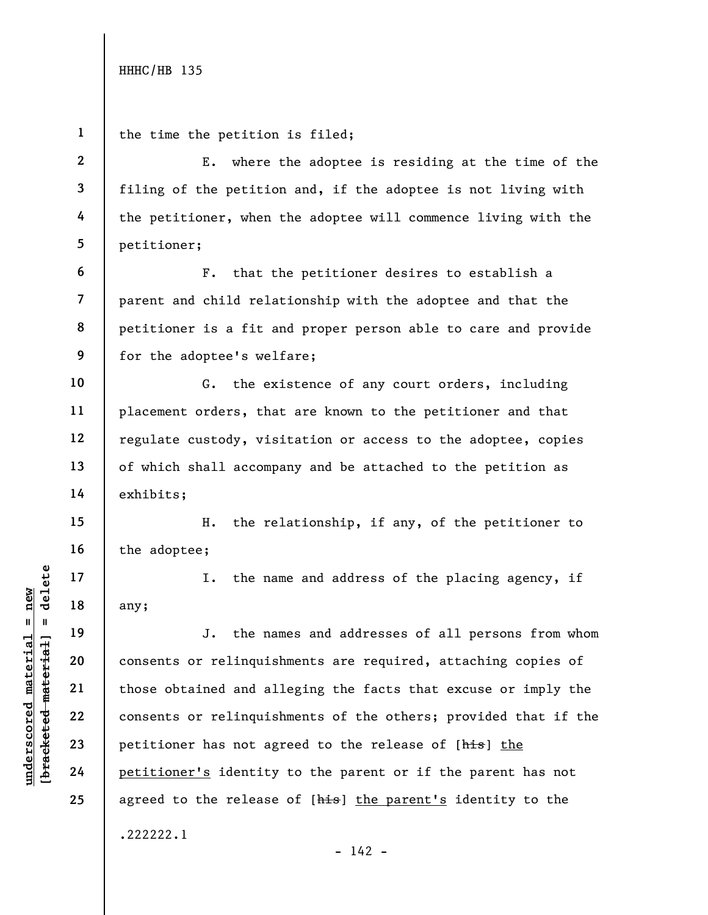UN DEN TRANSPORTED THE MATHOLOGY<br>
UN DEN TRANSPORTED MATERIAL CONSENS OF PELINQUIS<br>
UN DEN TRANSPORTED MATERIAL CONSENS OF PELINQUIS<br>
UN DEN TRANSPORTED MATERIAL CONSENS OF PELINQUIS<br>
UN DEN TRANSPORTED MATERIAL CONSENS OF 1 2 3 4 5 6 7 8 9 10 11 12 13 14 15 16 17 18 19 20 21 22 23 24 25 the time the petition is filed; E. where the adoptee is residing at the time of the filing of the petition and, if the adoptee is not living with the petitioner, when the adoptee will commence living with the petitioner; F. that the petitioner desires to establish a parent and child relationship with the adoptee and that the petitioner is a fit and proper person able to care and provide for the adoptee's welfare; G. the existence of any court orders, including placement orders, that are known to the petitioner and that regulate custody, visitation or access to the adoptee, copies of which shall accompany and be attached to the petition as exhibits; H. the relationship, if any, of the petitioner to the adoptee; I. the name and address of the placing agency, if any; J. the names and addresses of all persons from whom consents or relinquishments are required, attaching copies of those obtained and alleging the facts that excuse or imply the consents or relinquishments of the others; provided that if the petitioner has not agreed to the release of [his] the petitioner's identity to the parent or if the parent has not agreed to the release of [his] the parent's identity to the .222222.1  $- 142 -$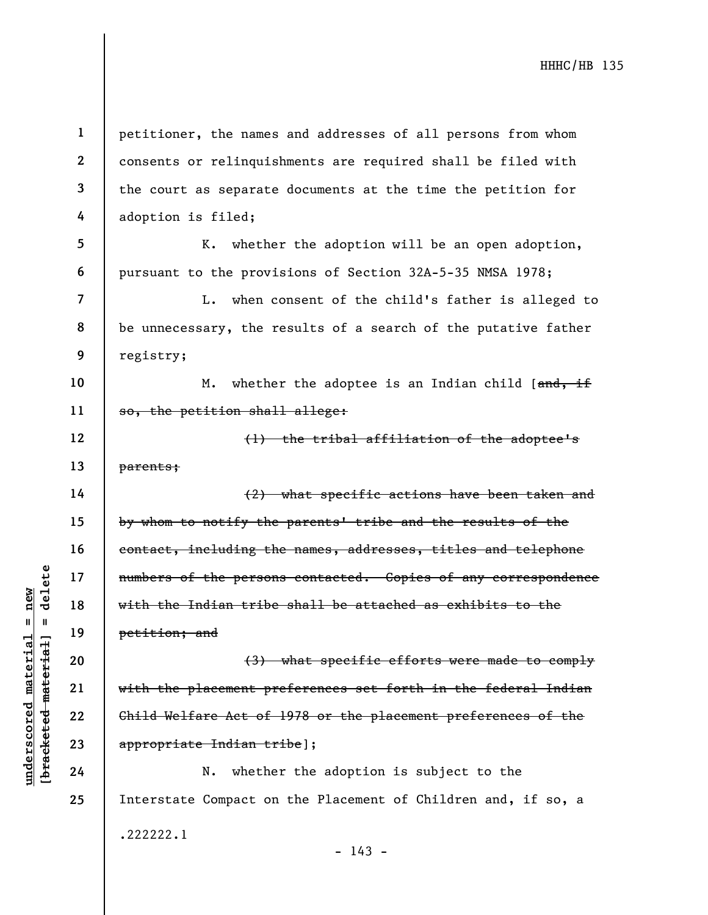unders of the person<br>
and the Indian tribe<br>
with the Indian tribe<br>
petition; and<br>
(3)<br>
with the placement pr<br>
with the placement pr<br>
(3)<br>
with the placement pr<br>
(3)<br>
with the placement pr<br>
child Welfare Act of<br>
appropriate 1 2 3 4 5 6 7 8 9 10 11 12 13 14 15 16 17 18 19 20 21 22 23 24 25 petitioner, the names and addresses of all persons from whom consents or relinquishments are required shall be filed with the court as separate documents at the time the petition for adoption is filed; K. whether the adoption will be an open adoption, pursuant to the provisions of Section 32A-5-35 NMSA 1978; L. when consent of the child's father is alleged to be unnecessary, the results of a search of the putative father registry; M. whether the adoptee is an Indian child [and, if so, the petition shall allege: (1) the tribal affiliation of the adoptee's parents; (2) what specific actions have been taken and by whom to notify the parents' tribe and the results of the contact, including the names, addresses, titles and telephone numbers of the persons contacted. Copies of any correspondence with the Indian tribe shall be attached as exhibits to the petition; and (3) what specific efforts were made to comply with the placement preferences set forth in the federal Indian Child Welfare Act of 1978 or the placement preferences of the appropriate Indian tribe]; N. whether the adoption is subject to the Interstate Compact on the Placement of Children and, if so, a .222222.1

- 143 -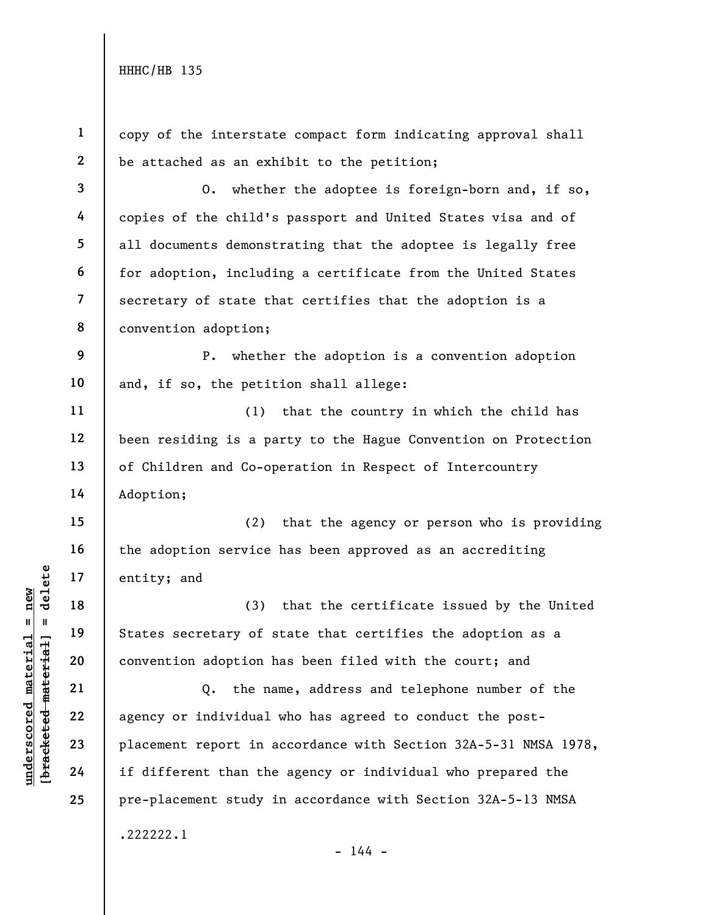underscored material = new [bracketed material] = delete 1 2 3 4 5 6 7 8 9 10 11 12 13 14 15 16 17 18 19 20 21 22 23 24 25 copy of the interstate compact form indicating approval shall be attached as an exhibit to the petition; O. whether the adoptee is foreign-born and, if so, copies of the child's passport and United States visa and of all documents demonstrating that the adoptee is legally free for adoption, including a certificate from the United States secretary of state that certifies that the adoption is a convention adoption; P. whether the adoption is a convention adoption and, if so, the petition shall allege: (1) that the country in which the child has been residing is a party to the Hague Convention on Protection of Children and Co-operation in Respect of Intercountry Adoption; (2) that the agency or person who is providing the adoption service has been approved as an accrediting entity; and (3) that the certificate issued by the United States secretary of state that certifies the adoption as a convention adoption has been filed with the court; and Q. the name, address and telephone number of the agency or individual who has agreed to conduct the postplacement report in accordance with Section 32A-5-31 NMSA 1978, if different than the agency or individual who prepared the pre-placement study in accordance with Section 32A-5-13 NMSA .222222.1  $- 144 -$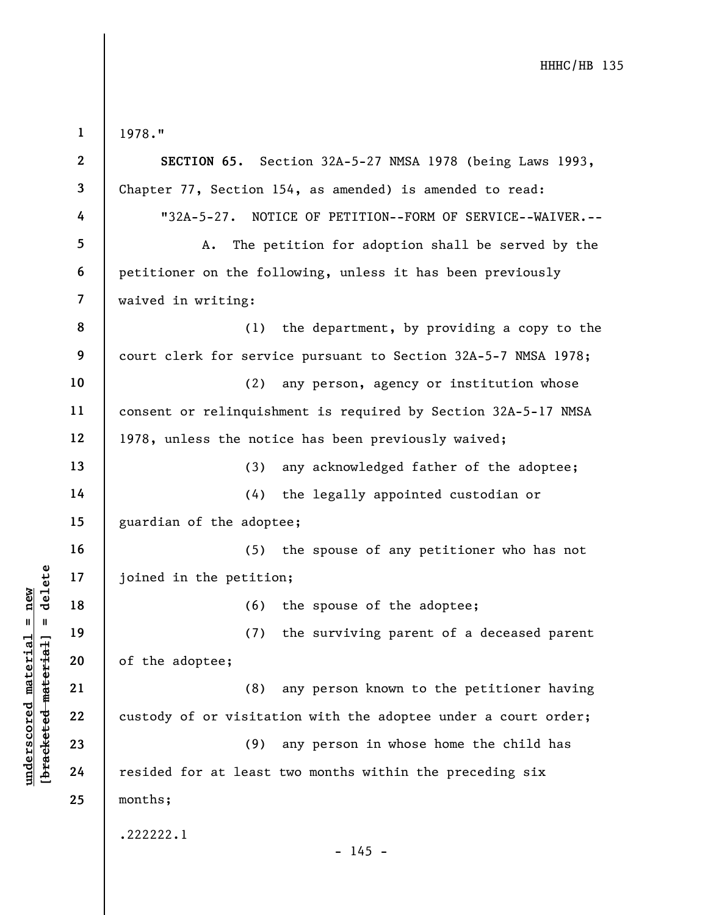underscored material material material material and the petitic<br>  $\begin{bmatrix}\n1 & 1 & 19 \\
0 & 1 & 19 \\
0 & 20 \\
0 & 0 & 21 \\
0 & 0 & 22 \\
0 & 0 & 23 \\
0 & 0 & 24\n\end{bmatrix}$  (8)<br>
exclude the adoptee;<br>
(8)<br>
custody of or visitat<br>
(9)<br>
resided for at least 1 2 3 4 5 6 7 8 9 10 11 12 13 14 15 16 17 18 19 20 21 22 23 24 25 1978." SECTION 65. Section 32A-5-27 NMSA 1978 (being Laws 1993, Chapter 77, Section 154, as amended) is amended to read: "32A-5-27. NOTICE OF PETITION--FORM OF SERVICE--WAIVER.-- A. The petition for adoption shall be served by the petitioner on the following, unless it has been previously waived in writing: (1) the department, by providing a copy to the court clerk for service pursuant to Section 32A-5-7 NMSA 1978; (2) any person, agency or institution whose consent or relinquishment is required by Section 32A-5-17 NMSA 1978, unless the notice has been previously waived; (3) any acknowledged father of the adoptee; (4) the legally appointed custodian or guardian of the adoptee; (5) the spouse of any petitioner who has not joined in the petition; (6) the spouse of the adoptee; (7) the surviving parent of a deceased parent of the adoptee; (8) any person known to the petitioner having custody of or visitation with the adoptee under a court order; (9) any person in whose home the child has resided for at least two months within the preceding six months; .222222.1  $- 145 -$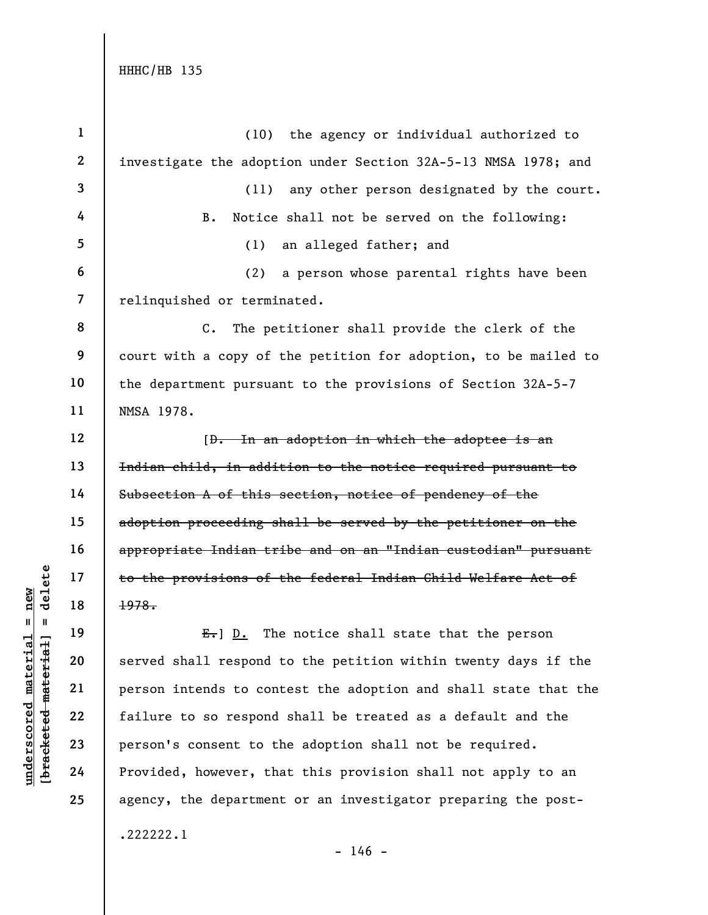understand material extended material extending to the provisions of<br>  $\begin{array}{c|c|c|c} \n\text{Equation 18} & \text{Equation 19} & \text{Equation 19} \\
\text{Equation 20} & \text{19} & \text{10} & \text{11} & \text{12} \\
\text{Equation 21} & \text{10} & \text{11} & \text{12} \\
\text{Equation 22} & \text{Equation 23} & \text{13} & \text{14} & \text{$ 1 2 3 4 5 6 7 8 9 10 11 12 13 14 15 16 17 18 19 20 21 22 23 24 25 (10) the agency or individual authorized to investigate the adoption under Section 32A-5-13 NMSA 1978; and (11) any other person designated by the court. B. Notice shall not be served on the following: (1) an alleged father; and (2) a person whose parental rights have been relinquished or terminated. C. The petitioner shall provide the clerk of the court with a copy of the petition for adoption, to be mailed to the department pursuant to the provisions of Section 32A-5-7 NMSA 1978. [D. In an adoption in which the adoptee is an Indian child, in addition to the notice required pursuant to Subsection A of this section, notice of pendency of the adoption proceeding shall be served by the petitioner on the appropriate Indian tribe and on an "Indian custodian" pursuant to the provisions of the federal Indian Child Welfare Act of 1978.  $E.$  D. The notice shall state that the person served shall respond to the petition within twenty days if the person intends to contest the adoption and shall state that the failure to so respond shall be treated as a default and the person's consent to the adoption shall not be required. Provided, however, that this provision shall not apply to an agency, the department or an investigator preparing the post- .222222.1

 $- 146 -$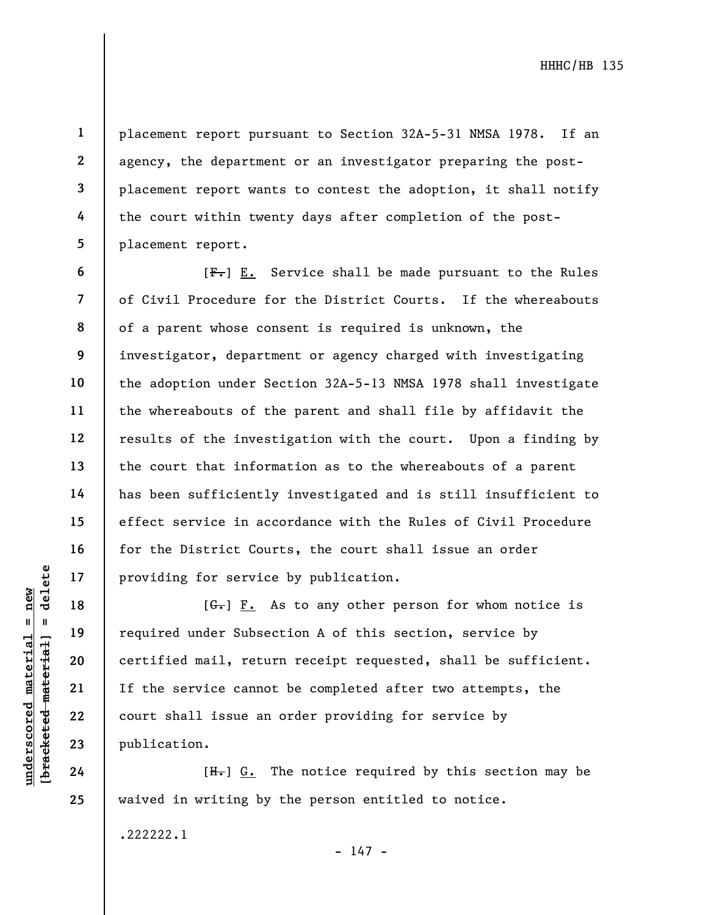placement report pursuant to Section 32A-5-31 NMSA 1978. If an agency, the department or an investigator preparing the postplacement report wants to contest the adoption, it shall notify the court within twenty days after completion of the postplacement report.

 $[F-]$  E. Service shall be made pursuant to the Rules of Civil Procedure for the District Courts. If the whereabouts of a parent whose consent is required is unknown, the investigator, department or agency charged with investigating the adoption under Section 32A-5-13 NMSA 1978 shall investigate the whereabouts of the parent and shall file by affidavit the results of the investigation with the court. Upon a finding by the court that information as to the whereabouts of a parent has been sufficiently investigated and is still insufficient to effect service in accordance with the Rules of Civil Procedure for the District Courts, the court shall issue an order providing for service by publication.

underscored material = new [bracketed material] = delete  $[G<sub>r</sub>]$   $F<sub>r</sub>$  As to any other person for whom notice is required under Subsection A of this section, service by certified mail, return receipt requested, shall be sufficient. If the service cannot be completed after two attempts, the court shall issue an order providing for service by publication.

 $[H<sub>1</sub>]$  G. The notice required by this section may be waived in writing by the person entitled to notice.

.222222.1

 $- 147 -$ 

1

2

3

4

5

6

7

8

9

10

11

12

13

14

15

16

17

18

19

20

21

22

23

24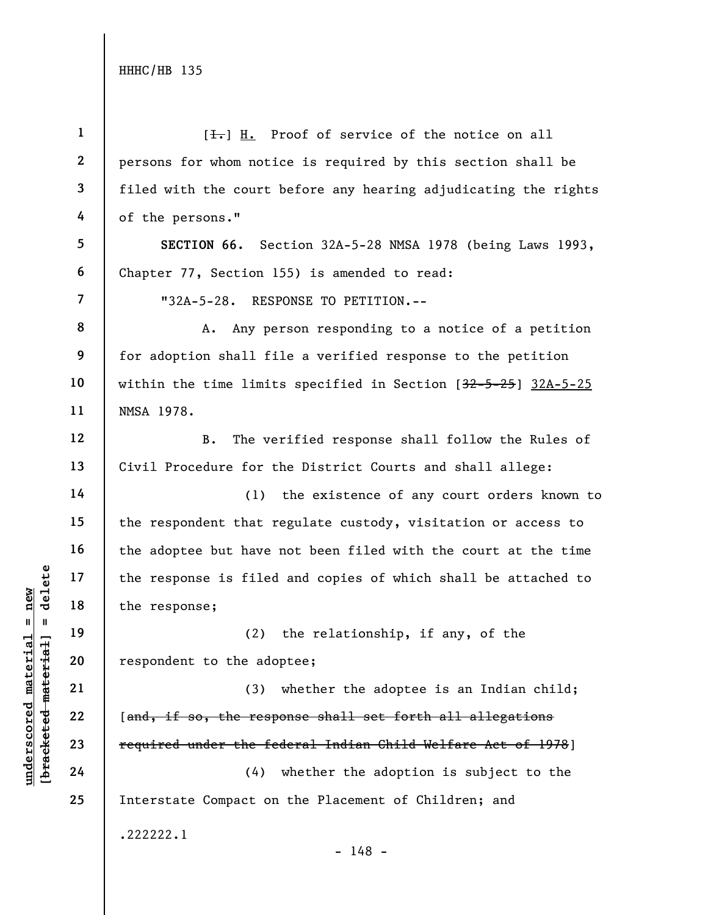| $\mathbf{1}$            | $[\frac{1}{\sqrt{1}}]$ H. Proof of service of the notice on all  |
|-------------------------|------------------------------------------------------------------|
| $\mathbf{2}$            | persons for whom notice is required by this section shall be     |
| 3                       | filed with the court before any hearing adjudicating the rights  |
| 4                       | of the persons."                                                 |
| 5                       | SECTION 66. Section 32A-5-28 NMSA 1978 (being Laws 1993,         |
| 6                       | Chapter 77, Section 155) is amended to read:                     |
| $\overline{\mathbf{z}}$ | "32A-5-28. RESPONSE TO PETITION.--                               |
| 8                       | Any person responding to a notice of a petition<br>A.            |
| 9                       | for adoption shall file a verified response to the petition      |
| 10                      | within the time limits specified in Section $[32-5-25]$ 32A-5-25 |
| 11                      | NMSA 1978.                                                       |
| 12                      | The verified response shall follow the Rules of<br><b>B.</b>     |
| 13                      | Civil Procedure for the District Courts and shall allege:        |
| 14                      | the existence of any court orders known to<br>(1)                |
| 15                      | the respondent that regulate custody, visitation or access to    |
| 16                      | the adoptee but have not been filed with the court at the time   |
| 17                      | the response is filed and copies of which shall be attached to   |
| 18                      | the response;                                                    |
| 19                      | (2) the relationship, if any, of the                             |
| 20                      | respondent to the adoptee;                                       |
| 21                      | whether the adoptee is an Indian child;<br>(3)                   |
| 22                      | [and, if so, the response shall set forth all allegations        |
| 23                      | required under the federal Indian Child Welfare Act of 1978]     |
| 24                      | whether the adoption is subject to the<br>(4)                    |
| 25                      | Interstate Compact on the Placement of Children; and             |
|                         | .222222.1<br>$-148 -$                                            |
|                         |                                                                  |

 $\frac{\text{underscored material = new}}{\text{beac detected-matter}+\text{d}}$  = delete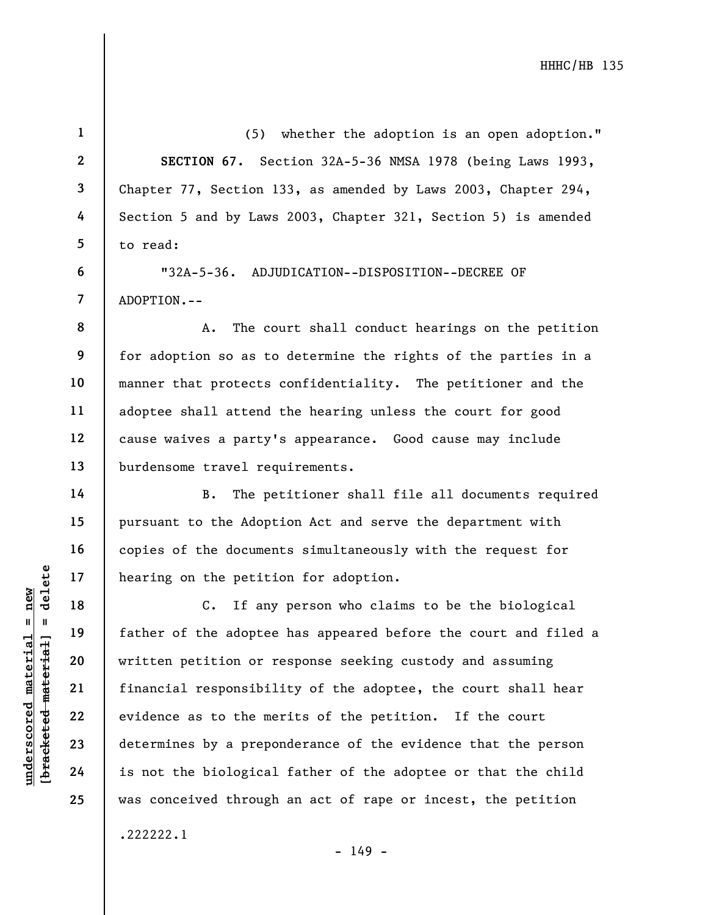(5) whether the adoption is an open adoption." SECTION 67. Section 32A-5-36 NMSA 1978 (being Laws 1993, Chapter 77, Section 133, as amended by Laws 2003, Chapter 294, Section 5 and by Laws 2003, Chapter 321, Section 5) is amended to read:

"32A-5-36. ADJUDICATION--DISPOSITION--DECREE OF ADOPTION.--

A. The court shall conduct hearings on the petition for adoption so as to determine the rights of the parties in a manner that protects confidentiality. The petitioner and the adoptee shall attend the hearing unless the court for good cause waives a party's appearance. Good cause may include burdensome travel requirements.

B. The petitioner shall file all documents required pursuant to the Adoption Act and serve the department with copies of the documents simultaneously with the request for hearing on the petition for adoption.

understand material material specifies<br>  $\begin{array}{c|c|c|c} \mathbf{u} & \mathbf{u} & \mathbf{u} & \mathbf{u} & \mathbf{u} & \mathbf{u} & \mathbf{u} & \mathbf{u} & \mathbf{u} & \mathbf{u} & \mathbf{u} & \mathbf{u} & \mathbf{u} & \mathbf{u} & \mathbf{u} & \mathbf{u} & \mathbf{u} & \mathbf{u} & \mathbf{u} & \mathbf{u} & \mathbf{u} & \mathbf{u} & \mathbf{u} & \mathbf{u} &$ C. If any person who claims to be the biological father of the adoptee has appeared before the court and filed a written petition or response seeking custody and assuming financial responsibility of the adoptee, the court shall hear evidence as to the merits of the petition. If the court determines by a preponderance of the evidence that the person is not the biological father of the adoptee or that the child was conceived through an act of rape or incest, the petition

1

2

3

4

5

6

7

8

9

10

11

12

13

14

15

16

17

18

19

20

21

22

23

24

25

.222222.1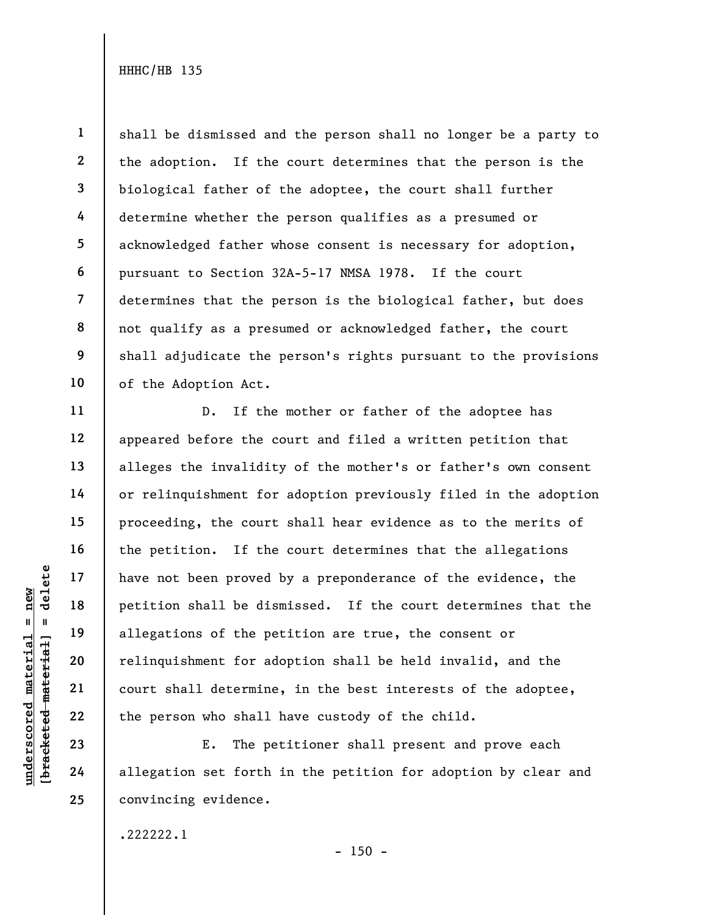1 2 3 4 5 6 7 8 9 10 shall be dismissed and the person shall no longer be a party to the adoption. If the court determines that the person is the biological father of the adoptee, the court shall further determine whether the person qualifies as a presumed or acknowledged father whose consent is necessary for adoption, pursuant to Section 32A-5-17 NMSA 1978. If the court determines that the person is the biological father, but does not qualify as a presumed or acknowledged father, the court shall adjudicate the person's rights pursuant to the provisions of the Adoption Act.

underscored material = new [bracketed material] = delete D. If the mother or father of the adoptee has appeared before the court and filed a written petition that alleges the invalidity of the mother's or father's own consent or relinquishment for adoption previously filed in the adoption proceeding, the court shall hear evidence as to the merits of the petition. If the court determines that the allegations have not been proved by a preponderance of the evidence, the petition shall be dismissed. If the court determines that the allegations of the petition are true, the consent or relinquishment for adoption shall be held invalid, and the court shall determine, in the best interests of the adoptee, the person who shall have custody of the child.

E. The petitioner shall present and prove each allegation set forth in the petition for adoption by clear and convincing evidence.

.222222.1

11

12

13

14

15

16

17

18

19

20

21

22

23

24

25

 $- 150 -$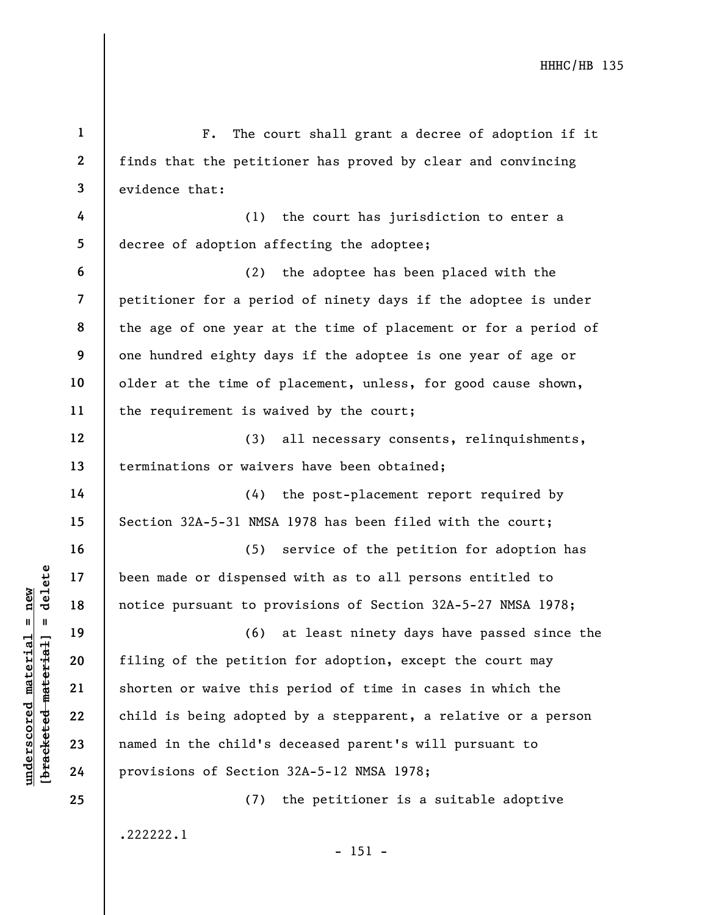understand material material of the petitic<br>diagonal material material material material control of the petitic<br>diagonal control material shorten or waive this<br>complement 22<br>and 23<br>diagonal material material material mater 1 2 3 4 5 6 7 8 9 10 11 12 13 14 15 16 17 18 19 20 21 22 23 24 25 F. The court shall grant a decree of adoption if it finds that the petitioner has proved by clear and convincing evidence that: (1) the court has jurisdiction to enter a decree of adoption affecting the adoptee; (2) the adoptee has been placed with the petitioner for a period of ninety days if the adoptee is under the age of one year at the time of placement or for a period of one hundred eighty days if the adoptee is one year of age or older at the time of placement, unless, for good cause shown, the requirement is waived by the court; (3) all necessary consents, relinquishments, terminations or waivers have been obtained; (4) the post-placement report required by Section 32A-5-31 NMSA 1978 has been filed with the court; (5) service of the petition for adoption has been made or dispensed with as to all persons entitled to notice pursuant to provisions of Section 32A-5-27 NMSA 1978; (6) at least ninety days have passed since the filing of the petition for adoption, except the court may shorten or waive this period of time in cases in which the child is being adopted by a stepparent, a relative or a person named in the child's deceased parent's will pursuant to provisions of Section 32A-5-12 NMSA 1978; (7) the petitioner is a suitable adoptive

.222222.1

- 151 -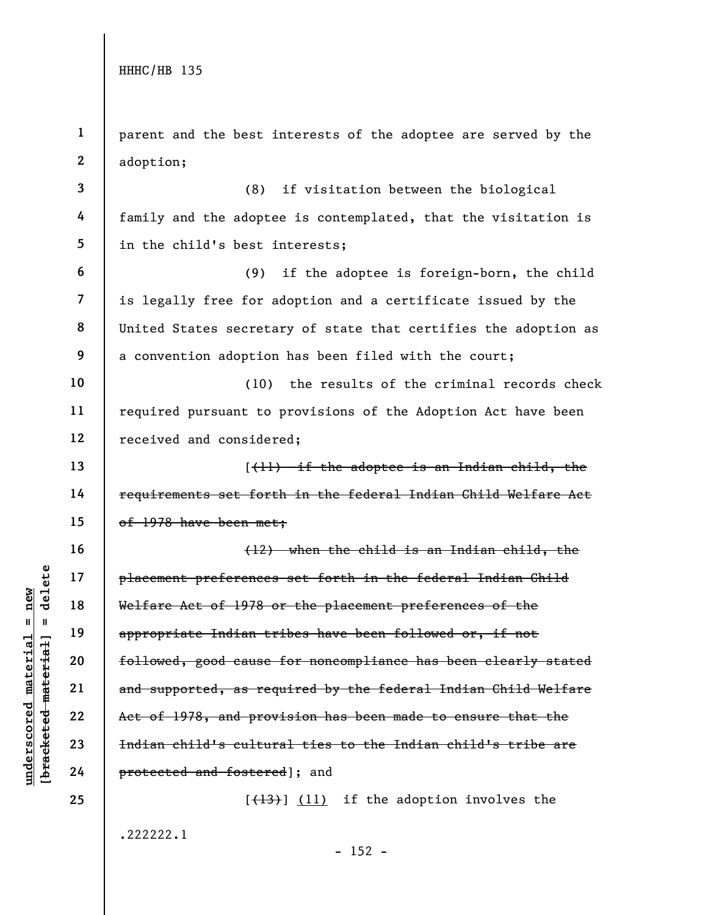|                           | $\mathbf{1}$            | parent and the best interests of the adoptee are served by the  |
|---------------------------|-------------------------|-----------------------------------------------------------------|
|                           | $\mathbf{2}$            | adoption;                                                       |
|                           | $\overline{\mathbf{3}}$ | (8)<br>if visitation between the biological                     |
|                           | 4                       | family and the adoptee is contemplated, that the visitation is  |
|                           | 5                       | in the child's best interests;                                  |
|                           | $\boldsymbol{6}$        | if the adoptee is foreign-born, the child<br>(9)                |
|                           | $\overline{7}$          | is legally free for adoption and a certificate issued by the    |
|                           | 8                       | United States secretary of state that certifies the adoption as |
|                           | 9                       | a convention adoption has been filed with the court;            |
|                           | 10                      | the results of the criminal records check<br>(10)               |
|                           | 11                      | required pursuant to provisions of the Adoption Act have been   |
|                           | 12                      | received and considered;                                        |
|                           | 13                      | $(\{\dagger\})$ if the adoptee is an Indian child, the          |
|                           | 14                      | requirements set forth in the federal Indian Child Welfare Act  |
|                           | 15                      | of 1978 have been met;                                          |
|                           | 16                      | (12) when the child is an Indian child, the                     |
| delete                    | 17                      | placement preferences set forth in the federal Indian Child     |
| $n$ ew                    | 18                      | Welfare Act of 1978 or the placement preferences of the         |
| H<br>Ш                    | 19                      | appropriate Indian tribes have been followed or, if not         |
|                           | 20                      | followed, good cause for noncompliance has been clearly stated  |
| <b>Bracketed material</b> | 21                      | and supported, as required by the federal Indian Child Welfare  |
|                           | 22                      | Act of 1978, and provision has been made to ensure that the     |
|                           | 23                      | Indian child's cultural ties to the Indian child's tribe are    |
| underscored material      | 24                      | protected and fostered]; and                                    |
|                           | 25                      | if the adoption involves the<br>$[$ (13) $($ 11)                |
|                           |                         | .222222.1                                                       |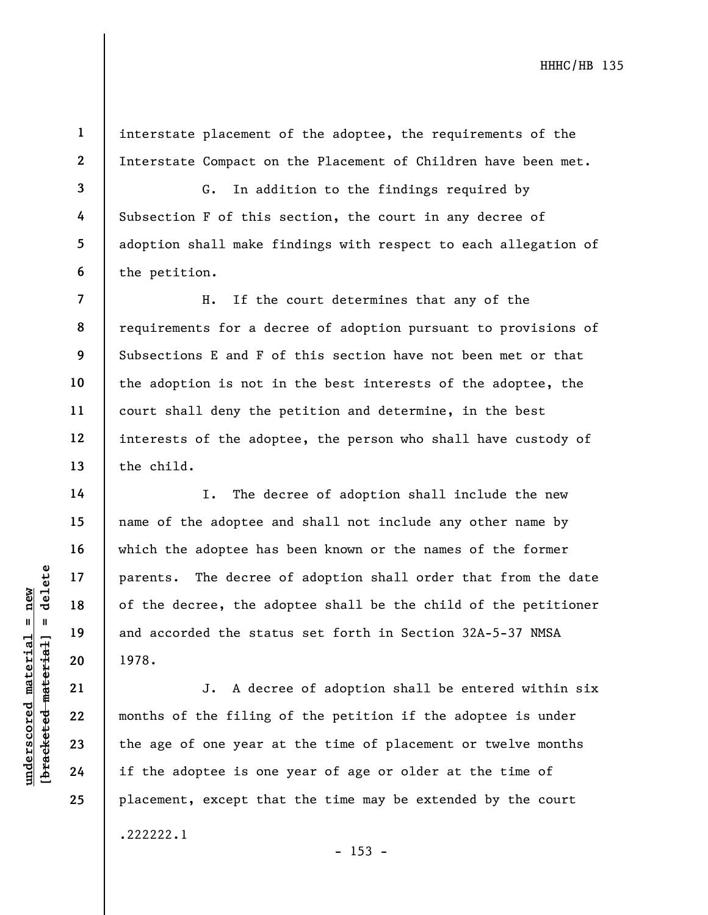interstate placement of the adoptee, the requirements of the Interstate Compact on the Placement of Children have been met.

3 4 5 6 G. In addition to the findings required by Subsection F of this section, the court in any decree of adoption shall make findings with respect to each allegation of the petition.

8 9 H. If the court determines that any of the requirements for a decree of adoption pursuant to provisions of Subsections E and F of this section have not been met or that the adoption is not in the best interests of the adoptee, the court shall deny the petition and determine, in the best interests of the adoptee, the person who shall have custody of the child.

understand material material experience of the decree, the add and accorded the state of the decree, the add and accorded the state of the state 1978.<br>
The decree of the state material is also as a set of the filing the ag I. The decree of adoption shall include the new name of the adoptee and shall not include any other name by which the adoptee has been known or the names of the former parents. The decree of adoption shall order that from the date of the decree, the adoptee shall be the child of the petitioner and accorded the status set forth in Section 32A-5-37 NMSA 1978.

J. A decree of adoption shall be entered within six months of the filing of the petition if the adoptee is under the age of one year at the time of placement or twelve months if the adoptee is one year of age or older at the time of placement, except that the time may be extended by the court .222222.1

1

2

7

10

11

12

13

14

15

16

17

18

19

20

21

22

23

24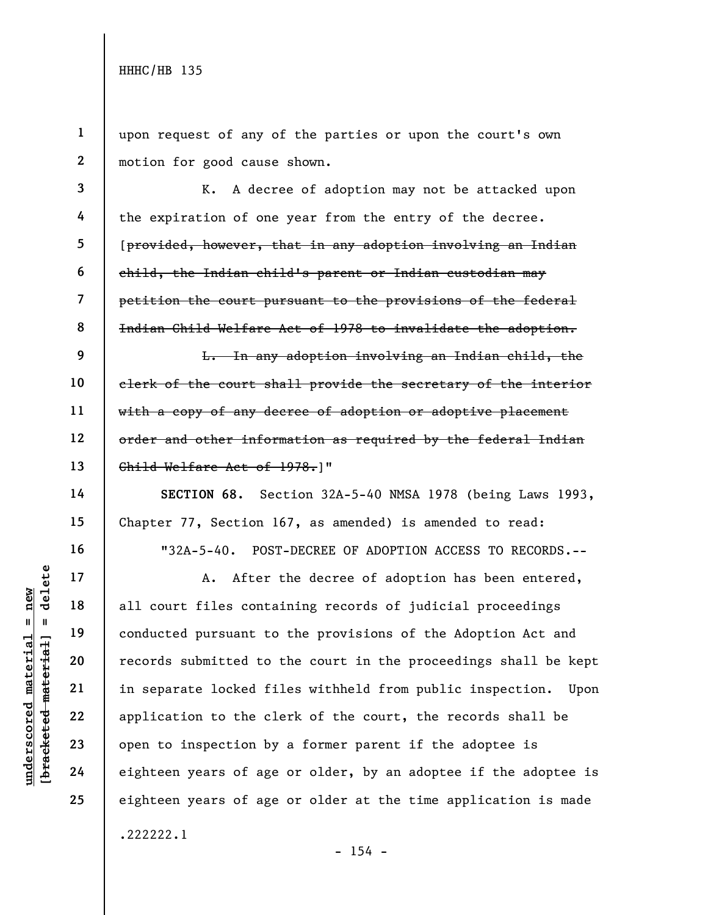1 2 upon request of any of the parties or upon the court's own motion for good cause shown.

3 4 5 6 7 8 K. A decree of adoption may not be attacked upon the expiration of one year from the entry of the decree. [provided, however, that in any adoption involving an Indian child, the Indian child's parent or Indian custodian may petition the court pursuant to the provisions of the federal Indian Child Welfare Act of 1978 to invalidate the adoption.

9 10 11 12 13 L. In any adoption involving an Indian child, the clerk of the court shall provide the secretary of the interior with a copy of any decree of adoption or adoptive placement order and other information as required by the federal Indian Child Welfare Act of 1978.]"

SECTION 68. Section 32A-5-40 NMSA 1978 (being Laws 1993, Chapter 77, Section 167, as amended) is amended to read: "32A-5-40. POST-DECREE OF ADOPTION ACCESS TO RECORDS.--

underscored material = new [bracketed material] = delete A. After the decree of adoption has been entered, all court files containing records of judicial proceedings conducted pursuant to the provisions of the Adoption Act and records submitted to the court in the proceedings shall be kept in separate locked files withheld from public inspection. Upon application to the clerk of the court, the records shall be open to inspection by a former parent if the adoptee is eighteen years of age or older, by an adoptee if the adoptee is eighteen years of age or older at the time application is made .222222.1

- 154 -

14

15

16

17

18

19

20

21

22

23

24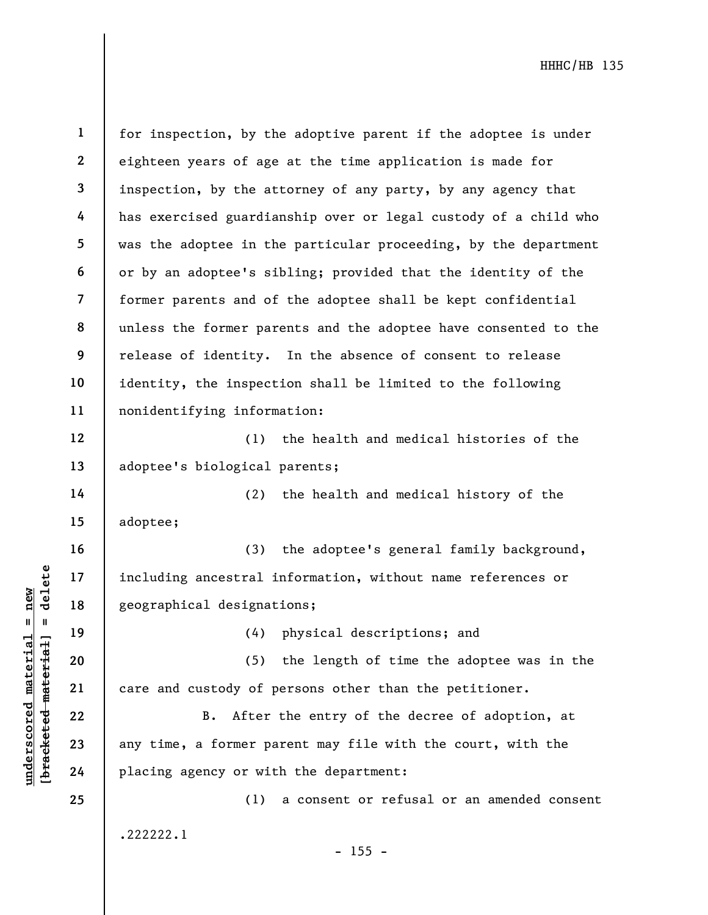underschied material is a strain including ancestral is<br>  $\begin{bmatrix}\n1 & 1 & 1 & 1 \\
0 & 1 & 1 & 1 & 1 \\
0 & 0 & 0 & 0 & 0 \\
0 & 0 & 0 & 0 & 0 \\
0 & 0 & 0 & 0 & 0 \\
0 & 0 & 0 & 0 & 0 \\
0 & 0 & 0 & 0 & 0 \\
0 & 0 & 0 & 0 & 0 \\
0 & 0 & 0 & 0 & 0 \\
0 & 0 & 0 & 0 & 0 \\
0 & 0 & 0 & 0 & 0 \\
0 & 0 &$ 1 2 3 4 5 6 7 8 9 10 11 12 13 14 15 16 17 18 19 20 21 22 23 24 25 for inspection, by the adoptive parent if the adoptee is under eighteen years of age at the time application is made for inspection, by the attorney of any party, by any agency that has exercised guardianship over or legal custody of a child who was the adoptee in the particular proceeding, by the department or by an adoptee's sibling; provided that the identity of the former parents and of the adoptee shall be kept confidential unless the former parents and the adoptee have consented to the release of identity. In the absence of consent to release identity, the inspection shall be limited to the following nonidentifying information: (1) the health and medical histories of the adoptee's biological parents; (2) the health and medical history of the adoptee; (3) the adoptee's general family background, including ancestral information, without name references or geographical designations; (4) physical descriptions; and (5) the length of time the adoptee was in the care and custody of persons other than the petitioner. B. After the entry of the decree of adoption, at any time, a former parent may file with the court, with the placing agency or with the department: (1) a consent or refusal or an amended consent .222222.1 - 155 -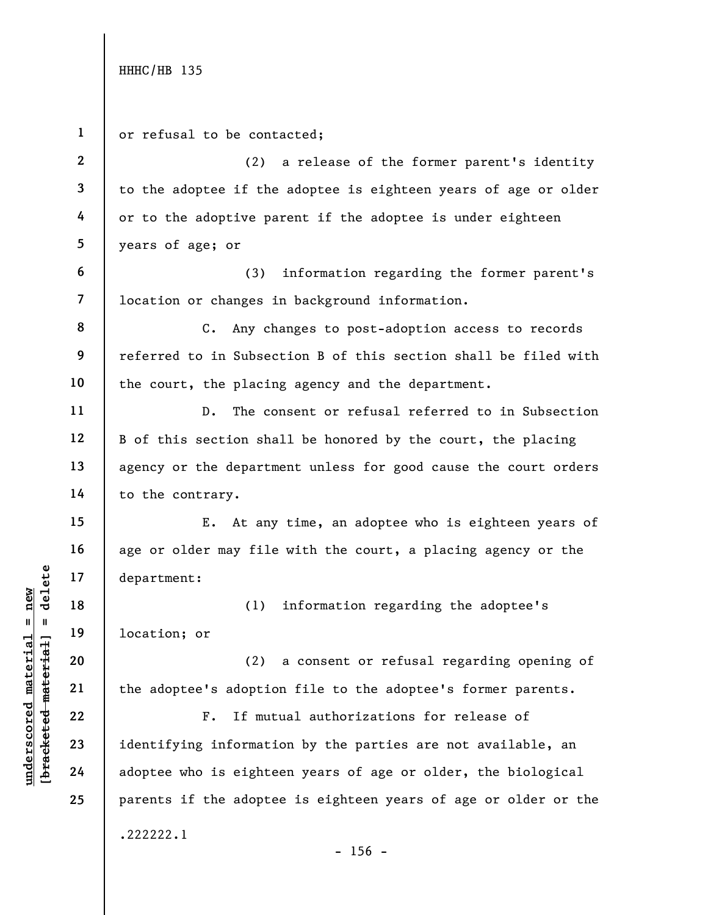understand material material of the adopted material of the adopted material control of the adopted material control of the adopted material control of the adopted material control of the adopted material control of the ad 1 2 3 4 5 6 7 8 9 10 11 12 13 14 15 16 17 18 19 20 21 22 23 24 25 or refusal to be contacted; (2) a release of the former parent's identity to the adoptee if the adoptee is eighteen years of age or older or to the adoptive parent if the adoptee is under eighteen years of age; or (3) information regarding the former parent's location or changes in background information. C. Any changes to post-adoption access to records referred to in Subsection B of this section shall be filed with the court, the placing agency and the department. D. The consent or refusal referred to in Subsection B of this section shall be honored by the court, the placing agency or the department unless for good cause the court orders to the contrary. E. At any time, an adoptee who is eighteen years of age or older may file with the court, a placing agency or the department: (1) information regarding the adoptee's location; or (2) a consent or refusal regarding opening of the adoptee's adoption file to the adoptee's former parents. F. If mutual authorizations for release of identifying information by the parties are not available, an adoptee who is eighteen years of age or older, the biological parents if the adoptee is eighteen years of age or older or the .222222.1 - 156 -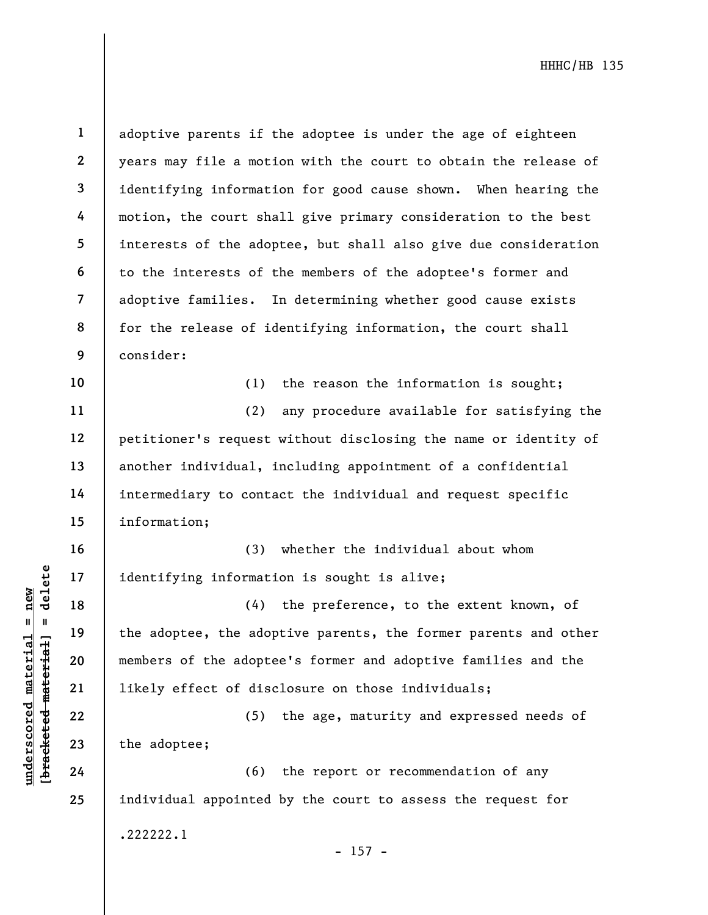understand material material identifying informational endinements of the adopted members of the adopted material corrections of the adopted material corrections of the adopted material corrections of the adopted material 1 2 3 4 5 6 7 8 9 10 11 12 13 14 15 16 17 18 19 20 21 22 23 24 25 adoptive parents if the adoptee is under the age of eighteen years may file a motion with the court to obtain the release of identifying information for good cause shown. When hearing the motion, the court shall give primary consideration to the best interests of the adoptee, but shall also give due consideration to the interests of the members of the adoptee's former and adoptive families. In determining whether good cause exists for the release of identifying information, the court shall consider: (1) the reason the information is sought; (2) any procedure available for satisfying the petitioner's request without disclosing the name or identity of another individual, including appointment of a confidential intermediary to contact the individual and request specific information; (3) whether the individual about whom identifying information is sought is alive; (4) the preference, to the extent known, of the adoptee, the adoptive parents, the former parents and other members of the adoptee's former and adoptive families and the likely effect of disclosure on those individuals; (5) the age, maturity and expressed needs of the adoptee; (6) the report or recommendation of any individual appointed by the court to assess the request for .222222.1 - 157 -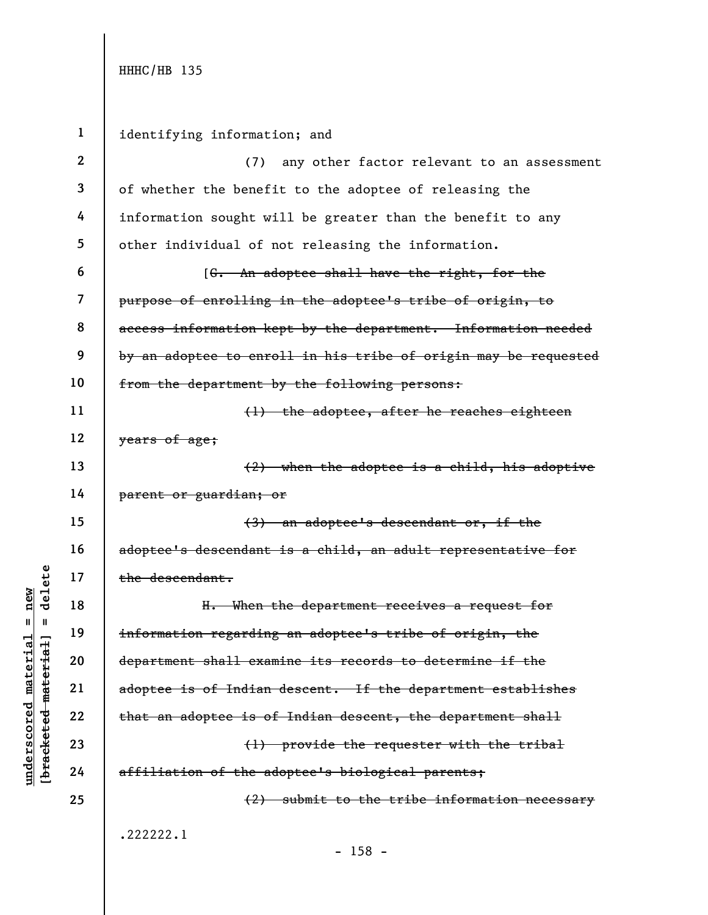| $\mathbf{1}$   | identifying information; and                                    |
|----------------|-----------------------------------------------------------------|
| $\mathbf{2}$   | any other factor relevant to an assessment<br>(7)               |
| 3              | of whether the benefit to the adoptee of releasing the          |
| 4              | information sought will be greater than the benefit to any      |
| 5              | other individual of not releasing the information.              |
| 6              | [ <del>G. An adoptee shall have the right, for the</del>        |
| $\overline{7}$ | purpose of enrolling in the adoptee's tribe of origin, to       |
| 8              | access information kept by the department. Information needed   |
| 9              | by an adoptee to enroll in his tribe of origin may be requested |
| 10             | from the department by the following persons:                   |
| 11             | (1) the adoptee, after he reaches eighteen                      |
| 12             | years of age;                                                   |
| 13             | $(2)$ when the adoptee is a child, his adoptive                 |
| 14             | <del>parent or guardian; or</del>                               |
| 15             | $(3)$ an adoptee's descendant or, if the                        |
| 16             | adoptee's descendant is a child, an adult representative for    |
| 17             | the descendant.                                                 |
| 18             | H. When the department receives a request for                   |
| 19             | information regarding an adoptee's tribe of origin, the         |
| 20             | department shall examine its records to determine if the        |
| 21             | adoptee is of Indian descent. If the department establishes     |
| 22             | that an adoptee is of Indian descent, the department shall      |
| 23             | (1) provide the requester with the tribal                       |
| 24             | affiliation of the adoptee's biological parents;                |
| 25             | (2) submit to the tribe information necessary                   |
|                | .222222.1                                                       |
|                | 1 <sub>5</sub>                                                  |

 $\frac{\text{underscored material = new}}{\text{beac detected-matter}+\text{d}}$  = delete

- 158 -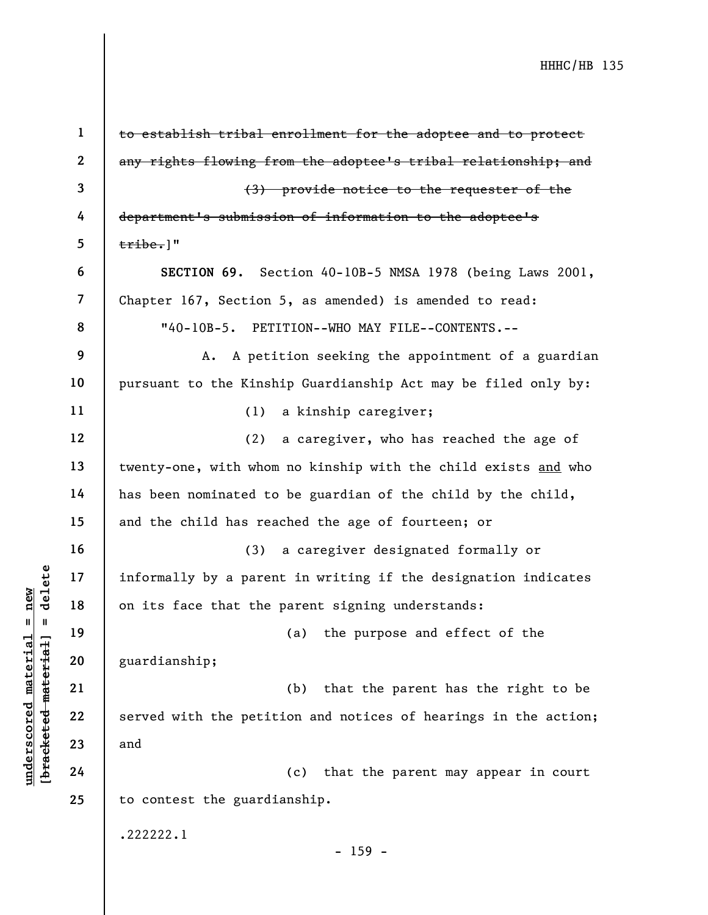|                         |            | $\mathbf{1}$   | to establish tribal enrollment for the adoptee and to protect   |
|-------------------------|------------|----------------|-----------------------------------------------------------------|
|                         |            | $\mathbf 2$    | any rights flowing from the adoptee's tribal relationship; and  |
|                         |            | 3              | (3) provide notice to the requester of the                      |
|                         |            | 4              | department's submission of information to the adoptee's         |
|                         |            | 5              | $\text{tribe.}$ ]"                                              |
|                         |            | 6              | SECTION 69. Section 40-10B-5 NMSA 1978 (being Laws 2001,        |
|                         |            | $\overline{7}$ | Chapter 167, Section 5, as amended) is amended to read:         |
|                         |            | 8              | "40-10B-5. PETITION--WHO MAY FILE--CONTENTS.--                  |
|                         |            | 9              | A petition seeking the appointment of a guardian<br>Α.          |
|                         |            | 10             | pursuant to the Kinship Guardianship Act may be filed only by:  |
|                         |            | 11             | a kinship caregiver;<br>(1)                                     |
|                         |            | 12             | (2)<br>a caregiver, who has reached the age of                  |
|                         |            | 13             | twenty-one, with whom no kinship with the child exists and who  |
|                         |            | 14             | has been nominated to be guardian of the child by the child,    |
|                         |            | 15             | and the child has reached the age of fourteen; or               |
|                         |            | 16             | a caregiver designated formally or<br>(3)                       |
|                         | delete     | 17             | informally by a parent in writing if the designation indicates  |
| $n$ ew                  |            | 18             | on its face that the parent signing understands:                |
| Ш                       |            | 19             | the purpose and effect of the<br>(a)                            |
| materia                 | material   | 20             | guardianship;                                                   |
|                         |            | 21             | that the parent has the right to be<br>(b)                      |
| $\bm{{\rm underscore}}$ |            | 22             | served with the petition and notices of hearings in the action; |
|                         | [bracketed | 23             | and                                                             |
|                         |            | 24             | that the parent may appear in court<br>(c)                      |
|                         |            | 25             | to contest the guardianship.                                    |
|                         |            |                | .222222.1                                                       |
|                         |            |                | $-159 -$                                                        |
|                         |            |                |                                                                 |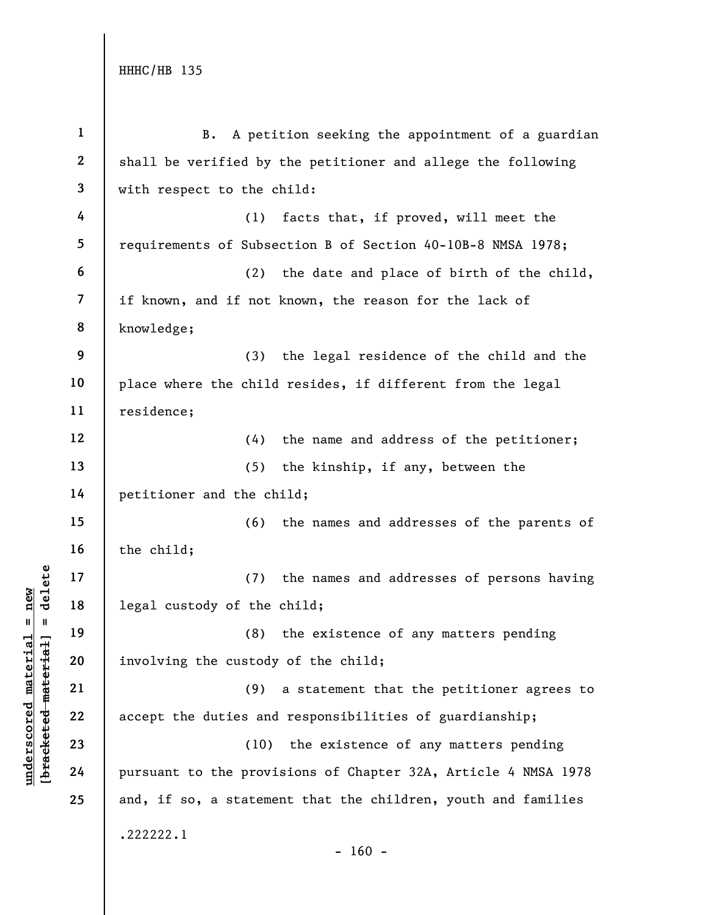| $\mathbf{1}$     | A petition seeking the appointment of a guardian<br><b>B.</b>  |
|------------------|----------------------------------------------------------------|
| $\boldsymbol{2}$ | shall be verified by the petitioner and allege the following   |
| $\mathbf{3}$     | with respect to the child:                                     |
| 4                | facts that, if proved, will meet the<br>(1)                    |
| 5                | requirements of Subsection B of Section 40-10B-8 NMSA 1978;    |
| 6                | the date and place of birth of the child,<br>(2)               |
| 7                | if known, and if not known, the reason for the lack of         |
| 8                | knowledge;                                                     |
| 9                | (3)<br>the legal residence of the child and the                |
| 10               | place where the child resides, if different from the legal     |
| 11               | residence;                                                     |
| 12               | (4)<br>the name and address of the petitioner;                 |
| 13               | (5)<br>the kinship, if any, between the                        |
| 14               | petitioner and the child;                                      |
| 15               | (6)<br>the names and addresses of the parents of               |
| 16               | the child;                                                     |
| 17               | (7)<br>the names and addresses of persons having               |
| 18               | legal custody of the child;                                    |
| 19               | the existence of any matters pending<br>(8)                    |
| 20               | involving the custody of the child;                            |
| 21               | a statement that the petitioner agrees to<br>(9)               |
| 22               | accept the duties and responsibilities of guardianship;        |
| 23               | (10) the existence of any matters pending                      |
| 24               | pursuant to the provisions of Chapter 32A, Article 4 NMSA 1978 |
| 25               | and, if so, a statement that the children, youth and families  |
|                  | .222222.1<br>$-160 -$                                          |

## $\frac{\text{undersecond material} = \text{new}}{\text{beac detected} - \text{meter} \cdot \text{t} + \text{a}}$  = delete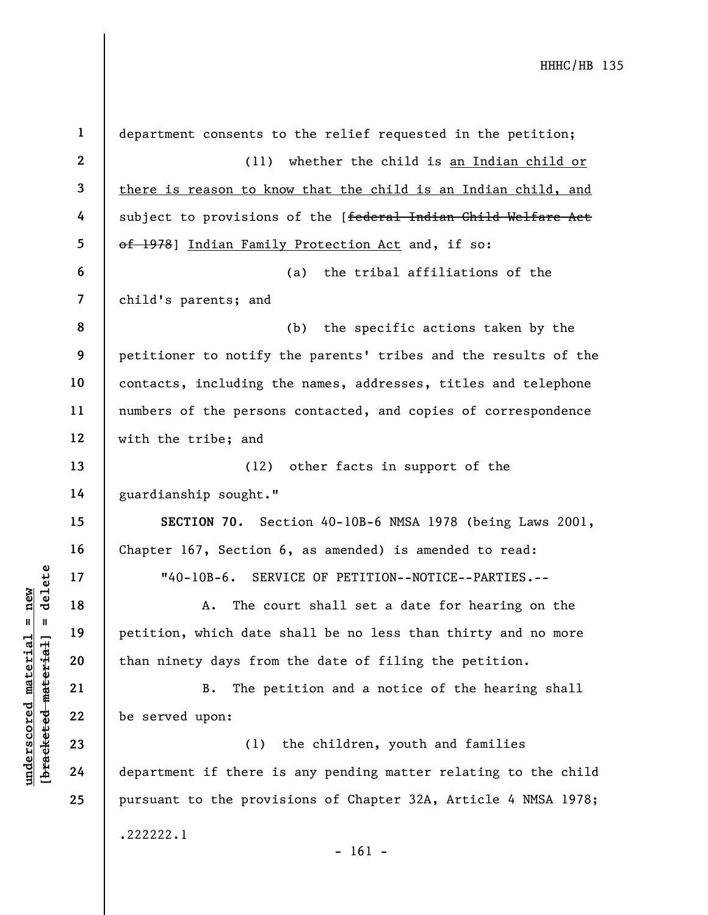underscored material material material material material and the material of the served upon:<br>
The period material of the served upon:<br>
The period material of the served upon:<br>
23<br>
24 department if there is 1 2 3 4 5 6 7 8 9 10 11 12 13 14 15 16 17 18 19 20 21 22 23 24 25 department consents to the relief requested in the petition; (11) whether the child is an Indian child or there is reason to know that the child is an Indian child, and subject to provisions of the [federal Indian Child Welfare Act of 1978] Indian Family Protection Act and, if so: (a) the tribal affiliations of the child's parents; and (b) the specific actions taken by the petitioner to notify the parents' tribes and the results of the contacts, including the names, addresses, titles and telephone numbers of the persons contacted, and copies of correspondence with the tribe; and (12) other facts in support of the guardianship sought." SECTION 70. Section 40-10B-6 NMSA 1978 (being Laws 2001, Chapter 167, Section 6, as amended) is amended to read: "40-10B-6. SERVICE OF PETITION--NOTICE--PARTIES.-- A. The court shall set a date for hearing on the petition, which date shall be no less than thirty and no more than ninety days from the date of filing the petition. B. The petition and a notice of the hearing shall be served upon: (1) the children, youth and families department if there is any pending matter relating to the child pursuant to the provisions of Chapter 32A, Article 4 NMSA 1978; .222222.1 - 161 -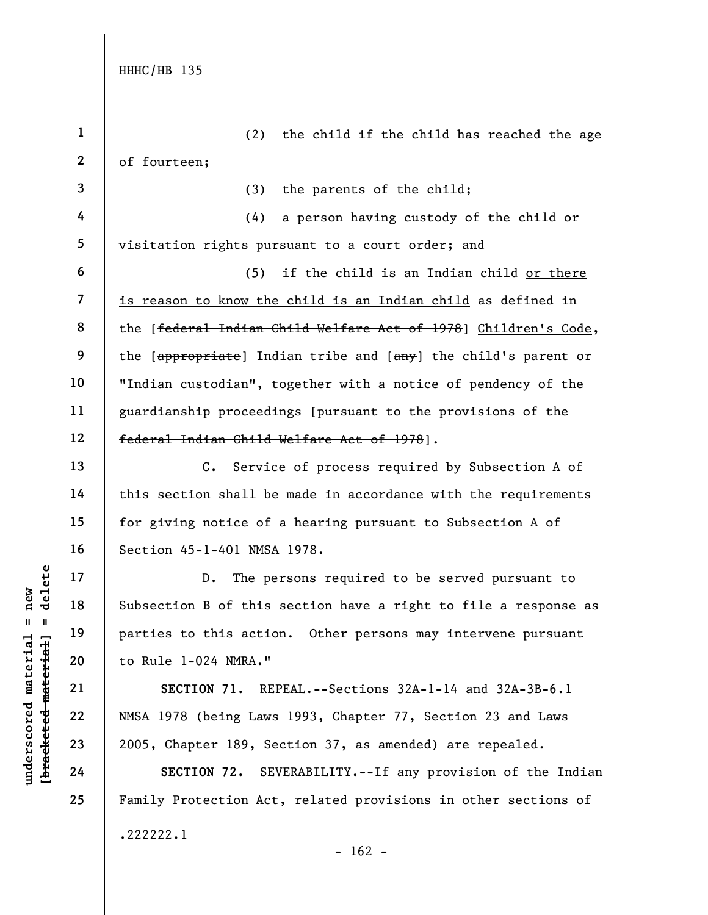UNE 17<br>
UNE 18<br>
UNE 19<br>
UNE 19<br>
UNE 1-024 NMRA."<br>
21<br>
UNE 1-024 NMRA."<br>
22<br>
UNE 1-024 NMRA."<br>
22<br>
23<br>
2005, Chapter 189, Se<br>
24<br>
ECTION 71. REI<br>
24<br>
SECTION 71. REI<br>
24<br>
SECTION 71. REI<br>
SECTION 71. REI<br>
24<br>
SECTION 72. SE 1 2 3 4 5 6 7 8 9 10 11 12 13 14 15 16 17 18 19 20 21 22 23 24 (2) the child if the child has reached the age of fourteen; (3) the parents of the child; (4) a person having custody of the child or visitation rights pursuant to a court order; and (5) if the child is an Indian child or there is reason to know the child is an Indian child as defined in the [federal Indian Child Welfare Act of 1978] Children's Code, the [appropriate] Indian tribe and [any] the child's parent or "Indian custodian", together with a notice of pendency of the guardianship proceedings [pursuant to the provisions of the federal Indian Child Welfare Act of 1978]. C. Service of process required by Subsection A of this section shall be made in accordance with the requirements for giving notice of a hearing pursuant to Subsection A of Section 45-1-401 NMSA 1978. D. The persons required to be served pursuant to Subsection B of this section have a right to file a response as parties to this action. Other persons may intervene pursuant to Rule 1-024 NMRA." SECTION 71. REPEAL.--Sections 32A-1-14 and 32A-3B-6.1 NMSA 1978 (being Laws 1993, Chapter 77, Section 23 and Laws 2005, Chapter 189, Section 37, as amended) are repealed.

SECTION 72. SEVERABILITY.--If any provision of the Indian Family Protection Act, related provisions in other sections of .222222.1  $- 162 -$